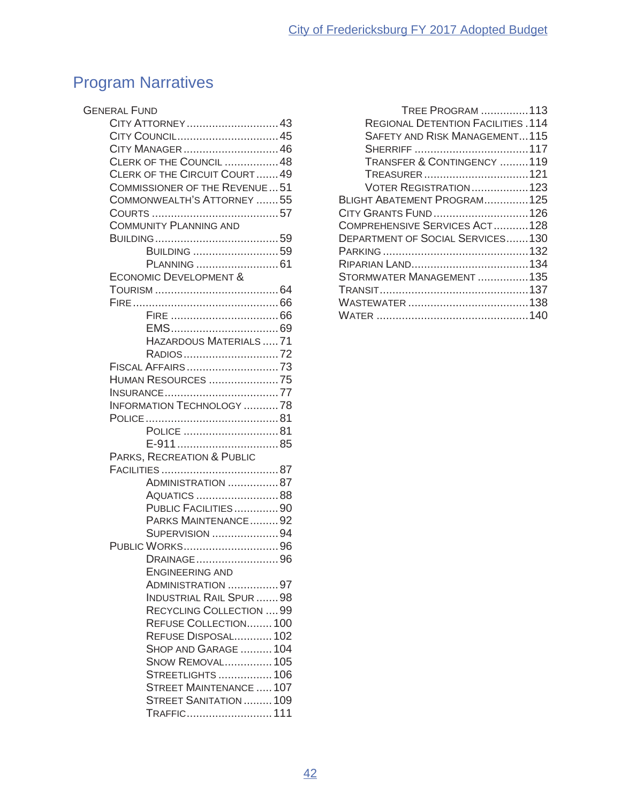# Program Narratives

| <b>GENERAL FUND</b>                  |  |
|--------------------------------------|--|
| CITY ATTORNEY43                      |  |
| CITY COUNCIL45                       |  |
| CITY MANAGER 46                      |  |
| CLERK OF THE COUNCIL  48             |  |
| CLERK OF THE CIRCUIT COURT49         |  |
| <b>COMMISSIONER OF THE REVENUE51</b> |  |
| COMMONWEALTH'S ATTORNEY 55           |  |
|                                      |  |
| <b>COMMUNITY PLANNING AND</b>        |  |
|                                      |  |
| BUILDING 59                          |  |
|                                      |  |
| <b>ECONOMIC DEVELOPMENT &amp;</b>    |  |
|                                      |  |
|                                      |  |
|                                      |  |
|                                      |  |
| HAZARDOUS MATERIALS  71              |  |
| RADIOS72                             |  |
| FISCAL AFFAIRS 73                    |  |
| <b>HUMAN RESOURCES 75</b>            |  |
|                                      |  |
| <b>INFORMATION TECHNOLOGY 78</b>     |  |
|                                      |  |
| POLICE 81                            |  |
|                                      |  |
| PARKS, RECREATION & PUBLIC           |  |
|                                      |  |
| ADMINISTRATION 87<br>AQUATICS 88     |  |
| PUBLIC FACILITIES90                  |  |
| PARKS MAINTENANCE92                  |  |
| SUPERVISION 94                       |  |
| PUBLIC WORKS96                       |  |
| DRAINAGE96                           |  |
| ENGINEERING AND                      |  |
| ADMINISTRATION 97                    |  |
| <b>INDUSTRIAL RAIL SPUR 98</b>       |  |
| RECYCLING COLLECTION  99             |  |
| REFUSE COLLECTION 100                |  |
| REFUSE DISPOSAL102                   |  |
| SHOP AND GARAGE 104                  |  |
| <b>SNOW REMOVAL 105</b>              |  |
| STREETLIGHTS  106                    |  |
| <b>STREET MAINTENANCE  107</b>       |  |
| STREET SANITATION  109               |  |
| TRAFFIC 111                          |  |

| <b>TREE PROGRAM 113</b>                   |
|-------------------------------------------|
| <b>REGIONAL DETENTION FACILITIES .114</b> |
| <b>SAFETY AND RISK MANAGEMENT115</b>      |
|                                           |
| TRANSFER & CONTINGENCY 119                |
| TREASURER121                              |
| VOTER REGISTRATION123                     |
| BLIGHT ABATEMENT PROGRAM125               |
| CITY GRANTS FUND  126                     |
| COMPREHENSIVE SERVICES ACT128             |
| <b>DEPARTMENT OF SOCIAL SERVICES130</b>   |
|                                           |
|                                           |
| STORMWATER MANAGEMENT  135                |
|                                           |
|                                           |
|                                           |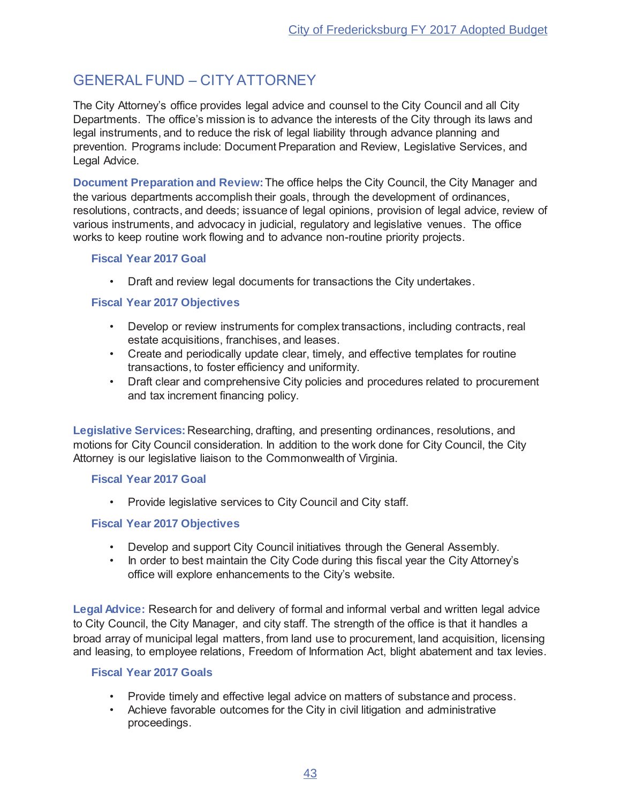## **GENERAL FUND - CITY ATTORNEY**

The City Attorney's office provides legal advice and counsel to the City Council and all City Departments. The office's mission is to advance the interests of the City through its laws and legal instruments, and to reduce the risk of legal liability through advance planning and prevention. Programs include: Document Preparation and Review, Legislative Services, and Legal Advice.

Document Preparation and Review: The office helps the City Council, the City Manager and the various departments accomplish their goals, through the development of ordinances, resolutions, contracts, and deeds; issuance of legal opinions, provision of legal advice, review of various instruments, and advocacy in judicial, regulatory and legislative venues. The office works to keep routine work flowing and to advance non-routine priority projects.

#### **Fiscal Year 2017 Goal**

• Draft and review legal documents for transactions the City undertakes.

#### **Fiscal Year 2017 Objectives**

- Develop or review instruments for complex transactions, including contracts, real estate acquisitions, franchises, and leases.
- Create and periodically update clear, timely, and effective templates for routine transactions, to foster efficiency and uniformity.
- Draft clear and comprehensive City policies and procedures related to procurement and tax increment financing policy.

Legislative Services: Researching, drafting, and presenting ordinances, resolutions, and motions for City Council consideration. In addition to the work done for City Council, the City Attorney is our legislative liaison to the Commonwealth of Virginia.

#### **Fiscal Year 2017 Goal**

• Provide legislative services to City Council and City staff.

## **Fiscal Year 2017 Objectives**

- Develop and support City Council initiatives through the General Assembly.
- In order to best maintain the City Code during this fiscal year the City Attorney's office will explore enhancements to the City's website.

Legal Advice: Research for and delivery of formal and informal verbal and written legal advice to City Council, the City Manager, and city staff. The strength of the office is that it handles a broad array of municipal legal matters, from land use to procurement, land acquisition, licensing and leasing, to employee relations, Freedom of Information Act, blight abatement and tax levies.

#### **Fiscal Year 2017 Goals**

- Provide timely and effective legal advice on matters of substance and process.
- Achieve favorable outcomes for the City in civil litigation and administrative proceedings.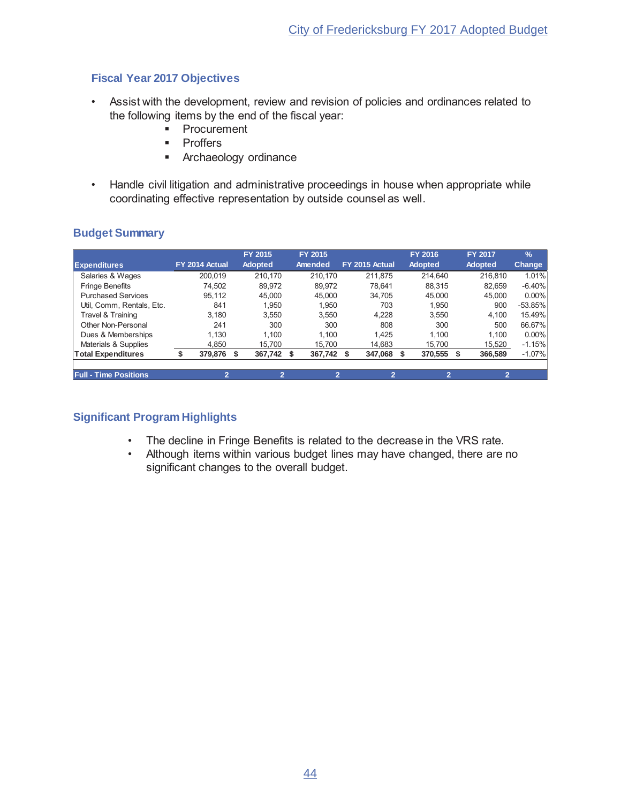## **Fiscal Year 2017 Objectives**

- Assist with the development, review and revision of policies and ordinances related to the following items by the end of the fiscal year:
	- Procurement
	- Proffers
	- Archaeology ordinance
- Handle civil litigation and administrative proceedings in house when appropriate while coordinating effective representation by outside counsel as well.

|                              |                | FY 2015        | <b>FY 2015</b> |                | <b>FY 2016</b> | <b>FY 2017</b> | $\frac{9}{6}$ |
|------------------------------|----------------|----------------|----------------|----------------|----------------|----------------|---------------|
| <b>Expenditures</b>          | FY 2014 Actual | <b>Adopted</b> | <b>Amended</b> | FY 2015 Actual | <b>Adopted</b> | <b>Adopted</b> | <b>Change</b> |
| Salaries & Wages             | 200.019        | 210.170        | 210.170        | 211.875        | 214.640        | 216.810        | 1.01%         |
| <b>Fringe Benefits</b>       | 74.502         | 89.972         | 89.972         | 78.641         | 88.315         | 82.659         | $-6.40%$      |
| <b>Purchased Services</b>    | 95.112         | 45.000         | 45,000         | 34.705         | 45,000         | 45.000         | $0.00\%$      |
| Util. Comm. Rentals. Etc.    | 841            | 1.950          | 1.950          | 703            | 1.950          | 900            | $-53.85%$     |
| Travel & Training            | 3.180          | 3.550          | 3.550          | 4.228          | 3.550          | 4.100          | 15.49%        |
| Other Non-Personal           | 241            | 300            | 300            | 808            | 300            | 500            | 66.67%        |
| Dues & Memberships           | 1.130          | 1.100          | 1.100          | 1.425          | 1.100          | 1.100          | $0.00\%$      |
| Materials & Supplies         | 4.850          | 15,700         | 15,700         | 14.683         | 15,700         | 15,520         | $-1.15%$      |
| <b>Total Expenditures</b>    | 379,876        | 367,742<br>S   | 367,742<br>\$. | 347,068        | 370,555<br>S   | 366,589<br>\$. | $-1.07%$      |
|                              |                |                |                |                |                |                |               |
| <b>Full - Time Positions</b> | 2              |                | $\overline{2}$ | 2              |                | 2              |               |

## **Budget Summary**

- The decline in Fringe Benefits is related to the decrease in the VRS rate.
- . Although items within various budget lines may have changed, there are no significant changes to the overall budget.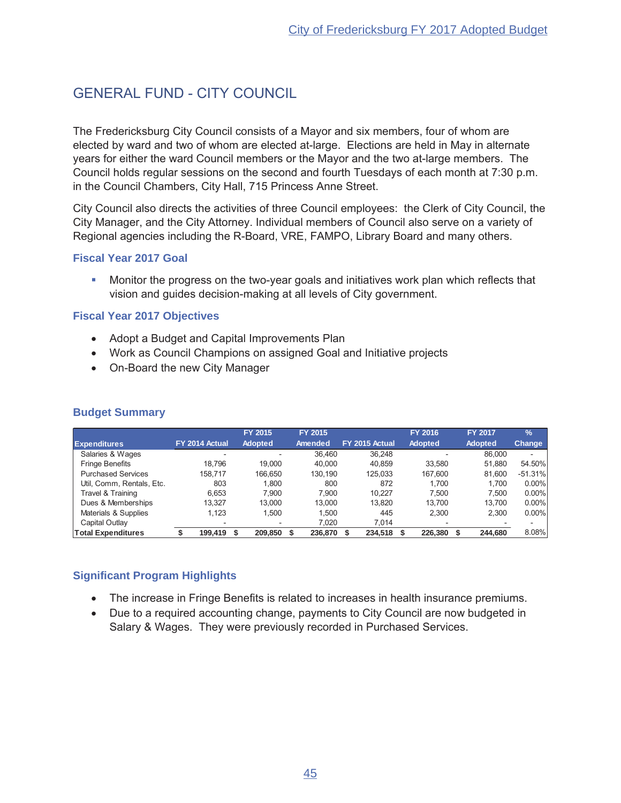## **GENERAL FUND - CITY COUNCIL**

The Fredericksburg City Council consists of a Mayor and six members, four of whom are elected by ward and two of whom are elected at-large. Elections are held in May in alternate years for either the ward Council members or the Mayor and the two at-large members. The Council holds regular sessions on the second and fourth Tuesdays of each month at 7:30 p.m. in the Council Chambers, City Hall, 715 Princess Anne Street.

City Council also directs the activities of three Council employees: the Clerk of City Council, the City Manager, and the City Attorney. Individual members of Council also serve on a variety of Regional agencies including the R-Board, VRE, FAMPO, Library Board and many others.

#### **Fiscal Year 2017 Goal**

• Monitor the progress on the two-year goals and initiatives work plan which reflects that vision and guides decision-making at all levels of City government.

#### **Fiscal Year 2017 Objectives**

- Adopt a Budget and Capital Improvements Plan
- Work as Council Champions on assigned Goal and Initiative projects
- On-Board the new City Manager

|                           |                | FY 2015        | FY 2015 |                | <b>FY 2016</b> | <b>FY 2017</b> | $\frac{9}{6}$            |
|---------------------------|----------------|----------------|---------|----------------|----------------|----------------|--------------------------|
| <b>Expenditures</b>       | FY 2014 Actual | <b>Adopted</b> | Amended | FY 2015 Actual | <b>Adopted</b> | <b>Adopted</b> | <b>Change</b>            |
| Salaries & Wages          |                |                | 36.460  | 36.248         |                | 86,000         | $\overline{\phantom{0}}$ |
| <b>Fringe Benefits</b>    | 18.796         | 19.000         | 40.000  | 40.859         | 33.580         | 51.880         | 54.50%                   |
| <b>Purchased Services</b> | 158.717        | 166.650        | 130.190 | 125.033        | 167.600        | 81.600         | $-51.31%$                |
| Util, Comm, Rentals, Etc. | 803            | 1.800          | 800     | 872            | 1.700          | 1.700          | 0.00%                    |
| Travel & Training         | 6.653          | 7.900          | 7.900   | 10.227         | 7.500          | 7.500          | 0.00%                    |
| Dues & Memberships        | 13.327         | 13.000         | 13,000  | 13.820         | 13.700         | 13.700         | 0.00%                    |
| Materials & Supplies      | 1.123          | 1.500          | 1.500   | 445            | 2.300          | 2.300          | 0.00%                    |
| Capital Outlay            |                |                | 7.020   | 7.014          |                |                |                          |
| <b>Total Expenditures</b> | 199.419        | 209,850        | 236,870 | 234,518        | 226,380        | 244.680        | 8.08%                    |

#### **Budget Summary**

- The increase in Fringe Benefits is related to increases in health insurance premiums.
- Due to a required accounting change, payments to City Council are now budgeted in Salary & Wages. They were previously recorded in Purchased Services.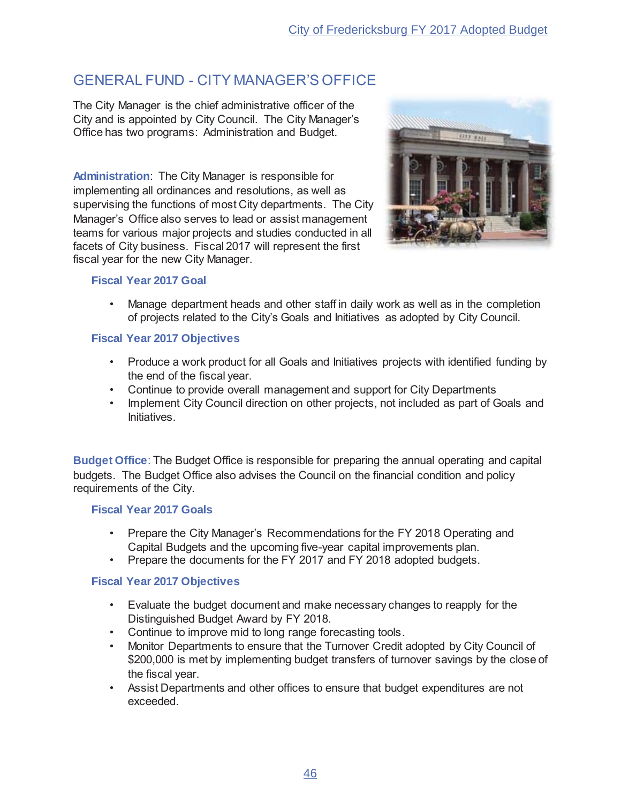## GENERAL FUND - CITY MANAGER'S OFFICE

The City Manager is the chief administrative officer of the City and is appointed by City Council. The City Manager's Office has two programs: Administration and Budget.

**Administration:** The City Manager is responsible for implementing all ordinances and resolutions, as well as supervising the functions of most City departments. The City Manager's Office also serves to lead or assist management teams for various major projects and studies conducted in all facets of City business. Fiscal 2017 will represent the first fiscal year for the new City Manager.



#### **Fiscal Year 2017 Goal**

• Manage department heads and other staff in daily work as well as in the completion of projects related to the City's Goals and Initiatives as adopted by City Council.

#### **Fiscal Year 2017 Objectives**

- Produce a work product for all Goals and Initiatives projects with identified funding by the end of the fiscal year.
- . Continue to provide overall management and support for City Departments
- Implement City Council direction on other projects, not included as part of Goals and Initiatives.

**Budget Office:** The Budget Office is responsible for preparing the annual operating and capital budgets. The Budget Office also advises the Council on the financial condition and policy requirements of the City.

#### **Fiscal Year 2017 Goals**

- Prepare the City Manager's Recommendations for the FY 2018 Operating and Capital Budgets and the upcoming five-year capital improvements plan.
- Prepare the documents for the FY 2017 and FY 2018 adopted budgets.

## **Fiscal Year 2017 Objectives**

- Evaluate the budget document and make necessary changes to reapply for the Distinguished Budget Award by FY 2018.
- . Continue to improve mid to long range forecasting tools.
- Monitor Departments to ensure that the Turnover Credit adopted by City Council of \$200,000 is met by implementing budget transfers of turnover savings by the close of the fiscal year.
- Assist Departments and other offices to ensure that budget expenditures are not exceeded.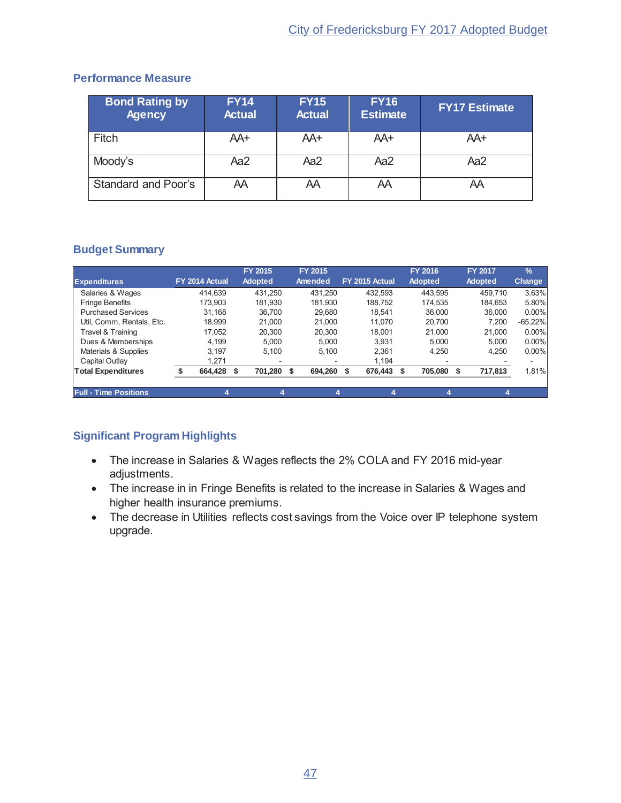#### **Performance Measure**

| <b>Bond Rating by</b><br><b>Agency</b> | <b>FY14</b><br><b>Actual</b> | <b>FY15</b><br><b>Actual</b> | <b>FY16</b><br><b>Estimate</b> | <b>FY17 Estimate</b> |
|----------------------------------------|------------------------------|------------------------------|--------------------------------|----------------------|
| <b>Fitch</b>                           | AA+                          | AA+                          | AA+                            | AA+                  |
| Moody's                                | Aa2                          | Aa2                          | Aa2                            | Aa2                  |
| Standard and Poor's                    | AA                           | AΑ                           | AΑ                             | AA                   |

## **Budget Summary**

|                              |                | <b>FY 2015</b> | FY 2015 |                          |                | <b>FY 2016</b> |       |    | <b>FY 2017</b> | $\frac{9}{6}$ |
|------------------------------|----------------|----------------|---------|--------------------------|----------------|----------------|-------|----|----------------|---------------|
| <b>Expenditures</b>          | FY 2014 Actual | Adopted        | Amended |                          | FY 2015 Actual | Adopted        |       |    | <b>Adopted</b> | Change        |
| Salaries & Wages             | 414.639        | 431.250        | 431.250 |                          | 432.593        | 443.595        |       |    | 459.710        | 3.63%         |
| <b>Fringe Benefits</b>       | 173.903        | 181.930        | 181.930 |                          | 188.752        | 174.535        |       |    | 184.653        | 5.80%         |
| <b>Purchased Services</b>    | 31.168         | 36.700         | 29.680  |                          | 18.541         | 36,000         |       |    | 36,000         | 0.00%         |
| Util, Comm, Rentals, Etc.    | 18.999         | 21.000         | 21.000  |                          | 11.070         | 20.700         |       |    | 7.200          | $-65.22%$     |
| Travel & Training            | 17.052         | 20,300         | 20.300  |                          | 18.001         | 21.000         |       |    | 21.000         | $0.00\%$      |
| Dues & Memberships           | 4.199          | 5.000          | 5.000   |                          | 3,931          |                | 5.000 |    | 5.000          | 0.00%         |
| Materials & Supplies         | 3.197          | 5.100          | 5.100   |                          | 2.361          |                | 4.250 |    | 4.250          | 0.00%         |
| Capital Outlay               | 1.271          |                |         | $\overline{\phantom{0}}$ | 1.194          |                |       |    |                |               |
| <b>Total Expenditures</b>    | 664,428        | 701,280        | 694,260 |                          | 676,443        | 705,080        |       | -S | 717,813        | 1.81%         |
|                              |                |                |         |                          |                |                |       |    |                |               |
| <b>Full - Time Positions</b> |                |                |         |                          |                |                |       |    |                |               |

- The increase in Salaries & Wages reflects the 2% COLA and FY 2016 mid-year adjustments.
- The increase in in Fringe Benefits is related to the increase in Salaries & Wages and higher health insurance premiums.
- The decrease in Utilities reflects cost savings from the Voice over IP telephone system upgrade.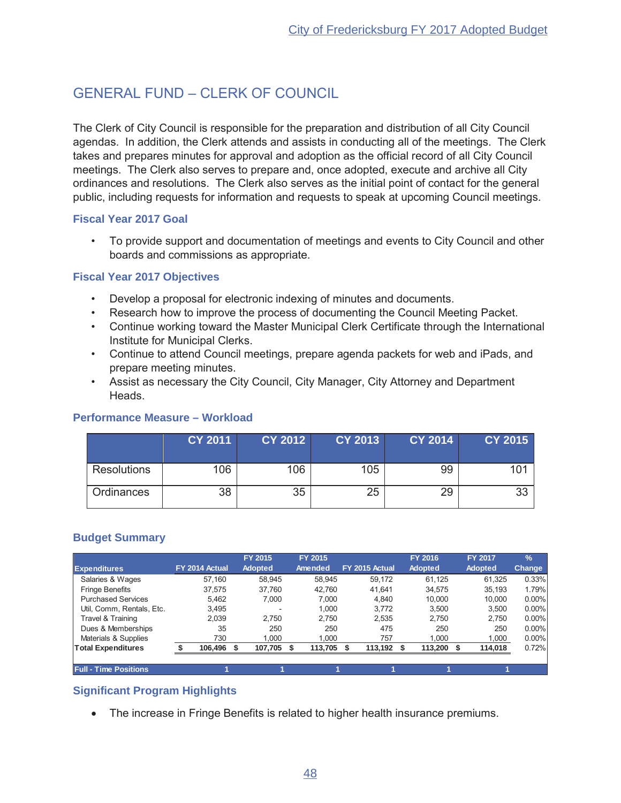## GENERAL FUND - CLERK OF COUNCIL

The Clerk of City Council is responsible for the preparation and distribution of all City Council agendas. In addition, the Clerk attends and assists in conducting all of the meetings. The Clerk takes and prepares minutes for approval and adoption as the official record of all City Council meetings. The Clerk also serves to prepare and, once adopted, execute and archive all City ordinances and resolutions. The Clerk also serves as the initial point of contact for the general public, including requests for information and requests to speak at upcoming Council meetings.

#### **Fiscal Year 2017 Goal**

• To provide support and documentation of meetings and events to City Council and other boards and commissions as appropriate.

#### **Fiscal Year 2017 Objectives**

- Develop a proposal for electronic indexing of minutes and documents.
- Research how to improve the process of documenting the Council Meeting Packet.
- Continue working toward the Master Municipal Clerk Certificate through the International Institute for Municipal Clerks.
- Continue to attend Council meetings, prepare agenda packets for web and iPads, and prepare meeting minutes.
- Assist as necessary the City Council, City Manager, City Attorney and Department Heads.

## **Performance Measure – Workload**

|                    | <b>CY 2011</b> | <b>CY 2012</b> | <b>CY 2013</b> | <b>CY 2014</b> | <b>CY 2015</b> |
|--------------------|----------------|----------------|----------------|----------------|----------------|
| <b>Resolutions</b> | 106            | 106            | 105            | 99             | 101            |
| Ordinances         | 38             | 35             | 25             | 29             | 33             |

## **Budget Summary**

|                              |                | FY 2015                  | FY 2015        |                | <b>FY 2016</b> | <b>FY 2017</b> | $\frac{9}{6}$ |
|------------------------------|----------------|--------------------------|----------------|----------------|----------------|----------------|---------------|
| <b>Expenditures</b>          | FY 2014 Actual | <b>Adopted</b>           | Amended        | FY 2015 Actual | <b>Adopted</b> | <b>Adopted</b> | Change        |
| Salaries & Wages             | 57.160         | 58.945                   | 58.945         | 59.172         | 61.125         | 61.325         | 0.33%         |
| <b>Fringe Benefits</b>       | 37.575         | 37.760                   | 42.760         | 41.641         | 34.575         | 35,193         | 1.79%         |
| <b>Purchased Services</b>    | 5.462          | 7.000                    | 7.000          | 4.840          | 10.000         | 10.000         | $0.00\%$      |
| Util. Comm. Rentals. Etc.    | 3,495          | $\overline{\phantom{a}}$ | 1.000          | 3.772          | 3.500          | 3.500          | $0.00\%$      |
| Travel & Training            | 2.039          | 2.750                    | 2.750          | 2,535          | 2.750          | 2.750          | 0.00%         |
| Dues & Memberships           | 35             | 250                      | 250            | 475            | 250            | 250            | 0.00%         |
| Materials & Supplies         | 730            | 1.000                    | 1.000          | 757            | 1.000          | 1,000          | 0.00%         |
| <b>Total Expenditures</b>    | 106,496        | 107,705<br>S             | 113,705<br>\$. | 113,192 \$     | 113,200        | 114,018<br>-S  | 0.72%         |
|                              |                |                          |                |                |                |                |               |
| <b>Full - Time Positions</b> |                |                          |                |                |                |                |               |

## **Significant Program Highlights**

• The increase in Fringe Benefits is related to higher health insurance premiums.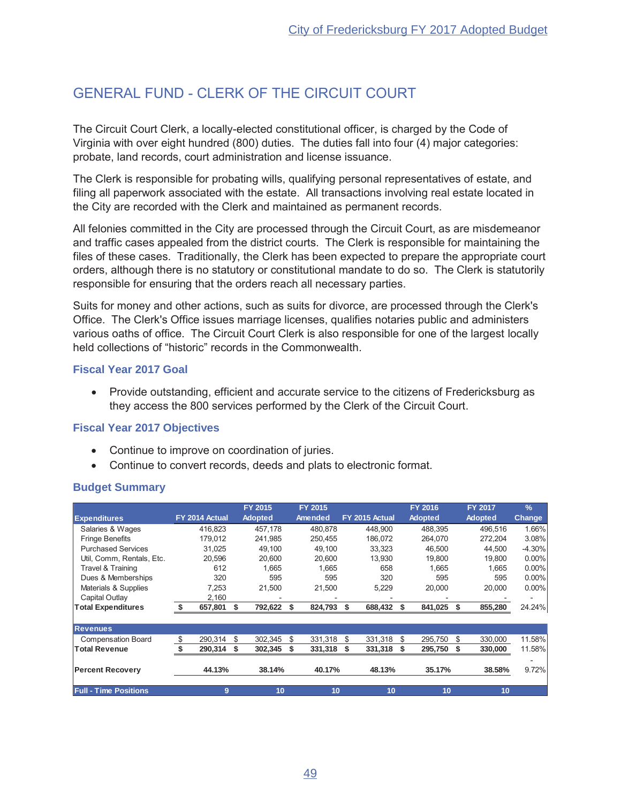## **GENERAL FUND - CLERK OF THE CIRCUIT COURT**

The Circuit Court Clerk, a locally-elected constitutional officer, is charged by the Code of Virginia with over eight hundred (800) duties. The duties fall into four (4) major categories: probate, land records, court administration and license issuance.

The Clerk is responsible for probating wills, qualifying personal representatives of estate, and filing all paperwork associated with the estate. All transactions involving real estate located in the City are recorded with the Clerk and maintained as permanent records.

All felonies committed in the City are processed through the Circuit Court, as are misdemeanor and traffic cases appealed from the district courts. The Clerk is responsible for maintaining the files of these cases. Traditionally, the Clerk has been expected to prepare the appropriate court orders, although there is no statutory or constitutional mandate to do so. The Clerk is statutorily responsible for ensuring that the orders reach all necessary parties.

Suits for money and other actions, such as suits for divorce, are processed through the Clerk's Office. The Clerk's Office issues marriage licenses, qualifies notaries public and administers various oaths of office. The Circuit Court Clerk is also responsible for one of the largest locally held collections of "historic" records in the Commonwealth.

#### **Fiscal Year 2017 Goal**

• Provide outstanding, efficient and accurate service to the citizens of Fredericksburg as they access the 800 services performed by the Clerk of the Circuit Court.

## **Fiscal Year 2017 Objectives**

- Continue to improve on coordination of juries.
- Continue to convert records, deeds and plats to electronic format.

## **Budget Summary**

|                              |                |        |    | <b>FY 2015</b> |    | FY 2015 |    |                |    | <b>FY 2016</b> | <b>FY 2017</b> | $\frac{9}{6}$ |
|------------------------------|----------------|--------|----|----------------|----|---------|----|----------------|----|----------------|----------------|---------------|
| <b>Expenditures</b>          | FY 2014 Actual |        |    | <b>Adopted</b> |    | Amended |    | FY 2015 Actual |    | <b>Adopted</b> | <b>Adopted</b> | <b>Change</b> |
| Salaries & Wages             | 416.823        |        |    | 457.178        |    | 480.878 |    | 448.900        |    | 488.395        | 496.516        | 1.66%         |
| <b>Fringe Benefits</b>       | 179.012        |        |    | 241,985        |    | 250,455 |    | 186,072        |    | 264,070        | 272,204        | 3.08%         |
| <b>Purchased Services</b>    |                | 31.025 |    | 49,100         |    | 49,100  |    | 33,323         |    | 46,500         | 44,500         | $-4.30%$      |
| Util, Comm, Rentals, Etc.    |                | 20.596 |    | 20,600         |    | 20.600  |    | 13,930         |    | 19,800         | 19,800         | $0.00\%$      |
| Travel & Training            |                | 612    |    | 1.665          |    | 1.665   |    | 658            |    | 1.665          | 1.665          | $0.00\%$      |
| Dues & Memberships           |                | 320    |    | 595            |    | 595     |    | 320            |    | 595            | 595            | $0.00\%$      |
| Materials & Supplies         |                | 7,253  |    | 21,500         |    | 21,500  |    | 5,229          |    | 20,000         | 20,000         | $0.00\%$      |
| Capital Outlay               |                | 2,160  |    |                |    |         |    |                |    |                |                |               |
| <b>Total Expenditures</b>    | 657,801<br>\$. |        | S. | 792,622        | S  | 824,793 | S  | 688,432        | S  | 841,025        | 855,280        | 24.24%        |
| <b>Revenues</b>              |                |        |    |                |    |         |    |                |    |                |                |               |
| <b>Compensation Board</b>    | \$<br>290.314  |        | \$ | 302,345        | \$ | 331,318 | \$ | 331,318        | \$ | 295,750        | \$<br>330,000  | 11.58%        |
| <b>Total Revenue</b>         | 290,314        |        | \$ | 302,345        | S  | 331,318 | S  | 331,318        |    | 295,750        | 330,000        | 11.58%        |
|                              |                |        |    |                |    |         |    |                |    |                |                | ٠             |
| <b>Percent Recovery</b>      |                | 44.13% |    | 38.14%         |    | 40.17%  |    | 48.13%         |    | 35.17%         | 38.58%         | 9.72%         |
| <b>Full - Time Positions</b> |                | 9      |    | 10             |    | 10      |    | 10             |    | 10             | 10             |               |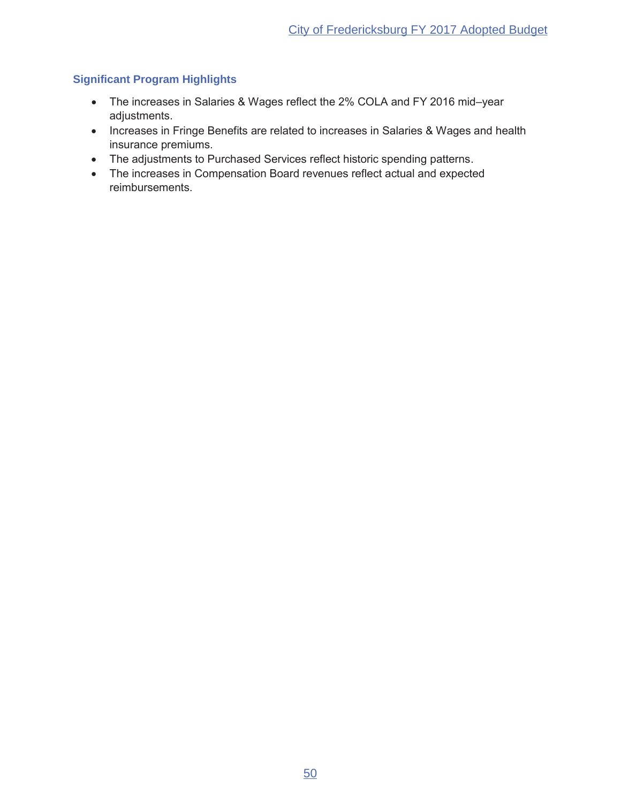- The increases in Salaries & Wages reflect the 2% COLA and FY 2016 mid-year adjustments.
- Increases in Fringe Benefits are related to increases in Salaries & Wages and health insurance premiums.
- The adjustments to Purchased Services reflect historic spending patterns.
- The increases in Compensation Board revenues reflect actual and expected reimbursements.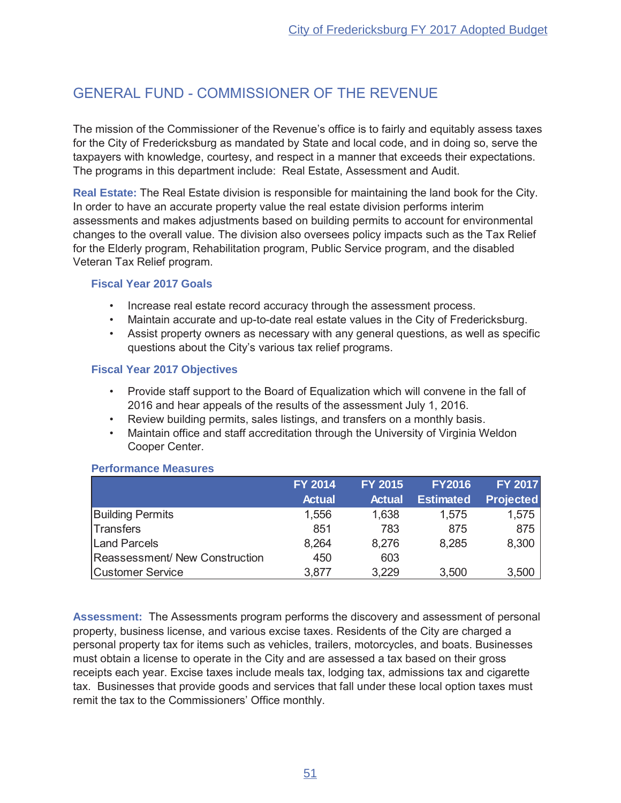## **GENERAL FUND - COMMISSIONER OF THE REVENUE**

The mission of the Commissioner of the Revenue's office is to fairly and equitably assess taxes for the City of Fredericksburg as mandated by State and local code, and in doing so, serve the taxpayers with knowledge, courtesy, and respect in a manner that exceeds their expectations. The programs in this department include: Real Estate, Assessment and Audit.

Real Estate: The Real Estate division is responsible for maintaining the land book for the City. In order to have an accurate property value the real estate division performs interim assessments and makes adjustments based on building permits to account for environmental changes to the overall value. The division also oversees policy impacts such as the Tax Relief for the Elderly program, Rehabilitation program, Public Service program, and the disabled Veteran Tax Relief program.

#### **Fiscal Year 2017 Goals**

- Increase real estate record accuracy through the assessment process.
- Maintain accurate and up-to-date real estate values in the City of Fredericksburg.
- Assist property owners as necessary with any general questions, as well as specific questions about the City's various tax relief programs.

#### **Fiscal Year 2017 Objectives**

- Provide staff support to the Board of Equalization which will convene in the fall of 2016 and hear appeals of the results of the assessment July 1, 2016.
- Review building permits, sales listings, and transfers on a monthly basis.
- Maintain office and staff accreditation through the University of Virginia Weldon Cooper Center.

|                                | <b>FY 2014</b> | <b>FY 2015</b> | <b>FY2016</b>    | <b>FY 2017</b>   |
|--------------------------------|----------------|----------------|------------------|------------------|
|                                | <b>Actual</b>  | <b>Actual</b>  | <b>Estimated</b> | <b>Projected</b> |
| <b>Building Permits</b>        | 1,556          | 1,638          | 1,575            | 1,575            |
| <b>Transfers</b>               | 851            | 783            | 875              | 875              |
| Land Parcels                   | 8,264          | 8,276          | 8,285            | 8,300            |
| Reassessment/ New Construction | 450            | 603            |                  |                  |
| <b>Customer Service</b>        | 3,877          | 3,229          | 3,500            | 3,500            |

#### **Performance Measures**

Assessment: The Assessments program performs the discovery and assessment of personal property, business license, and various excise taxes. Residents of the City are charged a personal property tax for items such as vehicles, trailers, motorcycles, and boats. Businesses must obtain a license to operate in the City and are assessed a tax based on their gross receipts each year. Excise taxes include meals tax, lodging tax, admissions tax and cigarette tax. Businesses that provide goods and services that fall under these local option taxes must remit the tax to the Commissioners' Office monthly.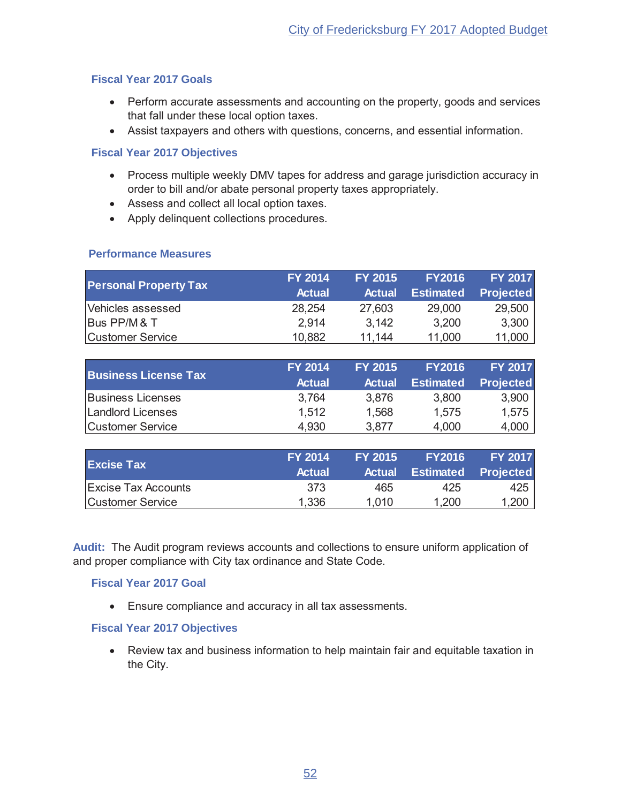#### **Fiscal Year 2017 Goals**

- Perform accurate assessments and accounting on the property, goods and services that fall under these local option taxes.
- Assist taxpayers and others with questions, concerns, and essential information.

#### **Fiscal Year 2017 Objectives**

- Process multiple weekly DMV tapes for address and garage jurisdiction accuracy in order to bill and/or abate personal property taxes appropriately.
- Assess and collect all local option taxes.
- Apply delinquent collections procedures.

#### **Performance Measures**

|                              | <b>FY 2014</b> | <b>FY 2015</b> | <b>FY2016</b>    | <b>FY 2017</b>   |
|------------------------------|----------------|----------------|------------------|------------------|
| <b>Personal Property Tax</b> | <b>Actual</b>  | <b>Actual</b>  | <b>Estimated</b> | <b>Projected</b> |
| Vehicles assessed            | 28,254         | 27.603         | 29,000           | 29,500           |
| Bus PP/M & T                 | 2.914          | 3.142          | 3,200            | 3,300            |
| <b>Customer Service</b>      | 10,882         | 11.144         | 11,000           | 11,000           |

|                             | <b>FY 2014</b> | <b>FY 2015</b> | <b>FY2016</b>    | <b>FY 2017</b>   |
|-----------------------------|----------------|----------------|------------------|------------------|
| <b>Business License Tax</b> | <b>Actual</b>  | <b>Actual</b>  | <b>Estimated</b> | <b>Projected</b> |
| <b>Business Licenses</b>    | 3,764          | 3.876          | 3,800            | 3,900            |
| Landlord Licenses           | 1.512          | 1,568          | 1,575            | 1,575            |
| Customer Service            | 4.930          | 3.877          | 4,000            | 4,000            |

| <b>Excise Tax</b>          | <b>FY 2014</b> | <b>FY 2015</b> | <b>FY2016</b>              | <b>FY 2017</b> |
|----------------------------|----------------|----------------|----------------------------|----------------|
|                            | <b>Actual</b>  |                | Actual Estimated Projected |                |
| <b>Excise Tax Accounts</b> | -373           | 465            | 425                        | 425            |
| Customer Service           | 1,336          | 1.010          | 1,200                      | 1,200          |

Audit: The Audit program reviews accounts and collections to ensure uniform application of and proper compliance with City tax ordinance and State Code.

#### **Fiscal Year 2017 Goal**

 $\bullet$  Ensure compliance and accuracy in all tax assessments.

#### **Fiscal Year 2017 Objectives**

• Review tax and business information to help maintain fair and equitable taxation in the City.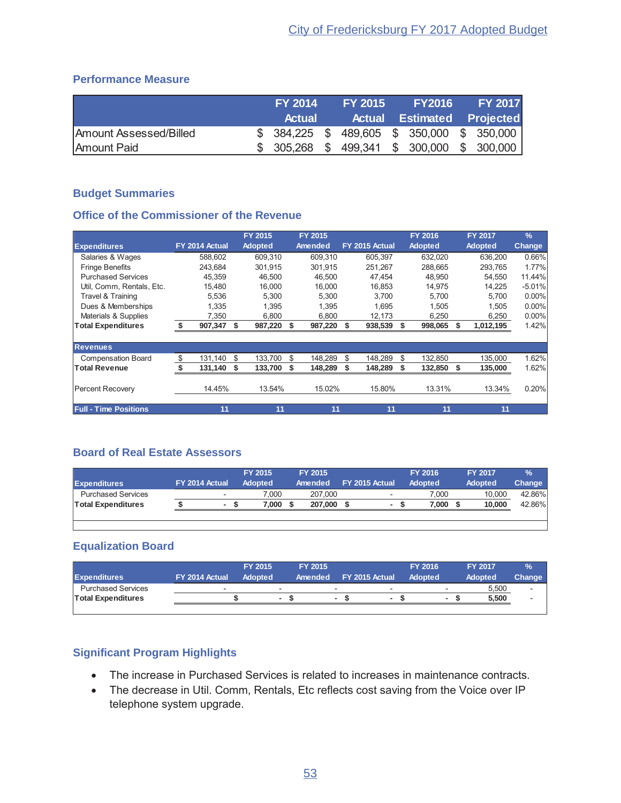## **Performance Measure**

|                        | <b>FY 2014</b> | <b>FY 2015</b> |                                             | FY2016 FY 2017                              |
|------------------------|----------------|----------------|---------------------------------------------|---------------------------------------------|
|                        | <b>Actual</b>  |                |                                             | <b>Actual Estimated Projected</b>           |
| Amount Assessed/Billed |                |                | $$384,225$ $$489,605$ $$350,000$ $$350,000$ |                                             |
| Amount Paid            |                |                |                                             | $$305,268$ $$499,341$ $$300,000$ $$300,000$ |

## **Budget Summaries**

#### **Office of the Commissioner of the Revenue**

|                              |                |      | <b>FY 2015</b> |     | FY 2015 |    |                |    | FY 2016        |    | <b>FY 2017</b> | $\frac{9}{6}$ |
|------------------------------|----------------|------|----------------|-----|---------|----|----------------|----|----------------|----|----------------|---------------|
| <b>Expenditures</b>          | FY 2014 Actual |      | <b>Adopted</b> |     | Amended |    | FY 2015 Actual |    | <b>Adopted</b> |    | <b>Adopted</b> | <b>Change</b> |
| Salaries & Wages             | 588.602        |      | 609.310        |     | 609.310 |    | 605,397        |    | 632,020        |    | 636,200        | 0.66%         |
| <b>Fringe Benefits</b>       | 243.684        |      | 301.915        |     | 301,915 |    | 251.267        |    | 288,665        |    | 293,765        | 1.77%         |
| <b>Purchased Services</b>    | 45.359         |      | 46.500         |     | 46.500  |    | 47.454         |    | 48.950         |    | 54,550         | 11.44%        |
| Util, Comm, Rentals, Etc.    | 15,480         |      | 16,000         |     | 16,000  |    | 16,853         |    | 14,975         |    | 14,225         | $-5.01%$      |
| Travel & Training            | 5,536          |      | 5.300          |     | 5.300   |    | 3.700          |    | 5.700          |    | 5.700          | $0.00\%$      |
| Dues & Memberships           | 1,335          |      | 1.395          |     | 1.395   |    | 1,695          |    | 1.505          |    | 1,505          | $0.00\%$      |
| Materials & Supplies         | 7,350          |      | 6,800          |     | 6,800   |    | 12,173         |    | 6,250          |    | 6,250          | $0.00\%$      |
| <b>Total Expenditures</b>    | 907,347        | \$   | 987,220        | \$. | 987,220 | S  | 938,539        | Ŝ. | 998,065        | S  | 1,012,195      | 1.42%         |
|                              |                |      |                |     |         |    |                |    |                |    |                |               |
| <b>Revenues</b>              |                |      |                |     |         |    |                |    |                |    |                |               |
| <b>Compensation Board</b>    | \$<br>131,140  | \$   | 133,700        | \$  | 148,289 | \$ | 148,289        | \$ | 132,850        |    | 135,000        | 1.62%         |
| <b>Total Revenue</b>         | 131,140        | - \$ | 133,700        | S   | 148,289 | \$ | 148,289        | \$ | 132,850        | -S | 135,000        | 1.62%         |
| <b>Percent Recovery</b>      | 14.45%         |      | 13.54%         |     | 15.02%  |    | 15.80%         |    | 13.31%         |    | 13.34%         | 0.20%         |
| <b>Full - Time Positions</b> | 11             |      | 11             |     | 11      |    | 11             |    | 11             |    | 11             |               |

## **Board of Real Estate Assessors**

| <b>Expenditures</b>       | FY 2014 Actual           | <b>FY 2015</b><br><b>Adopted</b> | <b>FY 2015</b><br>Amended | FY 2015 Actual           | <b>FY 2016</b><br><b>Adopted</b> | <b>FY 2017</b><br><b>Adopted</b> | $\%$<br>Change |
|---------------------------|--------------------------|----------------------------------|---------------------------|--------------------------|----------------------------------|----------------------------------|----------------|
| <b>Purchased Services</b> | $\overline{\phantom{0}}$ | 7.000                            | 207.000                   | $\overline{\phantom{0}}$ | 7.000                            | 10.000                           | 42.86%         |
| <b>Total Expenditures</b> | $\blacksquare$           | 7.000                            | 207,000                   |                          | 7.000                            | 10.000                           | 42.86%         |
|                           |                          |                                  |                           |                          |                                  |                                  |                |
|                           |                          |                                  |                           |                          |                                  |                                  |                |

## **Equalization Board**

|                           |                | <b>FY 2015</b> |                          | FY 2015 |                          |                | <b>FY 2016</b> |   | <b>FY 2017</b> | $\frac{9}{6}$            |
|---------------------------|----------------|----------------|--------------------------|---------|--------------------------|----------------|----------------|---|----------------|--------------------------|
| <b>Expenditures</b>       | FY 2014 Actual | <b>Adopted</b> |                          | Amended |                          | FY 2015 Actual | <b>Adopted</b> |   | <b>Adopted</b> | Change                   |
| <b>Purchased Services</b> |                |                | $\overline{\phantom{0}}$ |         | $\overline{\phantom{0}}$ | -              |                |   | 5,500          | $\overline{\phantom{a}}$ |
| <b>Total Expenditures</b> |                |                |                          |         | ۰                        |                |                | ۰ | 5,500          | $\overline{\phantom{a}}$ |
|                           |                |                |                          |         |                          |                |                |   |                |                          |

- The increase in Purchased Services is related to increases in maintenance contracts.
- The decrease in Util. Comm, Rentals, Etc reflects cost saving from the Voice over IP telephone system upgrade.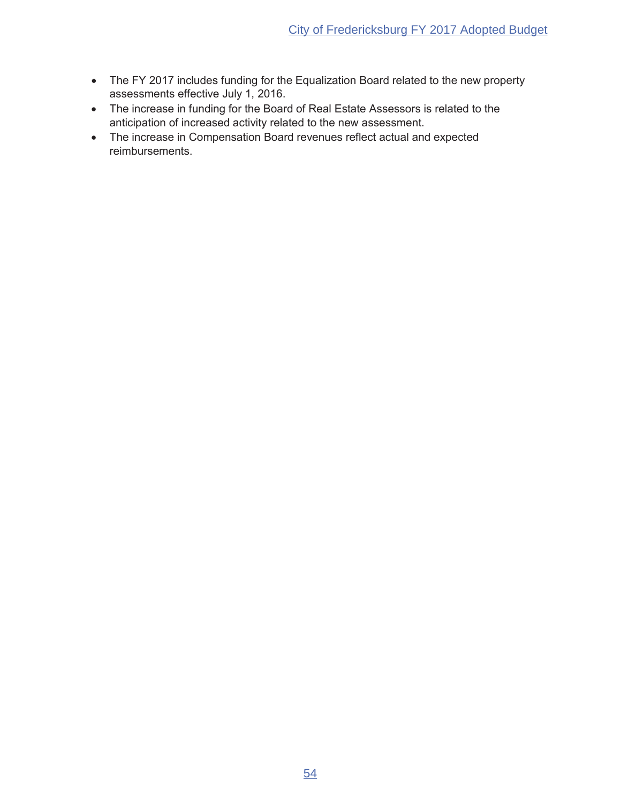- The FY 2017 includes funding for the Equalization Board related to the new property assessments effective July 1, 2016.
- The increase in funding for the Board of Real Estate Assessors is related to the anticipation of increased activity related to the new assessment.
- The increase in Compensation Board revenues reflect actual and expected reimbursements.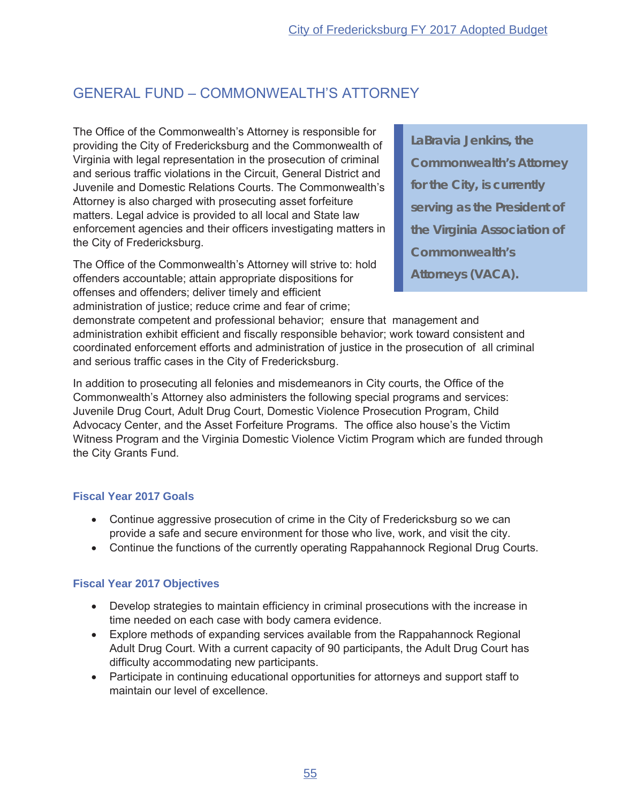## **GENERAL FUND - COMMONWEALTH'S ATTORNEY**

The Office of the Commonwealth's Attorney is responsible for providing the City of Fredericksburg and the Commonwealth of Virginia with legal representation in the prosecution of criminal and serious traffic violations in the Circuit. General District and Juvenile and Domestic Relations Courts. The Commonwealth's Attorney is also charged with prosecuting asset forfeiture matters. Legal advice is provided to all local and State law enforcement agencies and their officers investigating matters in the City of Fredericksburg.

The Office of the Commonwealth's Attorney will strive to: hold offenders accountable; attain appropriate dispositions for offenses and offenders; deliver timely and efficient administration of justice; reduce crime and fear of crime;

LaBravia Jenkins, the **Commonwealth's Attorney** for the City, is currently serving as the President of the Virginia Association of **Commonwealth's Attorneys (VACA).** 

demonstrate competent and professional behavior; ensure that management and administration exhibit efficient and fiscally responsible behavior; work toward consistent and coordinated enforcement efforts and administration of justice in the prosecution of all criminal and serious traffic cases in the City of Fredericksburg.

In addition to prosecuting all felonies and misdemeanors in City courts, the Office of the Commonwealth's Attorney also administers the following special programs and services: Juvenile Drug Court, Adult Drug Court, Domestic Violence Prosecution Program, Child Advocacy Center, and the Asset Forfeiture Programs. The office also house's the Victim Witness Program and the Virginia Domestic Violence Victim Program which are funded through the City Grants Fund.

## **Fiscal Year 2017 Goals**

- Continue aggressive prosecution of crime in the City of Fredericksburg so we can provide a safe and secure environment for those who live, work, and visit the city.
- Continue the functions of the currently operating Rappahannock Regional Drug Courts.

## **Fiscal Year 2017 Objectives**

- Develop strategies to maintain efficiency in criminal prosecutions with the increase in time needed on each case with body camera evidence.
- Explore methods of expanding services available from the Rappahannock Regional Adult Drug Court. With a current capacity of 90 participants, the Adult Drug Court has difficulty accommodating new participants.
- Participate in continuing educational opportunities for attorneys and support staff to maintain our level of excellence.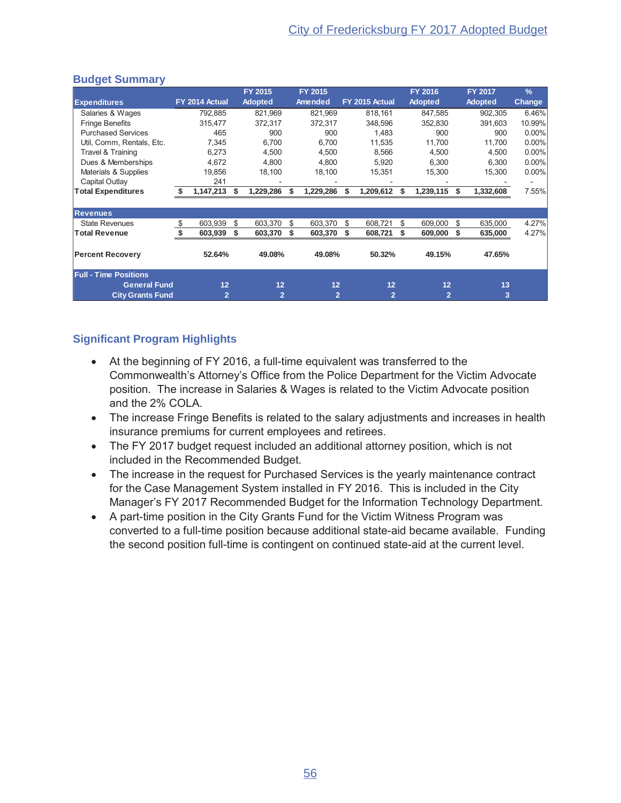## **Budget Summary**

|                              |     |                |    | FY 2015        |    | FY 2015        |   |                | FY 2016        |     | <b>FY 2017</b> | $\frac{9}{6}$ |
|------------------------------|-----|----------------|----|----------------|----|----------------|---|----------------|----------------|-----|----------------|---------------|
| <b>Expenditures</b>          |     | FY 2014 Actual |    | <b>Adopted</b> |    | Amended        |   | FY 2015 Actual | <b>Adopted</b> |     | <b>Adopted</b> | <b>Change</b> |
| Salaries & Wages             |     | 792,885        |    | 821,969        |    | 821,969        |   | 818,161        | 847,585        |     | 902,305        | 6.46%         |
| <b>Fringe Benefits</b>       |     | 315,477        |    | 372,317        |    | 372,317        |   | 348,596        | 352,830        |     | 391,603        | 10.99%        |
| <b>Purchased Services</b>    |     | 465            |    | 900            |    | 900            |   | 1.483          | 900            |     | 900            | $0.00\%$      |
| Util, Comm, Rentals, Etc.    |     | 7.345          |    | 6.700          |    | 6.700          |   | 11.535         | 11.700         |     | 11.700         | $0.00\%$      |
| Travel & Training            |     | 6,273          |    | 4,500          |    | 4,500          |   | 8,566          | 4,500          |     | 4,500          | 0.00%         |
| Dues & Memberships           |     | 4,672          |    | 4,800          |    | 4,800          |   | 5,920          | 6,300          |     | 6,300          | 0.00%         |
| Materials & Supplies         |     | 19,856         |    | 18,100         |    | 18,100         |   | 15,351         | 15,300         |     | 15,300         | 0.00%         |
| Capital Outlay               |     | 241            |    |                |    |                |   |                |                |     |                |               |
| <b>Total Expenditures</b>    | -\$ | 1,147,213      | S  | 1,229,286      | S  | 1,229,286      | S | 1,209,612      | 1,239,115      | S   | 1,332,608      | 7.55%         |
|                              |     |                |    |                |    |                |   |                |                |     |                |               |
| <b>Revenues</b>              |     |                |    |                |    |                |   |                |                |     |                |               |
| <b>State Revenues</b>        | \$  | 603,939        | \$ | 603,370        | \$ | 603,370        | S | 608.721        | \$<br>609,000  | \$. | 635,000        | 4.27%         |
| <b>Total Revenue</b>         | \$  | 603,939        | \$ | 603,370        | S  | 603,370        | S | 608,721        | 609,000        |     | 635,000        | 4.27%         |
| <b>Percent Recovery</b>      |     | 52.64%         |    | 49.08%         |    | 49.08%         |   | 50.32%         | 49.15%         |     | 47.65%         |               |
| <b>Full - Time Positions</b> |     |                |    |                |    |                |   |                |                |     |                |               |
| <b>General Fund</b>          |     | 12             |    | 12             |    | 12             |   | 12             | 12             |     | 13             |               |
| <b>City Grants Fund</b>      |     | 2              |    | $\overline{2}$ |    | $\overline{2}$ |   | $\overline{2}$ | $\overline{2}$ |     | 3              |               |

- At the beginning of FY 2016, a full-time equivalent was transferred to the Commonwealth's Attorney's Office from the Police Department for the Victim Advocate position. The increase in Salaries & Wages is related to the Victim Advocate position and the 2% COLA.
- The increase Fringe Benefits is related to the salary adjustments and increases in health insurance premiums for current employees and retirees.
- The FY 2017 budget request included an additional attorney position, which is not included in the Recommended Budget.
- The increase in the request for Purchased Services is the yearly maintenance contract for the Case Management System installed in FY 2016. This is included in the City Manager's FY 2017 Recommended Budget for the Information Technology Department.
- A part-time position in the City Grants Fund for the Victim Witness Program was converted to a full-time position because additional state-aid became available. Funding the second position full-time is contingent on continued state-aid at the current level.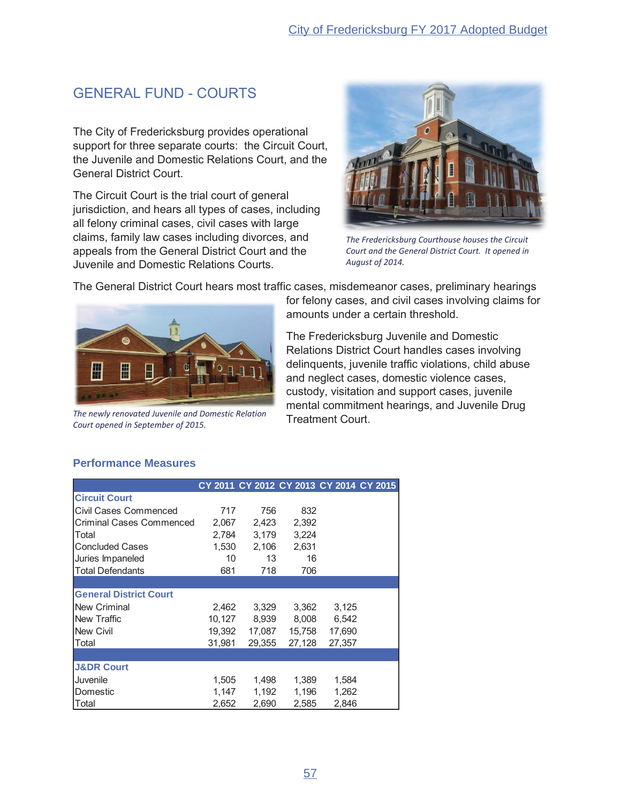## **GENERAL FUND - COURTS**

The City of Fredericksburg provides operational support for three separate courts: the Circuit Court, the Juvenile and Domestic Relations Court, and the **General District Court.** 

The Circuit Court is the trial court of general jurisdiction, and hears all types of cases, including all felony criminal cases, civil cases with large claims, family law cases including divorces, and appeals from the General District Court and the Juvenile and Domestic Relations Courts.



The Fredericksburg Courthouse houses the Circuit Court and the General District Court. It opened in August of 2014.

The General District Court hears most traffic cases, misdemeanor cases, preliminary hearings



The newly renovated Juvenile and Domestic Relation Court opened in September of 2015.

for felony cases, and civil cases involving claims for amounts under a certain threshold.

The Fredericksburg Juvenile and Domestic Relations District Court handles cases involving delinquents, juvenile traffic violations, child abuse and neglect cases, domestic violence cases, custody, visitation and support cases, juvenile mental commitment hearings, and Juvenile Drug **Treatment Court.** 

#### **Performance Measures**

|                                 |        |        |        | CY 2011 CY 2012 CY 2013 CY 2014 CY 2015 |  |
|---------------------------------|--------|--------|--------|-----------------------------------------|--|
| <b>Circuit Court</b>            |        |        |        |                                         |  |
| Civil Cases Commenced           | 717    | 756    | 832    |                                         |  |
| <b>Criminal Cases Commenced</b> | 2,067  | 2,423  | 2,392  |                                         |  |
| Total                           | 2,784  | 3,179  | 3,224  |                                         |  |
| <b>Concluded Cases</b>          | 1,530  | 2,106  | 2,631  |                                         |  |
| Juries Impaneled                | 10     | 13     | 16     |                                         |  |
| <b>Total Defendants</b>         | 681    | 718    | 706    |                                         |  |
|                                 |        |        |        |                                         |  |
| <b>General District Court</b>   |        |        |        |                                         |  |
| New Criminal                    | 2.462  | 3,329  | 3,362  | 3,125                                   |  |
| New Traffic                     | 10,127 | 8,939  | 8,008  | 6,542                                   |  |
| <b>New Civil</b>                | 19,392 | 17,087 | 15,758 | 17,690                                  |  |
| Total                           | 31.981 | 29,355 | 27,128 | 27,357                                  |  |
|                                 |        |        |        |                                         |  |
| <b>J&amp;DR Court</b>           |        |        |        |                                         |  |
| Juvenile                        | 1,505  | 1,498  | 1,389  | 1,584                                   |  |
| Domestic                        | 1,147  | 1,192  | 1,196  | 1,262                                   |  |
| Total                           | 2,652  | 2,690  | 2,585  | 2,846                                   |  |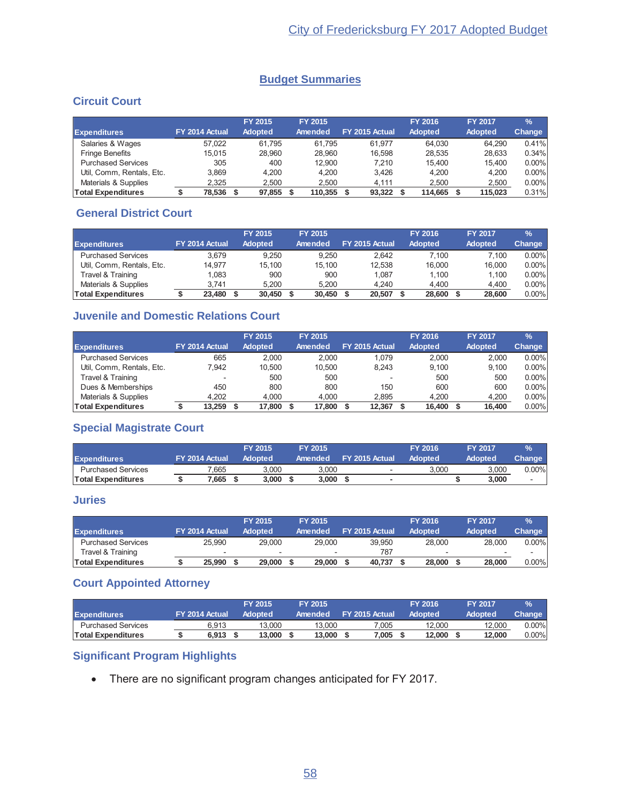## **Budget Summaries**

## **Circuit Court**

|                           |                | <b>FY 2015</b> | <b>FY 2015</b> |                |             | <b>FY 2016</b> | <b>FY 2017</b> | $\frac{9}{6}$ |
|---------------------------|----------------|----------------|----------------|----------------|-------------|----------------|----------------|---------------|
| <b>Expenditures</b>       | FY 2014 Actual | <b>Adopted</b> | Amended        | FY 2015 Actual |             | <b>Adopted</b> | <b>Adopted</b> | Change        |
| Salaries & Wages          | 57.022         | 61.795         | 61.795         |                | 61.977      | 64.030         | 64.290         | 0.41%         |
| <b>Fringe Benefits</b>    | 15.015         | 28.960         | 28.960         |                | 16.598      | 28.535         | 28.633         | 0.34%         |
| <b>Purchased Services</b> | 305            | 400            | 12.900         |                | 7.210       | 15.400         | 15.400         | $0.00\%$      |
| Util, Comm, Rentals, Etc. | 3.869          | 4.200          | 4.200          |                | 3.426       | 4.200          | 4.200          | $0.00\%$      |
| Materials & Supplies      | 2.325          | 2.500          | 2.500          |                | 4.111       | 2.500          | 2,500          | $0.00\%$      |
| <b>Total Expenditures</b> | 78,536         | 97,855         | 110.355        |                | $93.322$ \$ | 114.665        | 115.023        | 0.31%         |

## **General District Court**

|                           |                |        | FY 2015        |        | <b>FY 2015</b> |                |        | <b>FY 2016</b> | <b>FY 2017</b> | $\frac{9}{6}$ |
|---------------------------|----------------|--------|----------------|--------|----------------|----------------|--------|----------------|----------------|---------------|
| <b>Expenditures</b>       | FY 2014 Actual |        | <b>Adopted</b> |        | Amended        | FY 2015 Actual |        | Adopted        | <b>Adopted</b> | Change        |
| <b>Purchased Services</b> |                | 3.679  |                | 9.250  | 9.250          |                | 2.642  | 7.100          | 7.100          | $0.00\%$      |
| Util, Comm, Rentals, Etc. |                | 14.977 |                | 15.100 | 15.100         |                | 12.538 | 16.000         | 16.000         | $0.00\%$      |
| Travel & Training         |                | 1.083  |                | 900    | 900            |                | 1.087  | 1.100          | 1.100          | $0.00\%$      |
| Materials & Supplies      |                | 3.741  |                | 5.200  | 5.200          |                | 4.240  | 4.400          | 4.400          | $0.00\%$      |
| <b>Total Expenditures</b> |                | 23.480 |                | 30,450 | 30,450         |                | 20,507 | 28,600         | 28.600         | $0.00\%$      |

## **Juvenile and Domestic Relations Court**

| <b>Expenditures</b>       | FY 2014 Actual           | <b>FY 2015</b><br><b>Adopted</b> | <b>FY 2015</b><br>Amended | FY 2015 Actual           | <b>FY 2016</b><br><b>Adopted</b> | <b>FY 2017</b><br><b>Adopted</b> | $\frac{9}{6}$<br>Change |
|---------------------------|--------------------------|----------------------------------|---------------------------|--------------------------|----------------------------------|----------------------------------|-------------------------|
| <b>Purchased Services</b> | 665                      | 2.000                            | 2.000                     | 1.079                    | 2.000                            | 2.000                            | $0.00\%$                |
| Util. Comm. Rentals. Etc. | 7.942                    | 10.500                           | 10.500                    | 8.243                    | 9.100                            | 9.100                            | $0.00\%$                |
| Travel & Training         | $\overline{\phantom{0}}$ | 500                              | 500                       | $\overline{\phantom{0}}$ | 500                              | 500                              | $0.00\%$                |
| Dues & Memberships        | 450                      | 800                              | 800                       | 150                      | 600                              | 600                              | $0.00\%$                |
| Materials & Supplies      | 4.202                    | 4.000                            | 4.000                     | 2.895                    | 4.200                            | 4,200                            | 0.00%                   |
| <b>Total Expenditures</b> | 13.259                   | 17,800                           | 17,800                    | 12.367                   | 16,400                           | 16.400                           | $0.00\%$                |

## **Special Magistrate Court**

| <b>Expenditures</b>       | FY 2014 Actual | <b>FY 2015</b><br><b>Adopted</b> | <b>FY 2015</b><br>Amended | FY 2015 Actual | FY 2016<br><b>Adopted</b> | <b>FY 2017</b><br>Adopted | $\%$<br><b>Change</b> |
|---------------------------|----------------|----------------------------------|---------------------------|----------------|---------------------------|---------------------------|-----------------------|
| <b>Purchased Services</b> | 7.665          | 3.000                            | 3.000                     | -              | 3.000                     | 3.000                     | $0.00\%$              |
| <b>Total Expenditures</b> | 7.665          | 3.000                            | 3.000                     | ۰              |                           | 3.000                     |                       |

#### **Juries**

|                           |                | <b>FY 2015</b> |                          | FY 2015                  |                | <b>FY 2016.</b> | <b>FY 2017</b> | $\frac{9}{6}$ |
|---------------------------|----------------|----------------|--------------------------|--------------------------|----------------|-----------------|----------------|---------------|
| <b>Expenditures</b>       | FY 2014 Actual | <b>Adopted</b> |                          | Amended                  | FY 2015 Actual | <b>Adopted</b>  | <b>Adopted</b> | Change        |
| <b>Purchased Services</b> | 25.990         |                | 29,000                   | 29,000                   | 39.950         | 28,000          | 28,000         | $0.00\%$      |
| Travel & Training         | -              |                | $\overline{\phantom{0}}$ | $\overline{\phantom{0}}$ | 787            | -               | -              | -             |
| <b>Total Expenditures</b> | 25.990         |                | 29,000                   | 29,000                   | 40.737         | 28.000          | 28,000         | $0.00\%$      |

## **Court Appointed Attorney**

|                           |                | <b>FY 2015</b> | FY 2015 |                | FY 2016        | <b>FY 2017</b> | $\frac{9}{6}$ |
|---------------------------|----------------|----------------|---------|----------------|----------------|----------------|---------------|
| <b>Expenditures</b>       | FY 2014 Actual | <b>Adopted</b> | Amended | FY 2015 Actual | <b>Adopted</b> | Adopted        | Change        |
| <b>Purchased Services</b> | 6.913          | 13.000         | 13.000  | 7.005          | 12.000         | 12.000         | $0.00\%$      |
| <b>Total Expenditures</b> | 6.913          | 13.000         | 13,000  | 7,005          | 12.000         | 12.000         | $0.00\%$      |

## **Significant Program Highlights**

• There are no significant program changes anticipated for FY 2017.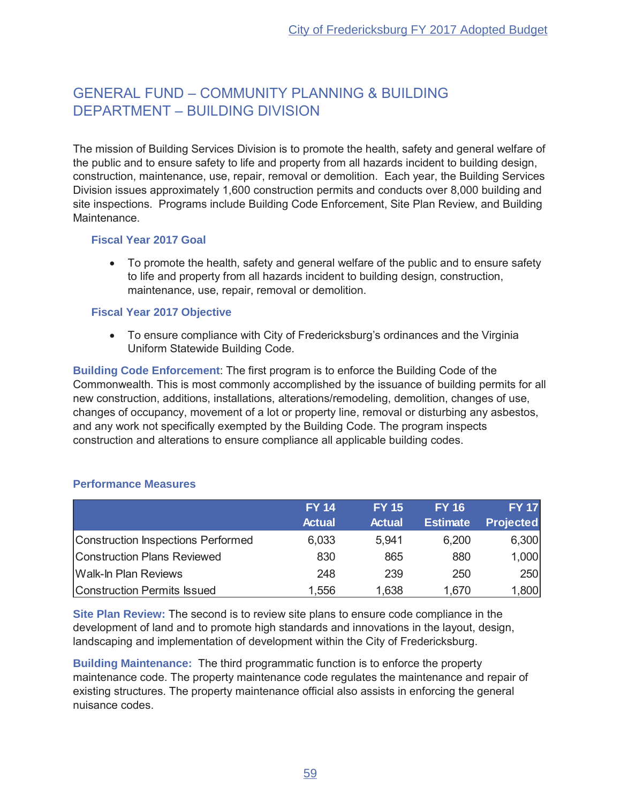## GENERAL FUND - COMMUNITY PLANNING & BUILDING DEPARTMENT - BUILDING DIVISION

The mission of Building Services Division is to promote the health, safety and general welfare of the public and to ensure safety to life and property from all hazards incident to building design, construction, maintenance, use, repair, removal or demolition. Each year, the Building Services Division issues approximately 1,600 construction permits and conducts over 8,000 building and site inspections. Programs include Building Code Enforcement, Site Plan Review, and Building Maintenance.

#### **Fiscal Year 2017 Goal**

• To promote the health, safety and general welfare of the public and to ensure safety to life and property from all hazards incident to building design, construction, maintenance, use, repair, removal or demolition.

#### **Fiscal Year 2017 Objective**

• To ensure compliance with City of Fredericksburg's ordinances and the Virginia Uniform Statewide Building Code.

**Building Code Enforcement:** The first program is to enforce the Building Code of the Commonwealth. This is most commonly accomplished by the issuance of building permits for all new construction, additions, installations, alterations/remodeling, demolition, changes of use, changes of occupancy, movement of a lot or property line, removal or disturbing any asbestos, and any work not specifically exempted by the Building Code. The program inspects construction and alterations to ensure compliance all applicable building codes.

|                                    | <b>FY 14</b>  | <b>FY 15</b>  | <b>FY 16</b>    | <b>FY 17</b>     |
|------------------------------------|---------------|---------------|-----------------|------------------|
|                                    | <b>Actual</b> | <b>Actual</b> | <b>Estimate</b> | <b>Projected</b> |
| Construction Inspections Performed | 6,033         | 5,941         | 6,200           | 6,300            |
| Construction Plans Reviewed        | 830           | 865           | 880             | 1,000            |
| <b>Walk-In Plan Reviews</b>        | 248           | 239           | 250             | 250              |
| <b>Construction Permits Issued</b> | 1,556         | 1,638         | 1,670           | 1,800            |

## **Performance Measures**

**Site Plan Review:** The second is to review site plans to ensure code compliance in the development of land and to promote high standards and innovations in the layout, design, landscaping and implementation of development within the City of Fredericksburg.

**Building Maintenance:** The third programmatic function is to enforce the property maintenance code. The property maintenance code regulates the maintenance and repair of existing structures. The property maintenance official also assists in enforcing the general nuisance codes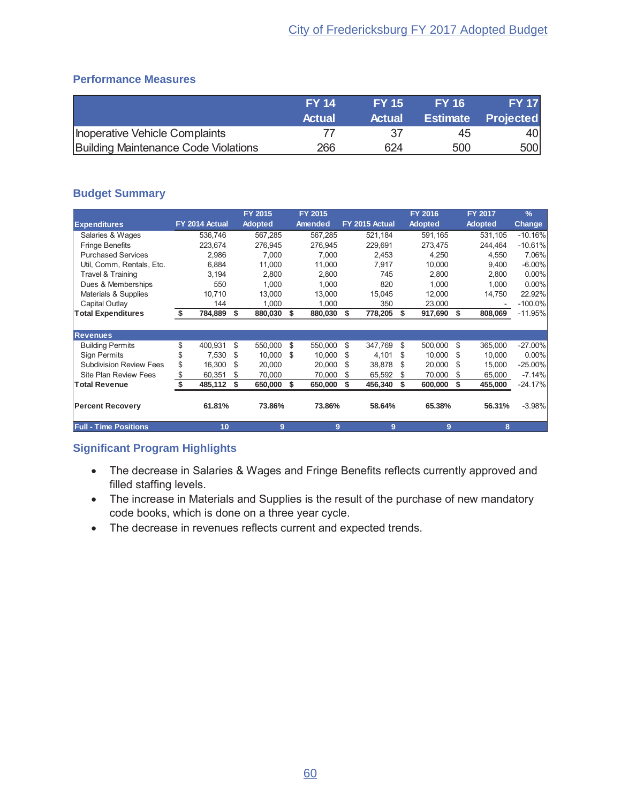## **Performance Measures**

|                                      | <b>FY 14</b>  | <b>FY 15</b> | <b>FY 16</b> | <b>FY 17</b>              |
|--------------------------------------|---------------|--------------|--------------|---------------------------|
|                                      | <b>Actual</b> | Actual       |              | <b>Estimate Projected</b> |
| Inoperative Vehicle Complaints       |               | -37          | 45           | 401                       |
| Building Maintenance Code Violations | 266           | 624          | 500          | 500                       |

## **Budget Summary**

|                                |    |                |     | FY 2015        |      | FY 2015 |     |                |     | FY 2016        |      | FY 2017        | $\frac{9}{6}$ |
|--------------------------------|----|----------------|-----|----------------|------|---------|-----|----------------|-----|----------------|------|----------------|---------------|
| <b>Expenditures</b>            |    | FY 2014 Actual |     | <b>Adopted</b> |      | Amended |     | FY 2015 Actual |     | <b>Adopted</b> |      | <b>Adopted</b> | <b>Change</b> |
| Salaries & Wages               |    | 536.746        |     | 567.285        |      | 567,285 |     | 521,184        |     | 591,165        |      | 531,105        | $-10.16%$     |
| <b>Fringe Benefits</b>         |    | 223,674        |     | 276,945        |      | 276,945 |     | 229,691        |     | 273,475        |      | 244,464        | $-10.61%$     |
| <b>Purchased Services</b>      |    | 2,986          |     | 7,000          |      | 7,000   |     | 2,453          |     | 4,250          |      | 4,550          | 7.06%         |
| Util, Comm, Rentals, Etc.      |    | 6,884          |     | 11.000         |      | 11.000  |     | 7,917          |     | 10.000         |      | 9,400          | $-6.00\%$     |
| Travel & Training              |    | 3,194          |     | 2,800          |      | 2,800   |     | 745            |     | 2,800          |      | 2,800          | 0.00%         |
| Dues & Memberships             |    | 550            |     | 1.000          |      | 1,000   |     | 820            |     | 1,000          |      | 1,000          | 0.00%         |
| Materials & Supplies           |    | 10,710         |     | 13,000         |      | 13,000  |     | 15,045         |     | 12,000         |      | 14,750         | 22.92%        |
| Capital Outlay                 |    | 144            |     | 1,000          |      | 1,000   |     | 350            |     | 23,000         |      |                | $-100.0\%$    |
| <b>Total Expenditures</b>      | Ŝ. | 784,889        | \$  | 880,030        | \$   | 880,030 | \$  | 778,205        | S   | 917,690 \$     |      | 808,069        | $-11.95%$     |
|                                |    |                |     |                |      |         |     |                |     |                |      |                |               |
| <b>Revenues</b>                |    |                |     |                |      |         |     |                |     |                |      |                |               |
| <b>Building Permits</b>        | \$ | 400,931        | \$  | 550,000        | - \$ | 550,000 | \$  | 347,769        | \$  | 500,000        | -S   | 365,000        | $-27.00\%$    |
| <b>Sign Permits</b>            |    | 7,530          | \$  | 10,000 \$      |      | 10,000  | \$  | 4,101          | \$. | 10,000         | -\$  | 10,000         | 0.00%         |
| <b>Subdivision Review Fees</b> | \$ | 16,300         | \$  | 20,000         |      | 20,000  | \$. | 38,878         | \$. | 20,000         | \$.  | 15,000         | $-25.00\%$    |
| <b>Site Plan Review Fees</b>   | \$ | 60,351         | \$  | 70,000         |      | 70,000  | S   | 65,592         | S   | 70,000         | - \$ | 65,000         | $-7.14%$      |
| <b>Total Revenue</b>           | \$ | 485,112        | -\$ | 650,000        | - \$ | 650,000 | \$  | 456,340        | \$  | 600,000        | -\$  | 455,000        | $-24.17%$     |
| <b>Percent Recovery</b>        |    | 61.81%         |     | 73.86%         |      | 73.86%  |     | 58.64%         |     | 65.38%         |      | 56.31%         | $-3.98%$      |
| <b>Full - Time Positions</b>   |    | 10             |     | 9              |      | 9       |     | 9              |     | 9              |      | 8              |               |

- The decrease in Salaries & Wages and Fringe Benefits reflects currently approved and filled staffing levels.
- The increase in Materials and Supplies is the result of the purchase of new mandatory code books, which is done on a three year cycle.
- The decrease in revenues reflects current and expected trends.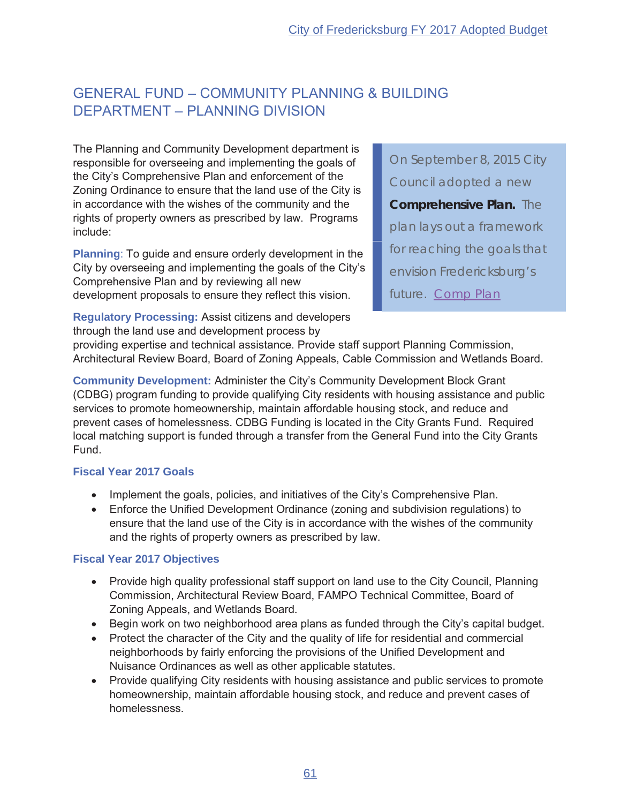## **GENERAL FUND - COMMUNITY PLANNING & BUILDING DEPARTMENT - PLANNING DIVISION**

The Planning and Community Development department is responsible for overseeing and implementing the goals of the City's Comprehensive Plan and enforcement of the Zoning Ordinance to ensure that the land use of the City is in accordance with the wishes of the community and the rights of property owners as prescribed by law. Programs include:

**Planning:** To guide and ensure orderly development in the City by overseeing and implementing the goals of the City's Comprehensive Plan and by reviewing all new development proposals to ensure they reflect this vision.

**Regulatory Processing: Assist citizens and developers** through the land use and development process by

On September 8, 2015 City Council adopted a new **Comprehensive Plan.** The plan lays out a framework for reaching the goals that envision Fredericksburg's future. Comp Plan

providing expertise and technical assistance. Provide staff support Planning Commission, Architectural Review Board, Board of Zoning Appeals, Cable Commission and Wetlands Board.

**Community Development: Administer the City's Community Development Block Grant** (CDBG) program funding to provide qualifying City residents with housing assistance and public services to promote homeownership, maintain affordable housing stock, and reduce and prevent cases of homelessness. CDBG Funding is located in the City Grants Fund. Required local matching support is funded through a transfer from the General Fund into the City Grants Fund.

## **Fiscal Year 2017 Goals**

- Implement the goals, policies, and initiatives of the City's Comprehensive Plan.
- Enforce the Unified Development Ordinance (zoning and subdivision regulations) to ensure that the land use of the City is in accordance with the wishes of the community and the rights of property owners as prescribed by law.

## **Fiscal Year 2017 Objectives**

- Provide high quality professional staff support on land use to the City Council, Planning Commission, Architectural Review Board, FAMPO Technical Committee, Board of Zoning Appeals, and Wetlands Board.
- Begin work on two neighborhood area plans as funded through the City's capital budget.
- Protect the character of the City and the quality of life for residential and commercial neighborhoods by fairly enforcing the provisions of the Unified Development and Nuisance Ordinances as well as other applicable statutes.
- Provide qualifying City residents with housing assistance and public services to promote homeownership, maintain affordable housing stock, and reduce and prevent cases of homelessness.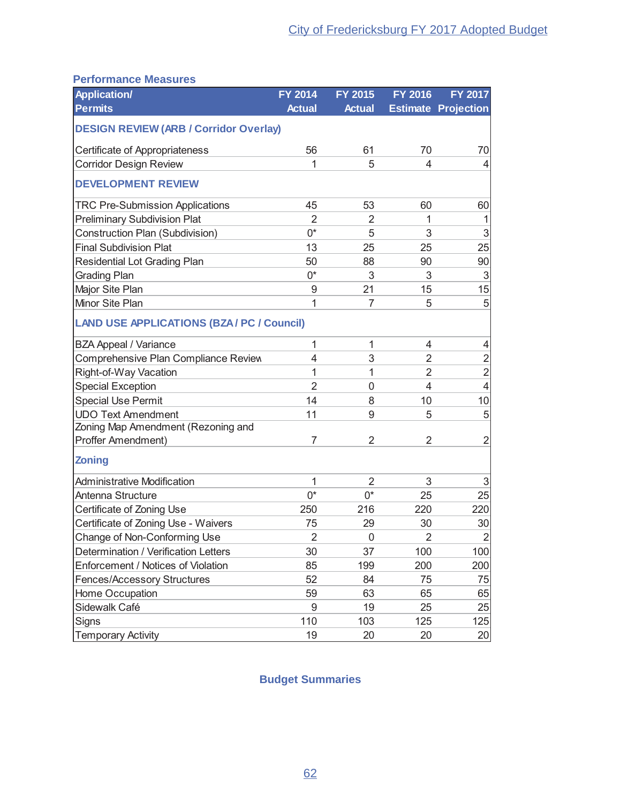## **Performance Measures**

| <b>Application/</b>                               | <b>FY 2014</b> | FY 2015        | <b>FY 2016</b> | <b>FY 2017</b>             |
|---------------------------------------------------|----------------|----------------|----------------|----------------------------|
| <b>Permits</b>                                    | <b>Actual</b>  | <b>Actual</b>  |                | <b>Estimate Projection</b> |
| <b>DESIGN REVIEW (ARB / Corridor Overlay)</b>     |                |                |                |                            |
| Certificate of Appropriateness                    | 56             | 61             | 70             | 70                         |
| <b>Corridor Design Review</b>                     | 1              | 5              | 4              | 4                          |
| <b>DEVELOPMENT REVIEW</b>                         |                |                |                |                            |
| <b>TRC Pre-Submission Applications</b>            | 45             | 53             | 60             | 60                         |
| <b>Preliminary Subdivision Plat</b>               | $\overline{2}$ | 2              | 1              |                            |
| Construction Plan (Subdivision)                   | $0^*$          | 5              | 3              | 3                          |
| <b>Final Subdivision Plat</b>                     | 13             | 25             | 25             | 25                         |
| Residential Lot Grading Plan                      | 50             | 88             | 90             | 90                         |
| <b>Grading Plan</b>                               | $0^*$          | 3              | 3              | 3                          |
| Major Site Plan                                   | 9              | 21             | 15             | 15                         |
| Minor Site Plan                                   | 1              | $\overline{7}$ | 5              | 5                          |
| <b>LAND USE APPLICATIONS (BZA / PC / Council)</b> |                |                |                |                            |
| <b>BZA Appeal / Variance</b>                      | $\mathbf{1}$   | 1              | 4              | 4                          |
| Comprehensive Plan Compliance Review              | 4              | 3              | $\overline{2}$ | $\mathbf{2}$               |
| Right-of-Way Vacation                             | 1              | 1              | $\overline{2}$ | $\overline{2}$             |
| <b>Special Exception</b>                          | $\overline{2}$ | 0              | 4              | $\overline{4}$             |
| <b>Special Use Permit</b>                         | 14             | 8              | 10             | 10                         |
| <b>UDO Text Amendment</b>                         | 11             | 9              | 5              | 5                          |
| Zoning Map Amendment (Rezoning and                |                |                |                |                            |
| Proffer Amendment)                                | 7              | $\overline{2}$ | $\overline{2}$ | 2                          |
| <b>Zoning</b>                                     |                |                |                |                            |
| <b>Administrative Modification</b>                | 1              | $\overline{2}$ | 3              | $\sqrt{3}$                 |
| Antenna Structure                                 | $0^*$          | $0^*$          | 25             | 25                         |
| Certificate of Zoning Use                         | 250            | 216            | 220            | 220                        |
| Certificate of Zoning Use - Waivers               | 75             | 29             | 30             | 30                         |
| Change of Non-Conforming Use                      | $\overline{c}$ | 0              | $\overline{2}$ | $\overline{2}$             |
| Determination / Verification Letters              | 30             | 37             | 100            | 100                        |
| Enforcement / Notices of Violation                | 85             | 199            | 200            | 200                        |
| <b>Fences/Accessory Structures</b>                | 52             | 84             | 75             | 75                         |
| Home Occupation                                   | 59             | 63             | 65             | 65                         |
| Sidewalk Café                                     | 9              | 19             | 25             | 25                         |
| Signs                                             | 110            | 103            | 125            | 125                        |
| <b>Temporary Activity</b>                         | 19             | 20             | 20             | 20 <sub>l</sub>            |

## **Budget Summaries**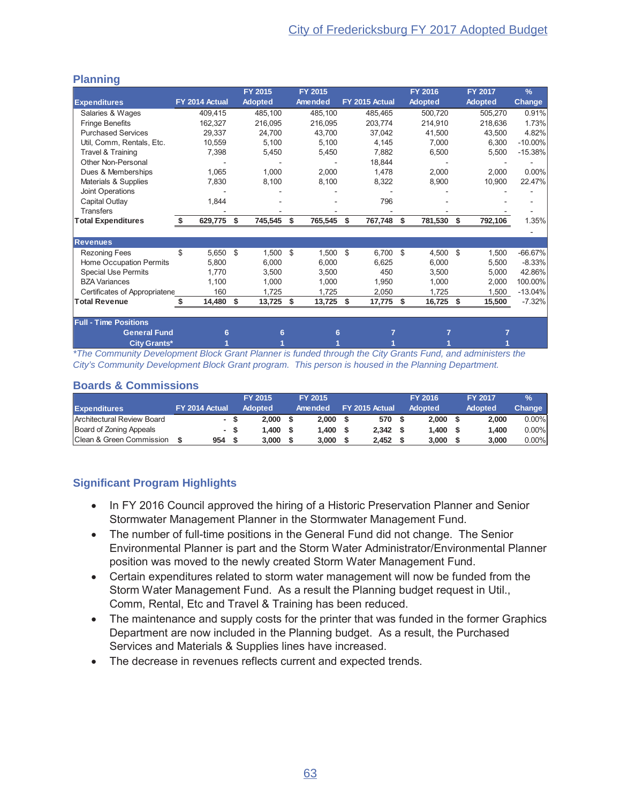## **Planning**

|                               |    |                |      | FY 2015        |    | FY 2015 |                |           | FY 2016        |    | FY 2017        | $\frac{9}{6}$ |
|-------------------------------|----|----------------|------|----------------|----|---------|----------------|-----------|----------------|----|----------------|---------------|
| <b>Expenditures</b>           |    | FY 2014 Actual |      | <b>Adopted</b> |    | Amended | FY 2015 Actual |           | <b>Adopted</b> |    | <b>Adopted</b> | <b>Change</b> |
| Salaries & Wages              |    | 409,415        |      | 485,100        |    | 485,100 |                | 485,465   | 500,720        |    | 505,270        | 0.91%         |
| <b>Fringe Benefits</b>        |    | 162,327        |      | 216,095        |    | 216,095 |                | 203.774   | 214,910        |    | 218.636        | 1.73%         |
| <b>Purchased Services</b>     |    | 29,337         |      | 24,700         |    | 43.700  |                | 37,042    | 41,500         |    | 43,500         | 4.82%         |
| Util, Comm, Rentals, Etc.     |    | 10,559         |      | 5,100          |    | 5,100   |                | 4,145     | 7,000          |    | 6,300          | $-10.00\%$    |
| Travel & Training             |    | 7,398          |      | 5,450          |    | 5,450   |                | 7,882     | 6,500          |    | 5,500          | $-15.38%$     |
| Other Non-Personal            |    |                |      |                |    |         |                | 18,844    |                |    |                |               |
| Dues & Memberships            |    | 1,065          |      | 1,000          |    | 2,000   |                | 1,478     | 2,000          |    | 2,000          | 0.00%         |
| Materials & Supplies          |    | 7,830          |      | 8,100          |    | 8,100   |                | 8,322     | 8,900          |    | 10,900         | 22.47%        |
| Joint Operations              |    |                |      |                |    |         |                |           |                |    |                |               |
| Capital Outlay                |    | 1,844          |      |                |    |         |                | 796       |                |    |                |               |
| <b>Transfers</b>              |    |                |      |                |    |         |                |           |                |    |                |               |
| <b>Total Expenditures</b>     | Ŝ. | 629,775        | - \$ | 745,545        | \$ | 765,545 | \$             | 767,748   | \$<br>781,530  | Ŝ. | 792,106        | 1.35%         |
|                               |    |                |      |                |    |         |                |           |                |    |                |               |
| <b>Revenues</b>               |    |                |      |                |    |         |                |           |                |    |                |               |
| <b>Rezoning Fees</b>          | \$ | 5,650          | - \$ | 1,500          | \$ | 1,500   | \$             | 6,700 \$  | 4,500          | \$ | 1,500          | $-66.67%$     |
| Home Occupation Permits       |    | 5,800          |      | 6,000          |    | 6,000   |                | 6,625     | 6,000          |    | 5,500          | $-8.33%$      |
| <b>Special Use Permits</b>    |    | 1,770          |      | 3,500          |    | 3,500   |                | 450       | 3,500          |    | 5,000          | 42.86%        |
| <b>BZA Variances</b>          |    | 1,100          |      | 1,000          |    | 1,000   |                | 1,950     | 1,000          |    | 2,000          | 100.00%       |
| Certificates of Appropriatene |    | 160            |      | 1,725          |    | 1,725   |                | 2,050     | 1,725          |    | 1,500          | $-13.04%$     |
| <b>Total Revenue</b>          |    | 14,480         | - \$ | 13,725         | Ŝ. | 13,725  | S.             | 17,775 \$ | 16,725 \$      |    | 15,500         | $-7.32%$      |
|                               |    |                |      |                |    |         |                |           |                |    |                |               |
| <b>Full - Time Positions</b>  |    |                |      |                |    |         |                |           |                |    |                |               |
| <b>General Fund</b>           |    | 6              |      | 6              |    | 6       |                |           |                |    |                |               |
| <b>City Grants*</b>           |    |                |      |                |    |         |                |           |                |    |                |               |

\*The Community Development Block Grant Planner is funded through the City Grants Fund, and administers the City's Community Development Block Grant program. This person is housed in the Planning Department.

#### **Boards & Commissions**

|                                      |                |     | <b>FY 2015</b> | FY 2015 |                | <b>FY 2016</b> | <b>FY 2017</b> | $\frac{9}{6}$ |
|--------------------------------------|----------------|-----|----------------|---------|----------------|----------------|----------------|---------------|
| <b>Expenditures</b>                  | FY 2014 Actual |     | <b>Adopted</b> | Amended | FY 2015 Actual | <b>Adopted</b> | Adopted        | Change        |
| Architectural Review Board           |                |     | 2.000          | 2.000   | 570            | 2.000          | 2.000          | $0.00\%$      |
| Board of Zoning Appeals              |                | - S | .400           | 1.400   | 2.342          | 1.400          | 1.400          | $0.00\%$      |
| <b>IClean &amp; Green Commission</b> | 954            |     | 3.000          | 3.000   | 2.452          | 3.000          | 3.000          | $0.00\%$      |

- In FY 2016 Council approved the hiring of a Historic Preservation Planner and Senior Stormwater Management Planner in the Stormwater Management Fund.
- The number of full-time positions in the General Fund did not change. The Senior  $\bullet$ Environmental Planner is part and the Storm Water Administrator/Environmental Planner position was moved to the newly created Storm Water Management Fund.
- Certain expenditures related to storm water management will now be funded from the Storm Water Management Fund. As a result the Planning budget request in Util., Comm, Rental, Etc and Travel & Training has been reduced.
- The maintenance and supply costs for the printer that was funded in the former Graphics Department are now included in the Planning budget. As a result, the Purchased Services and Materials & Supplies lines have increased.
- The decrease in revenues reflects current and expected trends.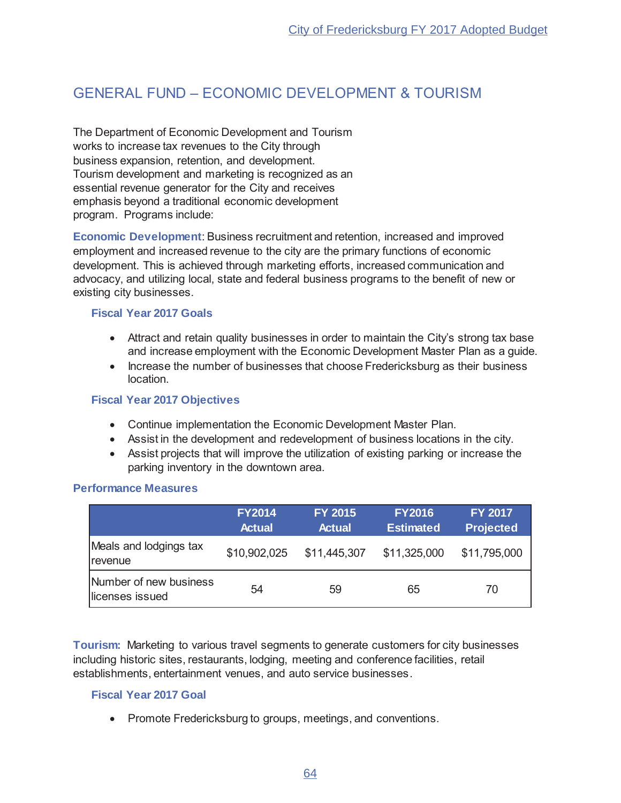## **GENERAL FUND - ECONOMIC DEVELOPMENT & TOURISM**

The Department of Economic Development and Tourism works to increase tax revenues to the City through business expansion, retention, and development. Tourism development and marketing is recognized as an essential revenue generator for the City and receives emphasis beyond a traditional economic development program. Programs include:

Economic Development: Business recruitment and retention, increased and improved employment and increased revenue to the city are the primary functions of economic development. This is achieved through marketing efforts, increased communication and advocacy, and utilizing local, state and federal business programs to the benefit of new or existing city businesses.

#### **Fiscal Year 2017 Goals**

- Attract and retain quality businesses in order to maintain the City's strong tax base and increase employment with the Economic Development Master Plan as a guide.
- Increase the number of businesses that choose Fredericksburg as their business  $\bullet$ location

#### **Fiscal Year 2017 Objectives**

- Continue implementation the Economic Development Master Plan.
- Assist in the development and redevelopment of business locations in the city.
- Assist projects that will improve the utilization of existing parking or increase the parking inventory in the downtown area.

#### **Performance Measures**

|                                                         | <b>FY2014</b><br><b>Actual</b> | <b>FY 2015</b><br><b>Actual</b> | <b>FY2016</b><br><b>Estimated</b> | <b>FY 2017</b><br><b>Projected</b> |
|---------------------------------------------------------|--------------------------------|---------------------------------|-----------------------------------|------------------------------------|
| Meals and lodgings tax<br><i><u><b>Irevenue</b></u></i> | \$10,902,025                   | \$11,445,307                    | \$11,325,000                      | \$11,795,000                       |
| Number of new business<br>licenses issued               | 54                             | 59                              | 65                                | 70                                 |

**Tourism:** Marketing to various travel segments to generate customers for city businesses including historic sites, restaurants, lodging, meeting and conference facilities, retail establishments, entertainment venues, and auto service businesses.

## **Fiscal Year 2017 Goal**

• Promote Fredericksburg to groups, meetings, and conventions.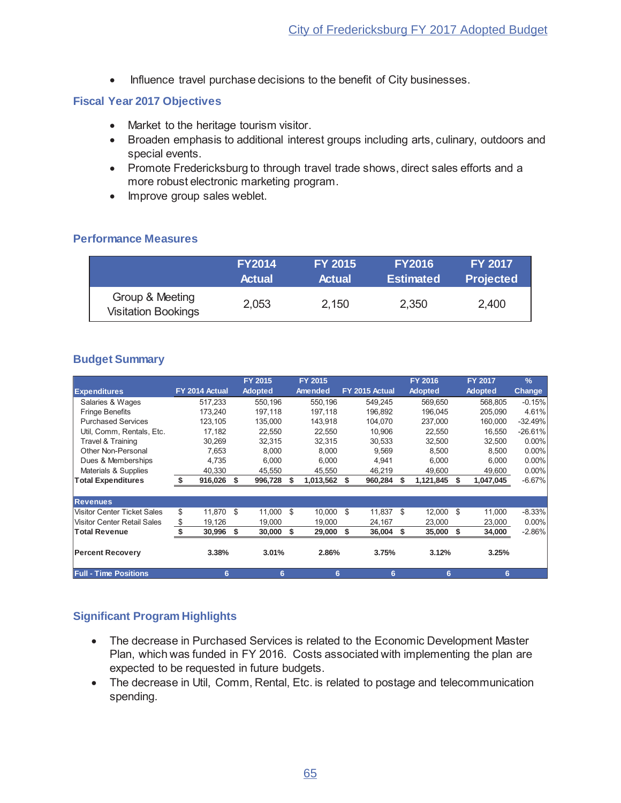Influence travel purchase decisions to the benefit of City businesses.  $\bullet$ 

#### **Fiscal Year 2017 Objectives**

- Market to the heritage tourism visitor.
- Broaden emphasis to additional interest groups including arts, culinary, outdoors and special events.
- Promote Fredericksburg to through travel trade shows, direct sales efforts and a more robust electronic marketing program.
- Improve group sales weblet.

## **Performance Measures**

|                                               | <b>FY2014</b> | <b>FY 2015</b> | <b>FY2016</b>    | <b>FY 2017</b>   |
|-----------------------------------------------|---------------|----------------|------------------|------------------|
|                                               | <b>Actual</b> | <b>Actual</b>  | <b>Estimated</b> | <b>Projected</b> |
| Group & Meeting<br><b>Visitation Bookings</b> | 2,053         | 2,150          | 2,350            | 2,400            |

## **Budget Summary**

|                                    |                |     | FY 2015        | FY 2015        |    |                |    | <b>FY 2016</b> |      | <b>FY 2017</b> | $\frac{9}{6}$ |
|------------------------------------|----------------|-----|----------------|----------------|----|----------------|----|----------------|------|----------------|---------------|
| <b>Expenditures</b>                | FY 2014 Actual |     | <b>Adopted</b> | <b>Amended</b> |    | FY 2015 Actual |    | <b>Adopted</b> |      | <b>Adopted</b> | <b>Change</b> |
| Salaries & Wages                   | 517.233        |     | 550,196        | 550,196        |    | 549.245        |    | 569,650        |      | 568,805        | $-0.15%$      |
| <b>Fringe Benefits</b>             | 173.240        |     | 197,118        | 197,118        |    | 196.892        |    | 196.045        |      | 205.090        | 4.61%         |
| <b>Purchased Services</b>          | 123,105        |     | 135,000        | 143,918        |    | 104,070        |    | 237,000        |      | 160,000        | $-32.49%$     |
| Util, Comm, Rentals, Etc.          | 17,182         |     | 22,550         | 22,550         |    | 10,906         |    | 22,550         |      | 16,550         | $-26.61%$     |
| Travel & Training                  | 30,269         |     | 32,315         | 32.315         |    | 30,533         |    | 32,500         |      | 32,500         | $0.00\%$      |
| Other Non-Personal                 | 7,653          |     | 8,000          | 8.000          |    | 9,569          |    | 8.500          |      | 8,500          | 0.00%         |
| Dues & Memberships                 | 4,735          |     | 6,000          | 6,000          |    | 4,941          |    | 6,000          |      | 6,000          | $0.00\%$      |
| Materials & Supplies               | 40,330         |     | 45,550         | 45,550         |    | 46,219         |    | 49,600         |      | 49,600         | 0.00%         |
| <b>Total Expenditures</b>          | \$<br>916,026  | -\$ | 996,728        | 1,013,562      | S  | 960,284        | S  | 1,121,845      |      | 1,047,045      | $-6.67%$      |
|                                    |                |     |                |                |    |                |    |                |      |                |               |
| <b>Revenues</b>                    |                |     |                |                |    |                |    |                |      |                |               |
| <b>Visitor Center Ticket Sales</b> | \$<br>11.870   | \$  | 11.000         | \$<br>10.000   | \$ | 11.837         | \$ | 12.000         | -S   | 11,000         | $-8.33%$      |
| <b>Visitor Center Retail Sales</b> | \$<br>19,126   |     | 19,000         | 19.000         |    | 24,167         |    | 23,000         |      | 23,000         | $0.00\%$      |
| <b>Total Revenue</b>               | 30,996         | \$  | 30,000         | \$<br>29,000   | \$ | 36,004         | \$ | 35,000         | - \$ | 34,000         | $-2.86\%$     |
| <b>Percent Recovery</b>            | 3.38%          |     | 3.01%          | 2.86%          |    | 3.75%          |    | 3.12%          |      | 3.25%          |               |
| <b>Full - Time Positions</b>       | 6              |     | 6              | 6              |    | 6              |    | 6              |      | 6              |               |

- The decrease in Purchased Services is related to the Economic Development Master Plan, which was funded in FY 2016. Costs associated with implementing the plan are expected to be requested in future budgets.
- The decrease in Util, Comm, Rental, Etc. is related to postage and telecommunication spending.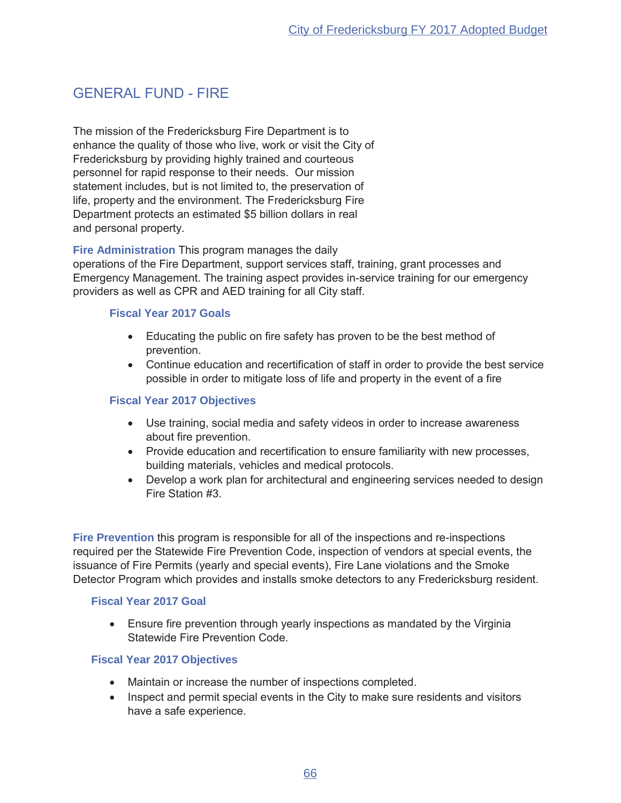## **GENERAL FUND - FIRE**

The mission of the Fredericksburg Fire Department is to enhance the quality of those who live, work or visit the City of Fredericksburg by providing highly trained and courteous personnel for rapid response to their needs. Our mission statement includes, but is not limited to, the preservation of life, property and the environment. The Fredericksburg Fire Department protects an estimated \$5 billion dollars in real and personal property.

Fire Administration This program manages the daily

operations of the Fire Department, support services staff, training, grant processes and Emergency Management. The training aspect provides in-service training for our emergency providers as well as CPR and AED training for all City staff.

#### **Fiscal Year 2017 Goals**

- Educating the public on fire safety has proven to be the best method of prevention.
- Continue education and recertification of staff in order to provide the best service possible in order to mitigate loss of life and property in the event of a fire

#### **Fiscal Year 2017 Objectives**

- Use training, social media and safety videos in order to increase awareness about fire prevention.
- Provide education and recertification to ensure familiarity with new processes, building materials, vehicles and medical protocols.
- Develop a work plan for architectural and engineering services needed to design Fire Station #3.

Fire Prevention this program is responsible for all of the inspections and re-inspections required per the Statewide Fire Prevention Code, inspection of vendors at special events, the issuance of Fire Permits (yearly and special events), Fire Lane violations and the Smoke Detector Program which provides and installs smoke detectors to any Fredericksburg resident.

## **Fiscal Year 2017 Goal**

• Ensure fire prevention through yearly inspections as mandated by the Virginia Statewide Fire Prevention Code.

## **Fiscal Year 2017 Objectives**

- Maintain or increase the number of inspections completed.
- Inspect and permit special events in the City to make sure residents and visitors have a safe experience.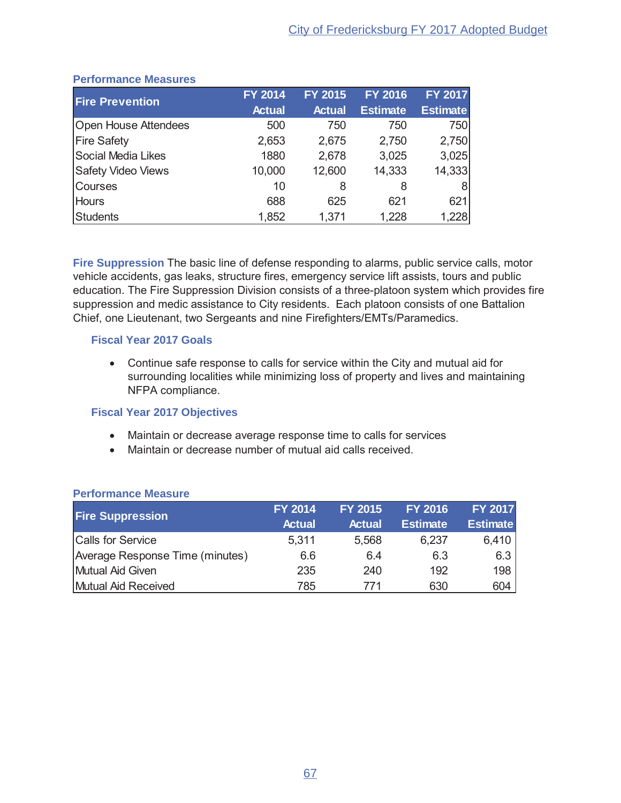| <b>Fire Prevention</b>      | <b>FY 2014</b> | <b>FY 2015</b> | <b>FY 2016</b>  | <b>FY 2017</b>  |
|-----------------------------|----------------|----------------|-----------------|-----------------|
|                             | <b>Actual</b>  | <b>Actual</b>  | <b>Estimate</b> | <b>Estimate</b> |
| <b>Open House Attendees</b> | 500            | 750            | 750             | 750             |
| <b>Fire Safety</b>          | 2,653          | 2,675          | 2,750           | 2,750           |
| Social Media Likes          | 1880           | 2,678          | 3,025           | 3,025           |
| <b>Safety Video Views</b>   | 10,000         | 12,600         | 14,333          | 14,333          |
| <b>Courses</b>              | 10             | 8              | 8               | 81              |
| <b>Hours</b>                | 688            | 625            | 621             | 621             |
| Students                    | 1,852          | 1,371          | 1,228           | 1,228           |

#### **Performance Measures**

Fire Suppression The basic line of defense responding to alarms, public service calls, motor vehicle accidents, gas leaks, structure fires, emergency service lift assists, tours and public education. The Fire Suppression Division consists of a three-platoon system which provides fire suppression and medic assistance to City residents. Each platoon consists of one Battalion Chief, one Lieutenant, two Sergeants and nine Firefighters/EMTs/Paramedics.

## **Fiscal Year 2017 Goals**

• Continue safe response to calls for service within the City and mutual aid for surrounding localities while minimizing loss of property and lives and maintaining NFPA compliance.

## **Fiscal Year 2017 Objectives**

- Maintain or decrease average response time to calls for services
- Maintain or decrease number of mutual aid calls received.

| <b>Fire Suppression</b>         | <b>FY 2014</b><br><b>Actual</b> | <b>FY 2015</b><br><b>Actual</b> | <b>FY 2016</b><br><b>Estimate</b> | <b>FY 2017</b><br><b>Estimate</b> |
|---------------------------------|---------------------------------|---------------------------------|-----------------------------------|-----------------------------------|
| <b>Calls for Service</b>        | 5,311                           | 5,568                           | 6,237                             | 6,410                             |
| Average Response Time (minutes) | 6.6                             | 6.4                             | 6.3                               | 6.3                               |
| Mutual Aid Given                | 235                             | 240                             | 192                               | 198                               |
| Mutual Aid Received             | 785                             | 771                             | 630                               | 604                               |

#### **Performance Measure**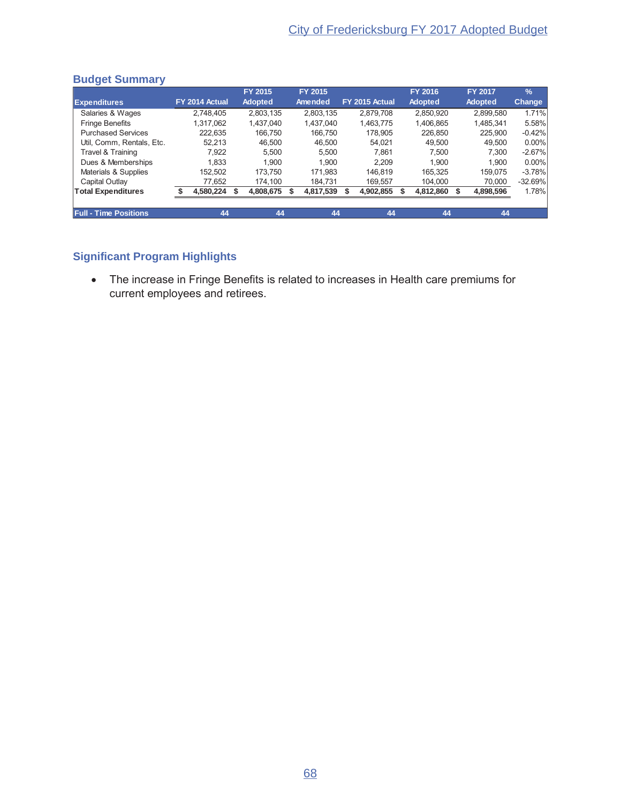|                              |                | <b>FY 2015</b> | FY 2015   |                | <b>FY 2016</b> | <b>FY 2017</b> | $\frac{9}{6}$ |
|------------------------------|----------------|----------------|-----------|----------------|----------------|----------------|---------------|
| <b>Expenditures</b>          | FY 2014 Actual | <b>Adopted</b> | Amended   | FY 2015 Actual | <b>Adopted</b> | <b>Adopted</b> | <b>Change</b> |
| Salaries & Wages             | 2.748.405      | 2,803,135      | 2.803.135 | 2.879.708      | 2,850,920      | 2,899,580      | 1.71%         |
| <b>Fringe Benefits</b>       | 1.317.062      | 1.437.040      | 1,437,040 | 1.463.775      | 1,406,865      | 1,485,341      | 5.58%         |
| <b>Purchased Services</b>    | 222.635        | 166.750        | 166.750   | 178.905        | 226,850        | 225.900        | $-0.42%$      |
| Util, Comm, Rentals, Etc.    | 52.213         | 46.500         | 46.500    | 54.021         | 49.500         | 49.500         | 0.00%         |
| Travel & Training            | 7,922          | 5.500          | 5.500     | 7.861          | 7.500          | 7.300          | $-2.67%$      |
| Dues & Memberships           | 1.833          | 1.900          | 1.900     | 2,209          | 1.900          | 1.900          | 0.00%         |
| Materials & Supplies         | 152.502        | 173.750        | 171.983   | 146.819        | 165.325        | 159.075        | $-3.78%$      |
| <b>Capital Outlay</b>        | 77.652         | 174.100        | 184.731   | 169.557        | 104.000        | 70,000         | $-32.69%$     |
| <b>Total Expenditures</b>    | 4,580,224 \$   | 4,808,675      | 4,817,539 | 4,902,855      | 4,812,860      | 4,898,596      | 1.78%         |
|                              |                |                |           |                |                |                |               |
| <b>Full - Time Positions</b> | 44             | 44             | 44        | 44             | 44             | 44             |               |

#### **Budget Summary**

## **Significant Program Highlights**

• The increase in Fringe Benefits is related to increases in Health care premiums for current employees and retirees.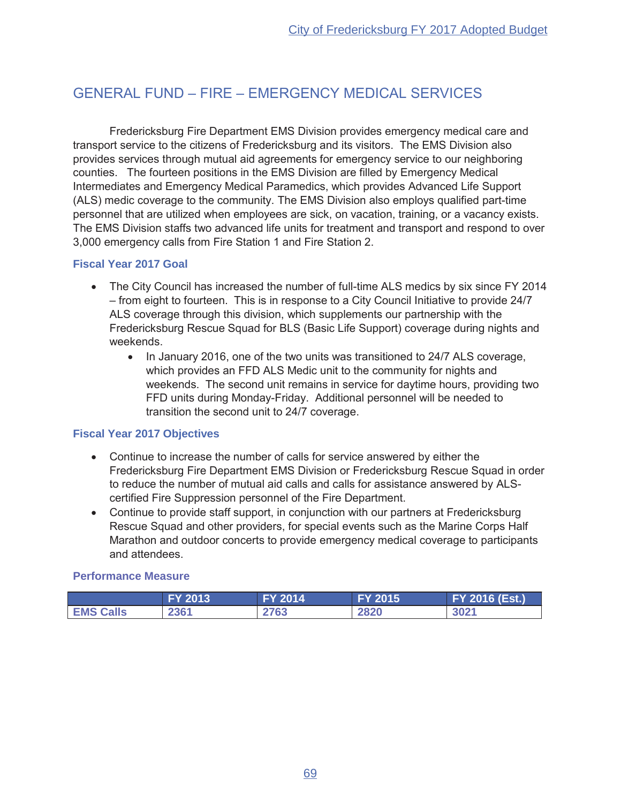## **GENERAL FUND - FIRE - EMERGENCY MEDICAL SERVICES**

Fredericksburg Fire Department EMS Division provides emergency medical care and transport service to the citizens of Fredericksburg and its visitors. The EMS Division also provides services through mutual aid agreements for emergency service to our neighboring counties. The fourteen positions in the EMS Division are filled by Emergency Medical Intermediates and Emergency Medical Paramedics, which provides Advanced Life Support (ALS) medic coverage to the community. The EMS Division also employs qualified part-time personnel that are utilized when employees are sick, on vacation, training, or a vacancy exists. The EMS Division staffs two advanced life units for treatment and transport and respond to over 3,000 emergency calls from Fire Station 1 and Fire Station 2.

## **Fiscal Year 2017 Goal**

- The City Council has increased the number of full-time ALS medics by six since FY 2014 - from eight to fourteen. This is in response to a City Council Initiative to provide 24/7 ALS coverage through this division, which supplements our partnership with the Fredericksburg Rescue Squad for BLS (Basic Life Support) coverage during nights and weekends.
	- In January 2016, one of the two units was transitioned to 24/7 ALS coverage,  $\bullet$ which provides an FFD ALS Medic unit to the community for nights and weekends. The second unit remains in service for daytime hours, providing two FFD units during Monday-Friday. Additional personnel will be needed to transition the second unit to 24/7 coverage.

## **Fiscal Year 2017 Objectives**

- Continue to increase the number of calls for service answered by either the Fredericksburg Fire Department EMS Division or Fredericksburg Rescue Squad in order to reduce the number of mutual aid calls and calls for assistance answered by ALScertified Fire Suppression personnel of the Fire Department.
- Continue to provide staff support, in conjunction with our partners at Fredericksburg Rescue Squad and other providers, for special events such as the Marine Corps Half Marathon and outdoor concerts to provide emergency medical coverage to participants and attendees.

#### **Performance Measure**

|                  | <b>FY 2013</b> | $2014$<br>EV. | <b>FY 2015</b> | FY 2016 (Est.) |
|------------------|----------------|---------------|----------------|----------------|
| <b>EMS Calls</b> | 2361           | 2763          | 2820           | 3021           |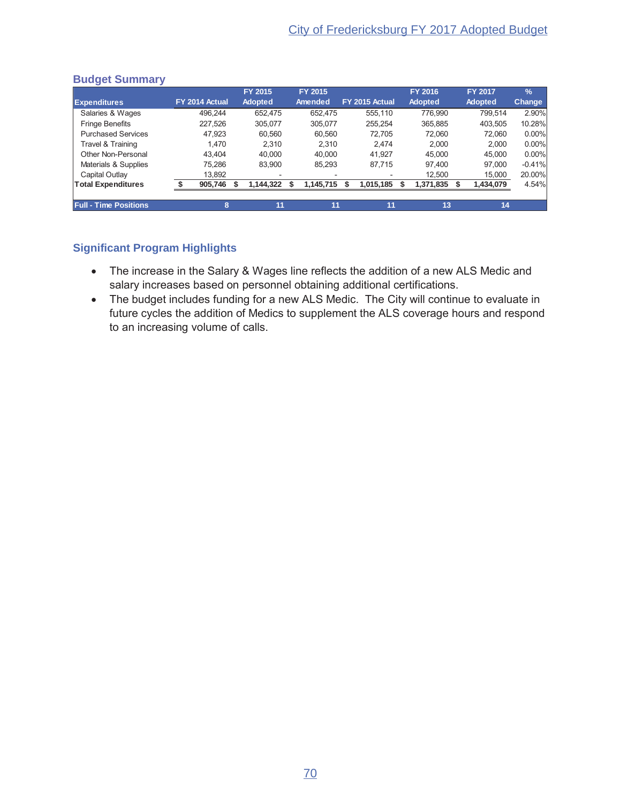|                              |                | FY 2015                  | FY 2015                  |                | FY 2016        | FY 2017        | $\frac{9}{6}$ |
|------------------------------|----------------|--------------------------|--------------------------|----------------|----------------|----------------|---------------|
| <b>Expenditures</b>          | FY 2014 Actual | <b>Adopted</b>           | Amended                  | FY 2015 Actual | <b>Adopted</b> | <b>Adopted</b> | Change        |
| Salaries & Wages             | 496.244        | 652.475                  | 652.475                  | 555.110        | 776.990        | 799.514        | 2.90%         |
| <b>Fringe Benefits</b>       | 227.526        | 305.077                  | 305.077                  | 255.254        | 365,885        | 403,505        | 10.28%        |
| <b>Purchased Services</b>    | 47.923         | 60.560                   | 60.560                   | 72.705         | 72.060         | 72.060         | 0.00%         |
| Travel & Training            | 1.470          | 2.310                    | 2.310                    | 2.474          | 2.000          | 2.000          | 0.00%         |
| Other Non-Personal           | 43.404         | 40.000                   | 40.000                   | 41.927         | 45.000         | 45.000         | 0.00%         |
| Materials & Supplies         | 75.286         | 83.900                   | 85.293                   | 87.715         | 97.400         | 97.000         | $-0.41%$      |
| Capital Outlay               | 13,892         | $\overline{\phantom{a}}$ | $\overline{\phantom{a}}$ |                | 12,500         | 15,000         | 20.00%        |
| <b>Total Expenditures</b>    | 905,746        | 1,144,322                | 1,145,715                | 1,015,185<br>S | 1,371,835      | 1,434,079      | 4.54%         |
|                              |                |                          |                          |                |                |                |               |
| <b>Full - Time Positions</b> | 8              | 11                       | 11                       | 11             | 13             | 14             |               |

#### **Budget Summary**

- The increase in the Salary & Wages line reflects the addition of a new ALS Medic and VID MULTURUM MULTURG<br>salary increases based on personnel obtaining additional certifications.
- The budget includes funding for a new ALS Medic. The City will continue to evaluate in future cycles the addition of Medics to supplement the ALS coverage hours and respond to an increasing volume of calls.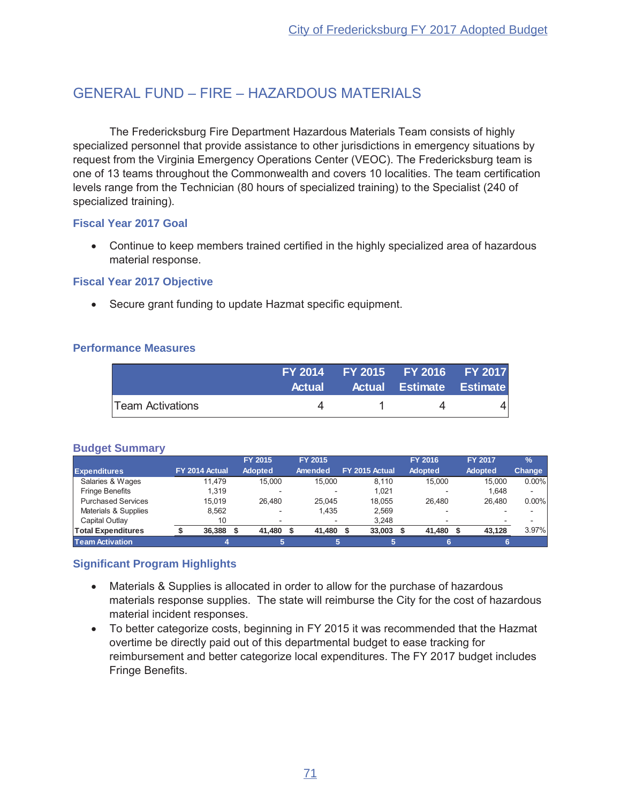## GENERAL FUND - FIRE - HAZARDOUS MATERIALS

The Fredericksburg Fire Department Hazardous Materials Team consists of highly specialized personnel that provide assistance to other jurisdictions in emergency situations by request from the Virginia Emergency Operations Center (VEOC). The Fredericksburg team is one of 13 teams throughout the Commonwealth and covers 10 localities. The team certification levels range from the Technician (80 hours of specialized training) to the Specialist (240 of specialized training).

#### **Fiscal Year 2017 Goal**

• Continue to keep members trained certified in the highly specialized area of hazardous material response.

#### **Fiscal Year 2017 Objective**

• Secure grant funding to update Hazmat specific equipment.

#### **Performance Measures**

|                         | FY 2014 FY 2015 FY 2016 FY 2017 |                |  |
|-------------------------|---------------------------------|----------------|--|
|                         | Actual Actual Estimate Estimate |                |  |
| <b>Team Activations</b> |                                 | $\overline{a}$ |  |

#### **Budget Summary**

|                           |                | FY 2015  | FY 2015                  |                | <b>FY 2016</b> | <b>FY 2017</b> | $\frac{9}{6}$ |
|---------------------------|----------------|----------|--------------------------|----------------|----------------|----------------|---------------|
| <b>Expenditures</b>       | FY 2014 Actual | Adopted  | Amended                  | FY 2015 Actual | Adopted        | <b>Adopted</b> | Change        |
| Salaries & Wages          | 11.479         | 15,000   | 15.000                   | 8.110          | 15,000         | 15.000         | $0.00\%$      |
| <b>Fringe Benefits</b>    | 1.319          |          |                          | 1.021          |                | 1.648          |               |
| <b>Purchased Services</b> | 15.019         | 26.480   | 25.045                   | 18.055         | 26.480         | 26.480         | $0.00\%$      |
| Materials & Supplies      | 8.562          | <b>1</b> | 1.435                    | 2.569          |                |                |               |
| Capital Outlay            | 10             |          | $\overline{\phantom{0}}$ | 3.248          |                |                |               |
| <b>Total Expenditures</b> | 36,388         | 41,480   | 41,480                   | 33,003         | 41,480         | 43.128         | 3.97%         |
| <b>Team Activation</b>    |                |          |                          |                |                |                |               |

- Materials & Supplies is allocated in order to allow for the purchase of hazardous materials response supplies. The state will reimburse the City for the cost of hazardous material incident responses.
- To better categorize costs, beginning in FY 2015 it was recommended that the Hazmat overtime be directly paid out of this departmental budget to ease tracking for reimbursement and better categorize local expenditures. The FY 2017 budget includes Fringe Benefits.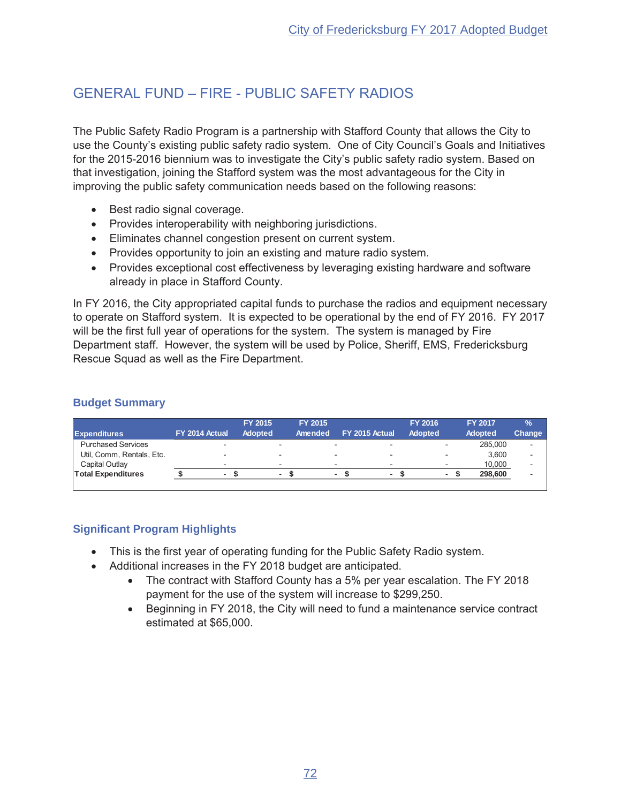## **GENERAL FUND - FIRE - PUBLIC SAFETY RADIOS**

The Public Safety Radio Program is a partnership with Stafford County that allows the City to use the County's existing public safety radio system. One of City Council's Goals and Initiatives for the 2015-2016 biennium was to investigate the City's public safety radio system. Based on that investigation, joining the Stafford system was the most advantageous for the City in improving the public safety communication needs based on the following reasons:

- Best radio signal coverage.
- Provides interoperability with neighboring jurisdictions.
- Eliminates channel congestion present on current system.
- Provides opportunity to join an existing and mature radio system.
- Provides exceptional cost effectiveness by leveraging existing hardware and software already in place in Stafford County.

In FY 2016, the City appropriated capital funds to purchase the radios and equipment necessary to operate on Stafford system. It is expected to be operational by the end of FY 2016. FY 2017 will be the first full year of operations for the system. The system is managed by Fire Department staff. However, the system will be used by Police, Sheriff, EMS, Fredericksburg Rescue Squad as well as the Fire Department.

#### **Budget Summary**

|                           |                |   | <b>FY 2015</b> |                          | <b>FY 2015</b>           |                          | FY 2016 | <b>FY 2017</b> | $\%$                     |
|---------------------------|----------------|---|----------------|--------------------------|--------------------------|--------------------------|---------|----------------|--------------------------|
| <b>Expenditures</b>       | FY 2014 Actual |   | <b>Adopted</b> |                          | Amended                  | FY 2015 Actual           | Adopted | <b>Adopted</b> | <b>Change</b>            |
| <b>Purchased Services</b> |                |   |                |                          | -                        |                          |         | 285,000        |                          |
| Util, Comm, Rentals, Etc. |                |   |                | $\overline{\phantom{0}}$ | -                        |                          |         | 3.600          | $\overline{\phantom{a}}$ |
| Capital Outlay            |                | - |                | $\overline{\phantom{0}}$ | $\overline{\phantom{a}}$ | $\overline{\phantom{a}}$ |         | 10.000         |                          |
| <b>Total Expenditures</b> |                | ٠ |                | $\overline{\phantom{a}}$ | $\blacksquare$           |                          |         | 298,600        |                          |
|                           |                |   |                |                          |                          |                          |         |                |                          |

- This is the first year of operating funding for the Public Safety Radio system.
- Additional increases in the FY 2018 budget are anticipated.
	- The contract with Stafford County has a 5% per year escalation. The FY 2018 payment for the use of the system will increase to \$299,250.
	- Beginning in FY 2018, the City will need to fund a maintenance service contract estimated at \$65,000.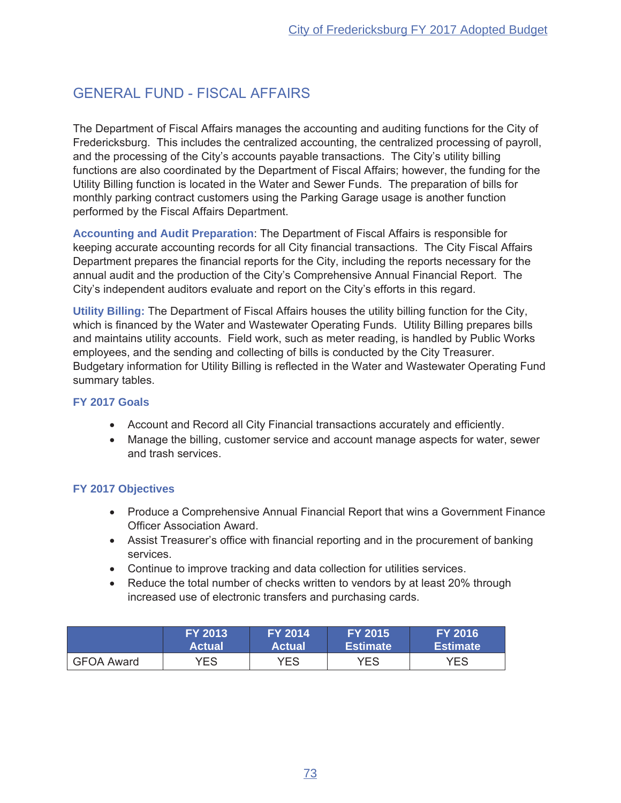## **GENERAL FUND - FISCAL AFFAIRS**

The Department of Fiscal Affairs manages the accounting and auditing functions for the City of Fredericksburg. This includes the centralized accounting, the centralized processing of payroll, and the processing of the City's accounts payable transactions. The City's utility billing functions are also coordinated by the Department of Fiscal Affairs; however, the funding for the Utility Billing function is located in the Water and Sewer Funds. The preparation of bills for monthly parking contract customers using the Parking Garage usage is another function performed by the Fiscal Affairs Department.

Accounting and Audit Preparation: The Department of Fiscal Affairs is responsible for keeping accurate accounting records for all City financial transactions. The City Fiscal Affairs Department prepares the financial reports for the City, including the reports necessary for the annual audit and the production of the City's Comprehensive Annual Financial Report. The City's independent auditors evaluate and report on the City's efforts in this regard.

Utility Billing: The Department of Fiscal Affairs houses the utility billing function for the City, which is financed by the Water and Wastewater Operating Funds. Utility Billing prepares bills and maintains utility accounts. Field work, such as meter reading, is handled by Public Works employees, and the sending and collecting of bills is conducted by the City Treasurer. Budgetary information for Utility Billing is reflected in the Water and Wastewater Operating Fund summary tables.

#### FY 2017 Goals

- Account and Record all City Financial transactions accurately and efficiently.
- Manage the billing, customer service and account manage aspects for water, sewer and trash services.

## **FY 2017 Objectives**

- Produce a Comprehensive Annual Financial Report that wins a Government Finance **Officer Association Award.**
- Assist Treasurer's office with financial reporting and in the procurement of banking services.
- Continue to improve tracking and data collection for utilities services.
- Reduce the total number of checks written to vendors by at least 20% through increased use of electronic transfers and purchasing cards.

|                   | <b>FY 2013</b> | <b>FY 2014</b> | <b>FY 2015</b>  | FY 2016'        |
|-------------------|----------------|----------------|-----------------|-----------------|
|                   | <b>Actual</b>  | <b>Actual</b>  | <b>Estimate</b> | <b>Estimate</b> |
| <b>GFOA Award</b> | YES.           | YES            | YES             | <b>YES</b>      |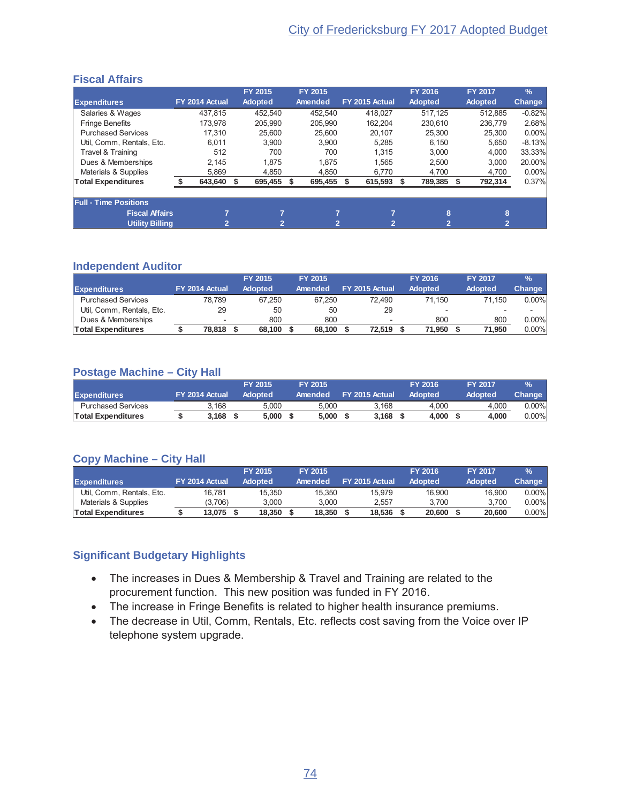## **Fiscal Affairs**

|                              |                |      | FY 2015        | FY 2015 |                | FY 2016        | <b>FY 2017</b> | $\frac{9}{6}$ |
|------------------------------|----------------|------|----------------|---------|----------------|----------------|----------------|---------------|
| <b>Expenditures</b>          | FY 2014 Actual |      | <b>Adopted</b> | Amended | FY 2015 Actual | <b>Adopted</b> | <b>Adopted</b> | <b>Change</b> |
| Salaries & Wages             | 437.815        |      | 452.540        | 452.540 | 418.027        | 517.125        | 512.885        | $-0.82%$      |
| <b>Fringe Benefits</b>       | 173.978        |      | 205.990        | 205.990 | 162.204        | 230.610        | 236.779        | 2.68%         |
| <b>Purchased Services</b>    | 17.310         |      | 25.600         | 25.600  | 20.107         | 25,300         | 25.300         | $0.00\%$      |
| Util, Comm, Rentals, Etc.    | 6.011          |      | 3.900          | 3.900   | 5.285          | 6.150          | 5.650          | $-8.13%$      |
| Travel & Training            | 512            |      | 700            | 700     | 1.315          | 3.000          | 4,000          | 33.33%        |
| Dues & Memberships           | 2.145          |      | 1.875          | 1.875   | 1.565          | 2.500          | 3.000          | 20.00%        |
| Materials & Supplies         | 5.869          |      | 4.850          | 4.850   | 6.770          | 4.700          | 4,700          | $0.00\%$      |
| <b>Total Expenditures</b>    | 643,640        | - \$ | 695,455        | 695,455 | 615,593 \$     | 789,385        | 792,314        | 0.37%         |
| <b>Full - Time Positions</b> |                |      |                |         |                |                |                |               |
| <b>Fiscal Affairs</b>        | 7              |      | ⇁              | ⇁       | 7              | 8              | 8              |               |
| <b>Utility Billing</b>       | $\mathbf{2}$   |      | 2              | 2       | $\overline{2}$ | 2              | $\overline{2}$ |               |

#### **Independent Auditor**

|                           |                | <b>FY 2015</b> | <b>FY 2015</b> |                |                          | <b>FY 2016</b> | <b>FY 2017</b> | $\frac{9}{6}$ |
|---------------------------|----------------|----------------|----------------|----------------|--------------------------|----------------|----------------|---------------|
| <b>Expenditures</b>       | FY 2014 Actual | <b>Adopted</b> | Amended        | FY 2015 Actual |                          | <b>Adopted</b> | <b>Adopted</b> | <b>Change</b> |
| <b>Purchased Services</b> | 78.789         | 67.250         | 67.250         |                | 72.490                   | 71.150         | 71.150         | $0.00\%$      |
| Util, Comm, Rentals, Etc. | 29             | 50             | 50             |                | 29                       |                |                |               |
| Dues & Memberships        |                | 800            | 800            |                | $\overline{\phantom{a}}$ | 800            | 800            | $0.00\%$      |
| <b>Total Expenditures</b> | 78.818         | 68.100         | 68.100         |                | 72.519                   | 71.950         | 71.950         | $0.00\%$      |

#### **Postage Machine – City Hall**

|                           |                |       | FY 2015 |       | FY 2015 |                | <b>FY 2016</b> | <b>FY 2017</b> | $\frac{9}{6}$ |
|---------------------------|----------------|-------|---------|-------|---------|----------------|----------------|----------------|---------------|
| <b>Expenditures</b>       | FY 2014 Actual |       | Adopted |       | Amended | FY 2015 Actual | Adopted        | Adopted        | Change'       |
| <b>Purchased Services</b> |                | 3.168 |         | 5.000 | 5.000   | 3.168          | 4.000          | 4.000          | $0.00\%$      |
| <b>Total Expenditures</b> |                | 3.168 |         | 5.000 | 5.000   | 3.168          | 4.000          | 4.000          | $0.00\%$      |

## **Copy Machine – City Hall**

|                           |                | FY 2015        | <b>FY 2015</b> |                | FY 2016        | <b>FY 2017</b> | $\frac{9}{6}$ |
|---------------------------|----------------|----------------|----------------|----------------|----------------|----------------|---------------|
| <b>Expenditures</b>       | FY 2014 Actual | <b>Adopted</b> | Amended        | FY 2015 Actual | <b>Adopted</b> | Adopted        | Change '      |
| Util, Comm, Rentals, Etc. | 16.781         | 15.350         | 15.350         | 15.979         | 16.900         | 16.900         | $0.00\%$      |
| Materials & Supplies      | (3.706)        | 3.000          | 3.000          | 2.557          | 3.700          | 3.700          | $0.00\%$      |
| Total Expenditures        | 13.075         | 18.350         | 18,350         | 18.536         | 20,600         | 20,600         | $0.00\%$      |

## **Significant Budgetary Highlights**

- The increases in Dues & Membership & Travel and Training are related to the procurement function. This new position was funded in FY 2016.
- The increase in Fringe Benefits is related to higher health insurance premiums.
- The decrease in Util, Comm, Rentals, Etc. reflects cost saving from the Voice over IP telephone system upgrade.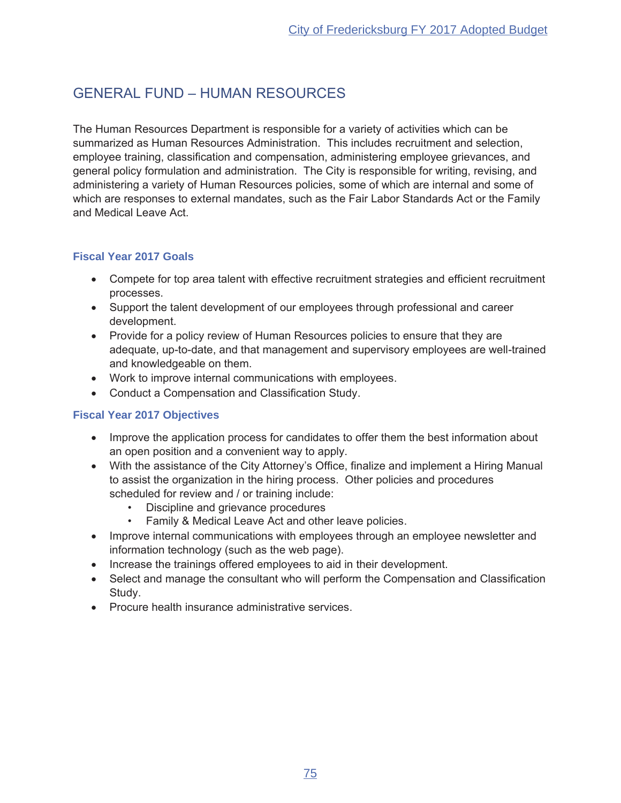## **GENERAL FUND - HUMAN RESOURCES**

The Human Resources Department is responsible for a variety of activities which can be summarized as Human Resources Administration. This includes recruitment and selection, employee training, classification and compensation, administering employee grievances, and general policy formulation and administration. The City is responsible for writing, revising, and administering a variety of Human Resources policies, some of which are internal and some of which are responses to external mandates, such as the Fair Labor Standards Act or the Family and Medical Leave Act.

## **Fiscal Year 2017 Goals**

- Compete for top area talent with effective recruitment strategies and efficient recruitment processes.
- Support the talent development of our employees through professional and career development.
- Provide for a policy review of Human Resources policies to ensure that they are adequate, up-to-date, and that management and supervisory employees are well-trained and knowledgeable on them.
- Work to improve internal communications with employees.
- Conduct a Compensation and Classification Study.

## **Fiscal Year 2017 Objectives**

- Improve the application process for candidates to offer them the best information about an open position and a convenient way to apply.
- With the assistance of the City Attorney's Office, finalize and implement a Hiring Manual to assist the organization in the hiring process. Other policies and procedures scheduled for review and / or training include:
	- Discipline and grievance procedures  $\bullet$  .
	- $\bullet$ Family & Medical Leave Act and other leave policies.
- Improve internal communications with employees through an employee newsletter and information technology (such as the web page).
- Increase the trainings offered employees to aid in their development.
- Select and manage the consultant who will perform the Compensation and Classification Study.
- Procure health insurance administrative services.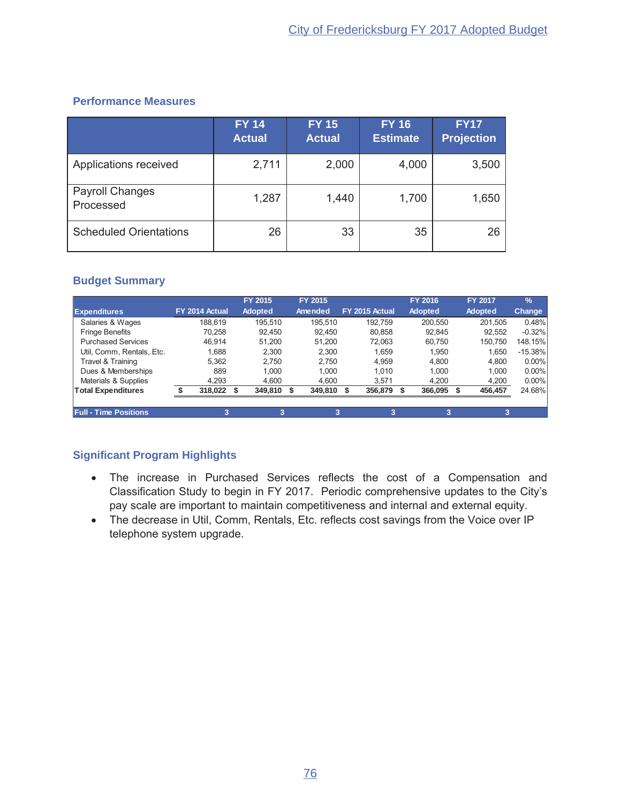## **Performance Measures**

|                                     | <b>FY 14</b><br><b>Actual</b> | <b>FY 15</b><br><b>Actual</b> | <b>FY 16</b><br><b>Estimate</b> | <b>FY17</b><br><b>Projection</b> |
|-------------------------------------|-------------------------------|-------------------------------|---------------------------------|----------------------------------|
| Applications received               | 2,711                         | 2,000                         | 4,000                           | 3,500                            |
| <b>Payroll Changes</b><br>Processed | 1,287                         | 1,440                         | 1,700                           | 1,650                            |
| <b>Scheduled Orientations</b>       | 26                            | 33                            | 35                              | 26                               |

## **Budget Summary**

|                              |                | FY 2015        | FY 2015 |                | FY 2016        | <b>FY 2017</b> | $\frac{9}{6}$ |
|------------------------------|----------------|----------------|---------|----------------|----------------|----------------|---------------|
| <b>Expenditures</b>          | FY 2014 Actual | <b>Adopted</b> | Amended | FY 2015 Actual | <b>Adopted</b> | <b>Adopted</b> | <b>Change</b> |
| Salaries & Wages             | 188.619        | 195.510        | 195.510 | 192.759        | 200.550        | 201.505        | 0.48%         |
| <b>Fringe Benefits</b>       | 70.258         | 92.450         | 92.450  | 80.858         | 92.845         | 92.552         | $-0.32%$      |
| <b>Purchased Services</b>    | 46.914         | 51.200         | 51,200  | 72.063         | 60.750         | 150,750        | 148.15%       |
| Util, Comm, Rentals, Etc.    | 1.688          | 2.300          | 2.300   | 1.659          | 1.950          | 1.650          | $-15.38%$     |
| Travel & Training            | 5.362          | 2.750          | 2.750   | 4.959          | 4.800          | 4.800          | $0.00\%$      |
| Dues & Memberships           | 889            | 1.000          | 1.000   | 1.010          | 1.000          | 1.000          | $0.00\%$      |
| Materials & Supplies         | 4.293          | 4.600          | 4.600   | 3.571          | 4.200          | 4,200          | $0.00\%$      |
| <b>Total Expenditures</b>    | 318,022        | 349,810        | 349,810 | 356,879        | 366,095        | 456,457        | 24.68%        |
|                              |                |                |         |                |                |                |               |
| <b>Full - Time Positions</b> | 3              |                | 3       | 3              |                | 3              |               |

- The increase in Purchased Services reflects the cost of a Compensation and Classification Study to begin in FY 2017. Periodic comprehensive updates to the City's pay scale are important to maintain competitiveness and internal and external equity.
- The decrease in Util, Comm, Rentals, Etc. reflects cost savings from the Voice over IP telephone system upgrade.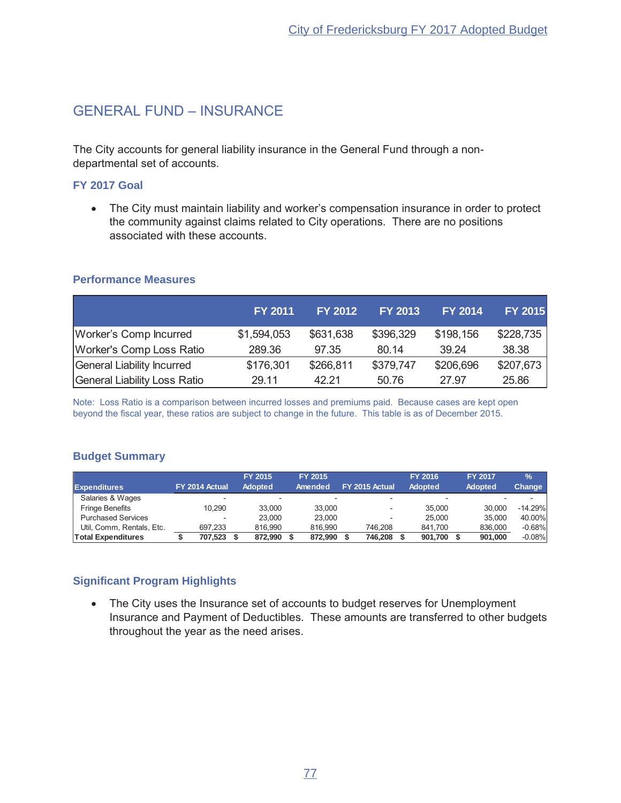## GENERAL FUND - INSURANCE

The City accounts for general liability insurance in the General Fund through a nondepartmental set of accounts.

#### **FY 2017 Goal**

• The City must maintain liability and worker's compensation insurance in order to protect the community against claims related to City operations. There are no positions associated with these accounts.

#### **Performance Measures**

|                                 | <b>FY 2011</b> | <b>FY 2012</b> | <b>FY 2013</b> | <b>FY 2014</b> | <b>FY 2015</b> |
|---------------------------------|----------------|----------------|----------------|----------------|----------------|
| <b>Worker's Comp Incurred</b>   | \$1,594,053    | \$631,638      | \$396,329      | \$198,156      | \$228,735      |
| <b>Worker's Comp Loss Ratio</b> | 289.36         | 97.35          | 80.14          | 39.24          | 38.38          |
| General Liability Incurred      | \$176,301      | \$266,811      | \$379,747      | \$206,696      | \$207,673      |
| General Liability Loss Ratio    | 29.11          | 42.21          | 50.76          | 27.97          | 25.86          |

Note: Loss Ratio is a comparison between incurred losses and premiums paid. Because cases are kept open beyond the fiscal year, these ratios are subject to change in the future. This table is as of December 2015.

#### **Budget Summary**

|                           |                |         | FY 2015        | <b>FY 2015</b> |                | <b>FY 2016</b> | <b>FY 2017</b> | $\frac{9}{6}$ |
|---------------------------|----------------|---------|----------------|----------------|----------------|----------------|----------------|---------------|
| <b>Expenditures</b>       | FY 2014 Actual |         | <b>Adopted</b> | Amended        | FY 2015 Actual | <b>Adopted</b> | <b>Adopted</b> | Change        |
| Salaries & Wages          |                |         |                |                |                |                |                |               |
| <b>Fringe Benefits</b>    |                | 10.290  | 33.000         | 33,000         |                | 35,000         | 30,000         | $-14.29%$     |
| <b>Purchased Services</b> |                |         | 23.000         | 23,000         |                | 25,000         | 35,000         | 40.00%        |
| Util, Comm, Rentals, Etc. |                | 697.233 | 816.990        | 816,990        | 746.208        | 841.700        | 836,000        | $-0.68%$      |
| <b>Total Expenditures</b> |                | 707.523 | 872.990        | 872.990        | 746.208        | 901.700        | 901.000        | $-0.08%$      |

## **Significant Program Highlights**

• The City uses the Insurance set of accounts to budget reserves for Unemployment Insurance and Payment of Deductibles. These amounts are transferred to other budgets throughout the year as the need arises.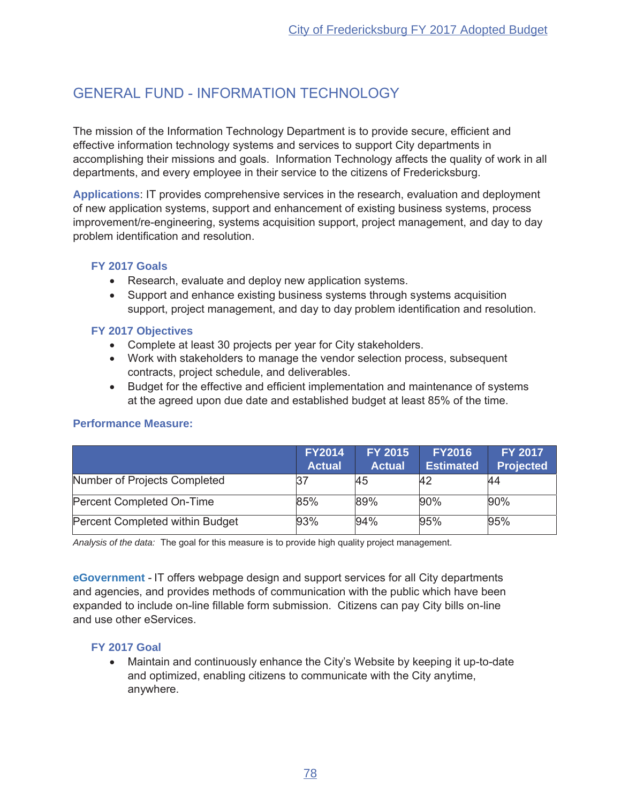# GENERAL FUND - INFORMATION TECHNOLOGY

The mission of the Information Technology Department is to provide secure, efficient and effective information technology systems and services to support City departments in accomplishing their missions and goals. Information Technology affects the quality of work in all departments, and every employee in their service to the citizens of Fredericksburg.

Applications: IT provides comprehensive services in the research, evaluation and deployment of new application systems, support and enhancement of existing business systems, process improvement/re-engineering, systems acquisition support, project management, and day to day problem identification and resolution.

## **FY 2017 Goals**

- $\bullet$  Research, evaluate and deploy new application systems.
- Support and enhance existing business systems through systems acquisition support, project management, and day to day problem identification and resolution.

## **FY 2017 Objectives**

- Complete at least 30 projects per year for City stakeholders.
- Work with stakeholders to manage the vendor selection process, subsequent contracts, project schedule, and deliverables.
- Budget for the effective and efficient implementation and maintenance of systems at the agreed upon due date and established budget at least 85% of the time.

|                                 | <b>FY2014</b><br><b>Actual</b> | <b>FY 2015</b><br><b>Actual</b> | <b>FY2016</b><br><b>Estimated</b> | <b>FY 2017</b><br><b>Projected</b> |
|---------------------------------|--------------------------------|---------------------------------|-----------------------------------|------------------------------------|
| Number of Projects Completed    |                                | 45                              | 42                                | 44                                 |
| Percent Completed On-Time       | 85%                            | 89%                             | 90%                               | 90%                                |
| Percent Completed within Budget | 93%                            | 94%                             | 95%                               | 95%                                |

## **Performance Measure:**

*Analysis of the data:* The goal for this measure is to provide high quality project management.

**eGovernment** - IT offers webpage design and support services for all City departments and agencies, and provides methods of communication with the public which have been expanded to include on-line fillable form submission. Citizens can pay City bills on-line and use other eServices.

## **FY 2017 Goal**

Maintain and continuously enhance the City's Website by keeping it up-to-date and optimized, enabling citizens to communicate with the City anytime, anywhere.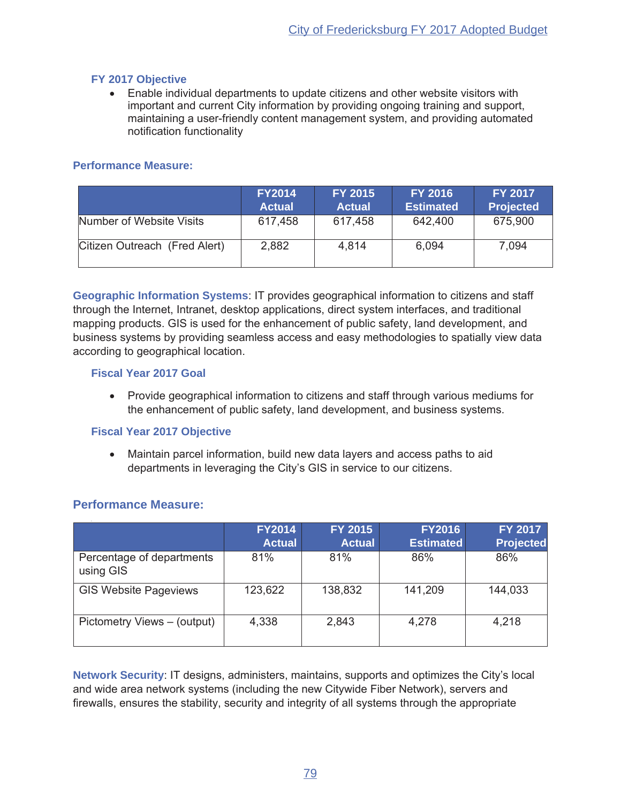## **FY 2017 Objective**

• Enable individual departments to update citizens and other website visitors with important and current City information by providing ongoing training and support, maintaining a user-friendly content management system, and providing automated notification functionality

#### **Performance Measure:**

|                               | <b>FY2014</b><br><b>Actual</b> | <b>FY 2015</b><br><b>Actual</b> | <b>FY 2016</b><br><b>Estimated</b> | <b>FY 2017</b><br><b>Projected</b> |
|-------------------------------|--------------------------------|---------------------------------|------------------------------------|------------------------------------|
| Number of Website Visits      | 617,458                        | 617,458                         | 642,400                            | 675,900                            |
| Citizen Outreach (Fred Alert) | 2,882                          | 4.814                           | 6,094                              | 7,094                              |

**Geographic Information Systems: IT provides geographical information to citizens and staff** through the Internet, Intranet, desktop applications, direct system interfaces, and traditional mapping products. GIS is used for the enhancement of public safety, land development, and business systems by providing seamless access and easy methodologies to spatially view data according to geographical location.

#### **Fiscal Year 2017 Goal**

• Provide geographical information to citizens and staff through various mediums for the enhancement of public safety, land development, and business systems.

#### **Fiscal Year 2017 Objective**

• Maintain parcel information, build new data layers and access paths to aid departments in leveraging the City's GIS in service to our citizens.

## **Performance Measure:**

|                                        | <b>FY2014</b><br><b>Actual</b> | <b>FY 2015</b><br><b>Actual</b> | <b>FY2016</b><br><b>Estimated</b> | FY 2017<br><b>Projected</b> |
|----------------------------------------|--------------------------------|---------------------------------|-----------------------------------|-----------------------------|
| Percentage of departments<br>using GIS | 81%                            | 81%                             | 86%                               | 86%                         |
| <b>GIS Website Pageviews</b>           | 123,622                        | 138,832                         | 141,209                           | 144,033                     |
| Pictometry Views – (output)            | 4,338                          | 2,843                           | 4,278                             | 4,218                       |

**Network Security: IT designs, administers, maintains, supports and optimizes the City's local** and wide area network systems (including the new Citywide Fiber Network), servers and firewalls, ensures the stability, security and integrity of all systems through the appropriate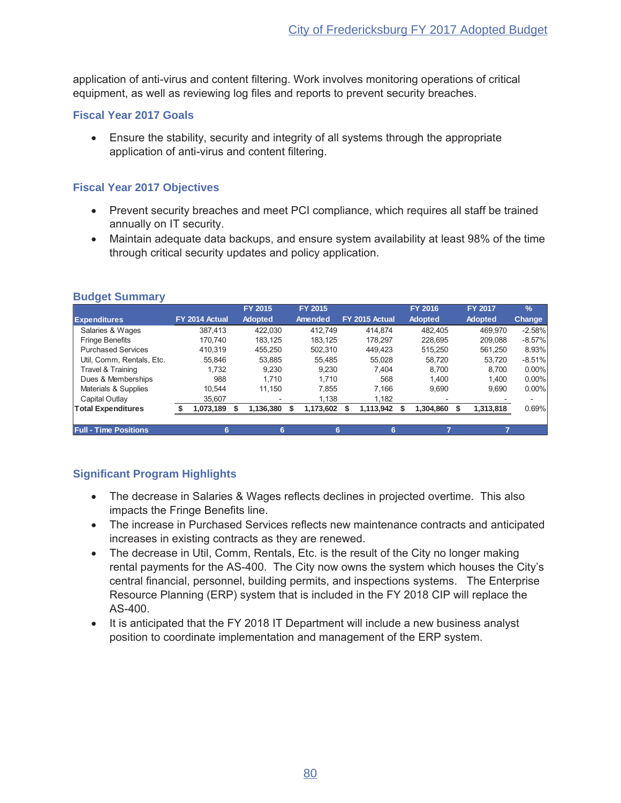application of anti-virus and content filtering. Work involves monitoring operations of critical equipment, as well as reviewing log files and reports to prevent security breaches.

#### **Fiscal Year 2017 Goals**

**E** Ensure the stability, security and integrity of all systems through the appropriate application of anti-virus and content filtering.

## **Fiscal Year 2017 Objectives**

- Prevent security breaches and meet PCI compliance, which requires all staff be trained annually on IT security.
- Maintain adequate data backups, and ensure system availability at least 98% of the time through critical security updates and policy application.

|                              |                | FY 2015        | FY 2015   |                | FY 2016        | <b>FY 2017</b> | $\frac{9}{6}$ |
|------------------------------|----------------|----------------|-----------|----------------|----------------|----------------|---------------|
| <b>Expenditures</b>          | FY 2014 Actual | <b>Adopted</b> | Amended   | FY 2015 Actual | <b>Adopted</b> | <b>Adopted</b> | <b>Change</b> |
| Salaries & Wages             | 387.413        | 422.030        | 412.749   | 414.874        | 482.405        | 469.970        | $-2.58%$      |
| <b>Fringe Benefits</b>       | 170.740        | 183.125        | 183.125   | 178.297        | 228.695        | 209.088        | $-8.57\%$     |
| <b>Purchased Services</b>    | 410.319        | 455.250        | 502.310   | 449.423        | 515.250        | 561.250        | 8.93%         |
| Util. Comm. Rentals. Etc.    | 55.846         | 53.885         | 55.485    | 55.028         | 58.720         | 53.720         | $-8.51%$      |
| Travel & Training            | 1.732          | 9.230          | 9.230     | 7.404          | 8.700          | 8.700          | $0.00\%$      |
| Dues & Memberships           | 988            | 1.710          | 1.710     | 568            | 1.400          | 1.400          | 0.00%         |
| Materials & Supplies         | 10.544         | 11.150         | 7.855     | 7.166          | 9.690          | 9.690          | $0.00\%$      |
| Capital Outlay               | 35.607         |                | 1.138     | 1,182          |                |                |               |
| <b>Total Expenditures</b>    | 1,073,189      | 1,136,380      | 1,173,602 | 1,113,942      | 1.304.860      | 1,313,818      | 0.69%         |
|                              |                |                |           |                |                |                |               |
| <b>Full - Time Positions</b> | 6              | 6              | 6         | 6              |                |                |               |

#### **Budget Summary**

- The decrease in Salaries & Wages reflects declines in projected overtime. This also impacts the Fringe Benefits line.
- The increase in Purchased Services reflects new maintenance contracts and anticipated increases in existing contracts as they are renewed.
- The decrease in Util, Comm, Rentals, Etc. is the result of the City no longer making rental payments for the AS-400. The City now owns the system which houses the City's central financial, personnel, building permits, and inspections systems. The Enterprise Resource Planning (ERP) system that is included in the FY 2018 CIP will replace the AS-400.
- It is anticipated that the FY 2018 IT Department will include a new business analyst position to coordinate implementation and management of the ERP system.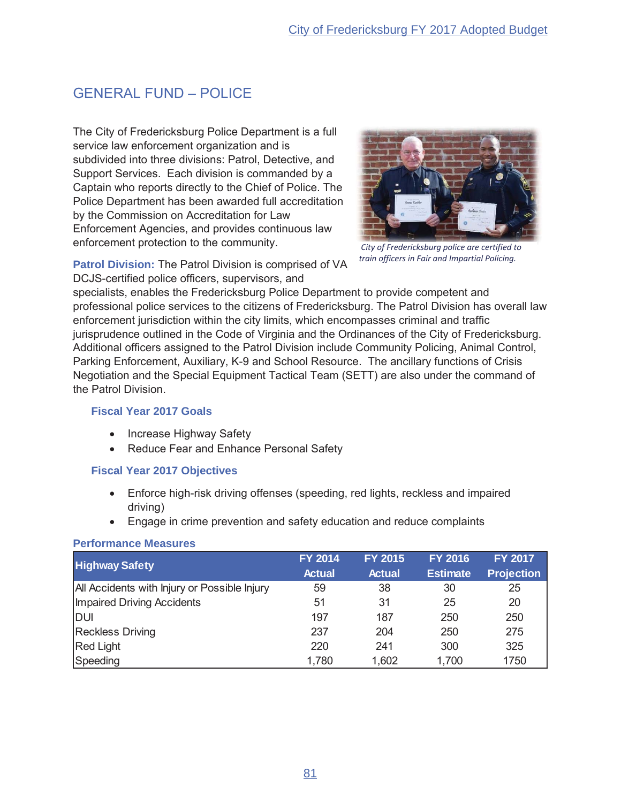# **GENERAL FUND - POLICE**

The City of Fredericksburg Police Department is a full service law enforcement organization and is subdivided into three divisions: Patrol, Detective, and Support Services. Each division is commanded by a Captain who reports directly to the Chief of Police. The Police Department has been awarded full accreditation by the Commission on Accreditation for Law Enforcement Agencies, and provides continuous law enforcement protection to the community.



City of Fredericksburg police are certified to train officers in Fair and Impartial Policing.

Patrol Division: The Patrol Division is comprised of VA DCJS-certified police officers, supervisors, and

specialists, enables the Fredericksburg Police Department to provide competent and professional police services to the citizens of Fredericksburg. The Patrol Division has overall law enforcement jurisdiction within the city limits, which encompasses criminal and traffic jurisprudence outlined in the Code of Virginia and the Ordinances of the City of Fredericksburg. Additional officers assigned to the Patrol Division include Community Policing, Animal Control, Parking Enforcement, Auxiliary, K-9 and School Resource. The ancillary functions of Crisis Negotiation and the Special Equipment Tactical Team (SETT) are also under the command of the Patrol Division.

#### **Fiscal Year 2017 Goals**

- Increase Highway Safety
- Reduce Fear and Enhance Personal Safety

#### **Fiscal Year 2017 Objectives**

- Enforce high-risk driving offenses (speeding, red lights, reckless and impaired driving)
- Engage in crime prevention and safety education and reduce complaints

#### **Performance Measures**

| <b>Highway Safety</b>                        | <b>FY 2014</b> | <b>FY 2015</b> | <b>FY 2016</b>  | <b>FY 2017</b>    |
|----------------------------------------------|----------------|----------------|-----------------|-------------------|
|                                              | <b>Actual</b>  | <b>Actual</b>  | <b>Estimate</b> | <b>Projection</b> |
| All Accidents with Injury or Possible Injury | 59             | 38             | 30              | 25                |
| <b>Impaired Driving Accidents</b>            | 51             | 31             | 25              | 20                |
| <b>DUI</b>                                   | 197            | 187            | 250             | 250               |
| <b>Reckless Driving</b>                      | 237            | 204            | 250             | 275               |
| <b>Red Light</b>                             | 220            | 241            | 300             | 325               |
| Speeding                                     | 1,780          | 1,602          | 1,700           | 1750              |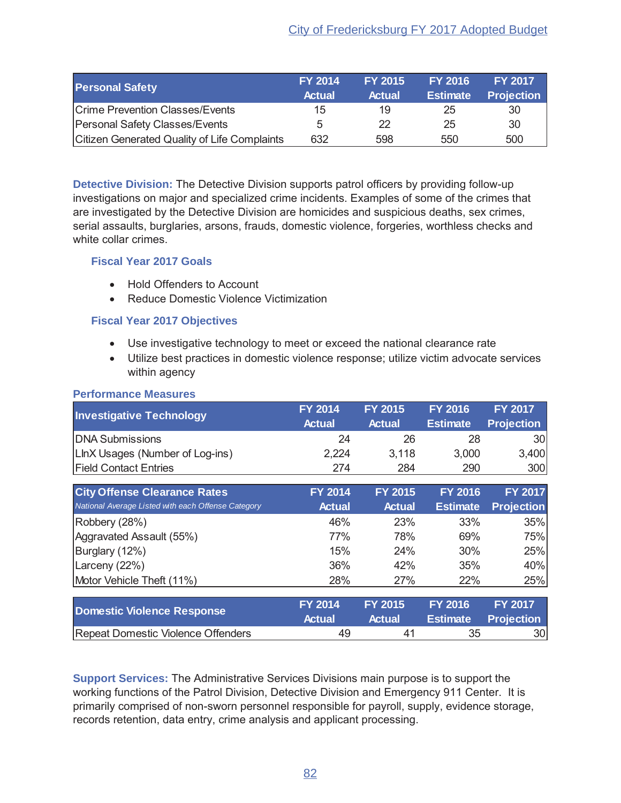| <b>Personal Safety</b>                       | <b>FY 2014</b><br><b>Actual</b> | <b>FY 2015</b><br><b>Actual</b> | <b>FY 2016</b><br><b>Estimate</b> | <b>FY 2017</b><br><b>Projection</b> |
|----------------------------------------------|---------------------------------|---------------------------------|-----------------------------------|-------------------------------------|
| <b>Crime Prevention Classes/Events</b>       | 15                              | 19                              | 25                                | 30                                  |
| <b>Personal Safety Classes/Events</b>        | 5                               | 22                              | 25                                | 30                                  |
| Citizen Generated Quality of Life Complaints | 632                             | 598                             | 550                               | 500                                 |

**Detective Division:** The Detective Division supports patrol officers by providing follow-up investigations on major and specialized crime incidents. Examples of some of the crimes that are investigated by the Detective Division are homicides and suspicious deaths, sex crimes, serial assaults, burglaries, arsons, frauds, domestic violence, forgeries, worthless checks and white collar crimes

## **Fiscal Year 2017 Goals**

- Hold Offenders to Account
- Reduce Domestic Violence Victimization

## **Fiscal Year 2017 Objectives**

- Use investigative technology to meet or exceed the national clearance rate
- Utilize best practices in domestic violence response; utilize victim advocate services within agency

#### **Performance Measures**

| <b>Investigative Technology</b>                    | <b>FY 2014</b><br><b>Actual</b> | <b>FY 2015</b><br><b>Actual</b> | <b>FY 2016</b><br><b>Estimate</b> | FY 2017<br><b>Projection</b> |
|----------------------------------------------------|---------------------------------|---------------------------------|-----------------------------------|------------------------------|
| <b>DNA Submissions</b>                             | 24                              | 26                              | 28                                | 30                           |
| LInX Usages (Number of Log-ins)                    | 2,224                           | 3,118                           | 3,000                             | 3,400                        |
| <b>Field Contact Entries</b>                       | 274                             | 284                             | 290                               | 300                          |
| <b>City Offense Clearance Rates</b>                | <b>FY 2014</b>                  | <b>FY 2015</b>                  | <b>FY 2016</b>                    | <b>FY 2017</b>               |
| National Average Listed with each Offense Category | <b>Actual</b>                   | <b>Actual</b>                   | <b>Estimate</b>                   | <b>Projection</b>            |
| Robbery (28%)                                      | 46%                             | 23%                             | 33%                               | 35%                          |
| Aggravated Assault (55%)                           | 77%                             | 78%                             | 69%                               | 75%                          |
| Burglary (12%)                                     | 15%                             | 24%                             | 30%                               | 25%                          |
| Larceny $(22%)$                                    | 36%                             | 42%                             | 35%                               | 40%                          |
| Motor Vehicle Theft (11%)                          | 28%                             | 27%                             | 22%                               | 25%                          |
|                                                    |                                 |                                 |                                   |                              |
| <b>Domestic Violence Response</b>                  | <b>FY 2014</b><br><b>Actual</b> | <b>FY 2015</b><br><b>Actual</b> | <b>FY 2016</b><br><b>Estimate</b> | FY 2017<br><b>Projection</b> |
| <b>Repeat Domestic Violence Offenders</b>          | 49                              | 41                              | 35                                | 30                           |

**Support Services:** The Administrative Services Divisions main purpose is to support the working functions of the Patrol Division, Detective Division and Emergency 911 Center. It is primarily comprised of non-sworn personnel responsible for payroll, supply, evidence storage, records retention, data entry, crime analysis and applicant processing.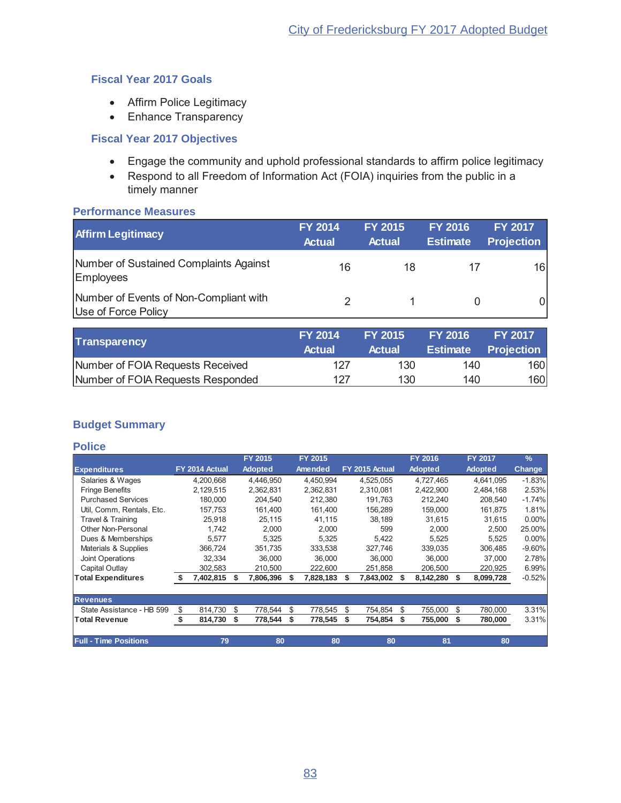## **Fiscal Year 2017 Goals**

- Affirm Police Legitimacy
- Enhance Transparency

## **Fiscal Year 2017 Objectives**

- Engage the community and uphold professional standards to affirm police legitimacy
- Respond to all Freedom of Information Act (FOIA) inquiries from the public in a timely manner

#### **Performance Measures**

| <b>Affirm Legitimacy</b>                                      | <b>FY 2014</b><br><b>Actual</b> | <b>FY 2015</b><br><b>Actual</b> | <b>FY 2016</b><br><b>Estimate</b> | <b>FY 2017</b><br><b>Projection</b> |
|---------------------------------------------------------------|---------------------------------|---------------------------------|-----------------------------------|-------------------------------------|
| Number of Sustained Complaints Against<br>Employees           | 16                              | 18                              |                                   | 16 <sup>1</sup>                     |
| Number of Events of Non-Compliant with<br>Use of Force Policy |                                 |                                 |                                   | ΩI                                  |

| <b>Transparency</b>               | <b>FY 2014</b><br><b>Actual</b> | <b>FY 2015</b><br>Actual | <b>FY 2016</b><br><b>Estimate</b> | <b>FY 2017</b><br><b>Projection</b> |
|-----------------------------------|---------------------------------|--------------------------|-----------------------------------|-------------------------------------|
| Number of FOIA Requests Received  | 127                             | 130                      | 140                               | 160                                 |
| Number of FOIA Requests Responded | 127                             | 130                      | 140                               | 160                                 |

## **Budget Summary**

#### **Police**

|                              |    |                |    | FY 2015        |   | FY 2015   |    |                | FY 2016        |     | <b>FY 2017</b> | $\frac{9}{6}$ |
|------------------------------|----|----------------|----|----------------|---|-----------|----|----------------|----------------|-----|----------------|---------------|
| <b>Expenditures</b>          |    | FY 2014 Actual |    | <b>Adopted</b> |   | Amended   |    | FY 2015 Actual | <b>Adopted</b> |     | <b>Adopted</b> | <b>Change</b> |
| Salaries & Wages             |    | 4,200,668      |    | 4,446,950      |   | 4.450.994 |    | 4,525,055      | 4,727,465      |     | 4,641,095      | $-1.83%$      |
| <b>Fringe Benefits</b>       |    | 2,129,515      |    | 2,362,831      |   | 2,362,831 |    | 2,310,081      | 2,422,900      |     | 2,484,168      | 2.53%         |
| <b>Purchased Services</b>    |    | 180.000        |    | 204.540        |   | 212,380   |    | 191.763        | 212,240        |     | 208,540        | $-1.74%$      |
| Util, Comm, Rentals, Etc.    |    | 157,753        |    | 161,400        |   | 161,400   |    | 156,289        | 159,000        |     | 161,875        | 1.81%         |
| Travel & Training            |    | 25,918         |    | 25,115         |   | 41,115    |    | 38,189         | 31,615         |     | 31,615         | $0.00\%$      |
| Other Non-Personal           |    | 1.742          |    | 2,000          |   | 2.000     |    | 599            | 2,000          |     | 2.500          | 25.00%        |
| Dues & Memberships           |    | 5.577          |    | 5.325          |   | 5.325     |    | 5.422          | 5.525          |     | 5,525          | $0.00\%$      |
| Materials & Supplies         |    | 366,724        |    | 351.735        |   | 333,538   |    | 327.746        | 339,035        |     | 306,485        | $-9.60%$      |
| <b>Joint Operations</b>      |    | 32.334         |    | 36,000         |   | 36,000    |    | 36,000         | 36.000         |     | 37,000         | 2.78%         |
| Capital Outlay               |    | 302,583        |    | 210,500        |   | 222,600   |    | 251,858        | 206,500        |     | 220,925        | 6.99%         |
| <b>Total Expenditures</b>    | S  | 7,402,815      |    | 7,806,396      |   | 7,828,183 | S  | 7,843,002      | 8,142,280      | -S  | 8,099,728      | $-0.52%$      |
|                              |    |                |    |                |   |           |    |                |                |     |                |               |
| <b>Revenues</b>              |    |                |    |                |   |           |    |                |                |     |                |               |
| State Assistance - HB 599    | \$ | 814,730        | \$ | 778,544        | S | 778,545   | \$ | 754,854        | \$<br>755,000  | \$. | 780,000        | 3.31%         |
| <b>Total Revenue</b>         |    | 814,730        | Ŝ. | 778,544        | S | 778,545   | \$ | 754,854        | 755,000        |     | 780,000        | 3.31%         |
| <b>Full - Time Positions</b> |    | 79             |    | 80             |   | 80        |    | 80             | 81             |     | 80             |               |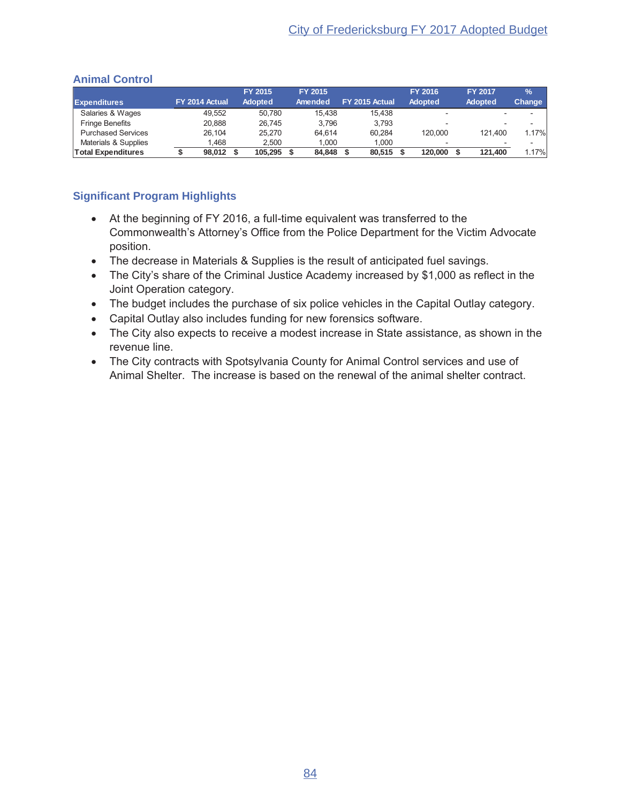|                           |                | FY 2015        | <b>FY 2015</b> |                | <b>FY 2016</b> | <b>FY 2017</b>           | $\frac{9}{6}$ |
|---------------------------|----------------|----------------|----------------|----------------|----------------|--------------------------|---------------|
| <b>Expenditures</b>       | FY 2014 Actual | <b>Adopted</b> | Amended        | FY 2015 Actual | Adopted        | <b>Adopted</b>           | Change        |
| Salaries & Wages          | 49.552         | 50.780         | 15.438         | 15.438         | $\sim$         | -                        | -             |
| <b>Fringe Benefits</b>    | 20.888         | 26.745         | 3.796          | 3.793          | $\sim$         | $\overline{\phantom{a}}$ | ۰             |
| <b>Purchased Services</b> | 26.104         | 25.270         | 64.614         | 60.284         | 120.000        | 121.400                  | 1.17%         |
| Materials & Supplies      | 1.468          | 2.500          | 1.000          | 1.000          |                |                          |               |
| <b>Total Expenditures</b> | 98.012         | 105.295        | 84,848         | 80.515         | 120,000        | 121.400                  | 1.17%         |

## **Animal Control**

- At the beginning of FY 2016, a full-time equivalent was transferred to the Commonwealth's Attorney's Office from the Police Department for the Victim Advocate position.
- The decrease in Materials & Supplies is the result of anticipated fuel savings.
- The City's share of the Criminal Justice Academy increased by \$1,000 as reflect in the Joint Operation category.
- The budget includes the purchase of six police vehicles in the Capital Outlay category.
- Capital Outlay also includes funding for new forensics software.
- The City also expects to receive a modest increase in State assistance, as shown in the revenue line
- The City contracts with Spotsylvania County for Animal Control services and use of Animal Shelter. The increase is based on the renewal of the animal shelter contract.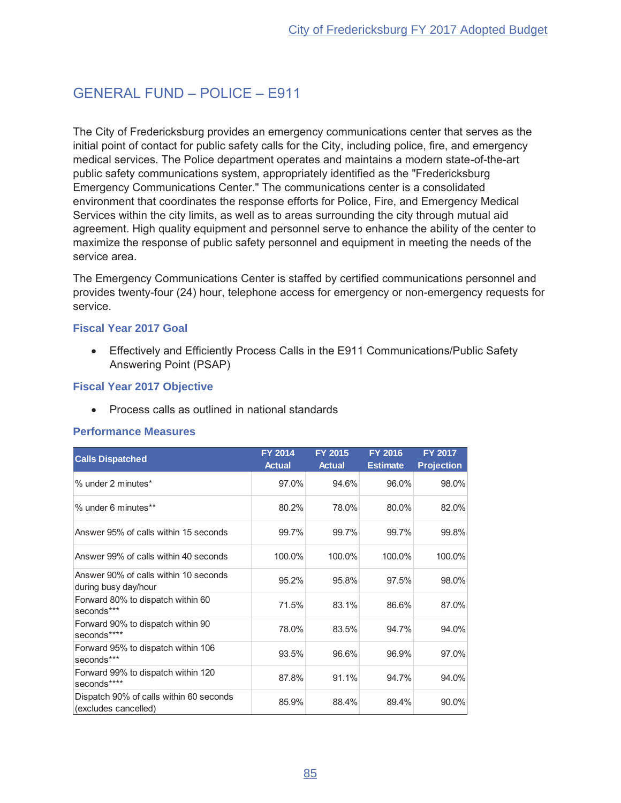# **GENERAL FUND - POLICE - F911**

The City of Fredericksburg provides an emergency communications center that serves as the initial point of contact for public safety calls for the City, including police, fire, and emergency medical services. The Police department operates and maintains a modern state-of-the-art public safety communications system, appropriately identified as the "Fredericksburg" Emergency Communications Center." The communications center is a consolidated environment that coordinates the response efforts for Police, Fire, and Emergency Medical Services within the city limits, as well as to areas surrounding the city through mutual aid agreement. High quality equipment and personnel serve to enhance the ability of the center to maximize the response of public safety personnel and equipment in meeting the needs of the service area.

The Emergency Communications Center is staffed by certified communications personnel and provides twenty-four (24) hour, telephone access for emergency or non-emergency requests for service.

#### **Fiscal Year 2017 Goal**

• Effectively and Efficiently Process Calls in the E911 Communications/Public Safety Answering Point (PSAP)

## **Fiscal Year 2017 Objective**

Process calls as outlined in national standards  $\bullet$ 

#### **Performance Measures**

| <b>Calls Dispatched</b>                                         | FY 2014<br><b>Actual</b> | <b>FY 2015</b><br><b>Actual</b> | <b>FY 2016</b><br><b>Estimate</b> | FY 2017<br><b>Projection</b> |
|-----------------------------------------------------------------|--------------------------|---------------------------------|-----------------------------------|------------------------------|
| % under 2 minutes*                                              | 97.0%                    | 94.6%                           | 96.0%                             | 98.0%                        |
| % under 6 minutes**                                             | 80.2%                    | 78.0%                           | 80.0%                             | 82.0%                        |
| Answer 95% of calls within 15 seconds                           | 99.7%                    | 99.7%                           | 99.7%                             | 99.8%                        |
| Answer 99% of calls within 40 seconds                           | 100.0%                   | 100.0%                          | 100.0%                            | 100.0%                       |
| Answer 90% of calls within 10 seconds<br>during busy day/hour   | 95.2%                    | 95.8%                           | 97.5%                             | 98.0%                        |
| Forward 80% to dispatch within 60<br>seconds***                 | 71.5%                    | 83.1%                           | 86.6%                             | 87.0%                        |
| Forward 90% to dispatch within 90<br>seconds****                | 78.0%                    | 83.5%                           | 94.7%                             | 94.0%                        |
| Forward 95% to dispatch within 106<br>seconds***                | 93.5%                    | 96.6%                           | 96.9%                             | 97.0%                        |
| Forward 99% to dispatch within 120<br>seconds****               | 87.8%                    | 91.1%                           | 94.7%                             | 94.0%                        |
| Dispatch 90% of calls within 60 seconds<br>(excludes cancelled) | 85.9%                    | 88.4%                           | 89.4%                             | 90.0%                        |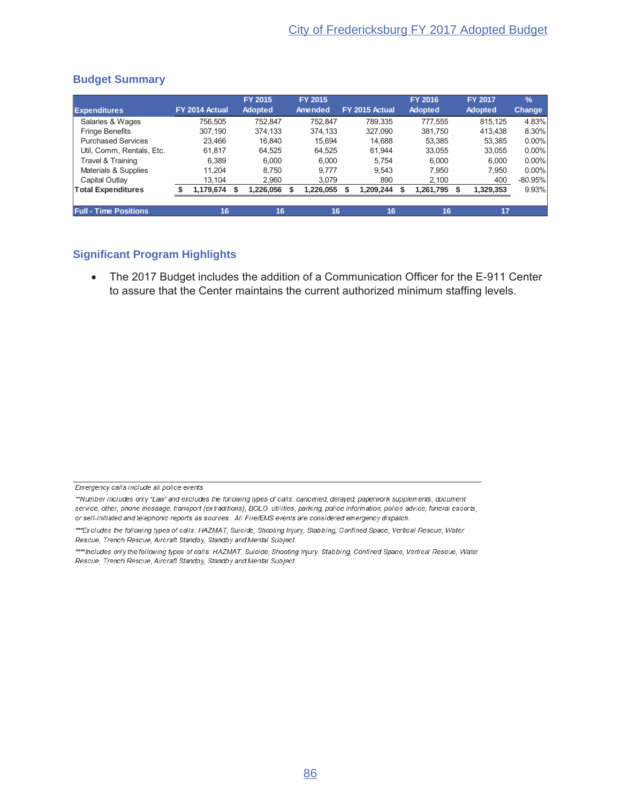|                              |                |     | FY 2015        | FY 2015   |                | <b>FY 2016</b> | <b>FY 2017</b> | $\frac{9}{6}$ |
|------------------------------|----------------|-----|----------------|-----------|----------------|----------------|----------------|---------------|
| <b>Expenditures</b>          | FY 2014 Actual |     | <b>Adopted</b> | Amended   | FY 2015 Actual | <b>Adopted</b> | <b>Adopted</b> | Change        |
| Salaries & Wages             | 756.505        |     | 752.847        | 752.847   | 789.335        | 777.555        | 815.125        | 4.83%         |
| <b>Fringe Benefits</b>       | 307.190        |     | 374.133        | 374.133   | 327.090        | 381.750        | 413.438        | 8.30%         |
| <b>Purchased Services</b>    | 23.466         |     | 16.840         | 15.694    | 14.688         | 53,385         | 53.385         | $0.00\%$      |
| Util, Comm, Rentals, Etc.    | 61.817         |     | 64,525         | 64,525    | 61.944         | 33,055         | 33,055         | $0.00\%$      |
| Travel & Training            | 6.389          |     | 6.000          | 6.000     | 5.754          | 6.000          | 6.000          | $0.00\%$      |
| Materials & Supplies         | 11.204         |     | 8.750          | 9.777     | 9.543          | 7.950          | 7.950          | $0.00\%$      |
| Capital Outlay               | 13.104         |     | 2.960          | 3.079     | 890            | 2,100          | 400            | $-80.95%$     |
| <b>Total Expenditures</b>    | 1,179,674      | \$. | 1,226,056      | 1,226,055 | 1,209,244      | 1,261,795      | 1,329,353      | 9.93%         |
| <b>Full - Time Positions</b> | 16             |     | 16             | 16        | 16             | 16             | 17             |               |

### **Budget Summary**

## **Significant Program Highlights**

• The 2017 Budget includes the addition of a Communication Officer for the E-911 Center to assure that the Center maintains the current authorized minimum staffing levels.

Emergency calls include all police events

<sup>\*\*</sup>Number includes only "Law" and excludes the following types of calls: cancelled, delayed, paperwork supplements, document service, other, phone message, transport (extraditions), BOLO, utilities, parking, police information, police advice, funeral escorts, or self-initiated and telephonic reports as sources. All Fire/EMS events are considered emergency dispatch.

<sup>\*\*\*</sup> Excludes the following types of calls: HAZMAT, Suicide, Shooting Injury, Stabbing, Confined Space, Vertical Rescue, Water Rescue, Trench Rescue, Aircraft Standby, Standby and Mental Subject.

<sup>\*\*\*\*</sup>Includes only the following types of calls: HAZMAT, Suicide, Shooting Injury, Stabbing, Confined Space, Vertical Rescue, Water Rescue, Trench Rescue, Aircraft Standby, Standby and Mental Subject.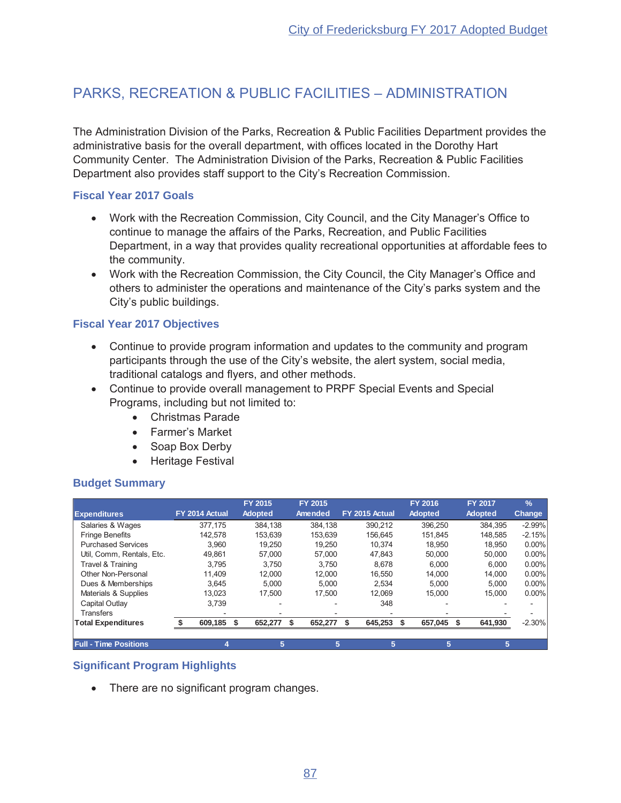# PARKS, RECREATION & PUBLIC FACILITIES - ADMINISTRATION

The Administration Division of the Parks, Recreation & Public Facilities Department provides the administrative basis for the overall department, with offices located in the Dorothy Hart Community Center. The Administration Division of the Parks, Recreation & Public Facilities Department also provides staff support to the City's Recreation Commission.

## **Fiscal Year 2017 Goals**

- Work with the Recreation Commission, City Council, and the City Manager's Office to continue to manage the affairs of the Parks, Recreation, and Public Facilities Department, in a way that provides quality recreational opportunities at affordable fees to the community.
- Work with the Recreation Commission, the City Council, the City Manager's Office and others to administer the operations and maintenance of the City's parks system and the City's public buildings.

## **Fiscal Year 2017 Objectives**

- Continue to provide program information and updates to the community and program participants through the use of the City's website, the alert system, social media, traditional catalogs and flyers, and other methods.
- Continue to provide overall management to PRPF Special Events and Special Programs, including but not limited to:
	- Christmas Parade
	- Farmer's Market
	- $\bullet$  Soap Box Derby
	- Heritage Festival

## **Budget Summary**

|                              |                | FY 2015        | FY 2015 |                | <b>FY 2016</b> | <b>FY 2017</b> | $\frac{9}{6}$ |
|------------------------------|----------------|----------------|---------|----------------|----------------|----------------|---------------|
| <b>Expenditures</b>          | FY 2014 Actual | <b>Adopted</b> | Amended | FY 2015 Actual | <b>Adopted</b> | <b>Adopted</b> | <b>Change</b> |
| Salaries & Wages             | 377.175        | 384.138        | 384.138 | 390.212        | 396.250        | 384.395        | $-2.99%$      |
| <b>Fringe Benefits</b>       | 142.578        | 153.639        | 153.639 | 156.645        | 151.845        | 148.585        | $-2.15%$      |
| <b>Purchased Services</b>    | 3.960          | 19.250         | 19.250  | 10.374         | 18.950         | 18,950         | $0.00\%$      |
| Util, Comm, Rentals, Etc.    | 49.861         | 57.000         | 57.000  | 47.843         | 50.000         | 50,000         | $0.00\%$      |
| Travel & Training            | 3.795          | 3.750          | 3.750   | 8.678          | 6.000          | 6.000          | $0.00\%$      |
| Other Non-Personal           | 11.409         | 12.000         | 12.000  | 16.550         | 14,000         | 14.000         | $0.00\%$      |
| Dues & Memberships           | 3.645          | 5.000          | 5.000   | 2.534          | 5.000          | 5.000          | $0.00\%$      |
| Materials & Supplies         | 13.023         | 17.500         | 17.500  | 12.069         | 15.000         | 15.000         | $0.00\%$      |
| Capital Outlay               | 3.739          |                |         | 348            |                |                |               |
| <b>Transfers</b>             |                |                |         |                |                |                |               |
| <b>Total Expenditures</b>    | 609,185        | 652,277<br>\$  | 652,277 | 645,253        | 657,045        | 641,930        | $-2.30%$      |
| <b>Full - Time Positions</b> |                | 5              | 5       | 5              | 5              | 5              |               |

## **Significant Program Highlights**

• There are no significant program changes.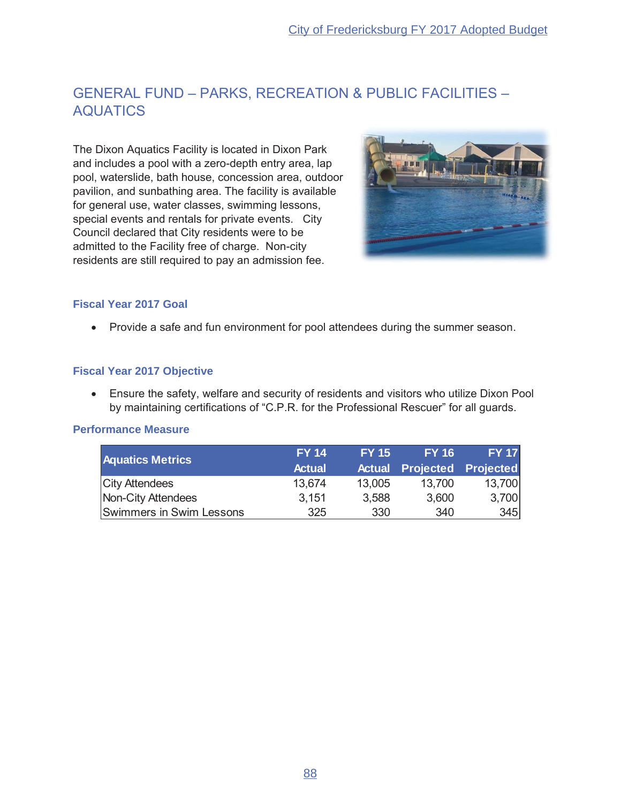# GENERAL FUND - PARKS, RECREATION & PUBLIC FACILITIES -AQUATICS

The Dixon Aquatics Facility is located in Dixon Park and includes a pool with a zero-depth entry area, lap pool, waterslide, bath house, concession area, outdoor pavilion, and sunbathing area. The facility is available for general use, water classes, swimming lessons, special events and rentals for private events. City Council declared that City residents were to be admitted to the Facility free of charge. Non-city residents are still required to pay an admission fee.



## **Fiscal Year 2017 Goal**

• Provide a safe and fun environment for pool attendees during the summer season.

#### **Fiscal Year 2017 Objective**

• Ensure the safety, welfare and security of residents and visitors who utilize Dixon Pool by maintaining certifications of "C.P.R. for the Professional Rescuer" for all guards.

#### **Performance Measure**

| <b>Aquatics Metrics</b>  | <b>FY 14</b>  | <b>FY 15</b> | <b>FY 16</b>                      | <b>FY 17</b> |
|--------------------------|---------------|--------------|-----------------------------------|--------------|
|                          | <b>Actual</b> |              | <b>Actual Projected Projected</b> |              |
| <b>City Attendees</b>    | 13.674        | 13,005       | 13,700                            | 13,700       |
| Non-City Attendees       | 3,151         | 3,588        | 3,600                             | 3,700        |
| Swimmers in Swim Lessons | 325           | 330          | 340                               | 345          |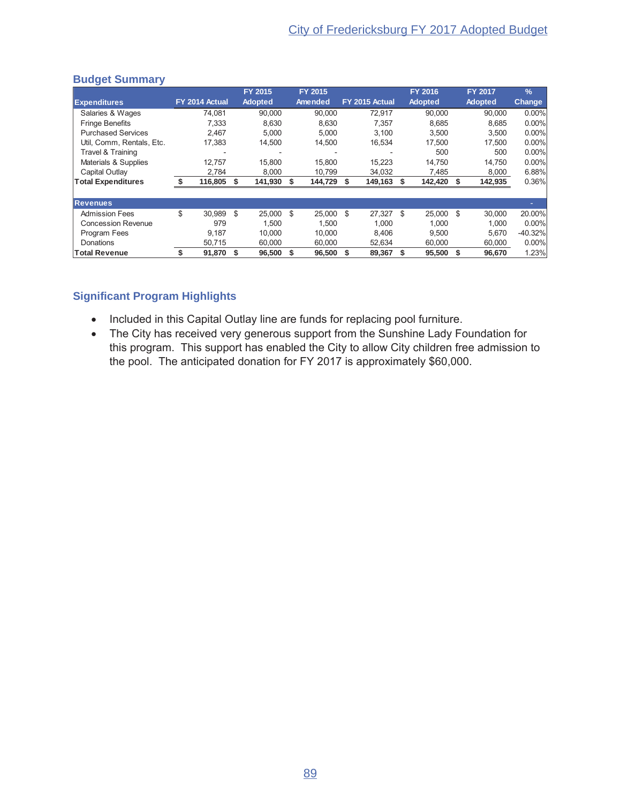|                           |                |      | <b>FY 2015</b> |      | FY 2015 |    |                |    | <b>FY 2016</b> |      | <b>FY 2017</b> | $\frac{9}{6}$ |
|---------------------------|----------------|------|----------------|------|---------|----|----------------|----|----------------|------|----------------|---------------|
| <b>Expenditures</b>       | FY 2014 Actual |      | <b>Adopted</b> |      | Amended |    | FY 2015 Actual |    | <b>Adopted</b> |      | <b>Adopted</b> | <b>Change</b> |
| Salaries & Wages          | 74.081         |      | 90.000         |      | 90.000  |    | 72.917         |    | 90.000         |      | 90.000         | $0.00\%$      |
| <b>Fringe Benefits</b>    | 7.333          |      | 8.630          |      | 8.630   |    | 7.357          |    | 8.685          |      | 8.685          | $0.00\%$      |
| <b>Purchased Services</b> | 2.467          |      | 5.000          |      | 5.000   |    | 3,100          |    | 3.500          |      | 3.500          | $0.00\%$      |
| Util, Comm, Rentals, Etc. | 17.383         |      | 14,500         |      | 14,500  |    | 16,534         |    | 17.500         |      | 17.500         | $0.00\%$      |
| Travel & Training         |                |      |                |      |         |    |                |    | 500            |      | 500            | $0.00\%$      |
| Materials & Supplies      | 12.757         |      | 15,800         |      | 15,800  |    | 15,223         |    | 14,750         |      | 14,750         | $0.00\%$      |
| Capital Outlav            | 2,784          |      | 8,000          |      | 10,799  |    | 34,032         |    | 7,485          |      | 8,000          | 6.88%         |
| <b>Total Expenditures</b> | 116,805 \$     |      | 141,930        | S.   | 144,729 | S  | 149,163        | S  | 142,420 \$     |      | 142,935        | 0.36%         |
|                           |                |      |                |      |         |    |                |    |                |      |                |               |
| <b>Revenues</b>           |                |      |                |      |         |    |                |    |                |      |                |               |
| <b>Admission Fees</b>     | \$<br>30.989   | - \$ | 25.000         | - \$ | 25.000  | \$ | 27.327         | \$ | 25,000 \$      |      | 30,000         | 20.00%        |
| <b>Concession Revenue</b> | 979            |      | 1.500          |      | 1.500   |    | 1,000          |    | 1.000          |      | 1.000          | $0.00\%$      |
| Program Fees              | 9,187          |      | 10.000         |      | 10.000  |    | 8.406          |    | 9.500          |      | 5,670          | $-40.32%$     |
| Donations                 | 50.715         |      | 60,000         |      | 60,000  |    | 52,634         |    | 60,000         |      | 60,000         | $0.00\%$      |
| <b>Total Revenue</b>      | 91,870         | - \$ | 96,500         | -\$  | 96,500  | S  | 89,367         |    | 95,500         | - \$ | 96,670         | 1.23%         |

#### **Budget Summary**

- Included in this Capital Outlay line are funds for replacing pool furniture.
- The City has received very generous support from the Sunshine Lady Foundation for this program. This support has enabled the City to allow City children free admission to the pool. The anticipated donation for FY 2017 is approximately \$60,000.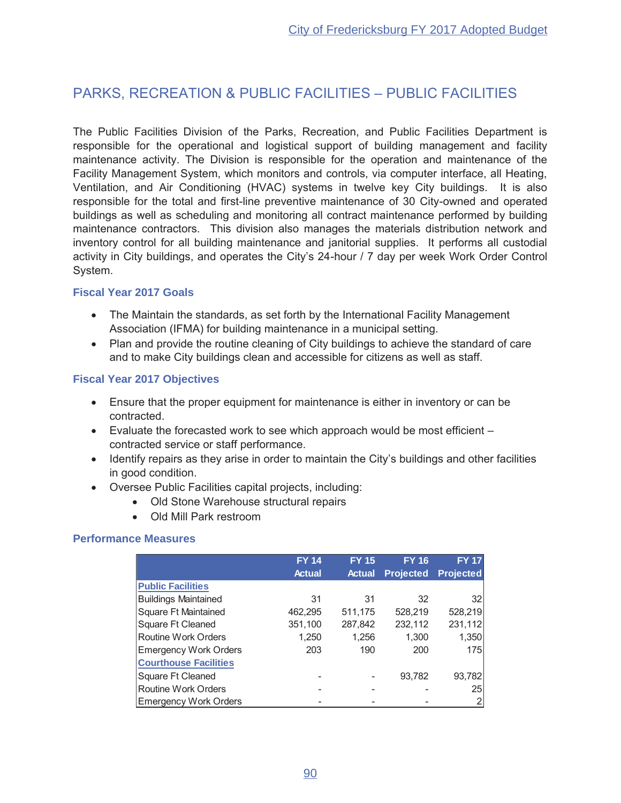# **PARKS, RECREATION & PUBLIC FACILITIES - PUBLIC FACILITIES**

The Public Facilities Division of the Parks, Recreation, and Public Facilities Department is responsible for the operational and logistical support of building management and facility maintenance activity. The Division is responsible for the operation and maintenance of the Facility Management System, which monitors and controls, via computer interface, all Heating, Ventilation, and Air Conditioning (HVAC) systems in twelve key City buildings. It is also responsible for the total and first-line preventive maintenance of 30 City-owned and operated buildings as well as scheduling and monitoring all contract maintenance performed by building maintenance contractors. This division also manages the materials distribution network and inventory control for all building maintenance and janitorial supplies. It performs all custodial activity in City buildings, and operates the City's 24-hour / 7 day per week Work Order Control System.

#### **Fiscal Year 2017 Goals**

- The Maintain the standards, as set forth by the International Facility Management Association (IFMA) for building maintenance in a municipal setting.
- Plan and provide the routine cleaning of City buildings to achieve the standard of care and to make City buildings clean and accessible for citizens as well as staff.

## **Fiscal Year 2017 Objectives**

- Ensure that the proper equipment for maintenance is either in inventory or can be contracted.
- $\bullet$  Evaluate the forecasted work to see which approach would be most efficient  $$ contracted service or staff performance.
- Identify repairs as they arise in order to maintain the City's buildings and other facilities in good condition.
- Oversee Public Facilities capital projects, including:
	- Old Stone Warehouse structural repairs
	- Old Mill Park restroom

#### **Performance Measures**

|                              | <b>FY 14</b>  | <b>FY 15</b><br><b>Actual</b> | <b>FY 16</b>     | <b>FY 17</b>     |
|------------------------------|---------------|-------------------------------|------------------|------------------|
|                              | <b>Actual</b> |                               | <b>Projected</b> | <b>Projected</b> |
| <b>Public Facilities</b>     |               |                               |                  |                  |
| <b>Buildings Maintained</b>  | 31            | 31                            | 32               | 32               |
| Square Ft Maintained         | 462,295       | 511,175                       | 528,219          | 528,219          |
| Square Ft Cleaned            | 351,100       | 287,842                       | 232,112          | 231,112          |
| Routine Work Orders          | 1.250         | 1,256                         | 1,300            | 1,350            |
| <b>Emergency Work Orders</b> | 203           | 190                           | 200              | 175              |
| <b>Courthouse Facilities</b> |               |                               |                  |                  |
| Square Ft Cleaned            |               |                               | 93,782           | 93,782           |
| Routine Work Orders          |               |                               |                  | 25               |
| <b>Emergency Work Orders</b> |               |                               |                  | 2                |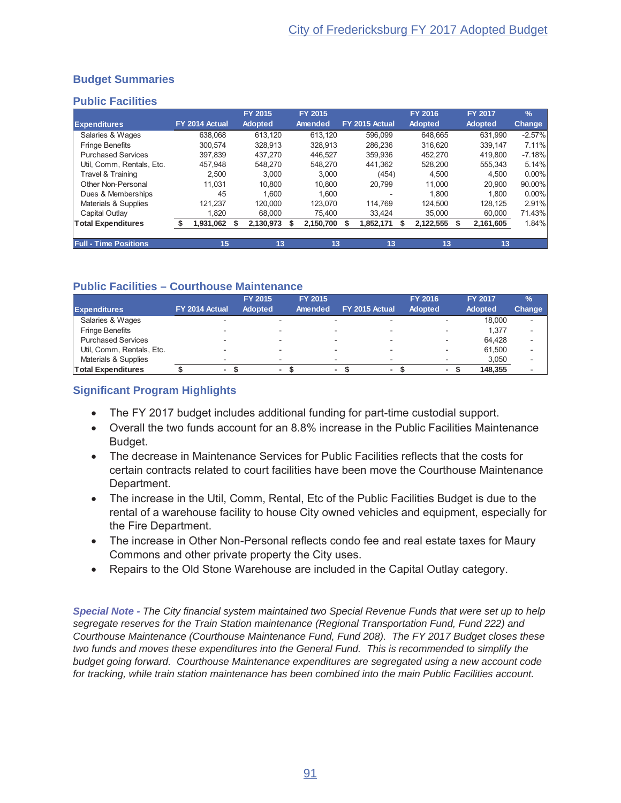## **Budget Summaries**

#### **Public Facilities**

|                              |                | <b>FY 2015</b> | FY 2015   |                | <b>FY 2016</b> | <b>FY 2017</b> | $\frac{9}{6}$ |
|------------------------------|----------------|----------------|-----------|----------------|----------------|----------------|---------------|
| <b>Expenditures</b>          | FY 2014 Actual | <b>Adopted</b> | Amended   | FY 2015 Actual | <b>Adopted</b> | <b>Adopted</b> | <b>Change</b> |
| Salaries & Wages             | 638.068        | 613.120        | 613.120   | 596.099        | 648.665        | 631.990        | $-2.57%$      |
| <b>Fringe Benefits</b>       | 300.574        | 328.913        | 328.913   | 286.236        | 316.620        | 339.147        | 7.11%         |
| <b>Purchased Services</b>    | 397.839        | 437.270        | 446.527   | 359.936        | 452.270        | 419.800        | $-7.18%$      |
| Util. Comm. Rentals. Etc.    | 457.948        | 548.270        | 548.270   | 441.362        | 528.200        | 555.343        | 5.14%         |
| Travel & Training            | 2.500          | 3.000          | 3.000     | (454)          | 4.500          | 4.500          | $0.00\%$      |
| Other Non-Personal           | 11.031         | 10.800         | 10.800    | 20.799         | 11.000         | 20,900         | 90.00%        |
| Dues & Memberships           | 45             | 1.600          | 1.600     |                | 1.800          | 1.800          | $0.00\%$      |
| Materials & Supplies         | 121.237        | 120.000        | 123.070   | 114.769        | 124.500        | 128.125        | 2.91%         |
| Capital Outlay               | 1.820          | 68,000         | 75.400    | 33.424         | 35,000         | 60,000         | 71.43%        |
| <b>Total Expenditures</b>    | .931,062       | 2,130,973      | 2,150,700 | 1,852,171      | 2,122,555      | 2,161,605      | 1.84%         |
|                              |                |                |           |                |                |                |               |
| <b>Full - Time Positions</b> | 15             | 13             | 13        | 13             | 13             | 13             |               |

## **Public Facilities - Courthouse Maintenance**

| <b>Expenditures</b>       | FY 2014 Actual | <b>FY 2015</b><br>Adopted |                          | <b>FY 2015</b><br>Amended | FY 2015 Actual | <b>FY 2016</b><br>Adopted | <b>FY 2017</b><br><b>Adopted</b> | $\frac{9}{6}$<br><b>Change</b> |
|---------------------------|----------------|---------------------------|--------------------------|---------------------------|----------------|---------------------------|----------------------------------|--------------------------------|
| Salaries & Wages          |                |                           |                          | $\overline{\phantom{0}}$  |                |                           | 18,000                           | $\overline{\phantom{0}}$       |
| <b>Fringe Benefits</b>    |                |                           | $\overline{\phantom{0}}$ | $\overline{\phantom{0}}$  |                |                           | 1.377                            | $\overline{\phantom{a}}$       |
| <b>Purchased Services</b> |                |                           | <b>100</b>               | $\overline{\phantom{0}}$  |                |                           | 64.428                           | $\overline{\phantom{a}}$       |
| Util, Comm, Rentals, Etc. |                |                           |                          |                           |                |                           | 61.500                           | -                              |
| Materials & Supplies      |                |                           |                          | $\overline{\phantom{0}}$  |                |                           | 3,050                            | -                              |
| <b>Total Expenditures</b> |                |                           |                          | ۰                         |                |                           | 148.355                          |                                |

## **Significant Program Highlights**

- The FY 2017 budget includes additional funding for part-time custodial support.
- Overall the two funds account for an 8.8% increase in the Public Facilities Maintenance Budget.
- The decrease in Maintenance Services for Public Facilities reflects that the costs for certain contracts related to court facilities have been move the Courthouse Maintenance Department.
- The increase in the Util, Comm, Rental, Etc of the Public Facilities Budget is due to the rental of a warehouse facility to house City owned vehicles and equipment, especially for the Fire Department.
- The increase in Other Non-Personal reflects condo fee and real estate taxes for Maury Commons and other private property the City uses.
- Repairs to the Old Stone Warehouse are included in the Capital Outlay category.

Special Note - The City financial system maintained two Special Revenue Funds that were set up to help segregate reserves for the Train Station maintenance (Regional Transportation Fund, Fund 222) and Courthouse Maintenance (Courthouse Maintenance Fund, Fund 208). The FY 2017 Budget closes these two funds and moves these expenditures into the General Fund. This is recommended to simplify the budget going forward. Courthouse Maintenance expenditures are segregated using a new account code for tracking, while train station maintenance has been combined into the main Public Facilities account.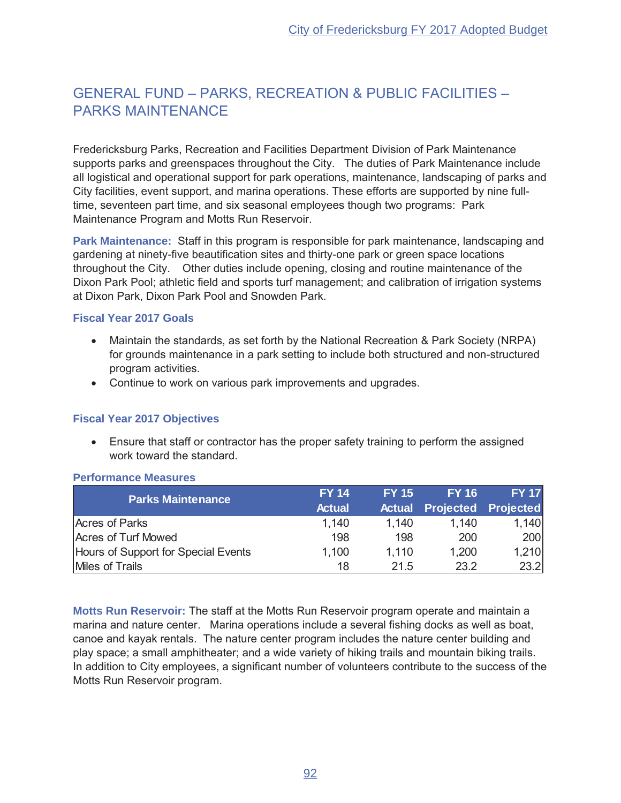# GENERAL FUND - PARKS, RECREATION & PUBLIC FACILITIES -PARKS MAINTENANCE

Fredericksburg Parks, Recreation and Facilities Department Division of Park Maintenance supports parks and greenspaces throughout the City. The duties of Park Maintenance include all logistical and operational support for park operations, maintenance, landscaping of parks and City facilities, event support, and marina operations. These efforts are supported by nine fulltime, seventeen part time, and six seasonal employees though two programs: Park Maintenance Program and Motts Run Reservoir.

**Park Maintenance:** Staff in this program is responsible for park maintenance, landscaping and gardening at ninety-five beautification sites and thirty-one park or green space locations throughout the City. Other duties include opening, closing and routine maintenance of the Dixon Park Pool; athletic field and sports turf management; and calibration of irrigation systems at Dixon Park, Dixon Park Pool and Snowden Park.

#### **Fiscal Year 2017 Goals**

- Maintain the standards, as set forth by the National Recreation & Park Society (NRPA) for grounds maintenance in a park setting to include both structured and non-structured program activities.
- Continue to work on various park improvements and upgrades.

#### **Fiscal Year 2017 Objectives**

• Ensure that staff or contractor has the proper safety training to perform the assigned work toward the standard.

| <b>Parks Maintenance</b>            | <b>FY 14</b>  | <b>FY 15</b> | <b>FY 16</b>                      | <b>FY 17</b> |
|-------------------------------------|---------------|--------------|-----------------------------------|--------------|
|                                     | <b>Actual</b> |              | <b>Actual Projected Projected</b> |              |
| Acres of Parks                      | 1,140         | 1,140        | 1,140                             | 1,140        |
| Acres of Turf Mowed                 | 198           | 198          | 200                               | 200          |
| Hours of Support for Special Events | 1,100         | 1.110        | 1,200                             | 1,210        |
| Miles of Trails                     | 18            | 21.5         | 23.2                              | 23.2         |

#### **Performance Measures**

**Motts Run Reservoir: The staff at the Motts Run Reservoir program operate and maintain a** marina and nature center. Marina operations include a several fishing docks as well as boat, canoe and kayak rentals. The nature center program includes the nature center building and play space; a small amphitheater; and a wide variety of hiking trails and mountain biking trails. In addition to City employees, a significant number of volunteers contribute to the success of the Motts Run Reservoir program.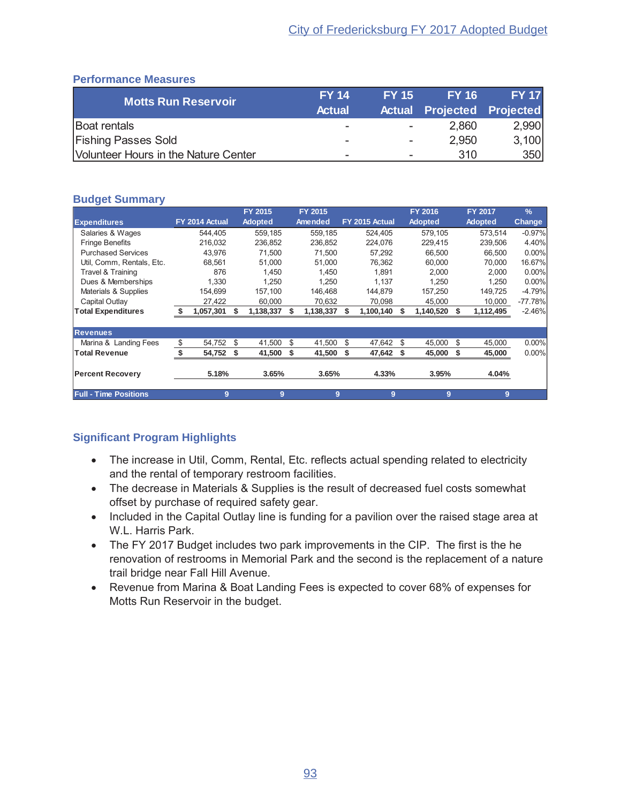## **Performance Measures**

| Motts Run Reservoir                  | <b>FY 14</b>             | <b>FY 15</b>             | <b>FY 16</b>                      | <b>FY 17</b> |
|--------------------------------------|--------------------------|--------------------------|-----------------------------------|--------------|
|                                      | <b>Actual</b>            |                          | <b>Actual Projected Projected</b> |              |
| <b>Boat rentals</b>                  |                          |                          | 2,860                             | 2,990        |
| <b>Fishing Passes Sold</b>           | $\overline{\phantom{0}}$ | $\overline{\phantom{a}}$ | 2.950                             | 3,100        |
| Volunteer Hours in the Nature Center | -                        | $\overline{\phantom{0}}$ | 310                               | 350          |

#### **Budget Summary**

|                              |      |                |    | FY 2015        |    | FY 2015        |   |                |    | FY 2016        |      | FY 2017        | $\frac{9}{6}$ |
|------------------------------|------|----------------|----|----------------|----|----------------|---|----------------|----|----------------|------|----------------|---------------|
| <b>Expenditures</b>          |      | FY 2014 Actual |    | <b>Adopted</b> |    | <b>Amended</b> |   | FY 2015 Actual |    | <b>Adopted</b> |      | <b>Adopted</b> | <b>Change</b> |
| Salaries & Wages             |      | 544.405        |    | 559,185        |    | 559,185        |   | 524,405        |    | 579,105        |      | 573,514        | $-0.97%$      |
| <b>Fringe Benefits</b>       |      | 216,032        |    | 236,852        |    | 236,852        |   | 224,076        |    | 229,415        |      | 239,506        | 4.40%         |
| <b>Purchased Services</b>    |      | 43.976         |    | 71,500         |    | 71,500         |   | 57,292         |    | 66.500         |      | 66.500         | 0.00%         |
| Util, Comm, Rentals, Etc.    |      | 68,561         |    | 51,000         |    | 51,000         |   | 76,362         |    | 60,000         |      | 70,000         | 16.67%        |
| Travel & Training            |      | 876            |    | 1,450          |    | 1,450          |   | 1,891          |    | 2,000          |      | 2,000          | $0.00\%$      |
| Dues & Memberships           |      | 1.330          |    | 1,250          |    | 1.250          |   | 1.137          |    | 1.250          |      | 1.250          | $0.00\%$      |
| Materials & Supplies         |      | 154,699        |    | 157,100        |    | 146,468        |   | 144.879        |    | 157,250        |      | 149,725        | $-4.79%$      |
| Capital Outlay               |      | 27,422         |    | 60,000         |    | 70,632         |   | 70.098         |    | 45,000         |      | 10,000         | -77.78%       |
| <b>Total Expenditures</b>    | - \$ | 1,057,301      | S  | 1,138,337      | S  | 1,138,337      | S | 1,100,140      |    | 1,140,520      | S.   | 1,112,495      | $-2.46%$      |
|                              |      |                |    |                |    |                |   |                |    |                |      |                |               |
| <b>Revenues</b>              |      |                |    |                |    |                |   |                |    |                |      |                |               |
| Marina & Landing Fees        | \$   | 54,752         | \$ | 41,500         | S  | 41,500         | S | 47,642         | \$ | 45,000         | -S   | 45,000         | $0.00\%$      |
| <b>Total Revenue</b>         |      | 54,752         | S  | 41,500         | \$ | 41,500         | S | 47,642         | S  | 45,000         | - \$ | 45,000         | $0.00\%$      |
|                              |      |                |    |                |    |                |   |                |    |                |      |                |               |
| <b>Percent Recovery</b>      |      | 5.18%          |    | 3.65%          |    | 3.65%          |   | 4.33%          |    | 3.95%          |      | 4.04%          |               |
|                              |      |                |    |                |    |                |   |                |    |                |      |                |               |
| <b>Full - Time Positions</b> |      | 9              |    | 9              |    | 9              |   | 9              |    | 9              |      | 9              |               |

- The increase in Util, Comm, Rental, Etc. reflects actual spending related to electricity and the rental of temporary restroom facilities.
- The decrease in Materials & Supplies is the result of decreased fuel costs somewhat offset by purchase of required safety gear.
- Included in the Capital Outlay line is funding for a pavilion over the raised stage area at W.L. Harris Park.
- The FY 2017 Budget includes two park improvements in the CIP. The first is the he renovation of restrooms in Memorial Park and the second is the replacement of a nature trail bridge near Fall Hill Avenue.
- Revenue from Marina & Boat Landing Fees is expected to cover 68% of expenses for Motts Run Reservoir in the budget.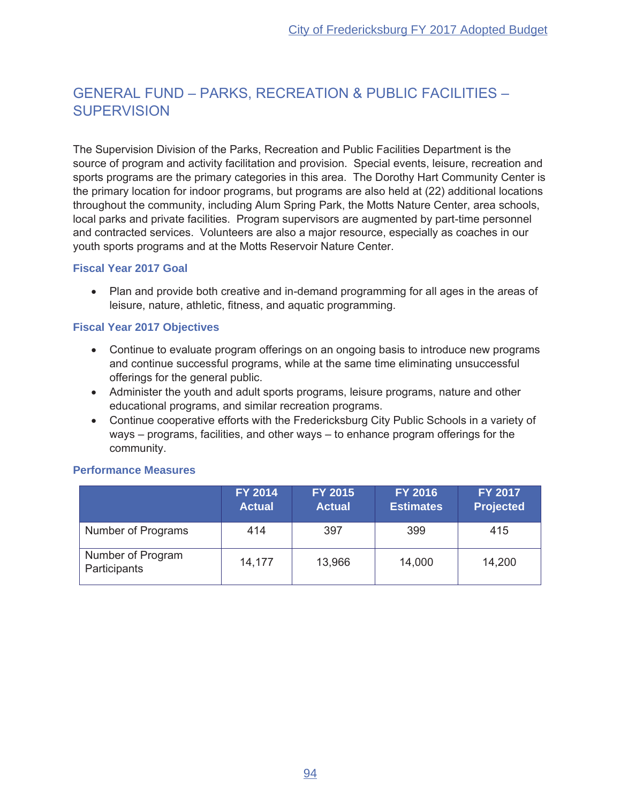# **GENERAL FUND - PARKS, RECREATION & PUBLIC FACILITIES -SUPERVISION**

The Supervision Division of the Parks, Recreation and Public Facilities Department is the source of program and activity facilitation and provision. Special events, leisure, recreation and sports programs are the primary categories in this area. The Dorothy Hart Community Center is the primary location for indoor programs, but programs are also held at (22) additional locations throughout the community, including Alum Spring Park, the Motts Nature Center, area schools, local parks and private facilities. Program supervisors are augmented by part-time personnel and contracted services. Volunteers are also a major resource, especially as coaches in our youth sports programs and at the Motts Reservoir Nature Center.

#### **Fiscal Year 2017 Goal**

• Plan and provide both creative and in-demand programming for all ages in the areas of leisure, nature, athletic, fitness, and aquatic programming.

#### **Fiscal Year 2017 Objectives**

- Continue to evaluate program offerings on an ongoing basis to introduce new programs and continue successful programs, while at the same time eliminating unsuccessful offerings for the general public.
- Administer the youth and adult sports programs, leisure programs, nature and other educational programs, and similar recreation programs.
- Continue cooperative efforts with the Fredericksburg City Public Schools in a variety of ways – programs, facilities, and other ways – to enhance program offerings for the community.

#### **Performance Measures**

|                                   | FY 2014<br><b>Actual</b> | FY 2015<br><b>Actual</b> | <b>FY 2016</b><br><b>Estimates</b> | <b>FY 2017</b><br><b>Projected</b> |
|-----------------------------------|--------------------------|--------------------------|------------------------------------|------------------------------------|
| Number of Programs                | 414                      | 397                      | 399                                | 415                                |
| Number of Program<br>Participants | 14,177                   | 13,966                   | 14,000                             | 14,200                             |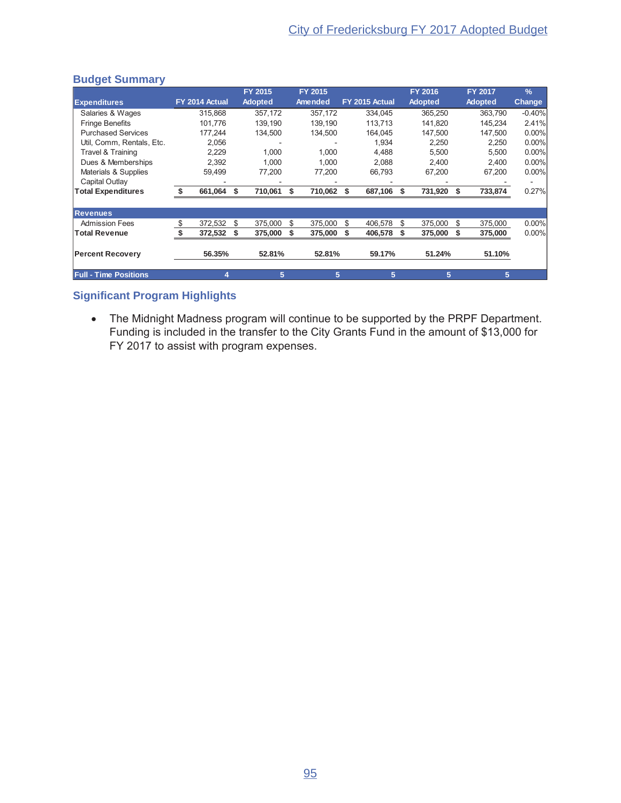## **Budget Summary**

|                              |                |      | <b>FY 2015</b> |    | FY 2015 |                |        | FY 2016        |         |     | FY 2017        | $\frac{9}{6}$ |
|------------------------------|----------------|------|----------------|----|---------|----------------|--------|----------------|---------|-----|----------------|---------------|
| <b>Expenditures</b>          | FY 2014 Actual |      | <b>Adopted</b> |    | Amended | FY 2015 Actual |        | <b>Adopted</b> |         |     | <b>Adopted</b> | <b>Change</b> |
| Salaries & Wages             | 315,868        |      | 357,172        |    | 357,172 | 334,045        |        |                | 365,250 |     | 363,790        | $-0.40%$      |
| <b>Fringe Benefits</b>       | 101,776        |      | 139,190        |    | 139,190 | 113,713        |        |                | 141,820 |     | 145,234        | 2.41%         |
| <b>Purchased Services</b>    | 177.244        |      | 134,500        |    | 134,500 | 164.045        |        |                | 147.500 |     | 147.500        | $0.00\%$      |
| Util, Comm, Rentals, Etc.    | 2,056          |      |                |    |         |                | 1,934  |                | 2,250   |     | 2,250          | $0.00\%$      |
| Travel & Training            | 2,229          |      | 1,000          |    | 1,000   |                | 4,488  |                | 5,500   |     | 5,500          | 0.00%         |
| Dues & Memberships           | 2,392          |      | 1,000          |    | 1,000   |                | 2,088  |                | 2,400   |     | 2,400          | 0.00%         |
| Materials & Supplies         | 59,499         |      | 77,200         |    | 77,200  |                | 66,793 |                | 67,200  |     | 67,200         | $0.00\%$      |
| Capital Outlay               |                |      |                |    |         |                |        |                |         |     |                |               |
| <b>Total Expenditures</b>    | 661,064        | - \$ | 710,061        | S  | 710,062 | 687,106<br>S   |        | S              | 731,920 | - S | 733,874        | 0.27%         |
|                              |                |      |                |    |         |                |        |                |         |     |                |               |
| <b>Revenues</b>              |                |      |                |    |         |                |        |                |         |     |                |               |
| <b>Admission Fees</b>        | \$<br>372,532  | \$   | 375,000        | \$ | 375,000 | 406,578<br>S   |        | \$             | 375,000 | -S  | 375,000        | $0.00\%$      |
| <b>Total Revenue</b>         | 372,532        | - 5  | 375,000        |    | 375,000 | 406,578        |        |                | 375,000 |     | 375,000        | $0.00\%$      |
|                              |                |      |                |    |         |                |        |                |         |     |                |               |
| <b>Percent Recovery</b>      | 56.35%         |      | 52.81%         |    | 52.81%  |                | 59.17% |                | 51.24%  |     | 51.10%         |               |
|                              |                |      |                |    |         |                |        |                |         |     |                |               |
| <b>Full - Time Positions</b> | 4              |      | 5              |    | 5       |                | 5      |                | 5       |     | 5              |               |

## **Significant Program Highlights**

• The Midnight Madness program will continue to be supported by the PRPF Department. Funding is included in the transfer to the City Grants Fund in the amount of \$13,000 for  $YY$  2017 to assist with program expenses.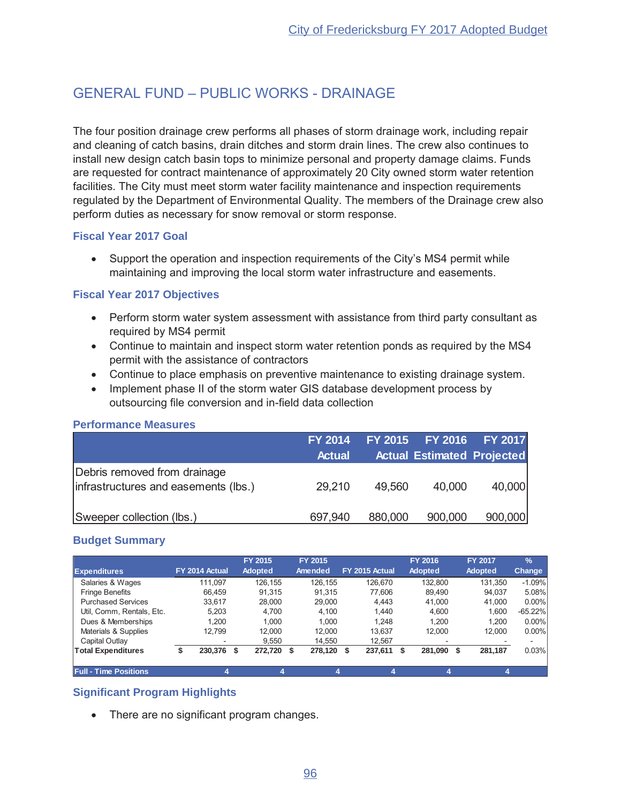# **GENERAL FUND - PUBLIC WORKS - DRAINAGE**

The four position drainage crew performs all phases of storm drainage work, including repair and cleaning of catch basins, drain ditches and storm drain lines. The crew also continues to install new design catch basin tops to minimize personal and property damage claims. Funds are requested for contract maintenance of approximately 20 City owned storm water retention facilities. The City must meet storm water facility maintenance and inspection requirements regulated by the Department of Environmental Quality. The members of the Drainage crew also perform duties as necessary for snow removal or storm response.

#### **Fiscal Year 2017 Goal**

• Support the operation and inspection requirements of the City's MS4 permit while maintaining and improving the local storm water infrastructure and easements.

## **Fiscal Year 2017 Objectives**

- Perform storm water system assessment with assistance from third party consultant as required by MS4 permit
- Continue to maintain and inspect storm water retention ponds as required by the MS4 permit with the assistance of contractors
- Continue to place emphasis on preventive maintenance to existing drainage system.
- Implement phase II of the storm water GIS database development process by outsourcing file conversion and in-field data collection

#### **Performance Measures**

|                                                                      | <b>FY 2014</b><br><b>Actual</b> |         | FY 2015 FY 2016 FY 2017<br><b>Actual Estimated Projected</b> |         |
|----------------------------------------------------------------------|---------------------------------|---------|--------------------------------------------------------------|---------|
| Debris removed from drainage<br>infrastructures and easements (lbs.) | 29,210                          | 49,560  | 40,000                                                       | 40,000  |
| Sweeper collection (lbs.)                                            | 697,940                         | 880,000 | 900,000                                                      | 900,000 |

## **Budget Summary**

| <b>Expenditures</b>          | FY 2014 Actual | FY 2015<br><b>Adopted</b> |        | FY 2015<br>Amended | FY 2015 Actual | FY 2016<br><b>Adopted</b> | <b>FY 2017</b><br><b>Adopted</b> | $\frac{9}{6}$<br>Change |
|------------------------------|----------------|---------------------------|--------|--------------------|----------------|---------------------------|----------------------------------|-------------------------|
| Salaries & Wages             | 111.097        | 126.155                   |        | 126.155            | 126.670        | 132.800                   | 131.350                          | $-1.09%$                |
| <b>Fringe Benefits</b>       | 66.459         | 91.315                    |        | 91.315             | 77.606         | 89.490                    | 94.037                           | 5.08%                   |
| <b>Purchased Services</b>    | 33.617         |                           | 28,000 | 29,000             | 4.443          | 41,000                    | 41,000                           | $0.00\%$                |
| Util, Comm, Rentals, Etc.    | 5.203          |                           | 4.700  | 4.100              | 1.440          | 4.600                     | 1.600                            | $-65.22%$               |
| Dues & Memberships           | 1.200          |                           | 1.000  | 1.000              | 1.248          | 1.200                     | 1.200                            | $0.00\%$                |
| Materials & Supplies         | 12.799         |                           | 12.000 | 12.000             | 13.637         | 12.000                    | 12.000                           | $0.00\%$                |
| Capital Outlay               | -              |                           | 9.550  | 14.550             | 12.567         |                           |                                  |                         |
| <b>Total Expenditures</b>    | 230,376        | 272,720<br>S.             | \$     | 278,120            | 237,611<br>S   | 281,090<br>\$             | 281,187<br>- \$                  | 0.03%                   |
| <b>Full - Time Positions</b> |                |                           |        |                    |                |                           |                                  |                         |

## **Significant Program Highlights**

• There are no significant program changes.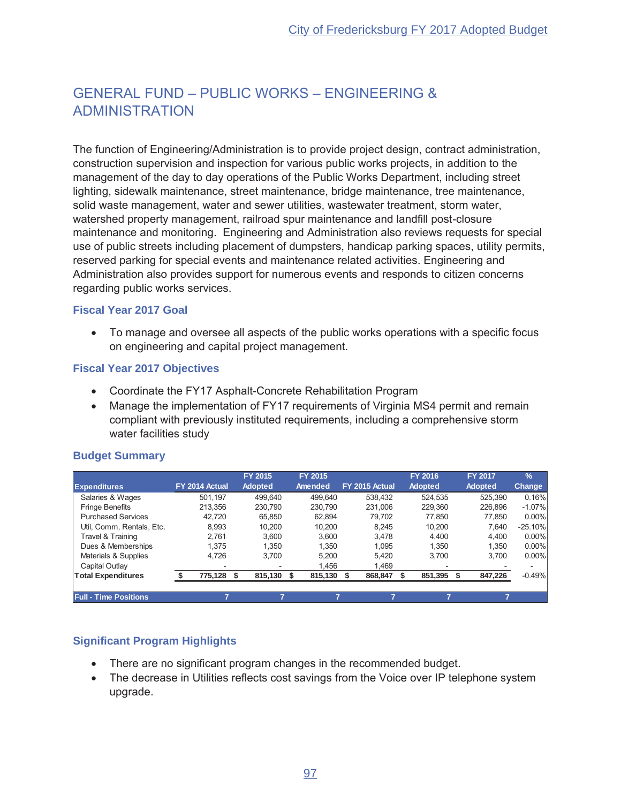# **GENERAL FUND - PUBLIC WORKS - ENGINEERING & ADMINISTRATION**

The function of Engineering/Administration is to provide project design, contract administration, construction supervision and inspection for various public works projects, in addition to the management of the day to day operations of the Public Works Department, including street lighting, sidewalk maintenance, street maintenance, bridge maintenance, tree maintenance, solid waste management, water and sewer utilities, wastewater treatment, storm water, watershed property management, railroad spur maintenance and landfill post-closure maintenance and monitoring. Engineering and Administration also reviews requests for special use of public streets including placement of dumpsters, handicap parking spaces, utility permits, reserved parking for special events and maintenance related activities. Engineering and Administration also provides support for numerous events and responds to citizen concerns regarding public works services.

## **Fiscal Year 2017 Goal**

• To manage and oversee all aspects of the public works operations with a specific focus on engineering and capital project management.

## **Fiscal Year 2017 Objectives**

- Coordinate the FY17 Asphalt-Concrete Rehabilitation Program
- Manage the implementation of FY17 requirements of Virginia MS4 permit and remain compliant with previously instituted requirements, including a comprehensive storm water facilities study

|                              |                | FY 2015        | FY 2015 |                | FY 2016        | <b>FY 2017</b> | $\frac{9}{6}$ |
|------------------------------|----------------|----------------|---------|----------------|----------------|----------------|---------------|
| <b>Expenditures</b>          | FY 2014 Actual | <b>Adopted</b> | Amended | FY 2015 Actual | <b>Adopted</b> | <b>Adopted</b> | Change        |
| Salaries & Wages             | 501.197        | 499.640        | 499.640 | 538.432        | 524.535        | 525,390        | 0.16%         |
| <b>Fringe Benefits</b>       | 213.356        | 230.790        | 230.790 | 231.006        | 229.360        | 226.896        | $-1.07\%$     |
| <b>Purchased Services</b>    | 42.720         | 65.850         | 62.894  | 79.702         | 77.850         | 77.850         | 0.00%         |
| Util, Comm, Rentals, Etc.    | 8,993          | 10.200         | 10.200  | 8.245          | 10.200         | 7.640          | $-25.10%$     |
| Travel & Training            | 2.761          | 3.600          | 3.600   | 3.478          | 4.400          | 4.400          | $0.00\%$      |
| Dues & Memberships           | 1.375          | 1.350          | 1.350   | 1.095          | 1.350          | 1.350          | 0.00%         |
| Materials & Supplies         | 4.726          | 3.700          | 5.200   | 5.420          | 3.700          | 3.700          | 0.00%         |
| Capital Outlay               | -              |                | 1.456   | 1.469          |                |                |               |
| <b>Total Expenditures</b>    | 775,128        | 815,130 \$     | 815,130 | 868,847        | 851,395        | 847,226        | $-0.49%$      |
|                              |                |                |         |                |                |                |               |
| <b>Full - Time Positions</b> |                |                |         |                |                |                |               |

## **Budget Summary**

- There are no significant program changes in the recommended budget.
- The decrease in Utilities reflects cost savings from the Voice over IP telephone system upgrade.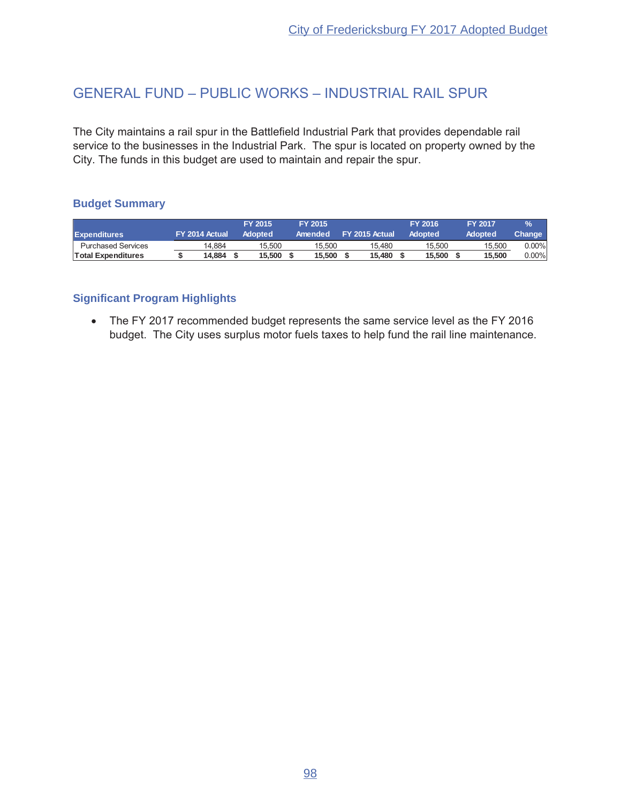# GENERAL FUND - PUBLIC WORKS - INDUSTRIAL RAIL SPUR

The City maintains a rail spur in the Battlefield Industrial Park that provides dependable rail service to the businesses in the Industrial Park. The spur is located on property owned by the City. The funds in this budget are used to maintain and repair the spur.

## **Budget Summary**

|                           |                | <b>FY 2015</b> | <b>FY 2015</b> |                | FY 2016 | <b>FY 2017</b> | $\frac{9}{6}$ |
|---------------------------|----------------|----------------|----------------|----------------|---------|----------------|---------------|
| <b>Expenditures</b>       | FY 2014 Actual | <b>Adopted</b> | Amended        | FY 2015 Actual | Adopted | Adopted        | Change '      |
| <b>Purchased Services</b> | 14.884         | 15.500         | 15.500         | 15.480         | 15.500  | 15.500         | $0.00\%$      |
| Total Expenditures        | 14.884         | 15.500         | 15.500         | 15.480         | 15.500  | 15.500         | $0.00\%$      |

## **Significant Program Highlights**

• The FY 2017 recommended budget represents the same service level as the FY 2016 budget. The City uses surplus motor fuels taxes to help fund the rail line maintenance.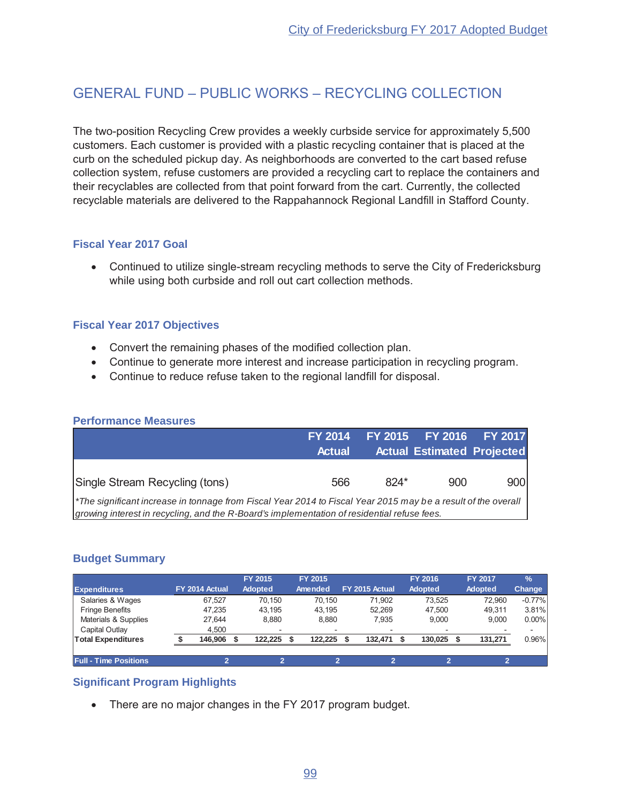# GENERAL FUND - PUBLIC WORKS - RECYCLING COLLECTION

The two-position Recycling Crew provides a weekly curbside service for approximately 5,500 customers. Each customer is provided with a plastic recycling container that is placed at the curb on the scheduled pickup day. As neighborhoods are converted to the cart based refuse collection system, refuse customers are provided a recycling cart to replace the containers and their recyclables are collected from that point forward from the cart. Currently, the collected recyclable materials are delivered to the Rappahannock Regional Landfill in Stafford County.

## **Fiscal Year 2017 Goal**

• Continued to utilize single-stream recycling methods to serve the City of Fredericksburg while using both curbside and roll out cart collection methods.

#### **Fiscal Year 2017 Objectives**

- Convert the remaining phases of the modified collection plan.
- Continue to generate more interest and increase participation in recycling program.
- Continue to reduce refuse taken to the regional landfill for disposal.

|                                                                                                                                                                                                              | <b>FY 2014</b> |      | FY 2015 FY 2016                   | <b>FY 2017</b> |
|--------------------------------------------------------------------------------------------------------------------------------------------------------------------------------------------------------------|----------------|------|-----------------------------------|----------------|
|                                                                                                                                                                                                              | <b>Actual</b>  |      | <b>Actual Estimated Projected</b> |                |
|                                                                                                                                                                                                              |                |      |                                   |                |
| Single Stream Recycling (tons)                                                                                                                                                                               | 566            | 824* | 900                               | 900            |
| *The significant increase in tonnage from Fiscal Year 2014 to Fiscal Year 2015 may be a result of the overall<br>growing interest in recycling, and the R-Board's implementation of residential refuse fees. |                |      |                                   |                |

## **Performance Measures**

#### **Budget Summary**

| <b>Expenditures</b>          | FY 2014 Actual | FY 2015<br><b>Adopted</b> | <b>FY 2015</b><br>Amended | FY 2015 Actual |         | <b>FY 2016</b><br><b>Adopted</b> | <b>FY 2017</b><br><b>Adopted</b> | $\frac{9}{6}$<br>Change |
|------------------------------|----------------|---------------------------|---------------------------|----------------|---------|----------------------------------|----------------------------------|-------------------------|
| Salaries & Wages             | 67.527         | 70.150                    | 70.150                    |                | 71.902  | 73.525                           | 72.960                           | $-0.77%$                |
| <b>Fringe Benefits</b>       | 47.235         | 43.195                    | 43.195                    |                | 52.269  | 47.500                           | 49.311                           | 3.81%                   |
| Materials & Supplies         | 27.644         | 8.880                     | 8.880                     |                | 7.935   | 9.000                            | 9.000                            | $0.00\%$                |
| Capital Outlay               | 4.500          | $\overline{\phantom{a}}$  | $\overline{\phantom{a}}$  |                |         |                                  |                                  |                         |
| <b>Total Expenditures</b>    | 146.906        | 122.225                   | 122.225                   |                | 132.471 | 130.025                          | 131,271                          | 0.96%                   |
| <b>Full - Time Positions</b> | ≘              | ≘                         | ≘                         |                | 2       | G                                | 2                                |                         |

## **Significant Program Highlights**

• There are no major changes in the FY 2017 program budget.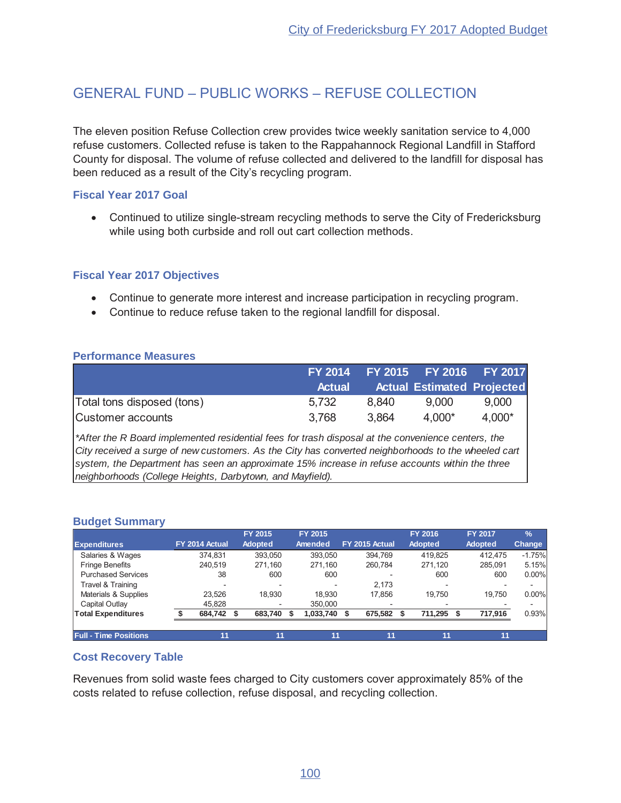# GENERAL FUND - PUBLIC WORKS - REFUSE COLLECTION

The eleven position Refuse Collection crew provides twice weekly sanitation service to 4,000 refuse customers. Collected refuse is taken to the Rappahannock Regional Landfill in Stafford County for disposal. The volume of refuse collected and delivered to the landfill for disposal has been reduced as a result of the City's recycling program.

#### **Fiscal Year 2017 Goal**

• Continued to utilize single-stream recycling methods to serve the City of Fredericksburg while using both curbside and roll out cart collection methods.

#### **Fiscal Year 2017 Objectives**

- Continue to generate more interest and increase participation in recycling program.
- Continue to reduce refuse taken to the regional landfill for disposal.

#### **Performance Measures**

|                            |               |       | FY 2014 FY 2015 FY 2016 FY 2017   |          |
|----------------------------|---------------|-------|-----------------------------------|----------|
|                            | <b>Actual</b> |       | <b>Actual Estimated Projected</b> |          |
| Total tons disposed (tons) | 5.732         | 8.840 | 9.000                             | 9.000    |
| Customer accounts          | 3.768         | 3.864 | 4.000*                            | $4.000*$ |

*\*After the R Board implemented residential fees for trash disposal at the convenience centers, the City received a surge of new customers. As the City has converted neighborhoods to the wheeled cart system, the Department has seen an approximate 15% increase in refuse accounts within the three neighborhoods (College Heights, Darbytown, and Mayfield).* 

#### **Budget Summary**

|                              |                | FY 2015                  | FY 2015   |                |    | FY 2016        |     |    | <b>FY 2017</b> | $\%$          |
|------------------------------|----------------|--------------------------|-----------|----------------|----|----------------|-----|----|----------------|---------------|
| <b>Expenditures</b>          | FY 2014 Actual | <b>Adopted</b>           | Amended   | FY 2015 Actual |    | <b>Adopted</b> |     |    | <b>Adopted</b> | <b>Change</b> |
| Salaries & Wages             | 374.831        | 393.050                  | 393.050   | 394.769        |    | 419.825        |     |    | 412.475        | $-1.75%$      |
| <b>Fringe Benefits</b>       | 240.519        | 271.160                  | 271.160   | 260.784        |    | 271.120        |     |    | 285.091        | 5.15%         |
| <b>Purchased Services</b>    | 38             | 600                      | 600       |                |    |                | 600 |    | 600            | $0.00\%$      |
| Travel & Training            |                |                          |           | 2.173          |    |                |     |    |                |               |
| Materials & Supplies         | 23.526         | 18.930                   | 18.930    | 17.856         |    | 19.750         |     |    | 19.750         | $0.00\%$      |
| Capital Outlay               | 45.828         | $\overline{\phantom{0}}$ | 350,000   |                |    |                |     |    |                |               |
| <b>Total Expenditures</b>    | 684,742 \$     | 683,740                  | 1,033,740 | 675,582        |    | 711,295        |     | S. | 717,916        | 0.93%         |
|                              |                |                          |           |                |    |                |     |    |                |               |
| <b>Full - Time Positions</b> | 11             | 11                       | 11        |                | 11 |                | 11  |    | 11             |               |

#### **Cost Recovery Table**

Revenues from solid waste fees charged to City customers cover approximately 85% of the costs related to refuse collection, refuse disposal, and recycling collection.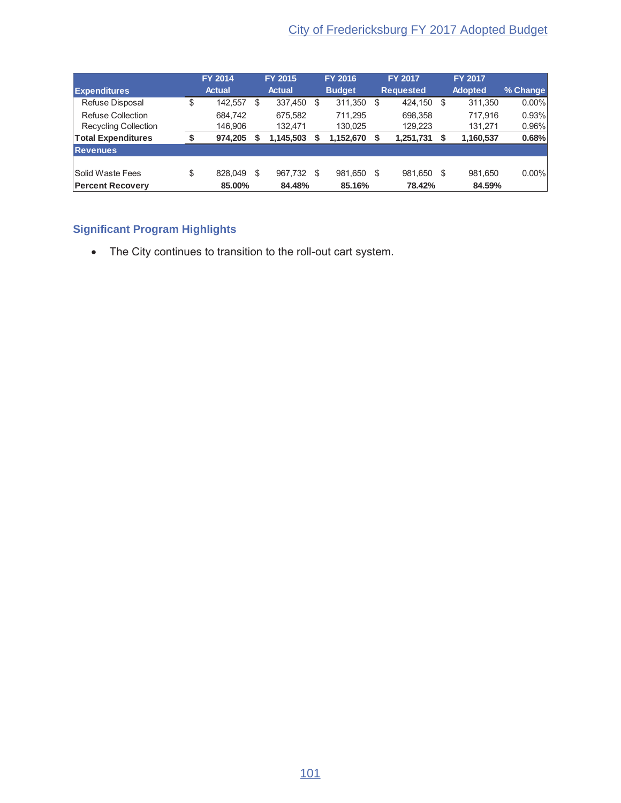|                             | <b>FY 2014</b> |    | FY 2015       | <b>FY 2016</b> |          | <b>FY 2017</b>   | <b>FY 2017</b> |          |
|-----------------------------|----------------|----|---------------|----------------|----------|------------------|----------------|----------|
| <b>Expenditures</b>         | <b>Actual</b>  |    | <b>Actual</b> | <b>Budget</b>  |          | <b>Requested</b> | <b>Adopted</b> | % Change |
| Refuse Disposal             | \$<br>142,557  | S  | 337,450       | \$<br>311,350  | - \$     | 424,150          | \$<br>311,350  | $0.00\%$ |
| Refuse Collection           | 684.742        |    | 675.582       | 711.295        |          | 698.358          | 717.916        | 0.93%    |
| <b>Recycling Collection</b> | 146,906        |    | 132,471       | 130,025        |          | 129,223          | 131,271        | 0.96%    |
| <b>Total Expenditures</b>   | \$<br>974,205  |    | 1,145,503     | 1,152,670      | <b>S</b> | 1,251,731        | 1,160,537      | 0.68%    |
| <b>Revenues</b>             |                |    |               |                |          |                  |                |          |
|                             |                |    |               |                |          |                  |                |          |
| <b>Solid Waste Fees</b>     | \$<br>828.049  | \$ | 967.732       | \$<br>981,650  | - \$     | 981.650          | \$<br>981.650  | $0.00\%$ |
| <b>Percent Recovery</b>     | 85.00%         |    | 84.48%        | 85.16%         |          | 78.42%           | 84.59%         |          |

## **Significant Program Highlights**

• The City continues to transition to the roll-out cart system.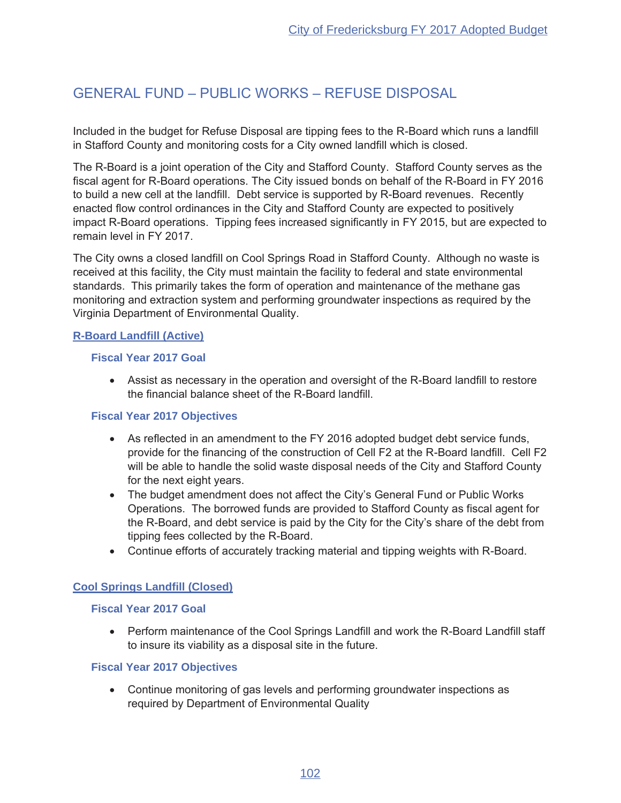# GENERAL FUND - PUBLIC WORKS - REFUSE DISPOSAL

Included in the budget for Refuse Disposal are tipping fees to the R-Board which runs a landfill in Stafford County and monitoring costs for a City owned landfill which is closed.

The R-Board is a joint operation of the City and Stafford County. Stafford County serves as the fiscal agent for R-Board operations. The City issued bonds on behalf of the R-Board in FY 2016 to build a new cell at the landfill. Debt service is supported by R-Board revenues. Recently enacted flow control ordinances in the City and Stafford County are expected to positively impact R-Board operations. Tipping fees increased significantly in FY 2015, but are expected to remain level in FY 2017.

The City owns a closed landfill on Cool Springs Road in Stafford County. Although no waste is received at this facility, the City must maintain the facility to federal and state environmental standards. This primarily takes the form of operation and maintenance of the methane gas monitoring and extraction system and performing groundwater inspections as required by the Virginia Department of Environmental Quality.

#### **R-Board Landfill (Active)**

#### **Fiscal Year 2017 Goal**

• Assist as necessary in the operation and oversight of the R-Board landfill to restore the financial balance sheet of the R-Board landfill.

#### **Fiscal Year 2017 Objectives**

- As reflected in an amendment to the FY 2016 adopted budget debt service funds, provide for the financing of the construction of Cell F2 at the R-Board landfill. Cell F2 will be able to handle the solid waste disposal needs of the City and Stafford County for the next eight years.
- The budget amendment does not affect the City's General Fund or Public Works Operations. The borrowed funds are provided to Stafford County as fiscal agent for the R-Board, and debt service is paid by the City for the City's share of the debt from tipping fees collected by the R-Board.
- Continue efforts of accurately tracking material and tipping weights with R-Board.

#### **Cool Springs Landfill (Closed)**

#### **Fiscal Year 2017 Goal**

• Perform maintenance of the Cool Springs Landfill and work the R-Board Landfill staff to insure its viability as a disposal site in the future.

#### **Fiscal Year 2017 Objectives**

• Continue monitoring of gas levels and performing groundwater inspections as required by Department of Environmental Quality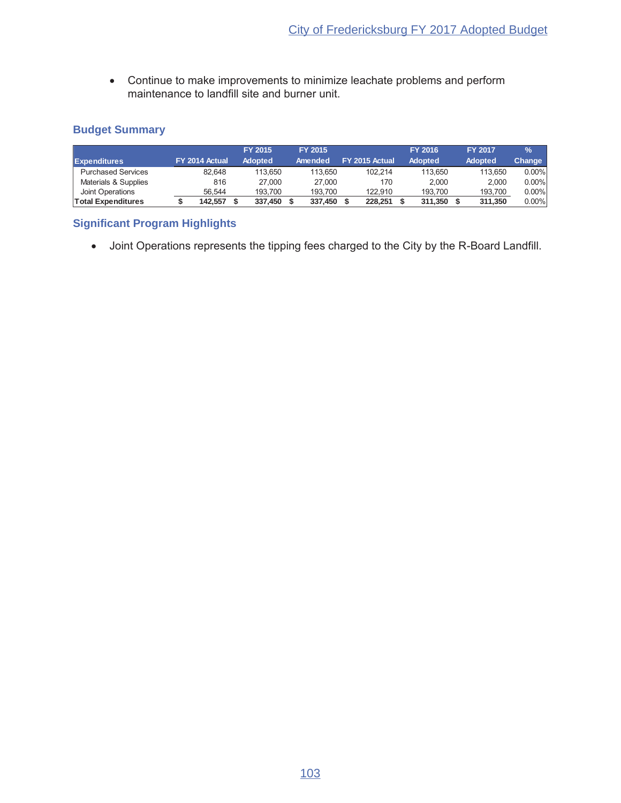• Continue to make improvements to minimize leachate problems and perform maintenance to landfill site and burner unit.

## **Budget Summary**

|                           |                | <b>FY 2015</b> | FY 2015 |                |         | <b>FY 2016</b> | <b>FY 2017</b> | $\frac{9}{6}$ |
|---------------------------|----------------|----------------|---------|----------------|---------|----------------|----------------|---------------|
| <b>Expenditures</b>       | FY 2014 Actual | <b>Adopted</b> | Amended | FY 2015 Actual |         | <b>Adopted</b> | <b>Adopted</b> | Change        |
| <b>Purchased Services</b> | 82.648         | 113.650        | 113.650 |                | 102.214 | 113.650        | 113.650        | $0.00\%$      |
| Materials & Supplies      | 816            | 27.000         | 27.000  |                | 170     | 2.000          | 2.000          | $0.00\%$      |
| Joint Operations          | 56.544         | 193.700        | 193.700 |                | 122.910 | 193.700        | 193.700        | $0.00\%$      |
| <b>Total Expenditures</b> | 142.557        | 337.450        | 337.450 |                | 228.251 | 311.350        | 311.350        | $0.00\%$      |

## **Significant Program Highlights**

• Joint Operations represents the tipping fees charged to the City by the R-Board Landfill.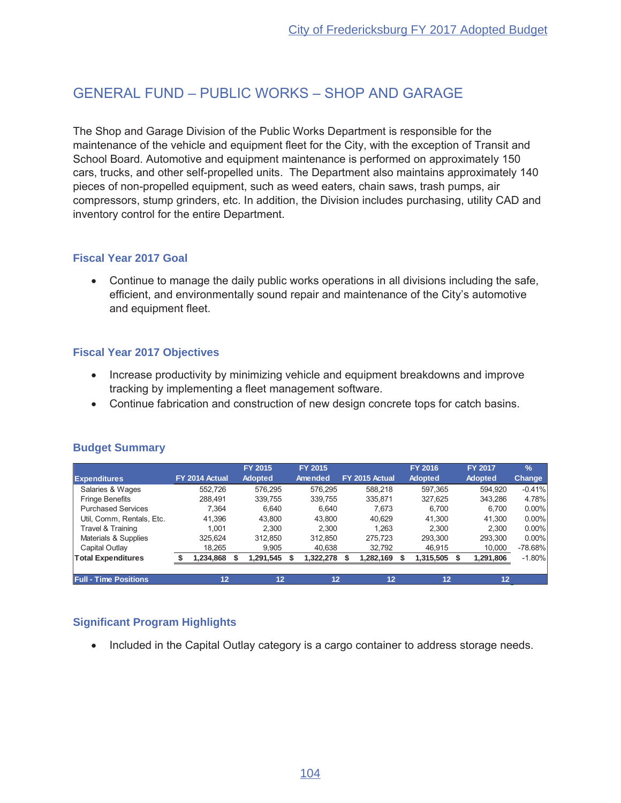# GENERAL FUND - PUBLIC WORKS - SHOP AND GARAGE

The Shop and Garage Division of the Public Works Department is responsible for the maintenance of the vehicle and equipment fleet for the City, with the exception of Transit and School Board. Automotive and equipment maintenance is performed on approximately 150 cars, trucks, and other self-propelled units. The Department also maintains approximately 140 pieces of non-propelled equipment, such as weed eaters, chain saws, trash pumps, air compressors, stump grinders, etc. In addition, the Division includes purchasing, utility CAD and inventory control for the entire Department.

## **Fiscal Year 2017 Goal**

• Continue to manage the daily public works operations in all divisions including the safe, efficient, and environmentally sound repair and maintenance of the City's automotive and equipment fleet.

## **Fiscal Year 2017 Objectives**

- Increase productivity by minimizing vehicle and equipment breakdowns and improve tracking by implementing a fleet management software.
- Continue fabrication and construction of new design concrete tops for catch basins.

|                              |                | FY 2015        | FY 2015   |                | <b>FY 2016</b> | <b>FY 2017</b> | $\frac{9}{6}$ |
|------------------------------|----------------|----------------|-----------|----------------|----------------|----------------|---------------|
| <b>Expenditures</b>          | FY 2014 Actual | <b>Adopted</b> | Amended   | FY 2015 Actual | <b>Adopted</b> | <b>Adopted</b> | Change        |
| Salaries & Wages             | 552.726        | 576.295        | 576.295   | 588.218        | 597.365        | 594.920        | $-0.41%$      |
| <b>Fringe Benefits</b>       | 288.491        | 339.755        | 339.755   | 335.871        | 327.625        | 343,286        | 4.78%         |
| <b>Purchased Services</b>    | 7.364          | 6.640          | 6.640     | 7.673          | 6.700          | 6.700          | $0.00\%$      |
| Util, Comm, Rentals, Etc.    | 41.396         | 43.800         | 43.800    | 40.629         | 41.300         | 41.300         | $0.00\%$      |
| Travel & Training            | 1.001          | 2.300          | 2.300     | 1.263          | 2.300          | 2.300          | $0.00\%$      |
| Materials & Supplies         | 325.624        | 312.850        | 312.850   | 275.723        | 293.300        | 293.300        | $0.00\%$      |
| Capital Outlay               | 18.265         | 9.905          | 40.638    | 32.792         | 46.915         | 10.000         | $-78.68\%$    |
| <b>Total Expenditures</b>    | 1,234,868      | ,291,545       | 1,322,278 | 1,282,169      | 1,315,505      | 1,291,806      | $-1.80\%$     |
|                              |                |                |           |                |                |                |               |
| <b>Full - Time Positions</b> | 12             | 12             | 12        | 12             | 12             | 12             |               |

## **Budget Summary**

## **Significant Program Highlights**

• Included in the Capital Outlay category is a cargo container to address storage needs.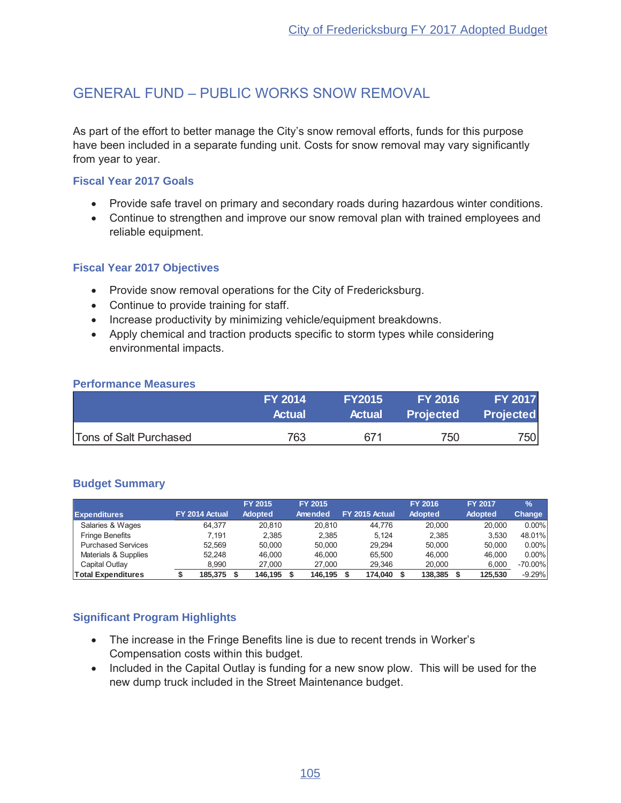# GENERAL FUND - PUBLIC WORKS SNOW REMOVAL

As part of the effort to better manage the City's snow removal efforts, funds for this purpose have been included in a separate funding unit. Costs for snow removal may vary significantly from year to year.

#### **Fiscal Year 2017 Goals**

- Provide safe travel on primary and secondary roads during hazardous winter conditions.
- Continue to strengthen and improve our snow removal plan with trained employees and reliable equipment.

## **Fiscal Year 2017 Objectives**

- Provide snow removal operations for the City of Fredericksburg.
- Continue to provide training for staff.
- Increase productivity by minimizing vehicle/equipment breakdowns.
- Apply chemical and traction products specific to storm types while considering environmental impacts.

#### **Performance Measures**

|                        | <b>FY 2014</b> | <b>FY2015</b> | <b>FY 2016</b>   | <b>FY 2017</b>   |
|------------------------|----------------|---------------|------------------|------------------|
|                        | <b>Actual</b>  | <b>Actual</b> | <b>Projected</b> | <b>Projected</b> |
| Tons of Salt Purchased | 763            | 671           | 750              | 750              |

## **Budget Summary**

|                           |                | FY 2015        | <b>FY 2015</b> |                | <b>FY 2016</b> | <b>FY 2017</b> | $\frac{9}{6}$ |
|---------------------------|----------------|----------------|----------------|----------------|----------------|----------------|---------------|
| <b>Expenditures</b>       | FY 2014 Actual | <b>Adopted</b> | Amended        | FY 2015 Actual | <b>Adopted</b> | <b>Adopted</b> | Change        |
| Salaries & Wages          | 64.377         | 20.810         | 20.810         | 44.776         | 20,000         | 20,000         | 0.00%         |
| <b>Fringe Benefits</b>    | 7.191          | 2.385          | 2.385          | 5.124          | 2.385          | 3.530          | 48.01%        |
| <b>Purchased Services</b> | 52.569         | 50.000         | 50.000         | 29.294         | 50.000         | 50.000         | 0.00%         |
| Materials & Supplies      | 52.248         | 46.000         | 46.000         | 65.500         | 46.000         | 46.000         | 0.00%         |
| Capital Outlay            | 8.990          | 27,000         | 27,000         | 29.346         | 20,000         | 6,000          | $-70.00\%$    |
| <b>Total Expenditures</b> | 185.375        | 146.195        | 146.195        | 174.040        | 138,385        | 125.530        | $-9.29%$      |

- The increase in the Fringe Benefits line is due to recent trends in Worker's Compensation costs within this budget.
- Included in the Capital Outlay is funding for a new snow plow. This will be used for the new dump truck included in the Street Maintenance budget.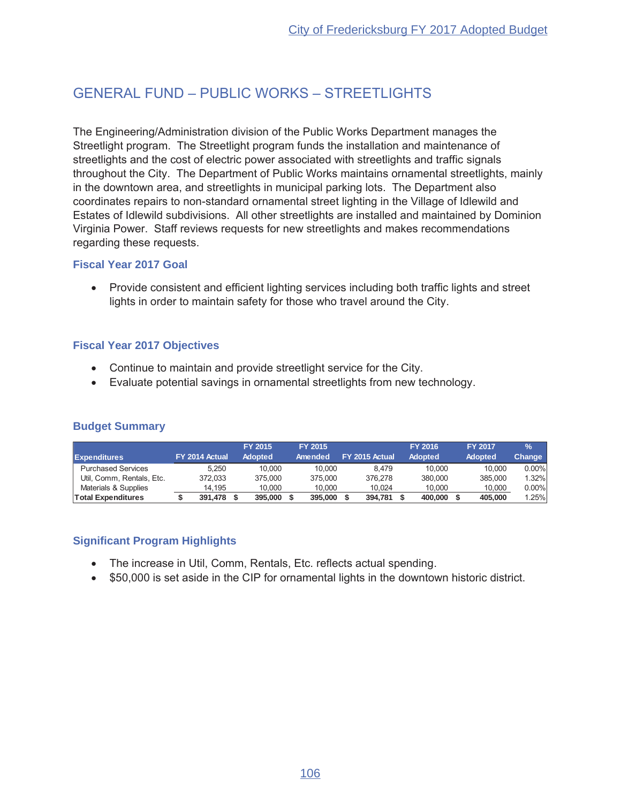# GENERAL FUND - PUBLIC WORKS - STREETI IGHTS

The Engineering/Administration division of the Public Works Department manages the Streetlight program. The Streetlight program funds the installation and maintenance of streetlights and the cost of electric power associated with streetlights and traffic signals throughout the City. The Department of Public Works maintains ornamental streetlights, mainly in the downtown area, and streetlights in municipal parking lots. The Department also coordinates repairs to non-standard ornamental street lighting in the Village of Idlewild and Estates of Idlewild subdivisions. All other streetlights are installed and maintained by Dominion Virginia Power. Staff reviews requests for new streetlights and makes recommendations regarding these requests.

## **Fiscal Year 2017 Goal**

• Provide consistent and efficient lighting services including both traffic lights and street lights in order to maintain safety for those who travel around the City.

## **Fiscal Year 2017 Objectives**

- Continue to maintain and provide streetlight service for the City.
- Evaluate potential savings in ornamental streetlights from new technology.

## **Budget Summary**

|                           |                | <b>FY 2015</b> | <b>FY 2015</b> |                | FY 2016        | <b>FY 2017</b> | $\frac{9}{6}$ |
|---------------------------|----------------|----------------|----------------|----------------|----------------|----------------|---------------|
| <b>Expenditures</b>       | FY 2014 Actual | <b>Adopted</b> | Amended        | FY 2015 Actual | <b>Adopted</b> | <b>Adopted</b> | <b>Change</b> |
| <b>Purchased Services</b> | 5.250          | 10.000         | 10.000         | 8.479          | 10.000         | 10.000         | $0.00\%$      |
| Util. Comm. Rentals. Etc. | 372.033        | 375,000        | 375,000        | 376.278        | 380,000        | 385,000        | 1.32%         |
| Materials & Supplies      | 14.195         | 10.000         | 10.000         | 10.024         | 10.000         | 10.000         | $0.00\%$      |
| Total Expenditures        | 391.478        | 395.000        | 395,000        | 394.781        | 400,000        | 405.000        | 1.25%         |

- The increase in Util, Comm, Rentals, Etc. reflects actual spending.
- \$50,000 is set aside in the CIP for ornamental lights in the downtown historic district.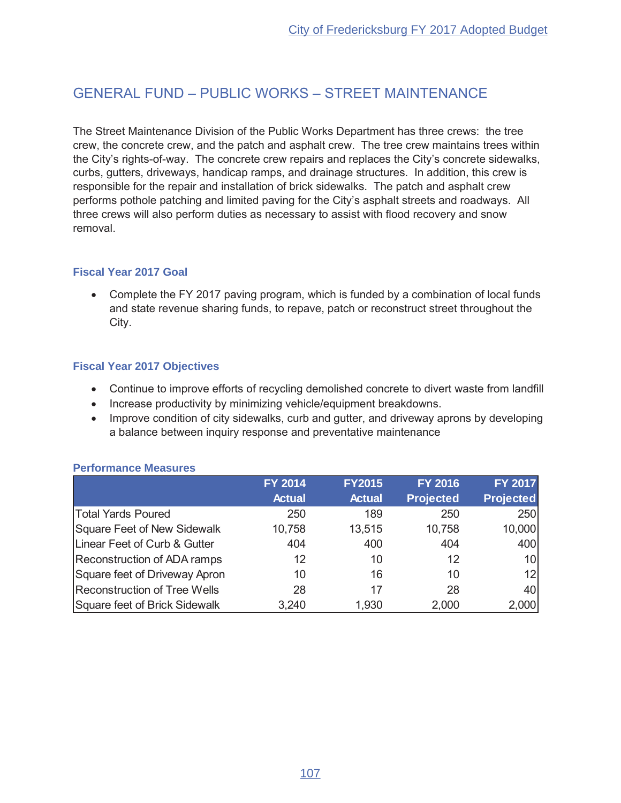## **GENERAL FUND - PUBLIC WORKS - STREET MAINTENANCE**

The Street Maintenance Division of the Public Works Department has three crews: the tree crew, the concrete crew, and the patch and asphalt crew. The tree crew maintains trees within the City's rights-of-way. The concrete crew repairs and replaces the City's concrete sidewalks, curbs, gutters, driveways, handicap ramps, and drainage structures. In addition, this crew is responsible for the repair and installation of brick sidewalks. The patch and asphalt crew performs pothole patching and limited paving for the City's asphalt streets and roadways. All three crews will also perform duties as necessary to assist with flood recovery and snow removal.

#### **Fiscal Year 2017 Goal**

• Complete the FY 2017 paving program, which is funded by a combination of local funds and state revenue sharing funds, to repave, patch or reconstruct street throughout the City.

#### **Fiscal Year 2017 Objectives**

- Continue to improve efforts of recycling demolished concrete to divert waste from landfill
- Increase productivity by minimizing vehicle/equipment breakdowns.
- Improve condition of city sidewalks, curb and gutter, and driveway aprons by developing a balance between inquiry response and preventative maintenance

#### **Performance Measures**

|                                     | <b>FY 2014</b> | <b>FY2015</b> | <b>FY 2016</b>   | <b>FY 2017</b>   |
|-------------------------------------|----------------|---------------|------------------|------------------|
|                                     | <b>Actual</b>  | <b>Actual</b> | <b>Projected</b> | <b>Projected</b> |
| <b>Total Yards Poured</b>           | 250            | 189           | 250              | 250              |
| Square Feet of New Sidewalk         | 10,758         | 13,515        | 10,758           | 10,000           |
| Linear Feet of Curb & Gutter        | 404            | 400           | 404              | 400              |
| Reconstruction of ADA ramps         | 12             | 10            | 12               | 10 <sup>1</sup>  |
| Square feet of Driveway Apron       | 10             | 16            | 10               | 12               |
| <b>Reconstruction of Tree Wells</b> | 28             | 17            | 28               | 40               |
| Square feet of Brick Sidewalk       | 3,240          | 1,930         | 2,000            | 2,000            |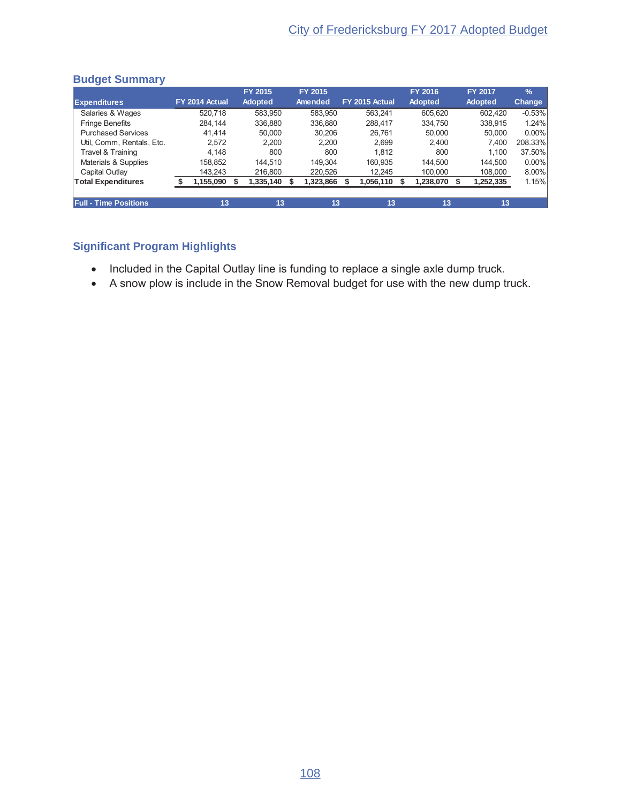## **Budget Summary**

|                              |                | FY 2015        | FY 2015   |                | <b>FY 2016</b> | <b>FY 2017</b> | $\sqrt{2}$ |
|------------------------------|----------------|----------------|-----------|----------------|----------------|----------------|------------|
| <b>Expenditures</b>          | FY 2014 Actual | <b>Adopted</b> | Amended   | FY 2015 Actual | <b>Adopted</b> | <b>Adopted</b> | Change     |
| Salaries & Wages             | 520.718        | 583.950        | 583.950   | 563.241        | 605.620        | 602.420        | $-0.53%$   |
| <b>Fringe Benefits</b>       | 284.144        | 336,880        | 336,880   | 288.417        | 334.750        | 338,915        | 1.24%      |
| <b>Purchased Services</b>    | 41.414         | 50.000         | 30.206    | 26.761         | 50,000         | 50.000         | $0.00\%$   |
| Util, Comm, Rentals, Etc.    | 2.572          | 2.200          | 2.200     | 2.699          | 2.400          | 7.400          | 208.33%    |
| Travel & Training            | 4.148          | 800            | 800       | 1.812          | 800            | 1.100          | 37.50%     |
| Materials & Supplies         | 158.852        | 144.510        | 149.304   | 160.935        | 144.500        | 144.500        | 0.00%      |
| Capital Outlay               | 143.243        | 216,800        | 220,526   | 12.245         | 100,000        | 108,000        | 8.00%      |
| <b>Total Expenditures</b>    | 1,155,090      | 1,335,140      | 1,323,866 | 1,056,110      | 1,238,070      | 1,252,335      | 1.15%      |
|                              |                |                |           |                |                |                |            |
| <b>Full - Time Positions</b> | 13             | 13             | 13        | 13             | 13             | 13             |            |

- Included in the Capital Outlay line is funding to replace a single axle dump truck.
- A snow plow is include in the Snow Removal budget for use with the new dump truck.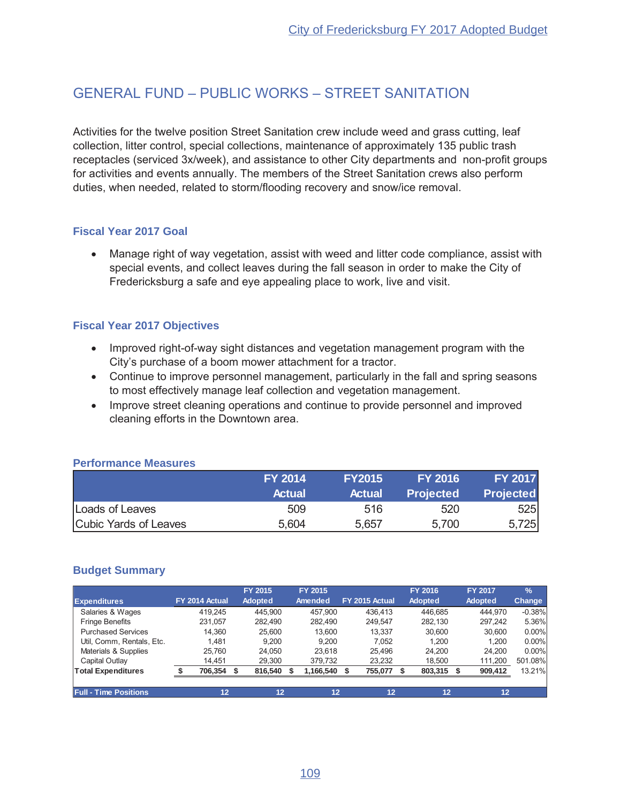# GENERAL FUND - PUBLIC WORKS - STREET SANITATION

Activities for the twelve position Street Sanitation crew include weed and grass cutting, leaf collection, litter control, special collections, maintenance of approximately 135 public trash receptacles (serviced 3x/week), and assistance to other City departments and non-profit groups for activities and events annually. The members of the Street Sanitation crews also perform duties, when needed, related to storm/flooding recovery and snow/ice removal.

## **Fiscal Year 2017 Goal**

Manage right of way vegetation, assist with weed and litter code compliance, assist with special events, and collect leaves during the fall season in order to make the City of Fredericksburg a safe and eye appealing place to work, live and visit.

## **Fiscal Year 2017 Objectives**

- Improved right-of-way sight distances and vegetation management program with the City's purchase of a boom mower attachment for a tractor.
- Continue to improve personnel management, particularly in the fall and spring seasons to most effectively manage leaf collection and vegetation management.
- Improve street cleaning operations and continue to provide personnel and improved cleaning efforts in the Downtown area.

|                       | <b>FY 2014</b> | <b>FY2015</b> | <b>FY 2016</b>   | <b>FY 2017</b>   |
|-----------------------|----------------|---------------|------------------|------------------|
|                       | <b>Actual</b>  | <b>Actual</b> | <b>Projected</b> | <b>Projected</b> |
| Loads of Leaves       | 509            | 516           | 520              | 525              |
| Cubic Yards of Leaves | 5,604          | 5,657         | 5,700            | 5,725            |

## **Performance Measures**

#### **Budget Summary**

|                              |                | FY 2015        | FY 2015   |                | FY 2016        | <b>FY 2017</b> | $\frac{9}{6}$ |
|------------------------------|----------------|----------------|-----------|----------------|----------------|----------------|---------------|
| <b>Expenditures</b>          | FY 2014 Actual | <b>Adopted</b> | Amended   | FY 2015 Actual | <b>Adopted</b> | <b>Adopted</b> | Change        |
| Salaries & Wages             | 419.245        | 445.900        | 457.900   | 436.413        | 446.685        | 444.970        | $-0.38%$      |
| <b>Fringe Benefits</b>       | 231.057        | 282.490        | 282.490   | 249.547        | 282.130        | 297.242        | 5.36%         |
| <b>Purchased Services</b>    | 14.360         | 25.600         | 13.600    | 13.337         | 30.600         | 30.600         | $0.00\%$      |
| Util, Comm, Rentals, Etc.    | 1.481          | 9.200          | 9.200     | 7.052          | 1.200          | 1.200          | $0.00\%$      |
| Materials & Supplies         | 25.760         | 24.050         | 23.618    | 25.496         | 24.200         | 24.200         | $0.00\%$      |
| Capital Outlay               | 14.451         | 29.300         | 379.732   | 23.232         | 18.500         | 111.200        | 501.08%       |
| <b>Total Expenditures</b>    | 706,354 \$     | 816,540        | 1,166,540 | 755,077        | 803,315 \$     | 909,412        | 13.21%        |
|                              |                |                |           |                |                |                |               |
| <b>Full - Time Positions</b> | 12             | 12             | 12        | 12             | 12             | 12             |               |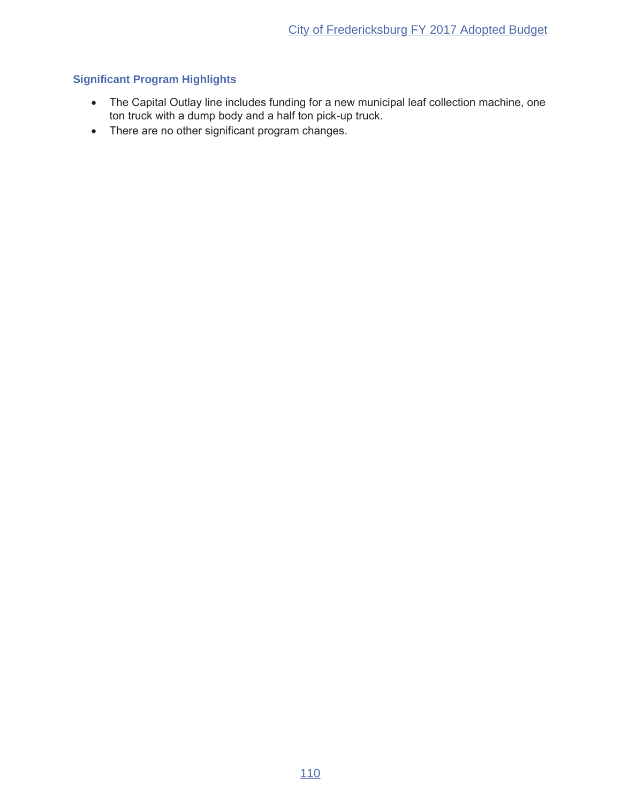- The Capital Outlay line includes funding for a new municipal leaf collection machine, one ton truck with a dump body and a half ton pick-up truck.
- There are no other significant program changes.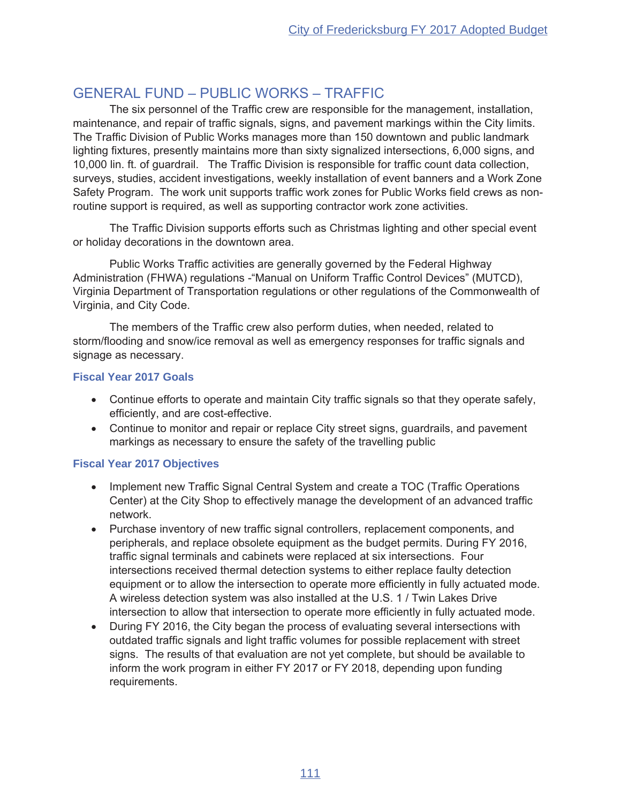# **GENERAL FUND - PUBLIC WORKS - TRAFFIC**

The six personnel of the Traffic crew are responsible for the management, installation, maintenance, and repair of traffic signals, signs, and pavement markings within the City limits. The Traffic Division of Public Works manages more than 150 downtown and public landmark lighting fixtures, presently maintains more than sixty signalized intersections, 6,000 signs, and 10,000 lin. ft. of guardrail. The Traffic Division is responsible for traffic count data collection, surveys, studies, accident investigations, weekly installation of event banners and a Work Zone Safety Program. The work unit supports traffic work zones for Public Works field crews as nonroutine support is required, as well as supporting contractor work zone activities.

The Traffic Division supports efforts such as Christmas lighting and other special event or holiday decorations in the downtown area.

Public Works Traffic activities are generally governed by the Federal Highway Administration (FHWA) regulations - "Manual on Uniform Traffic Control Devices" (MUTCD), Virginia Department of Transportation regulations or other regulations of the Commonwealth of Virginia, and City Code.

The members of the Traffic crew also perform duties, when needed, related to storm/flooding and snow/ice removal as well as emergency responses for traffic signals and signage as necessary.

## **Fiscal Year 2017 Goals**

- Continue efforts to operate and maintain City traffic signals so that they operate safely, efficiently, and are cost-effective.
- Continue to monitor and repair or replace City street signs, quardrails, and pavement markings as necessary to ensure the safety of the travelling public

## **Fiscal Year 2017 Objectives**

- Implement new Traffic Signal Central System and create a TOC (Traffic Operations Center) at the City Shop to effectively manage the development of an advanced traffic network.
- Purchase inventory of new traffic signal controllers, replacement components, and peripherals, and replace obsolete equipment as the budget permits. During FY 2016, traffic signal terminals and cabinets were replaced at six intersections. Four intersections received thermal detection systems to either replace faulty detection equipment or to allow the intersection to operate more efficiently in fully actuated mode. A wireless detection system was also installed at the U.S. 1 / Twin Lakes Drive intersection to allow that intersection to operate more efficiently in fully actuated mode.
- During FY 2016, the City began the process of evaluating several intersections with outdated traffic signals and light traffic volumes for possible replacement with street signs. The results of that evaluation are not yet complete, but should be available to inform the work program in either FY 2017 or FY 2018, depending upon funding requirements.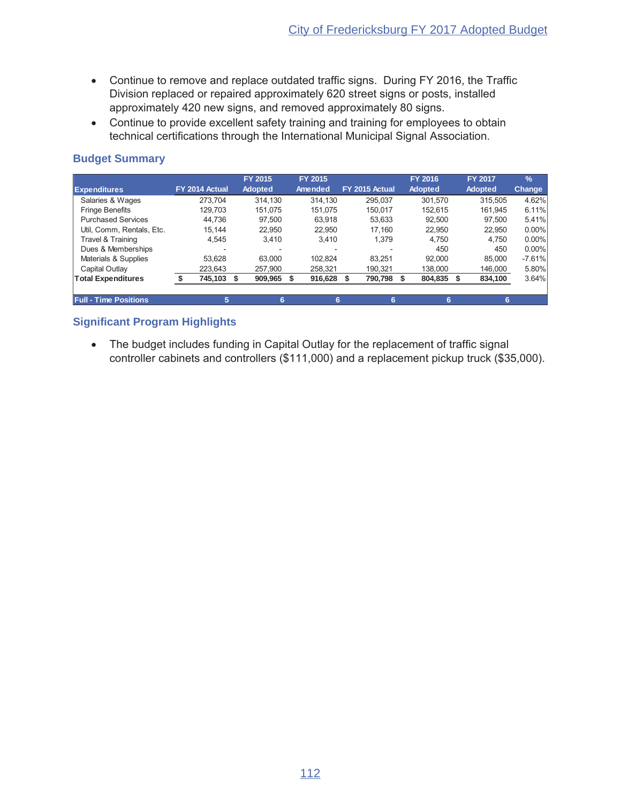- Continue to remove and replace outdated traffic signs. During FY 2016, the Traffic Division replaced or repaired approximately 620 street signs or posts, installed approximately 420 new signs, and removed approximately 80 signs.
- Continue to provide excellent safety training and training for employees to obtain technical certifications through the International Municipal Signal Association.

## **Budget Summary**

|                              |                | FY 2015        | FY 2015 |                | FY 2016        | <b>FY 2017</b> | $\frac{9}{6}$ |
|------------------------------|----------------|----------------|---------|----------------|----------------|----------------|---------------|
| <b>Expenditures</b>          | FY 2014 Actual | <b>Adopted</b> | Amended | FY 2015 Actual | <b>Adopted</b> | <b>Adopted</b> | <b>Change</b> |
| Salaries & Wages             | 273.704        | 314.130        | 314.130 | 295.037        | 301.570        | 315.505        | 4.62%         |
| <b>Fringe Benefits</b>       | 129.703        | 151.075        | 151.075 | 150.017        | 152.615        | 161.945        | 6.11%         |
| <b>Purchased Services</b>    | 44.736         | 97.500         | 63.918  | 53.633         | 92.500         | 97.500         | 5.41%         |
| Util, Comm, Rentals, Etc.    | 15.144         | 22.950         | 22.950  | 17,160         | 22.950         | 22.950         | $0.00\%$      |
| Travel & Training            | 4.545          | 3.410          | 3.410   | 1,379          | 4.750          | 4.750          | $0.00\%$      |
| Dues & Memberships           |                |                |         |                | 450            | 450            | $0.00\%$      |
| Materials & Supplies         | 53.628         | 63.000         | 102.824 | 83.251         | 92.000         | 85.000         | $-7.61%$      |
| Capital Outlay               | 223.643        | 257.900        | 258.321 | 190.321        | 138,000        | 146.000        | 5.80%         |
| <b>Total Expenditures</b>    | 745,103 \$     | 909,965        | 916,628 | 790,798        | 804,835        | 834,100        | 3.64%         |
|                              |                |                |         |                |                |                |               |
| <b>Full - Time Positions</b> | 5.             | 6              | 6       | 6              | 6              | 6              |               |

## **Significant Program Highlights**

• The budget includes funding in Capital Outlay for the replacement of traffic signal controller cabinets and controllers  $(\$111,000)$  and a replacement pickup truck  $(\$35,000)$ .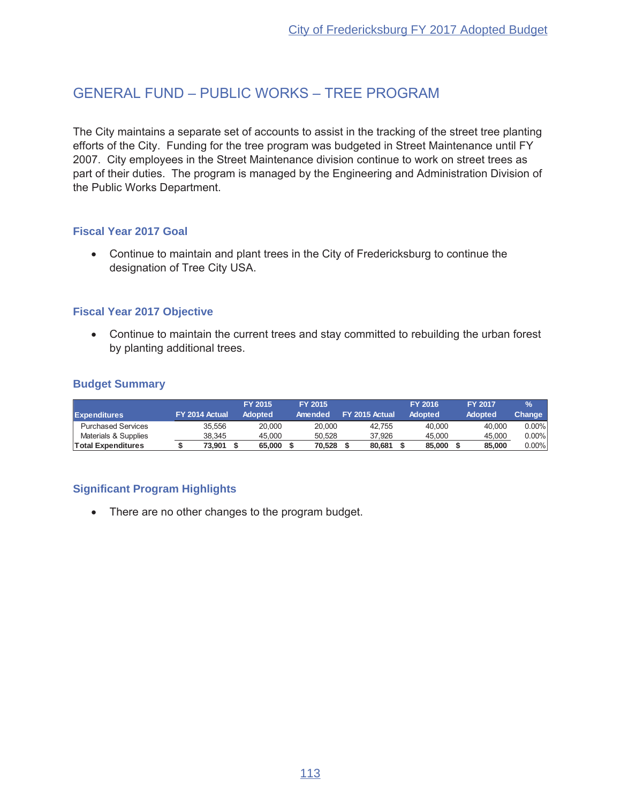## GENERAL FUND - PUBLIC WORKS - TREE PROGRAM

The City maintains a separate set of accounts to assist in the tracking of the street tree planting efforts of the City. Funding for the tree program was budgeted in Street Maintenance until FY 2007. City employees in the Street Maintenance division continue to work on street trees as part of their duties. The program is managed by the Engineering and Administration Division of the Public Works Department.

#### **Fiscal Year 2017 Goal**

• Continue to maintain and plant trees in the City of Fredericksburg to continue the designation of Tree City USA.

#### **Fiscal Year 2017 Objective**

• Continue to maintain the current trees and stay committed to rebuilding the urban forest by planting additional trees.

#### **Budget Summary**

|                           |                |        | FY 2015        | FY 2015 |                | <b>FY 2016</b> | <b>FY 2017</b> | $\frac{9}{6}$ |
|---------------------------|----------------|--------|----------------|---------|----------------|----------------|----------------|---------------|
| <b>Expenditures</b>       | FY 2014 Actual |        | <b>Adopted</b> | Amended | FY 2015 Actual | Adopted        | <b>Adopted</b> | Change        |
| <b>Purchased Services</b> |                | 35.556 | 20,000         | 20,000  | 42.755         | 40,000         | 40.000         | $0.00\%$      |
| Materials & Supplies      |                | 38.345 | 45.000         | 50.528  | 37.926         | 45.000         | 45.000         | $0.00\%$      |
| <b>Total Expenditures</b> |                | 73.901 | 65,000         | 70.528  | 80,681         | 85,000         | 85,000         | $0.00\%$      |

## **Significant Program Highlights**

• There are no other changes to the program budget.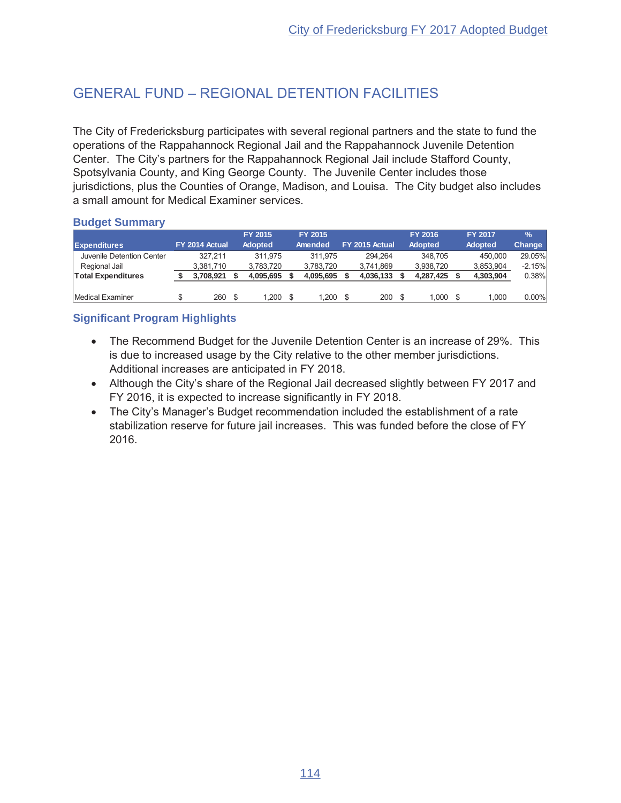# GENERAL FUND - REGIONAL DETENTION FACILITIES

The City of Fredericksburg participates with several regional partners and the state to fund the operations of the Rappahannock Regional Jail and the Rappahannock Juvenile Detention Center. The City's partners for the Rappahannock Regional Jail include Stafford County, Spotsylvania County, and King George County. The Juvenile Center includes those jurisdictions, plus the Counties of Orange, Madison, and Louisa. The City budget also includes a small amount for Medical Examiner services.

### **Budget Summary**

|                           |                |      | <b>FY 2015</b> |    | <b>FY 2015</b> |                | <b>FY 2016</b> | <b>FY 2017</b> | $\frac{9}{6}$ |
|---------------------------|----------------|------|----------------|----|----------------|----------------|----------------|----------------|---------------|
| <b>Expenditures</b>       | FY 2014 Actual |      | Adopted        |    | Amended        | FY 2015 Actual | Adopted        | Adopted        | Change        |
| Juvenile Detention Center | 327.211        |      | 311.975        |    | 311.975        | 294.264        | 348.705        | 450.000        | 29.05%        |
| Regional Jail             | 3.381.710      |      | 3.783.720      |    | 3,783,720      | 3.741.869      | 3.938.720      | 3,853,904      | $-2.15%$      |
| <b>Total Expenditures</b> | 3.708.921      |      | 4.095.695      |    | 4.095.695      | 4,036,133      | 4.287.425      | 4,303,904      | 0.38%         |
|                           |                |      |                |    |                |                |                |                |               |
| Medical Examiner          | 260            | - \$ | 1.200          | -S | 1.200          | 200S           | .000           | 1.000          | $0.00\%$      |

- The Recommend Budget for the Juvenile Detention Center is an increase of 29%. This is due to increased usage by the City relative to the other member jurisdictions. Additional increases are anticipated in FY 2018.
- Although the City's share of the Regional Jail decreased slightly between FY 2017 and FY 2016, it is expected to increase significantly in FY 2018.
- The City's Manager's Budget recommendation included the establishment of a rate stabilization reserve for future jail increases. This was funded before the close of FY 2016.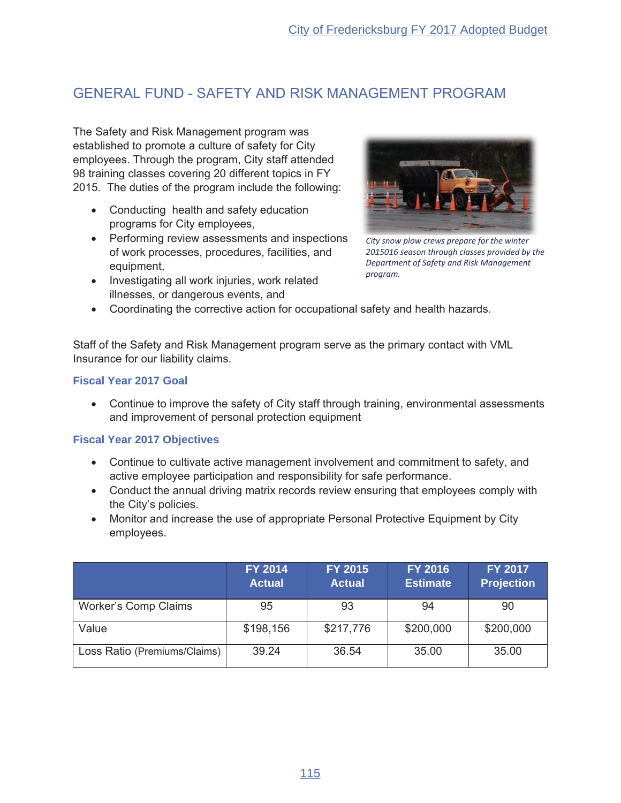## GENERAL FUND - SAFETY AND RISK MANAGEMENT PROGRAM

The Safety and Risk Management program was established to promote a culture of safety for City employees. Through the program, City staff attended 98 training classes covering 20 different topics in FY 2015. The duties of the program include the following:

- Conducting health and safety education programs for City employees,
- Performing review assessments and inspections of work processes, procedures, facilities, and equipment,
- Investigating all work injuries, work related illnesses, or dangerous events, and



*City snow plow crews prepare for the winter 2015016 season through classes provided by the Department of Safety and Risk Management program.*

• Coordinating the corrective action for occupational safety and health hazards.

Staff of the Safety and Risk Management program serve as the primary contact with VML Insurance for our liability claims.

#### **Fiscal Year 2017 Goal**

• Continue to improve the safety of City staff through training, environmental assessments and improvement of personal protection equipment

#### **Fiscal Year 2017 Objectives**

- Continue to cultivate active management involvement and commitment to safety, and active employee participation and responsibility for safe performance.
- Conduct the annual driving matrix records review ensuring that employees comply with the City's policies.
- Monitor and increase the use of appropriate Personal Protective Equipment by City employees.

|                              | <b>FY 2014</b><br><b>Actual</b> | FY 2015<br><b>Actual</b> | <b>FY 2016</b><br><b>Estimate</b> | <b>FY 2017</b><br><b>Projection</b> |
|------------------------------|---------------------------------|--------------------------|-----------------------------------|-------------------------------------|
| <b>Worker's Comp Claims</b>  | 95                              | 93                       | 94                                | 90                                  |
| Value                        | \$198,156                       | \$217,776                | \$200,000                         | \$200,000                           |
| Loss Ratio (Premiums/Claims) | 39.24                           | 36.54                    | 35.00                             | 35.00                               |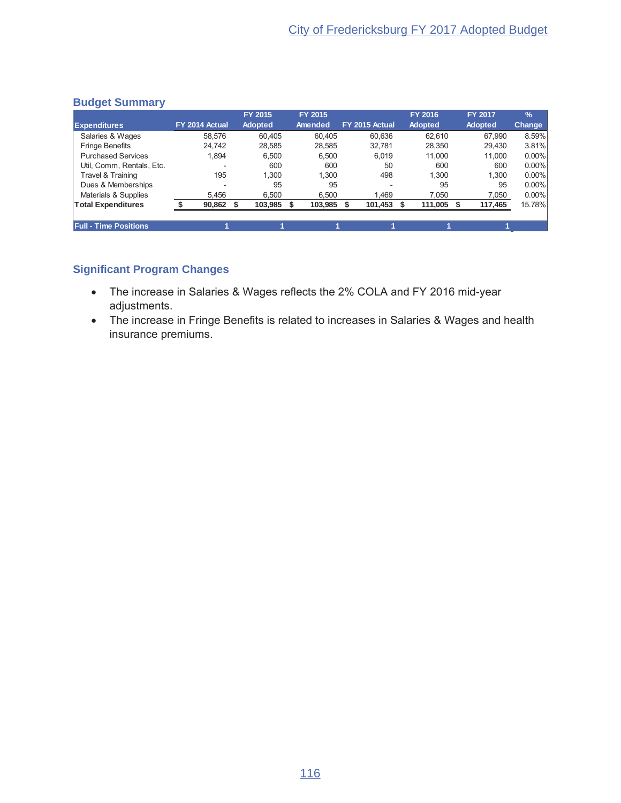|                              |                | FY 2015         | FY 2015 |                          | FY 2016        | <b>FY 2017</b> | $\%$     |
|------------------------------|----------------|-----------------|---------|--------------------------|----------------|----------------|----------|
| <b>Expenditures</b>          | FY 2014 Actual | <b>Adopted</b>  | Amended | FY 2015 Actual           | <b>Adopted</b> | <b>Adopted</b> | Change   |
| Salaries & Wages             | 58.576         | 60.405          | 60.405  | 60.636                   | 62.610         | 67.990         | 8.59%    |
| <b>Fringe Benefits</b>       | 24.742         | 28,585          | 28.585  | 32.781                   | 28,350         | 29.430         | 3.81%    |
| <b>Purchased Services</b>    | 1.894          | 6,500           | 6,500   | 6,019                    | 11,000         | 11.000         | $0.00\%$ |
| Util, Comm, Rentals, Etc.    |                | 600             | 600     | 50                       | 600            | 600            | $0.00\%$ |
| Travel & Training            | 195            | 1.300           | 1.300   | 498                      | 1.300          | 1.300          | $0.00\%$ |
| Dues & Memberships           |                | 95              | 95      | $\overline{\phantom{a}}$ | 95             | 95             | $0.00\%$ |
| Materials & Supplies         | 5.456          | 6.500           | 6.500   | 1.469                    | 7.050          | 7,050          | $0.00\%$ |
| <b>Total Expenditures</b>    | 90,862         | 103,985<br>- \$ | 103,985 | 101,453                  | 111,005<br>- S | 117,465        | 15.78%   |
|                              |                |                 |         |                          |                |                |          |
| <b>Full - Time Positions</b> |                |                 |         |                          |                |                |          |

## **Significant Program Changes**

- The increase in Salaries & Wages reflects the 2% COLA and FY 2016 mid-year adjustments.
- The increase in Fringe Benefits is related to increases in Salaries & Wages and health insurance premiums.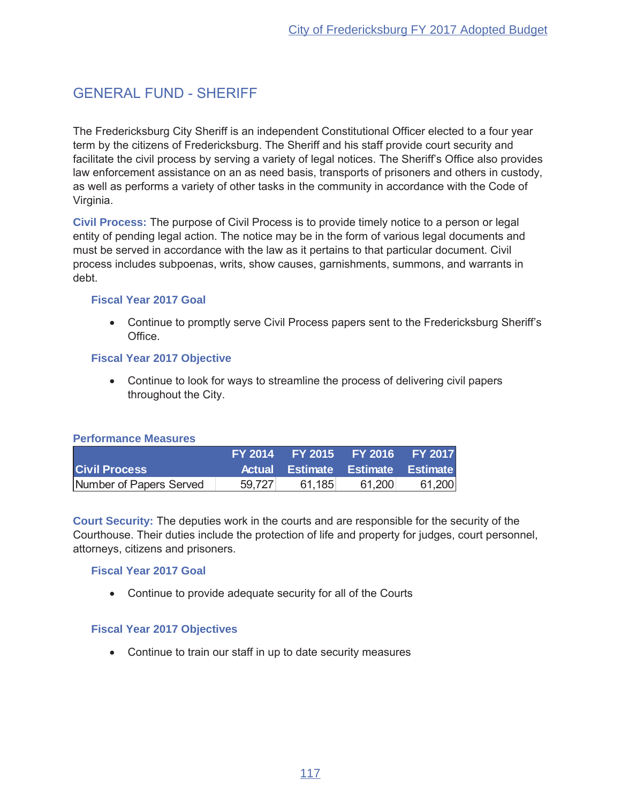## **GENERAL FUND - SHERIFF**

The Fredericksburg City Sheriff is an independent Constitutional Officer elected to a four year term by the citizens of Fredericksburg. The Sheriff and his staff provide court security and facilitate the civil process by serving a variety of legal notices. The Sheriff's Office also provides law enforcement assistance on an as need basis, transports of prisoners and others in custody, as well as performs a variety of other tasks in the community in accordance with the Code of Virginia.

Civil Process: The purpose of Civil Process is to provide timely notice to a person or legal entity of pending legal action. The notice may be in the form of various legal documents and must be served in accordance with the law as it pertains to that particular document. Civil process includes subpoenas, writs, show causes, garnishments, summons, and warrants in debt.

#### **Fiscal Year 2017 Goal**

• Continue to promptly serve Civil Process papers sent to the Fredericksburg Sheriff's Office.

#### **Fiscal Year 2017 Objective**

• Continue to look for ways to streamline the process of delivering civil papers throughout the City.

#### **Performance Measures**

|                         |        |        | FY 2014 FY 2015 FY 2016 FY 2017   |        |
|-------------------------|--------|--------|-----------------------------------|--------|
| <b>Civil Process</b>    |        |        | Actual Estimate Estimate Estimate |        |
| Number of Papers Served | 59.727 | 61.185 | 61,200                            | 61,200 |

Court Security: The deputies work in the courts and are responsible for the security of the Courthouse. Their duties include the protection of life and property for judges, court personnel, attorneys, citizens and prisoners.

#### **Fiscal Year 2017 Goal**

• Continue to provide adequate security for all of the Courts

#### **Fiscal Year 2017 Objectives**

• Continue to train our staff in up to date security measures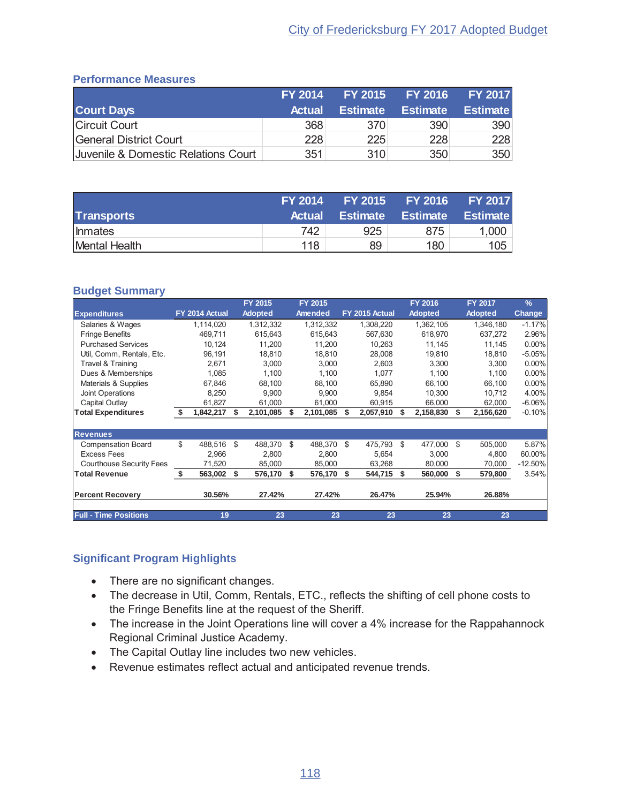#### **Performance Measures**

|                                     | <b>FY 2014</b> | <b>FY 2015</b>  | <b>FY 2016</b>  | <b>FY 2017</b>  |
|-------------------------------------|----------------|-----------------|-----------------|-----------------|
| <b>Court Days</b>                   | <b>Actual</b>  | <b>Estimate</b> | <b>Estimate</b> | <b>Estimate</b> |
| Circuit Court                       | 368            | 370             | 390             | 390             |
| General District Court              | 228            | 225             | 228             | 228             |
| Juvenile & Domestic Relations Court | 351            | 310             | 350             | 350             |

|                   | <b>FY 2014</b> | <b>FY 2015</b>  | <b>FY 2016</b>  | <b>FY 2017</b>  |
|-------------------|----------------|-----------------|-----------------|-----------------|
| <b>Transports</b> | <b>Actual</b>  | <b>Estimate</b> | <b>Estimate</b> | <b>Estimate</b> |
| <b>Inmates</b>    | 742            | 925             | 875             | 1,000           |
| Mental Health     | 118            | 89              | 180             | 105             |

#### **Budget Summary**

|                                 |     |                |      | FY 2015        |    | FY 2015   |    |                | FY 2016        |      | FY 2017        | $\frac{9}{6}$ |
|---------------------------------|-----|----------------|------|----------------|----|-----------|----|----------------|----------------|------|----------------|---------------|
| <b>Expenditures</b>             |     | FY 2014 Actual |      | <b>Adopted</b> |    | Amended   |    | FY 2015 Actual | <b>Adopted</b> |      | <b>Adopted</b> | <b>Change</b> |
| Salaries & Wages                |     | 1,114,020      |      | 1,312,332      |    | 1,312,332 |    | 1,308,220      | 1,362,105      |      | 1,346,180      | $-1.17%$      |
| <b>Fringe Benefits</b>          |     | 469,711        |      | 615,643        |    | 615,643   |    | 567,630        | 618,970        |      | 637,272        | 2.96%         |
| <b>Purchased Services</b>       |     | 10,124         |      | 11,200         |    | 11,200    |    | 10,263         | 11,145         |      | 11,145         | $0.00\%$      |
| Util, Comm, Rentals, Etc.       |     | 96,191         |      | 18,810         |    | 18.810    |    | 28,008         | 19,810         |      | 18,810         | $-5.05%$      |
| <b>Travel &amp; Training</b>    |     | 2,671          |      | 3,000          |    | 3,000     |    | 2,603          | 3,300          |      | 3,300          | $0.00\%$      |
| Dues & Memberships              |     | 1,085          |      | 1,100          |    | 1,100     |    | 1,077          | 1,100          |      | 1,100          | $0.00\%$      |
| Materials & Supplies            |     | 67,846         |      | 68,100         |    | 68,100    |    | 65,890         | 66,100         |      | 66,100         | $0.00\%$      |
| Joint Operations                |     | 8,250          |      | 9,900          |    | 9,900     |    | 9,854          | 10,300         |      | 10,712         | 4.00%         |
| Capital Outlay                  |     | 61,827         |      | 61,000         |    | 61,000    |    | 60,915         | 66,000         |      | 62,000         | $-6.06%$      |
| <b>Total Expenditures</b>       | -\$ | 1,842,217      | S    | 2,101,085      | S  | 2,101,085 | S  | 2,057,910      | 2,158,830      | -S   | 2,156,620      | $-0.10%$      |
|                                 |     |                |      |                |    |           |    |                |                |      |                |               |
| <b>Revenues</b>                 |     |                |      |                |    |           |    |                |                |      |                |               |
| <b>Compensation Board</b>       | \$  | 488,516        | \$   | 488,370        | -S | 488,370   | \$ | 475,793        | \$<br>477,000  | - \$ | 505,000        | 5.87%         |
| <b>Excess Fees</b>              |     | 2,966          |      | 2,800          |    | 2.800     |    | 5,654          | 3,000          |      | 4,800          | 60.00%        |
| <b>Courthouse Security Fees</b> |     | 71,520         |      | 85,000         |    | 85,000    |    | 63,268         | 80,000         |      | 70,000         | $-12.50%$     |
| <b>Total Revenue</b>            | S.  | 563,002        | - \$ | 576,170        | \$ | 576,170   | \$ | 544,715        | \$<br>560,000  | - \$ | 579,800        | 3.54%         |
| <b>Percent Recovery</b>         |     | 30.56%         |      | 27.42%         |    | 27.42%    |    | 26.47%         | 25.94%         |      | 26.88%         |               |
| <b>Full - Time Positions</b>    |     | 19             |      | 23             |    | 23        |    | 23             | 23             |      | 23             |               |

- There are no significant changes.
- The decrease in Util, Comm, Rentals, ETC., reflects the shifting of cell phone costs to the Fringe Benefits line at the request of the Sheriff.
- The increase in the Joint Operations line will cover a 4% increase for the Rappahannock Regional Criminal Justice Academy.
- The Capital Outlay line includes two new vehicles.
- Revenue estimates reflect actual and anticipated revenue trends.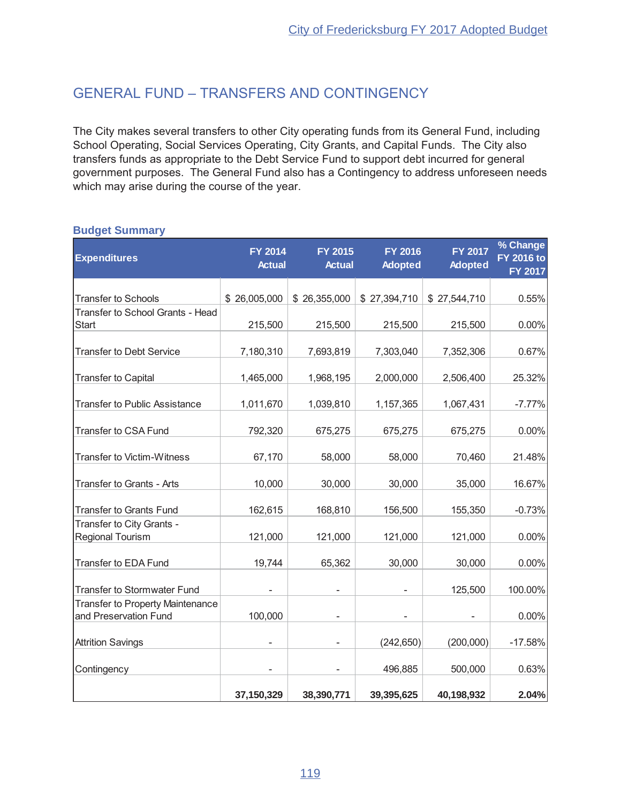## **GENERAL FUND - TRANSFERS AND CONTINGENCY**

The City makes several transfers to other City operating funds from its General Fund, including School Operating, Social Services Operating, City Grants, and Capital Funds. The City also transfers funds as appropriate to the Debt Service Fund to support debt incurred for general government purposes. The General Fund also has a Contingency to address unforeseen needs which may arise during the course of the year.

| <b>Expenditures</b>                                              | <b>FY 2014</b><br><b>Actual</b> | <b>FY 2015</b><br><b>Actual</b> | <b>FY 2016</b><br><b>Adopted</b> | <b>FY 2017</b><br><b>Adopted</b> | % Change<br><b>FY 2016 to</b><br><b>FY 2017</b> |
|------------------------------------------------------------------|---------------------------------|---------------------------------|----------------------------------|----------------------------------|-------------------------------------------------|
|                                                                  |                                 |                                 |                                  |                                  |                                                 |
| <b>Transfer to Schools</b>                                       | \$26,005,000                    | \$26,355,000                    | \$27,394,710                     | \$27,544,710                     | 0.55%                                           |
| Transfer to School Grants - Head                                 |                                 |                                 |                                  |                                  |                                                 |
| <b>Start</b>                                                     | 215,500                         | 215,500                         | 215,500                          | 215,500                          | 0.00%                                           |
| <b>Transfer to Debt Service</b>                                  | 7,180,310                       | 7,693,819                       | 7,303,040                        | 7,352,306                        | 0.67%                                           |
| <b>Transfer to Capital</b>                                       | 1,465,000                       | 1,968,195                       | 2,000,000                        | 2,506,400                        | 25.32%                                          |
| <b>Transfer to Public Assistance</b>                             | 1,011,670                       | 1,039,810                       | 1,157,365                        | 1,067,431                        | $-7.77%$                                        |
| <b>Transfer to CSA Fund</b>                                      | 792,320                         | 675,275                         | 675,275                          | 675,275                          | 0.00%                                           |
| <b>Transfer to Victim-Witness</b>                                | 67,170                          | 58,000                          | 58,000                           | 70,460                           | 21.48%                                          |
| Transfer to Grants - Arts                                        | 10,000                          | 30,000                          | 30,000                           | 35,000                           | 16.67%                                          |
| <b>Transfer to Grants Fund</b>                                   | 162,615                         | 168,810                         | 156,500                          | 155,350                          | $-0.73%$                                        |
| Transfer to City Grants -<br>Regional Tourism                    | 121,000                         | 121,000                         | 121,000                          | 121,000                          | 0.00%                                           |
| <b>Transfer to EDA Fund</b>                                      | 19,744                          | 65,362                          | 30,000                           | 30,000                           | 0.00%                                           |
| <b>Transfer to Stormwater Fund</b>                               |                                 |                                 |                                  | 125,500                          | 100.00%                                         |
| <b>Transfer to Property Maintenance</b><br>and Preservation Fund | 100,000                         |                                 |                                  |                                  | $0.00\%$                                        |
| <b>Attrition Savings</b>                                         |                                 |                                 | (242, 650)                       | (200,000)                        | $-17.58%$                                       |
| Contingency                                                      |                                 |                                 | 496,885                          | 500,000                          | 0.63%                                           |
|                                                                  | 37,150,329                      | 38,390,771                      | 39,395,625                       | 40,198,932                       | 2.04%                                           |

#### **Budget Summary**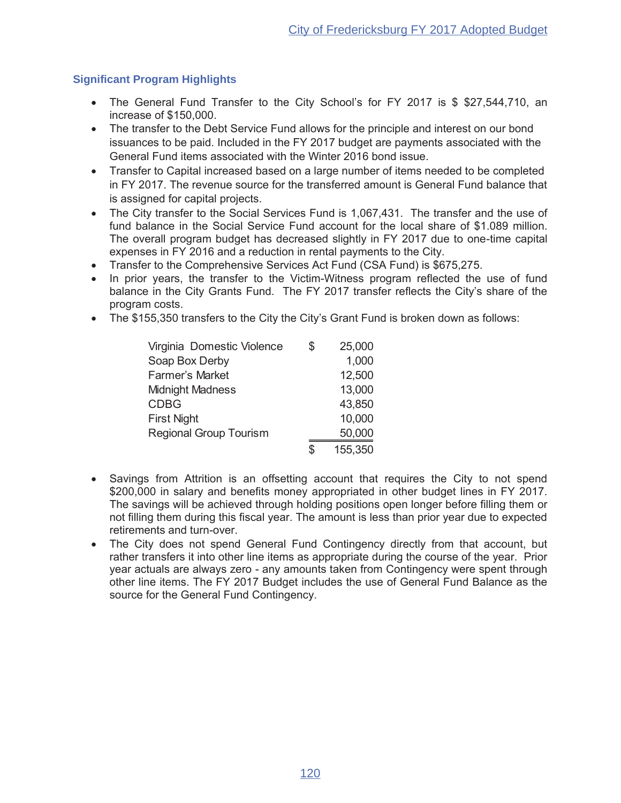- The General Fund Transfer to the City School's for FY 2017 is \$ \$27,544,710, an increase of \$150,000.
- The transfer to the Debt Service Fund allows for the principle and interest on our bond issuances to be paid. Included in the FY 2017 budget are payments associated with the General Fund items associated with the Winter 2016 bond issue.
- Transfer to Capital increased based on a large number of items needed to be completed in FY 2017. The revenue source for the transferred amount is General Fund balance that is assigned for capital projects.
- The City transfer to the Social Services Fund is 1,067,431. The transfer and the use of fund balance in the Social Service Fund account for the local share of \$1.089 million. The overall program budget has decreased slightly in FY 2017 due to one-time capital expenses in FY 2016 and a reduction in rental payments to the City.
- Transfer to the Comprehensive Services Act Fund (CSA Fund) is \$675,275.
- In prior years, the transfer to the Victim-Witness program reflected the use of fund balance in the City Grants Fund. The FY 2017 transfer reflects the City's share of the program costs.
- The \$155,350 transfers to the City the City's Grant Fund is broken down as follows:

| Virginia Domestic Violence    | \$<br>25,000  |
|-------------------------------|---------------|
| Soap Box Derby                | 1,000         |
| <b>Farmer's Market</b>        | 12,500        |
| <b>Midnight Madness</b>       | 13,000        |
| <b>CDBG</b>                   | 43,850        |
| <b>First Night</b>            | 10,000        |
| <b>Regional Group Tourism</b> | 50,000        |
|                               | \$<br>155,350 |

- $\bullet$ Savings from Attrition is an offsetting account that requires the City to not spend \$200,000 in salary and benefits money appropriated in other budget lines in FY 2017. The savings will be achieved through holding positions open longer before filling them or not filling them during this fiscal year. The amount is less than prior year due to expected retirements and turn-over.
- The City does not spend General Fund Contingency directly from that account, but rather transfers it into other line items as appropriate during the course of the year. Prior year actuals are always zero - any amounts taken from Contingency were spent through other line items. The FY 2017 Budget includes the use of General Fund Balance as the source for the General Fund Contingency.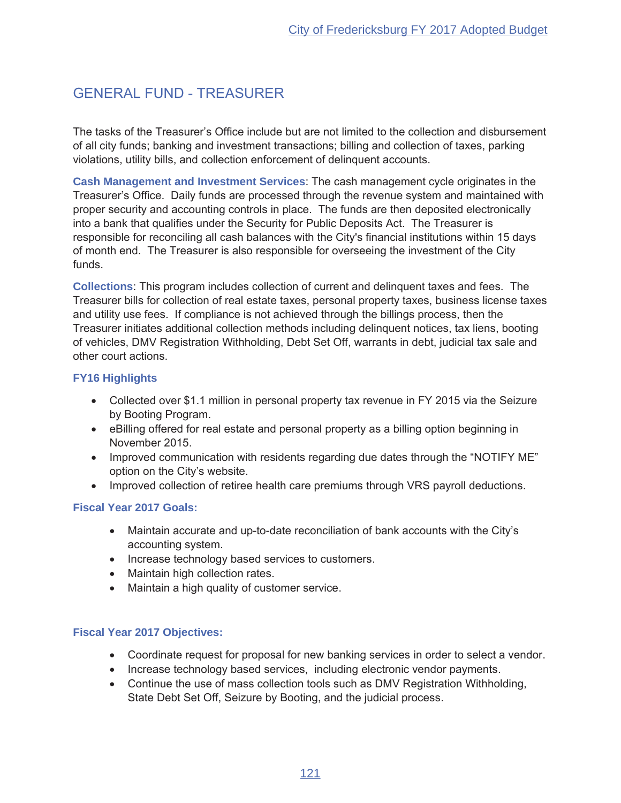# **GENERAL FUND - TREASURER**

The tasks of the Treasurer's Office include but are not limited to the collection and disbursement of all city funds; banking and investment transactions; billing and collection of taxes, parking violations, utility bills, and collection enforcement of delinquent accounts.

Cash Management and Investment Services: The cash management cycle originates in the Treasurer's Office. Daily funds are processed through the revenue system and maintained with proper security and accounting controls in place. The funds are then deposited electronically into a bank that qualifies under the Security for Public Deposits Act. The Treasurer is responsible for reconciling all cash balances with the City's financial institutions within 15 days of month end. The Treasurer is also responsible for overseeing the investment of the City funds.

Collections: This program includes collection of current and delinguent taxes and fees. The Treasurer bills for collection of real estate taxes, personal property taxes, business license taxes and utility use fees. If compliance is not achieved through the billings process, then the Treasurer initiates additional collection methods including delinguent notices, tax liens, booting of vehicles, DMV Registration Withholding, Debt Set Off, warrants in debt, judicial tax sale and other court actions.

### **FY16 Highlights**

- Collected over \$1.1 million in personal property tax revenue in FY 2015 via the Seizure by Booting Program.
- eBilling offered for real estate and personal property as a billing option beginning in November 2015.
- Improved communication with residents regarding due dates through the "NOTIFY ME" option on the City's website.
- Improved collection of retiree health care premiums through VRS payroll deductions.

## **Fiscal Year 2017 Goals:**

- Maintain accurate and up-to-date reconciliation of bank accounts with the City's accounting system.
- Increase technology based services to customers.
- Maintain high collection rates.
- Maintain a high quality of customer service.

#### **Fiscal Year 2017 Objectives:**

- Coordinate request for proposal for new banking services in order to select a vendor.
- Increase technology based services, including electronic vendor payments.
- Continue the use of mass collection tools such as DMV Registration Withholding, State Debt Set Off, Seizure by Booting, and the judicial process.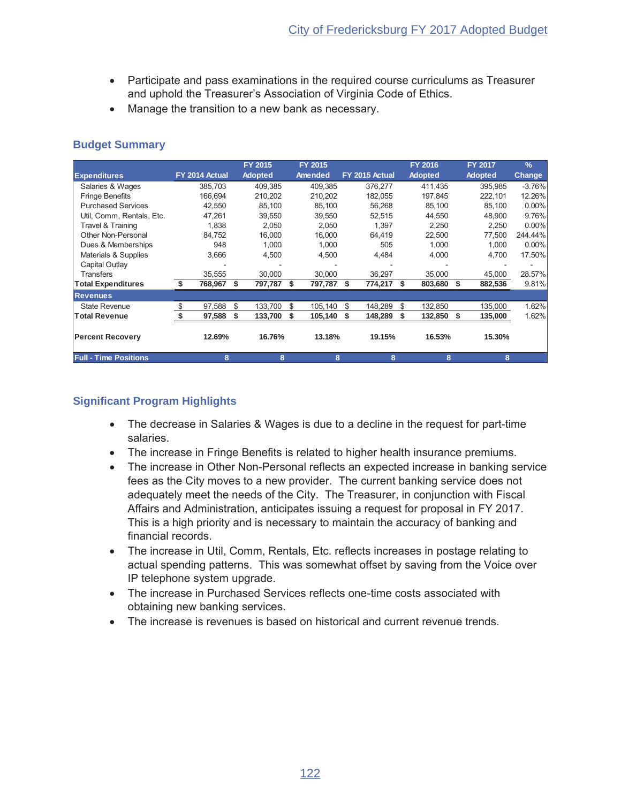- Participate and pass examinations in the required course curriculums as Treasurer and uphold the Treasurer's Association of Virginia Code of Ethics.
- Manage the transition to a new bank as necessary.

|                              |                |   | FY 2015        |    | FY 2015 |    |                |    | <b>FY 2016</b> |    | FY 2017        | $\frac{9}{6}$ |
|------------------------------|----------------|---|----------------|----|---------|----|----------------|----|----------------|----|----------------|---------------|
| <b>Expenditures</b>          | FY 2014 Actual |   | <b>Adopted</b> |    | Amended |    | FY 2015 Actual |    | <b>Adopted</b> |    | <b>Adopted</b> | <b>Change</b> |
| Salaries & Wages             | 385,703        |   | 409.385        |    | 409,385 |    | 376,277        |    | 411,435        |    | 395,985        | $-3.76%$      |
| <b>Fringe Benefits</b>       | 166.694        |   | 210,202        |    | 210,202 |    | 182,055        |    | 197,845        |    | 222.101        | 12.26%        |
| <b>Purchased Services</b>    | 42,550         |   | 85,100         |    | 85,100  |    | 56,268         |    | 85,100         |    | 85,100         | $0.00\%$      |
| Util, Comm, Rentals, Etc.    | 47,261         |   | 39,550         |    | 39,550  |    | 52,515         |    | 44,550         |    | 48,900         | 9.76%         |
| Travel & Training            | 1,838          |   | 2,050          |    | 2,050   |    | 1,397          |    | 2,250          |    | 2,250          | $0.00\%$      |
| Other Non-Personal           | 84.752         |   | 16,000         |    | 16.000  |    | 64,419         |    | 22,500         |    | 77,500         | 244.44%       |
| Dues & Memberships           | 948            |   | 1,000          |    | 1.000   |    | 505            |    | 1.000          |    | 1,000          | $0.00\%$      |
| Materials & Supplies         | 3,666          |   | 4,500          |    | 4,500   |    | 4,484          |    | 4,000          |    | 4,700          | 17.50%        |
| Capital Outlay               |                |   |                |    |         |    |                |    |                |    |                |               |
| <b>Transfers</b>             | 35,555         |   | 30,000         |    | 30,000  |    | 36,297         |    | 35,000         |    | 45,000         | 28.57%        |
| <b>Total Expenditures</b>    | 768,967<br>S   |   | \$<br>797,787  | S  | 797,787 | S  | 774,217        | S  | 803,680        | S. | 882,536        | 9.81%         |
| <b>Revenues</b>              |                |   |                |    |         |    |                |    |                |    |                |               |
| <b>State Revenue</b>         | 97,588<br>\$   |   | \$<br>133,700  | \$ | 105,140 | \$ | 148,289        | \$ | 132,850        |    | 135,000        | 1.62%         |
| <b>Total Revenue</b>         | 97,588         |   | \$<br>133,700  | S  | 105,140 | S  | 148,289        | S  | 132,850        | S. | 135,000        | 1.62%         |
| <b>Percent Recovery</b>      | 12.69%         |   | 16.76%         |    | 13.18%  |    | 19.15%         |    | 16.53%         |    | 15.30%         |               |
| <b>Full - Time Positions</b> |                | 8 | 8              |    | 8       |    | 8              |    | 8              |    | 8              |               |

- The decrease in Salaries & Wages is due to a decline in the request for part-time salaries.
- The increase in Fringe Benefits is related to higher health insurance premiums.
- The increase in Other Non-Personal reflects an expected increase in banking service fees as the City moves to a new provider. The current banking service does not adequately meet the needs of the City. The Treasurer, in conjunction with Fiscal Affairs and Administration, anticipates issuing a request for proposal in FY 2017. This is a high priority and is necessary to maintain the accuracy of banking and financial records
- The increase in Util, Comm, Rentals, Etc. reflects increases in postage relating to actual spending patterns. This was somewhat offset by saving from the Voice over IP telephone system upgrade.
- The increase in Purchased Services reflects one-time costs associated with obtaining new banking services.
- The increase is revenues is based on historical and current revenue trends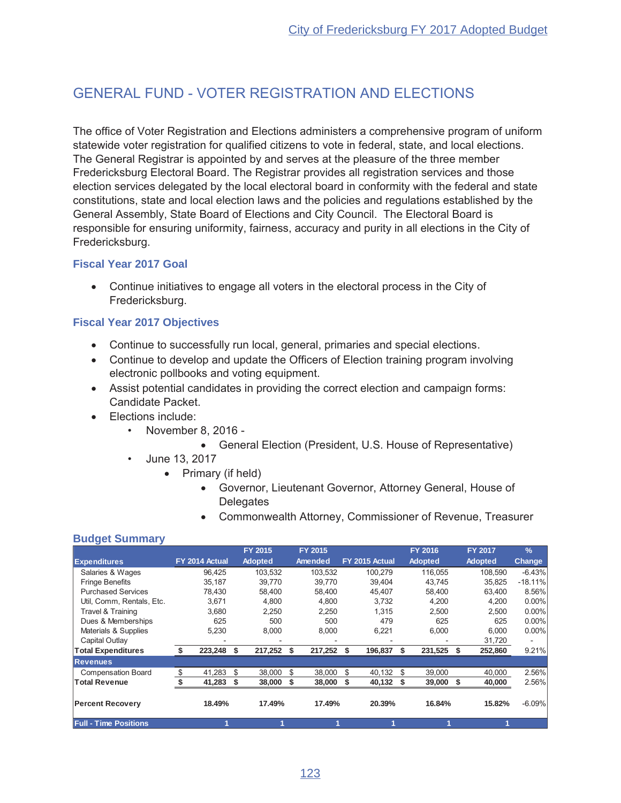## GENERAL FUND - VOTER REGISTRATION AND FLECTIONS

The office of Voter Registration and Elections administers a comprehensive program of uniform statewide voter registration for qualified citizens to vote in federal, state, and local elections. The General Registrar is appointed by and serves at the pleasure of the three member Fredericksburg Electoral Board. The Registrar provides all registration services and those election services delegated by the local electoral board in conformity with the federal and state constitutions, state and local election laws and the policies and regulations established by the General Assembly, State Board of Elections and City Council. The Electoral Board is responsible for ensuring uniformity, fairness, accuracy and purity in all elections in the City of Fredericksburg.

### **Fiscal Year 2017 Goal**

• Continue initiatives to engage all voters in the electoral process in the City of Fredericksburg.

#### **Fiscal Year 2017 Objectives**

- Continue to successfully run local, general, primaries and special elections.
- Continue to develop and update the Officers of Election training program involving electronic pollbooks and voting equipment.
- Assist potential candidates in providing the correct election and campaign forms: Candidate Packet.
- Elections include:
	- November 8, 2016 -
		- General Election (President, U.S. House of Representative)
	- June 13, 2017
		- Primary (if held)
			- Governor, Lieutenant Governor, Attorney General, House of **Delegates**
			- Commonwealth Attorney, Commissioner of Revenue, Treasurer

#### **Budget Summary**

|                              |                |    | <b>FY 2015</b> |    | FY 2015 |                | <b>FY 2016</b> |      | <b>FY 2017</b> | $\frac{9}{6}$ |
|------------------------------|----------------|----|----------------|----|---------|----------------|----------------|------|----------------|---------------|
| <b>Expenditures</b>          | FY 2014 Actual |    | <b>Adopted</b> |    | Amended | FY 2015 Actual | <b>Adopted</b> |      | <b>Adopted</b> | <b>Change</b> |
| Salaries & Wages             | 96.425         |    | 103,532        |    | 103,532 | 100.279        | 116,055        |      | 108,590        | $-6.43%$      |
| <b>Fringe Benefits</b>       | 35,187         |    | 39,770         |    | 39,770  | 39,404         | 43,745         |      | 35,825         | $-18.11%$     |
| <b>Purchased Services</b>    | 78.430         |    | 58,400         |    | 58.400  | 45,407         | 58.400         |      | 63.400         | 8.56%         |
| Util, Comm, Rentals, Etc.    | 3,671          |    | 4,800          |    | 4,800   | 3,732          | 4,200          |      | 4,200          | 0.00%         |
| Travel & Training            | 3,680          |    | 2,250          |    | 2,250   | 1,315          | 2,500          |      | 2,500          | 0.00%         |
| Dues & Memberships           | 625            |    | 500            |    | 500     | 479            | 625            |      | 625            | 0.00%         |
| Materials & Supplies         | 5,230          |    | 8,000          |    | 8,000   | 6,221          | 6,000          |      | 6,000          | 0.00%         |
| Capital Outlay               |                |    |                |    |         |                |                |      | 31,720         |               |
| <b>Total Expenditures</b>    | 223,248        | Ŝ. | 217,252        | S  | 217,252 | 196,837<br>S.  | 231,525        |      | 252,860        | 9.21%         |
| <b>Revenues</b>              |                |    |                |    |         |                |                |      |                |               |
| <b>Compensation Board</b>    | \$<br>41.283   | \$ | 38,000         | \$ | 38,000  | 40.132<br>\$   | \$<br>39,000   |      | 40,000         | 2.56%         |
| <b>Total Revenue</b>         | 41,283         | \$ | 38,000         | \$ | 38,000  | \$<br>40,132   | 39,000         | - \$ | 40,000         | 2.56%         |
| <b>Percent Recovery</b>      | 18.49%         |    | 17.49%         |    | 17.49%  | 20.39%         | 16.84%         |      | 15.82%         | $-6.09%$      |
| <b>Full - Time Positions</b> |                |    |                |    |         |                |                |      |                |               |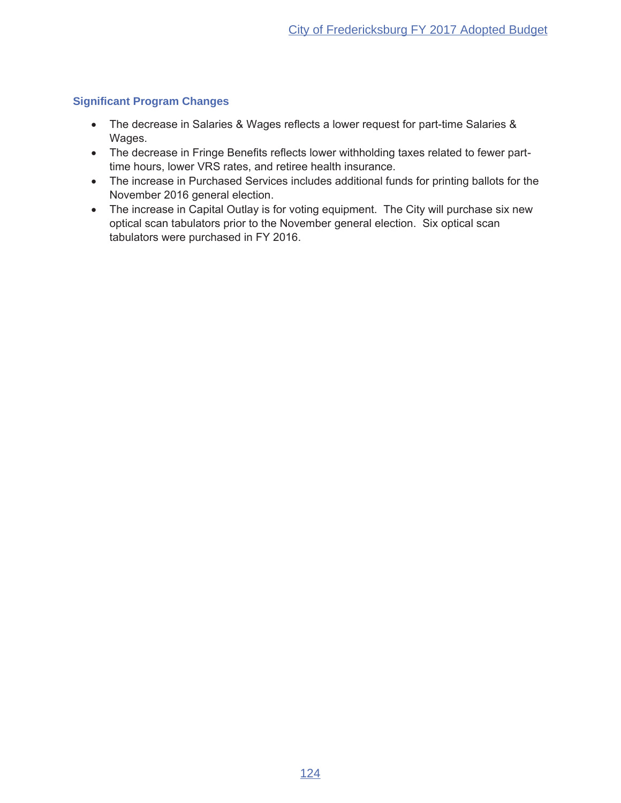### **Significant Program Changes**

- The decrease in Salaries & Wages reflects a lower request for part-time Salaries & Wages.
- The decrease in Fringe Benefits reflects lower withholding taxes related to fewer parttime hours, lower VRS rates, and retiree health insurance.
- The increase in Purchased Services includes additional funds for printing ballots for the November 2016 general election.
- The increase in Capital Outlay is for voting equipment. The City will purchase six new optical scan tabulators prior to the November general election. Six optical scan tabulators were purchased in FY 2016.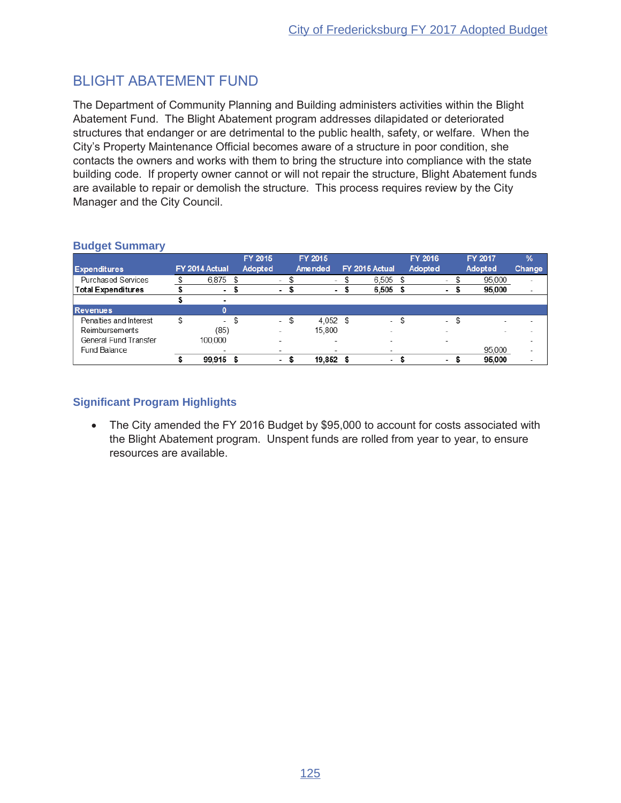## **BLIGHT ABATEMENT FUND**

The Department of Community Planning and Building administers activities within the Blight Abatement Fund. The Blight Abatement program addresses dilapidated or deteriorated structures that endanger or are detrimental to the public health, safety, or welfare. When the City's Property Maintenance Official becomes aware of a structure in poor condition, she contacts the owners and works with them to bring the structure into compliance with the state building code. If property owner cannot or will not repair the structure, Blight Abatement funds are available to repair or demolish the structure. This process requires review by the City Manager and the City Council.

|                           |                          | FY 2015 |                          |      | FY 2015                  |      |                          | FY 2016                  |                          | FY 2017 | $\frac{9}{6}$            |
|---------------------------|--------------------------|---------|--------------------------|------|--------------------------|------|--------------------------|--------------------------|--------------------------|---------|--------------------------|
| <b>Expenditures</b>       | FY 2014 Actual           | Adopted |                          |      | Amended                  |      | FY 2015 Actual           | Adopted                  |                          | Adopted | <b>Change</b>            |
| <b>Purchased Services</b> | $6,875$ \$               |         | $\overline{\phantom{a}}$ |      | $\overline{\phantom{a}}$ | S    | $6.505$ \$               | $\overline{\phantom{a}}$ |                          | 95,000  | ٠                        |
| <b>Total Expenditures</b> | ۰                        |         |                          |      | ٠                        | - 30 | $6,505$ \$               | ۰                        | Ð                        | 95,000  | $\overline{\phantom{a}}$ |
|                           |                          |         |                          |      |                          |      |                          |                          |                          |         |                          |
| <b>Revenues</b>           | n                        |         |                          |      |                          |      |                          |                          |                          |         |                          |
| Penalties and Interest    | ۰.                       | \$      |                          | - \$ | 4.052                    | \$   | $\overline{\phantom{a}}$ | \$                       | \$<br>$\sim$             | -       |                          |
| Reimbursements            | (85)                     |         |                          |      | 15.800                   |      | ٠                        |                          |                          |         |                          |
| General Fund Transfer     | 100,000                  |         | $\overline{\phantom{a}}$ |      | $\overline{\phantom{a}}$ |      |                          |                          |                          |         |                          |
| Fund Balance              | $\overline{\phantom{a}}$ |         | $\overline{\phantom{a}}$ |      | $\overline{\phantom{a}}$ |      | $\overline{\phantom{a}}$ |                          |                          | 95.000  | $\overline{\phantom{a}}$ |
|                           | 99.915 \$                |         | $\overline{\phantom{a}}$ | S.   | 19,852                   |      | $\overline{\phantom{a}}$ |                          | $\overline{\phantom{a}}$ | 95,000  | $\overline{\phantom{a}}$ |

### **Budget Summary**

## **Significant Program Highlights**

The City amended the FY 2016 Budget by \$95,000 to account for costs associated with  $\bullet$ the Blight Abatement program. Unspent funds are rolled from year to year, to ensure resources are available.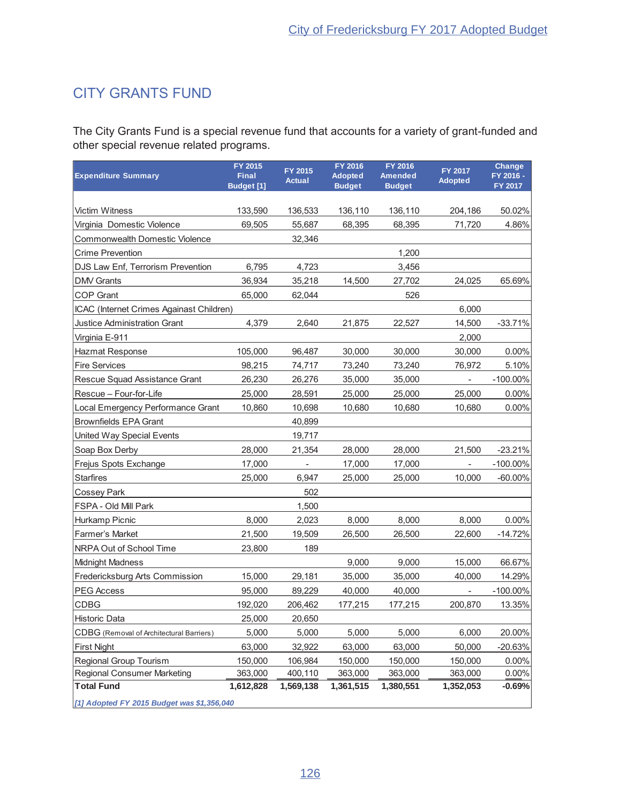# CITY GRANTS FUND

The City Grants Fund is a special revenue fund that accounts for a variety of grant-funded and other special revenue related programs.

| <b>Expenditure Summary</b>                 | FY 2015<br><b>Final</b><br><b>Budget</b> [1] | FY 2015<br><b>Actual</b> | FY 2016<br><b>Adopted</b><br><b>Budget</b> | FY 2016<br>Amended<br><b>Budget</b> | FY 2017<br><b>Adopted</b> | Change<br>FY 2016 -<br>FY 2017 |
|--------------------------------------------|----------------------------------------------|--------------------------|--------------------------------------------|-------------------------------------|---------------------------|--------------------------------|
|                                            |                                              |                          |                                            |                                     |                           |                                |
| <b>Victim Witness</b>                      | 133,590                                      | 136,533                  | 136,110                                    | 136,110                             | 204,186                   | 50.02%                         |
| Virginia Domestic Violence                 | 69,505                                       | 55,687                   | 68,395                                     | 68.395                              | 71,720                    | 4.86%                          |
| <b>Commonwealth Domestic Violence</b>      |                                              | 32,346                   |                                            |                                     |                           |                                |
| <b>Crime Prevention</b>                    |                                              |                          |                                            | 1,200                               |                           |                                |
| DJS Law Enf, Terrorism Prevention          | 6,795                                        | 4,723                    |                                            | 3,456                               |                           |                                |
| <b>DMV</b> Grants                          | 36,934                                       | 35,218                   | 14,500                                     | 27,702                              | 24,025                    | 65.69%                         |
| <b>COP Grant</b>                           | 65,000                                       | 62,044                   |                                            | 526                                 |                           |                                |
| ICAC (Internet Crimes Againast Children)   |                                              |                          |                                            |                                     | 6,000                     |                                |
| Justice Administration Grant               | 4,379                                        | 2,640                    | 21,875                                     | 22,527                              | 14,500                    | $-33.71%$                      |
| Virginia E-911                             |                                              |                          |                                            |                                     | 2,000                     |                                |
| Hazmat Response                            | 105,000                                      | 96,487                   | 30,000                                     | 30,000                              | 30,000                    | $0.00\%$                       |
| <b>Fire Services</b>                       | 98,215                                       | 74,717                   | 73,240                                     | 73,240                              | 76,972                    | 5.10%                          |
| Rescue Squad Assistance Grant              | 26,230                                       | 26,276                   | 35,000                                     | 35,000                              | Ξ.                        | $-100.00\%$                    |
| Rescue - Four-for-Life                     | 25,000                                       | 28,591                   | 25,000                                     | 25,000                              | 25,000                    | $0.00\%$                       |
| Local Emergency Performance Grant          | 10,860                                       | 10,698                   | 10.680                                     | 10,680                              | 10,680                    | 0.00%                          |
| <b>Brownfields EPA Grant</b>               |                                              | 40,899                   |                                            |                                     |                           |                                |
| United Way Special Events                  |                                              | 19,717                   |                                            |                                     |                           |                                |
| Soap Box Derby                             | 28,000                                       | 21,354                   | 28,000                                     | 28,000                              | 21,500                    | $-23.21%$                      |
| Frejus Spots Exchange                      | 17,000                                       |                          | 17,000                                     | 17,000                              | $\overline{\phantom{a}}$  | $-100.00\%$                    |
| <b>Starfires</b>                           | 25,000                                       | 6,947                    | 25,000                                     | 25,000                              | 10,000                    | $-60.00\%$                     |
| <b>Cossey Park</b>                         |                                              | 502                      |                                            |                                     |                           |                                |
| FSPA - Old Mill Park                       |                                              | 1,500                    |                                            |                                     |                           |                                |
| Hurkamp Picnic                             | 8,000                                        | 2,023                    | 8,000                                      | 8,000                               | 8,000                     | $0.00\%$                       |
| <b>Farmer's Market</b>                     | 21,500                                       | 19,509                   | 26,500                                     | 26,500                              | 22,600                    | $-14.72%$                      |
| NRPA Out of School Time                    | 23,800                                       | 189                      |                                            |                                     |                           |                                |
| <b>Midnight Madness</b>                    |                                              |                          | 9,000                                      | 9,000                               | 15,000                    | 66.67%                         |
| Fredericksburg Arts Commission             | 15,000                                       | 29,181                   | 35,000                                     | 35,000                              | 40,000                    | 14.29%                         |
| <b>PEG Access</b>                          | 95,000                                       | 89,229                   | 40,000                                     | 40,000                              | $\overline{\phantom{a}}$  | $-100.00\%$                    |
| CDBG                                       | 192,020                                      | 206,462                  | 177,215                                    | 177,215                             | 200,870                   | 13.35%                         |
| <b>Historic Data</b>                       | 25,000                                       | 20,650                   |                                            |                                     |                           |                                |
| CDBG (Removal of Architectural Barriers)   | 5,000                                        | 5,000                    | 5,000                                      | 5,000                               | 6,000                     | 20.00%                         |
| <b>First Night</b>                         | 63,000                                       | 32,922                   | 63,000                                     | 63,000                              | 50,000                    | $-20.63%$                      |
| Regional Group Tourism                     | 150,000                                      | 106,984                  | 150,000                                    | 150,000                             | 150,000                   | 0.00%                          |
| <b>Regional Consumer Marketing</b>         | 363,000                                      | 400,110                  | 363,000                                    | 363,000                             | 363,000                   | 0.00%                          |
| <b>Total Fund</b>                          | 1,612,828                                    | 1,569,138                | 1,361,515                                  | 1,380,551                           | 1,352,053                 | $-0.69%$                       |
| [1] Adopted FY 2015 Budget was \$1,356,040 |                                              |                          |                                            |                                     |                           |                                |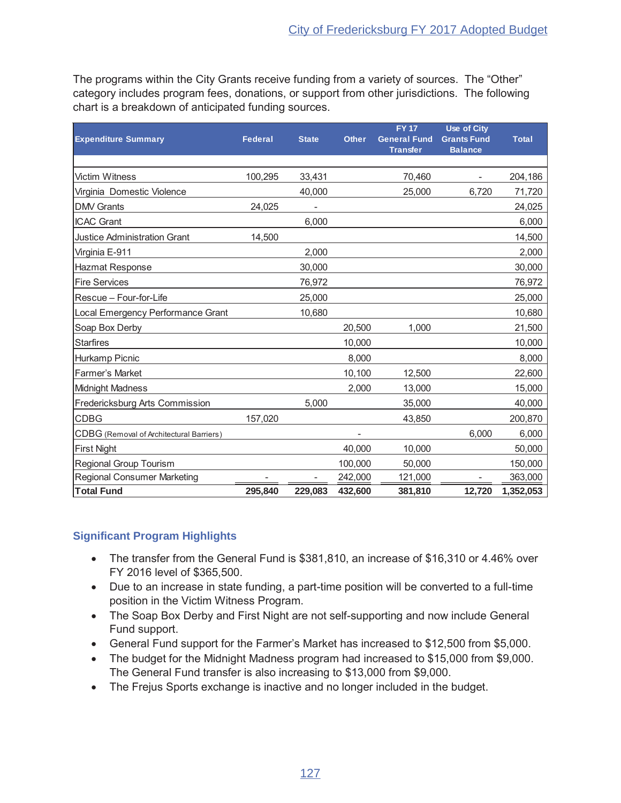The programs within the City Grants receive funding from a variety of sources. The "Other" category includes program fees, donations, or support from other jurisdictions. The following chart is a breakdown of anticipated funding sources.

|                                          |         |              |              | <b>FY17</b>         | Use of City        |              |
|------------------------------------------|---------|--------------|--------------|---------------------|--------------------|--------------|
| <b>Expenditure Summary</b>               | Federal | <b>State</b> | <b>Other</b> | <b>General Fund</b> | <b>Grants Fund</b> | <b>Total</b> |
|                                          |         |              |              | <b>Transfer</b>     | <b>Balance</b>     |              |
| <b>Victim Witness</b>                    | 100,295 | 33,431       |              | 70,460              |                    | 204,186      |
| Virginia Domestic Violence               |         | 40,000       |              | 25,000              | 6,720              | 71,720       |
| <b>DMV</b> Grants                        | 24,025  |              |              |                     |                    | 24,025       |
| <b>ICAC Grant</b>                        |         | 6,000        |              |                     |                    | 6,000        |
| <b>Justice Administration Grant</b>      | 14,500  |              |              |                     |                    | 14,500       |
| Virginia E-911                           |         | 2,000        |              |                     |                    | 2,000        |
| Hazmat Response                          |         | 30,000       |              |                     |                    | 30,000       |
| <b>Fire Services</b>                     |         | 76,972       |              |                     |                    | 76,972       |
| Rescue - Four-for-Life                   |         | 25,000       |              |                     |                    | 25,000       |
| Local Emergency Performance Grant        |         | 10,680       |              |                     |                    | 10,680       |
| Soap Box Derby                           |         |              | 20,500       | 1,000               |                    | 21,500       |
| <b>Starfires</b>                         |         |              | 10,000       |                     |                    | 10,000       |
| Hurkamp Picnic                           |         |              | 8,000        |                     |                    | 8,000        |
| Farmer's Market                          |         |              | 10,100       | 12,500              |                    | 22,600       |
| <b>Midnight Madness</b>                  |         |              | 2,000        | 13,000              |                    | 15,000       |
| Fredericksburg Arts Commission           |         | 5,000        |              | 35,000              |                    | 40,000       |
| <b>CDBG</b>                              | 157,020 |              |              | 43,850              |                    | 200,870      |
| CDBG (Removal of Architectural Barriers) |         |              |              |                     | 6,000              | 6,000        |
| <b>First Night</b>                       |         |              | 40,000       | 10,000              |                    | 50,000       |
| Regional Group Tourism                   |         |              | 100,000      | 50,000              |                    | 150,000      |
| <b>Regional Consumer Marketing</b>       |         |              | 242,000      | 121,000             |                    | 363,000      |
| <b>Total Fund</b>                        | 295,840 | 229,083      | 432,600      | 381,810             | 12,720             | 1,352,053    |

- The transfer from the General Fund is \$381,810, an increase of \$16,310 or 4.46% over FY 2016 level of \$365,500.
- Due to an increase in state funding, a part-time position will be converted to a full-time position in the Victim Witness Program.
- The Soap Box Derby and First Night are not self-supporting and now include General Fund support.
- General Fund support for the Farmer's Market has increased to \$12,500 from \$5,000.
- The budget for the Midnight Madness program had increased to \$15,000 from \$9,000. The General Fund transfer is also increasing to \$13,000 from \$9,000.
- The Frejus Sports exchange is inactive and no longer included in the budget.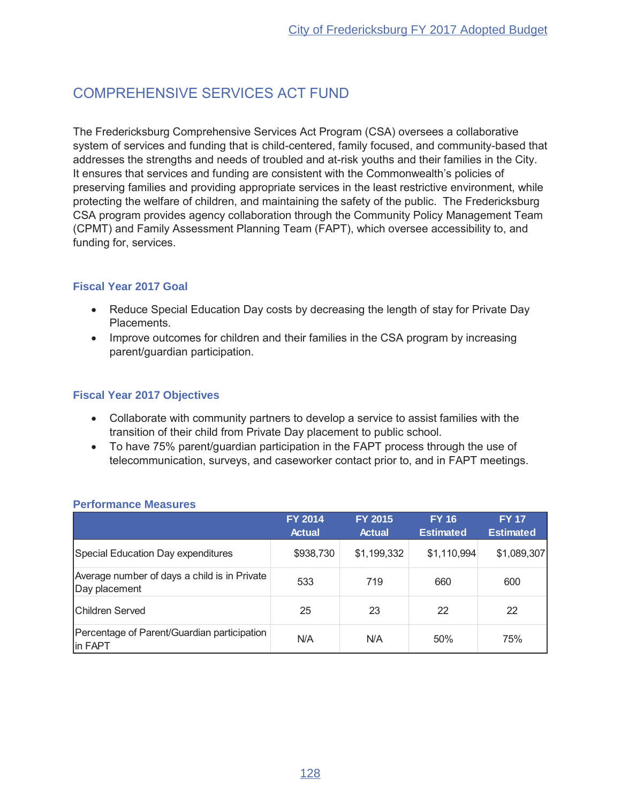# **COMPREHENSIVE SERVICES ACT FUND**

The Fredericksburg Comprehensive Services Act Program (CSA) oversees a collaborative system of services and funding that is child-centered, family focused, and community-based that addresses the strengths and needs of troubled and at-risk youths and their families in the City. It ensures that services and funding are consistent with the Commonwealth's policies of preserving families and providing appropriate services in the least restrictive environment, while protecting the welfare of children, and maintaining the safety of the public. The Fredericksburg CSA program provides agency collaboration through the Community Policy Management Team (CPMT) and Family Assessment Planning Team (FAPT), which oversee accessibility to, and funding for, services.

## **Fiscal Year 2017 Goal**

- Reduce Special Education Day costs by decreasing the length of stay for Private Day Placements.
- Improve outcomes for children and their families in the CSA program by increasing parent/guardian participation.

## **Fiscal Year 2017 Objectives**

- Collaborate with community partners to develop a service to assist families with the transition of their child from Private Day placement to public school.
- To have 75% parent/guardian participation in the FAPT process through the use of telecommunication, surveys, and caseworker contact prior to, and in FAPT meetings.

|                                                               | <b>FY 2014</b><br><b>Actual</b> | <b>FY 2015</b><br><b>Actual</b> | <b>FY 16</b><br><b>Estimated</b> | <b>FY 17</b><br><b>Estimated</b> |
|---------------------------------------------------------------|---------------------------------|---------------------------------|----------------------------------|----------------------------------|
| Special Education Day expenditures                            | \$938,730                       | \$1,199,332                     | \$1,110,994                      | \$1,089,307                      |
| Average number of days a child is in Private<br>Day placement | 533                             | 719                             | 660                              | 600                              |
| <b>Children Served</b>                                        | 25                              | 23                              | 22                               | 22                               |
| Percentage of Parent/Guardian participation<br>in FAPT        | N/A                             | N/A                             | 50%                              | 75%                              |

#### **Performance Measures**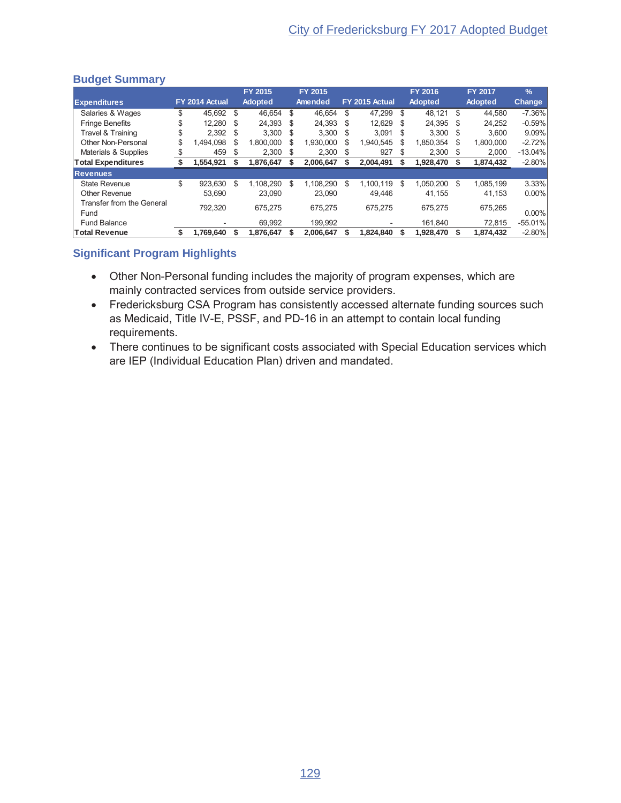|                                   |    |                |      | FY 2015        |      | FY 2015   |     |                |      | FY 2016        |      | <b>FY 2017</b> | $\frac{1}{2}$ |
|-----------------------------------|----|----------------|------|----------------|------|-----------|-----|----------------|------|----------------|------|----------------|---------------|
| <b>Expenditures</b>               |    | FY 2014 Actual |      | <b>Adopted</b> |      | Amended   |     | FY 2015 Actual |      | <b>Adopted</b> |      | <b>Adopted</b> | <b>Change</b> |
| Salaries & Wages                  | S  | 45.692 \$      |      | 46,654         | \$   | 46.654    | S   | 47.299 \$      |      | 48,121 \$      |      | 44.580         | $-7.36\%$     |
| <b>Fringe Benefits</b>            |    | 12.280         | - \$ | 24.393         | - \$ | 24.393    | \$. | 12.629 \$      |      | 24.395         | - \$ | 24.252         | $-0.59%$      |
| Travel & Training                 | \$ | $2.392$ \$     |      | $3,300$ \$     |      | 3.300     | \$  | 3.091          | - \$ | $3.300$ \$     |      | 3.600          | 9.09%         |
| Other Non-Personal                | \$ | .494.098       | S    | 1,800,000      | S    | 1.930.000 | \$  | 1.940.545      | S    | 1,850,354      | \$.  | 1,800,000      | $-2.72%$      |
| Materials & Supplies              |    | 459            | S    | 2.300          | \$   | 2.300     | S   | 927            | S    | 2,300          | - \$ | 2,000          | $-13.04%$     |
| <b>Total Expenditures</b>         |    | 1,554,921      |      | 1,876,647      |      | 2,006,647 | S   | 2,004,491      |      | 1,928,470      | - \$ | 1,874,432      | $-2.80\%$     |
| <b>Revenues</b>                   |    |                |      |                |      |           |     |                |      |                |      |                |               |
| State Revenue                     | \$ | 923.630        | \$.  | 1.108.290      | \$.  | 1.108.290 | \$  | 1.100.119      | \$.  | 1.050.200      | - \$ | 1.085.199      | 3.33%         |
| Other Revenue                     |    | 53.690         |      | 23,090         |      | 23.090    |     | 49.446         |      | 41.155         |      | 41.153         | $0.00\%$      |
| Transfer from the General<br>Fund |    | 792.320        |      | 675.275        |      | 675.275   |     | 675.275        |      | 675.275        |      | 675,265        | $0.00\%$      |
| <b>Fund Balance</b>               |    |                |      | 69,992         |      | 199.992   |     | -              |      | 161.840        |      | 72.815         | $-55.01%$     |
| <b>Total Revenue</b>              |    | 769,640,       |      | 1,876,647      |      | 2,006,647 |     | 1,824,840      | S    | 1,928,470      |      | 1,874,432      | $-2.80%$      |

- Other Non-Personal funding includes the majority of program expenses, which are mainly contracted services from outside service providers.
- Fredericksburg CSA Program has consistently accessed alternate funding sources such as Medicaid, Title IV-E, PSSF, and PD-16 in an attempt to contain local funding requirements.
- There continues to be significant costs associated with Special Education services which are IEP (Individual Education Plan) driven and mandated.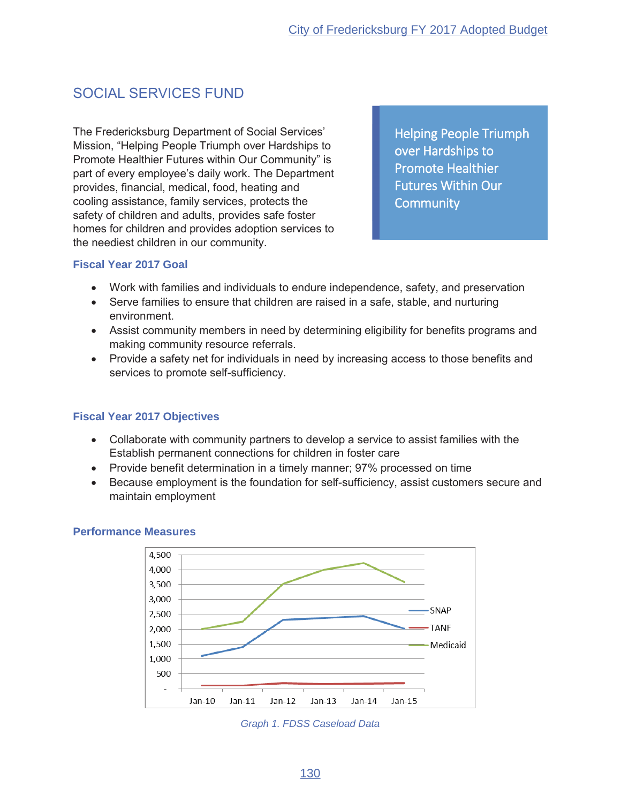# **SOCIAL SERVICES FUND**

The Fredericksburg Department of Social Services' Mission, "Helping People Triumph over Hardships to Promote Healthier Futures within Our Community" is part of every employee's daily work. The Department provides, financial, medical, food, heating and cooling assistance, family services, protects the safety of children and adults, provides safe foster homes for children and provides adoption services to the neediest children in our community.

**Helping People Triumph** over Hardships to **Promote Healthier Futures Within Our Community** 

#### **Fiscal Year 2017 Goal**

- Work with families and individuals to endure independence, safety, and preservation
- Serve families to ensure that children are raised in a safe, stable, and nurturing environment.
- Assist community members in need by determining eligibility for benefits programs and making community resource referrals.
- Provide a safety net for individuals in need by increasing access to those benefits and services to promote self-sufficiency.

## **Fiscal Year 2017 Objectives**

- Collaborate with community partners to develop a service to assist families with the Establish permanent connections for children in foster care
- Provide benefit determination in a timely manner; 97% processed on time
- Because employment is the foundation for self-sufficiency, assist customers secure and maintain employment



#### **Performance Measures**

Graph 1. FDSS Caseload Data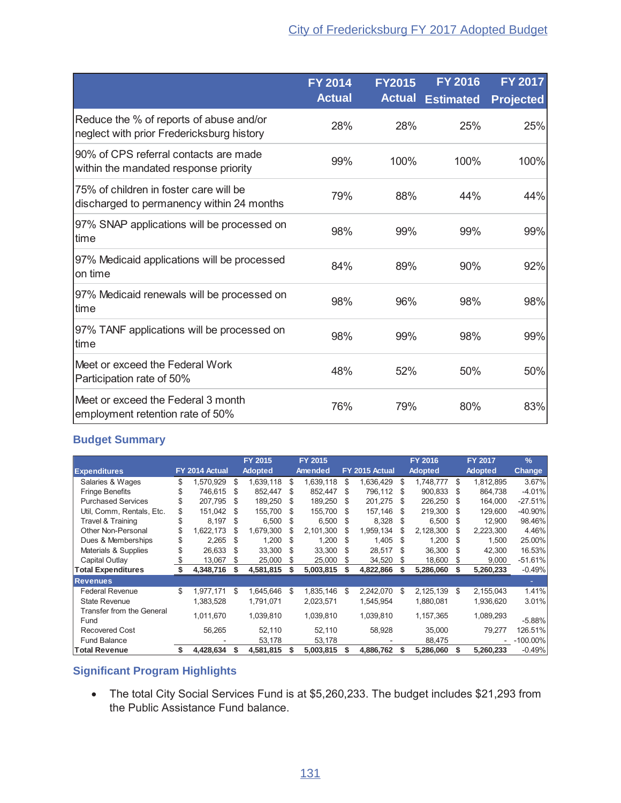|                                                                                      | <b>FY 2014</b> | <b>FY2015</b> | <b>FY 2016</b>   | <b>FY 2017</b>   |
|--------------------------------------------------------------------------------------|----------------|---------------|------------------|------------------|
|                                                                                      | <b>Actual</b>  | <b>Actual</b> | <b>Estimated</b> | <b>Projected</b> |
| Reduce the % of reports of abuse and/or<br>neglect with prior Fredericksburg history | 28%            | 28%           | 25%              | 25%              |
| 90% of CPS referral contacts are made<br>within the mandated response priority       | 99%            | 100%          | 100%             | 100%             |
| 75% of children in foster care will be<br>discharged to permanency within 24 months  | 79%            | 88%           | 44%              | 44%              |
| 97% SNAP applications will be processed on<br>time                                   | 98%            | 99%           | 99%              | 99%              |
| 97% Medicaid applications will be processed<br>on time                               | 84%            | 89%           | 90%              | 92%              |
| 97% Medicaid renewals will be processed on<br>time                                   | 98%            | 96%           | 98%              | 98%              |
| 97% TANF applications will be processed on<br>time                                   | 98%            | 99%           | 98%              | 99%              |
| Meet or exceed the Federal Work<br>Participation rate of 50%                         | 48%            | 52%           | 50%              | 50%              |
| Meet or exceed the Federal 3 month<br>employment retention rate of 50%               | 76%            | 79%           | 80%              | 83%              |

|                                   |    |                |     | FY 2015        |     | FY 2015        |    |                | FY 2016         |     | FY 2017        | $\frac{9}{6}$ |
|-----------------------------------|----|----------------|-----|----------------|-----|----------------|----|----------------|-----------------|-----|----------------|---------------|
| <b>Expenditures</b>               |    | FY 2014 Actual |     | <b>Adopted</b> |     | <b>Amended</b> |    | FY 2015 Actual | <b>Adopted</b>  |     | <b>Adopted</b> | <b>Change</b> |
| Salaries & Wages                  | S  | 1,570,929      | \$. | 1,639,118      | S   | 1,639,118      | \$ | 1,636,429      | \$<br>1,748,777 | \$. | 1,812,895      | 3.67%         |
| <b>Fringe Benefits</b>            | \$ | 746.615        | S   | 852,447        | S   | 852,447        | \$ | 796.112        | \$<br>900,833   | \$. | 864,738        | $-4.01%$      |
| <b>Purchased Services</b>         | \$ | 207,795        | \$. | 189,250        | S   | 189,250        | S  | 201,275        | \$<br>226,250   | \$. | 164,000        | $-27.51%$     |
| Util, Comm, Rentals, Etc.         | \$ | 151.042        | -S  | 155,700        | S   | 155.700        | S  | 157.146        | \$<br>219.300   | -S  | 129.600        | $-40.90\%$    |
| Travel & Training                 | \$ | 8.197          | \$  | 6.500          | \$. | 6.500          | S  | 8,328          | 6.500           | \$. | 12.900         | 98.46%        |
| Other Non-Personal                | \$ | 1,622,173      | S   | 1,679,300      | S   | 2,101,300      | \$ | 1,959,134      | \$<br>2,128,300 | \$. | 2,223,300      | 4.46%         |
| Dues & Memberships                | \$ | 2.265          | \$  | 1.200          | \$. | 1.200          | S  | 1.405          | \$<br>1.200     | \$. | 1.500          | 25.00%        |
| Materials & Supplies              | S  | 26,633         | S   | 33,300         | \$. | 33,300         | \$ | 28,517         | \$<br>36,300    | \$. | 42,300         | 16.53%        |
| Capital Outlay                    | \$ | 13,067         | S   | 25,000         | S   | 25,000         | \$ | 34,520         | \$<br>18,600    | S.  | 9,000          | $-51.61%$     |
| <b>Total Expenditures</b>         |    | 4,348,716      |     | 4,581,815      |     | 5,003,815      | S  | 4,822,866      | 5,286,060       | S   | 5,260,233      | $-0.49%$      |
| <b>Revenues</b>                   |    |                |     |                |     |                |    |                |                 |     |                |               |
| <b>Federal Revenue</b>            | \$ | 1.977.171      | \$  | 1,645,646      | \$  | 1,835,146      | S  | 2,242,070      | \$<br>2,125,139 | \$  | 2,155,043      | 1.41%         |
| <b>State Revenue</b>              |    | 1,383,528      |     | 1,791,071      |     | 2,023,571      |    | 1,545,954      | 1,880,081       |     | 1,936,620      | 3.01%         |
| Transfer from the General<br>Fund |    | 1,011,670      |     | 1,039,810      |     | 1,039,810      |    | 1,039,810      | 1,157,365       |     | 1,089,293      | $-5.88%$      |
| <b>Recovered Cost</b>             |    | 56,265         |     | 52.110         |     | 52,110         |    | 58,928         | 35,000          |     | 79.277         | 126.51%       |
| <b>Fund Balance</b>               |    |                |     | 53,178         |     | 53,178         |    |                | 88,475          |     |                | $-100.00\%$   |
| <b>Total Revenue</b>              | \$ | 4,428,634      | S   | 4,581,815      |     | 5,003,815      | \$ | 4,886,762      | 5,286,060       |     | 5,260,233      | $-0.49%$      |

## **Significant Program Highlights**

• The total City Social Services Fund is at \$5,260,233. The budget includes \$21,293 from the Public Assistance Fund balance.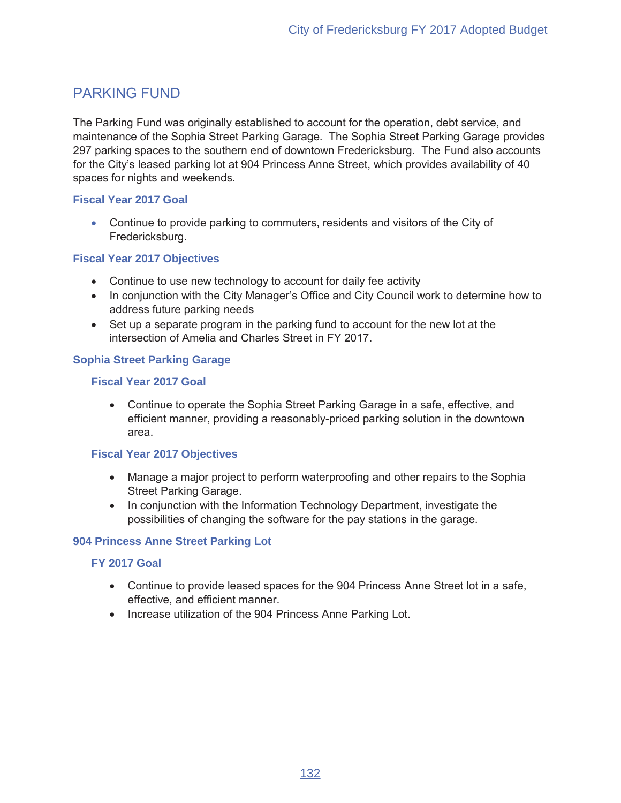## **PARKING FUND**

The Parking Fund was originally established to account for the operation, debt service, and maintenance of the Sophia Street Parking Garage. The Sophia Street Parking Garage provides 297 parking spaces to the southern end of downtown Fredericksburg. The Fund also accounts for the City's leased parking lot at 904 Princess Anne Street, which provides availability of 40 spaces for nights and weekends.

## **Fiscal Year 2017 Goal**

• Continue to provide parking to commuters, residents and visitors of the City of Fredericksburg.

## **Fiscal Year 2017 Objectives**

- Continue to use new technology to account for daily fee activity
- In conjunction with the City Manager's Office and City Council work to determine how to address future parking needs
- Set up a separate program in the parking fund to account for the new lot at the intersection of Amelia and Charles Street in FY 2017.

## **Sophia Street Parking Garage**

### **Fiscal Year 2017 Goal**

• Continue to operate the Sophia Street Parking Garage in a safe, effective, and efficient manner, providing a reasonably-priced parking solution in the downtown area.

#### **Fiscal Year 2017 Objectives**

- Manage a major project to perform waterproofing and other repairs to the Sophia **Street Parking Garage.**
- In conjunction with the Information Technology Department, investigate the possibilities of changing the software for the pay stations in the garage.

#### 904 Princess Anne Street Parking Lot

#### **FY 2017 Goal**

- Continue to provide leased spaces for the 904 Princess Anne Street lot in a safe, effective, and efficient manner.
- Increase utilization of the 904 Princess Anne Parking Lot.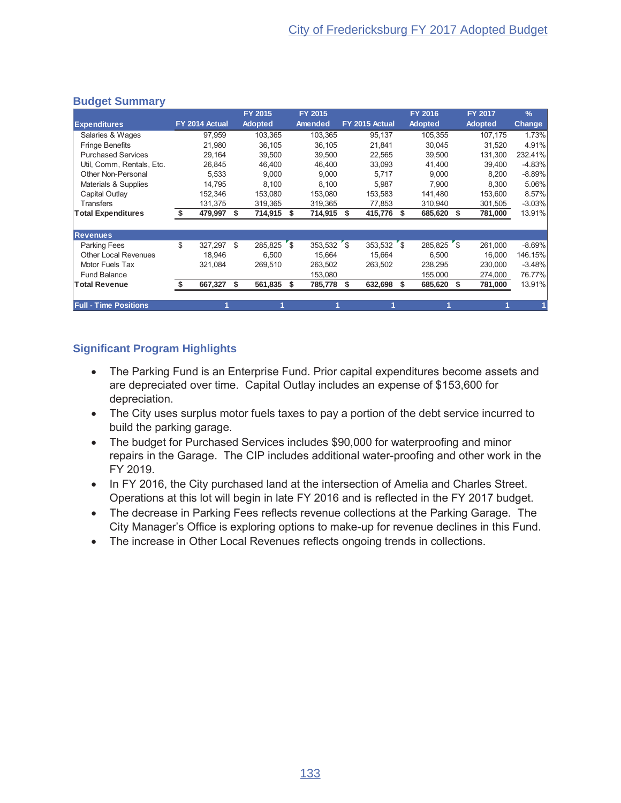|                              |                | <b>FY 2015</b>     | <b>FY 2015</b> |                |     | <b>FY 2016</b> |     | <b>FY 2017</b> | $\frac{9}{6}$ |
|------------------------------|----------------|--------------------|----------------|----------------|-----|----------------|-----|----------------|---------------|
| <b>Expenditures</b>          | FY 2014 Actual | <b>Adopted</b>     | Amended        | FY 2015 Actual |     | <b>Adopted</b> |     | <b>Adopted</b> | <b>Change</b> |
| Salaries & Wages             | 97,959         | 103,365            | 103,365        | 95,137         |     | 105,355        |     | 107,175        | 1.73%         |
| <b>Fringe Benefits</b>       | 21.980         | 36.105             | 36.105         | 21.841         |     | 30.045         |     | 31.520         | 4.91%         |
| <b>Purchased Services</b>    | 29,164         | 39,500             | 39,500         | 22,565         |     | 39,500         |     | 131.300        | 232.41%       |
| Util, Comm, Rentals, Etc.    | 26,845         | 46,400             | 46,400         | 33,093         |     | 41,400         |     | 39,400         | $-4.83%$      |
| Other Non-Personal           | 5,533          | 9,000              | 9,000          | 5,717          |     | 9,000          |     | 8,200          | $-8.89%$      |
| Materials & Supplies         | 14.795         | 8,100              | 8,100          | 5,987          |     | 7.900          |     | 8.300          | 5.06%         |
| Capital Outlay               | 152.346        | 153,080            | 153,080        | 153,583        |     | 141,480        |     | 153,600        | 8.57%         |
| <b>Transfers</b>             | 131,375        | 319,365            | 319,365        | 77,853         |     | 310,940        |     | 301,505        | $-3.03%$      |
| <b>Total Expenditures</b>    | 479,997        | \$<br>714,915      | \$<br>714,915  | \$<br>415,776  | \$. | 685,620        | \$. | 781,000        | 13.91%        |
|                              |                |                    |                |                |     |                |     |                |               |
| <b>Revenues</b>              |                |                    |                |                |     |                |     |                |               |
| <b>Parking Fees</b>          | \$<br>327.297  | \$<br>$285,825$ \$ | $353,532$ \$   | $353,532$ \$   |     | 285,825 \$     |     | 261,000        | $-8.69%$      |
| <b>Other Local Revenues</b>  | 18.946         | 6.500              | 15.664         | 15.664         |     | 6.500          |     | 16.000         | 146.15%       |
| Motor Fuels Tax              | 321,084        | 269,510            | 263,502        | 263,502        |     | 238,295        |     | 230,000        | $-3.48%$      |
| <b>Fund Balance</b>          |                |                    | 153,080        |                |     | 155,000        |     | 274,000        | 76.77%        |
| <b>Total Revenue</b>         | 667,327        | \$<br>561,835      | \$<br>785,778  | \$<br>632,698  | \$  | 685,620        |     | 781,000        | 13.91%        |
|                              |                |                    |                |                |     |                |     |                |               |
| <b>Full - Time Positions</b> |                |                    |                |                |     |                |     |                |               |

- The Parking Fund is an Enterprise Fund. Prior capital expenditures become assets and are depreciated over time. Capital Outlay includes an expense of \$153,600 for depreciation.
- The City uses surplus motor fuels taxes to pay a portion of the debt service incurred to build the parking garage.
- The budget for Purchased Services includes \$90,000 for waterproofing and minor repairs in the Garage. The CIP includes additional water-proofing and other work in the FY 2019.
- In FY 2016, the City purchased land at the intersection of Amelia and Charles Street. Operations at this lot will begin in late FY 2016 and is reflected in the FY 2017 budget.
- The decrease in Parking Fees reflects revenue collections at the Parking Garage. The City Manager's Office is exploring options to make-up for revenue declines in this Fund.
- The increase in Other Local Revenues reflects ongoing trends in collections.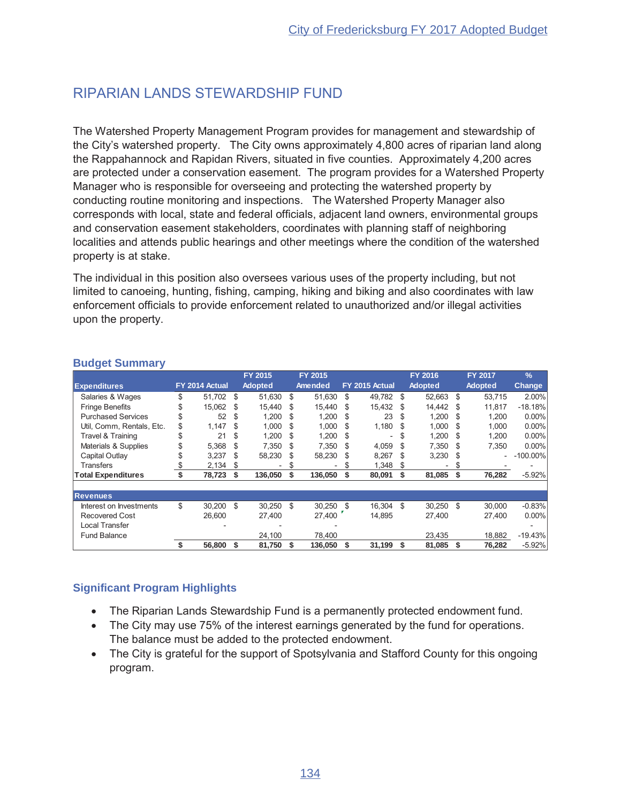# RIPARIAN LANDS STEWARDSHIP FUND

The Watershed Property Management Program provides for management and stewardship of the City's watershed property. The City owns approximately 4,800 acres of riparian land along the Rappahannock and Rapidan Rivers, situated in five counties. Approximately 4,200 acres are protected under a conservation easement. The program provides for a Watershed Property Manager who is responsible for overseeing and protecting the watershed property by conducting routine monitoring and inspections. The Watershed Property Manager also corresponds with local, state and federal officials, adjacent land owners, environmental groups and conservation easement stakeholders, coordinates with planning staff of neighboring localities and attends public hearings and other meetings where the condition of the watershed property is at stake.

The individual in this position also oversees various uses of the property including, but not limited to canoeing, hunting, fishing, camping, hiking and biking and also coordinates with law enforcement officials to provide enforcement related to unauthorized and/or illegal activities upon the property.

|                           |    |                |     | FY 2015        |      | FY 2015                  |     |                |     | <b>FY 2016</b> |      | <b>FY 2017</b> | $\frac{9}{6}$ |
|---------------------------|----|----------------|-----|----------------|------|--------------------------|-----|----------------|-----|----------------|------|----------------|---------------|
| <b>Expenditures</b>       |    | FY 2014 Actual |     | <b>Adopted</b> |      | Amended                  |     | FY 2015 Actual |     | <b>Adopted</b> |      | <b>Adopted</b> | <b>Change</b> |
| Salaries & Wages          | \$ | 51.702         | \$. | 51.630         | -S   | 51.630                   | \$  | 49.782         | £.  | 52.663 \$      |      | 53.715         | 2.00%         |
| <b>Fringe Benefits</b>    |    | 15.062         | S   | 15.440         | -S   | 15,440                   | \$. | 15.432         | £.  | 14.442         | - \$ | 11.817         | $-18.18%$     |
| <b>Purchased Services</b> |    | 52             | \$. | 1,200          | -S   | 1,200                    | \$. | 23             | \$. | 1,200          | - \$ | 1,200          | 0.00%         |
| Util, Comm, Rentals, Etc. | \$ | 1,147          | \$. | 1.000          | -S   | 1,000                    | \$. | $1,180$ \$     |     | 1.000          | \$.  | 1,000          | 0.00%         |
| Travel & Training         | \$ | 21             | S   | 1,200          | -S   | 1,200                    | \$. | ٠              | S   | 1,200          | -S   | 1,200          | 0.00%         |
| Materials & Supplies      | \$ | 5,368          | \$. | 7,350          | - \$ | 7,350                    | \$. | 4,059          | \$. | 7,350          | -S   | 7,350          | 0.00%         |
| Capital Outlav            |    | 3,237          | S   | 58,230         | - \$ | 58,230                   | S   | 8,267          | \$. | 3,230          | - \$ |                | $-100.00\%$   |
| <b>Transfers</b>          |    | 2,134          | S   |                | S    | $\overline{\phantom{0}}$ | S   | 1,348          | S.  | -              | S.   |                |               |
| <b>Total Expenditures</b> |    | 78,723         | Ŝ.  | 136,050        | S    | 136,050                  | \$  | 80,091         | S   | 81,085         | S    | 76,282         | $-5.92%$      |
|                           |    |                |     |                |      |                          |     |                |     |                |      |                |               |
| <b>Revenues</b>           |    |                |     |                |      |                          |     |                |     |                |      |                |               |
| Interest on Investments   | \$ | 30.200         | \$  | $30.250$ \$    |      | 30,250                   | \$. | 16.304         | \$  | 30.250         | -S   | 30.000         | $-0.83%$      |
| <b>Recovered Cost</b>     |    | 26,600         |     | 27,400         |      | 27,400                   |     | 14,895         |     | 27,400         |      | 27,400         | 0.00%         |
| <b>Local Transfer</b>     |    |                |     |                |      |                          |     |                |     |                |      |                |               |
| <b>Fund Balance</b>       |    |                |     | 24,100         |      | 78.400                   |     |                |     | 23,435         |      | 18,882         | $-19.43%$     |
|                           | S  | 56,800         | \$  | 81,750         | \$   | 136,050                  | \$  | 31,199         | \$  | 81,085         | \$   | 76,282         | $-5.92%$      |

### **Budget Summary**

- The Riparian Lands Stewardship Fund is a permanently protected endowment fund.
- The City may use 75% of the interest earnings generated by the fund for operations. The balance must be added to the protected endowment.
- The City is grateful for the support of Spotsylvania and Stafford County for this ongoing program.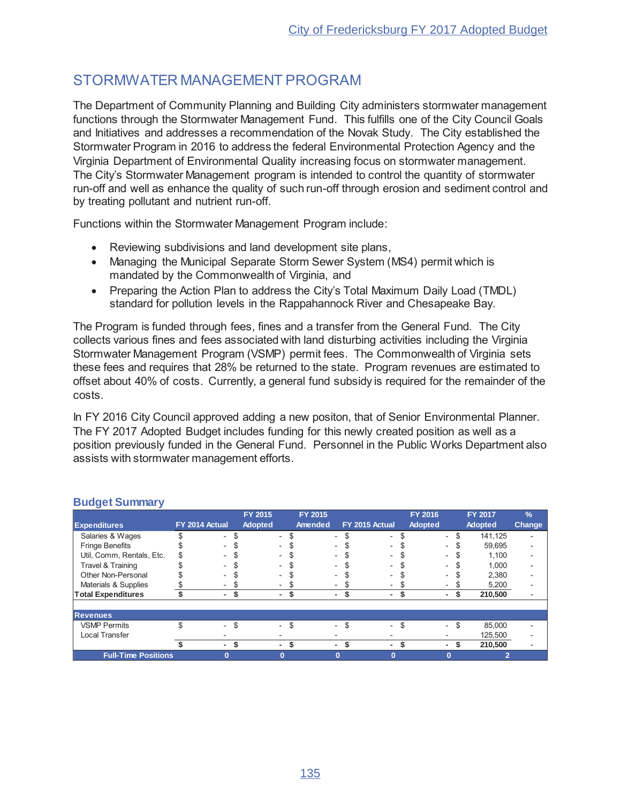## STORMWATER MANAGEMENT PROGRAM

The Department of Community Planning and Building City administers stormwater management functions through the Stormwater Management Fund. This fulfills one of the City Council Goals and Initiatives and addresses a recommendation of the Novak Study. The City established the Stormwater Program in 2016 to address the federal Environmental Protection Agency and the Virginia Department of Environmental Quality increasing focus on stormwater management. The City's Stormwater Management program is intended to control the quantity of stormwater run-off and well as enhance the quality of such run-off through erosion and sediment control and by treating pollutant and nutrient run-off.

Functions within the Stormwater Management Program include:

- Reviewing subdivisions and land development site plans,
- Managing the Municipal Separate Storm Sewer System (MS4) permit which is mandated by the Commonwealth of Virginia, and
- Preparing the Action Plan to address the City's Total Maximum Daily Load (TMDL) standard for pollution levels in the Rappahannock River and Chesapeake Bay.

The Program is funded through fees, fines and a transfer from the General Fund. The City collects various fines and fees associated with land disturbing activities including the Virginia Stormwater Management Program (VSMP) permit fees. The Commonwealth of Virginia sets these fees and requires that 28% be returned to the state. Program revenues are estimated to offset about 40% of costs. Currently, a general fund subsidy is required for the remainder of the costs.

In FY 2016 City Council approved adding a new positon, that of Senior Environmental Planner. The FY 2017 Adopted Budget includes funding for this newly created position as well as a position previously funded in the General Fund. Personnel in the Public Works Department also assists with stormwater management efforts.

|                            |                          | FY 2015        |          | FY 2015 |   |                | <b>FY 2016</b>           |                          | <b>FY 2017</b> |         | $\frac{9}{6}$            |
|----------------------------|--------------------------|----------------|----------|---------|---|----------------|--------------------------|--------------------------|----------------|---------|--------------------------|
| <b>Expenditures</b>        | FY 2014 Actual           | <b>Adopted</b> |          | Amended |   | FY 2015 Actual | <b>Adopted</b>           |                          | <b>Adopted</b> |         | <b>Change</b>            |
| Salaries & Wages           | $\overline{a}$           |                | $\sim$   |         | ۰ | $\sim$         | $\overline{\phantom{0}}$ |                          | \$             | 141,125 |                          |
| <b>Fringe Benefits</b>     | $\overline{\phantom{0}}$ |                |          |         |   | $\sim$         |                          | $\overline{\phantom{0}}$ | \$             | 59,695  |                          |
| Util, Comm, Rentals, Etc.  | $\overline{a}$           |                |          |         | ٠ | $\sim$         | $\overline{\phantom{0}}$ |                          | S              | 1,100   | $\overline{\phantom{0}}$ |
| Travel & Training          | $\sim$                   |                |          |         |   | $\sim$         |                          |                          |                | 1,000   | ٠                        |
| Other Non-Personal         | $\blacksquare$           |                |          |         | ٠ | $\sim$         | $\overline{\phantom{0}}$ |                          |                | 2,380   |                          |
| Materials & Supplies       |                          |                |          |         | - | ۰.             |                          |                          |                | 5,200   |                          |
| <b>Total Expenditures</b>  | ٠                        |                | ۰.       | S       | ۰ | ۰.             | ٠.                       |                          | S              | 210,500 |                          |
|                            |                          |                |          |         |   |                |                          |                          |                |         |                          |
| <b>Revenues</b>            |                          |                |          |         |   |                |                          |                          |                |         |                          |
| <b>VSMP Permits</b>        | $\overline{a}$           | \$             | $\equiv$ | \$      | ۰ | \$<br>$\sim$   | \$                       | $\sim$                   | \$             | 85.000  |                          |
| Local Transfer             |                          |                |          |         |   |                |                          |                          |                | 125,500 |                          |
|                            | ۰                        |                | ۰.       | \$      | ٠ | $\sim$         | \$                       |                          | S              | 210,500 | ٠                        |
| <b>Full-Time Positions</b> | $\bf{0}$                 |                |          |         |   | $\bf{0}$       |                          |                          |                | 2       |                          |

#### **Budget Summary**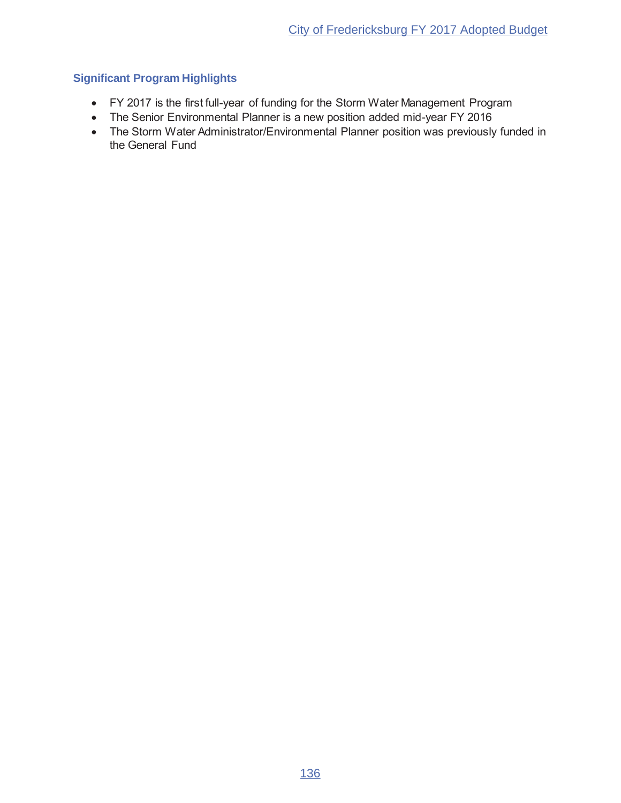- FY 2017 is the first full-year of funding for the Storm Water Management Program
- The Senior Environmental Planner is a new position added mid-year FY 2016
- The Storm Water Administrator/Environmental Planner position was previously funded in the General Fund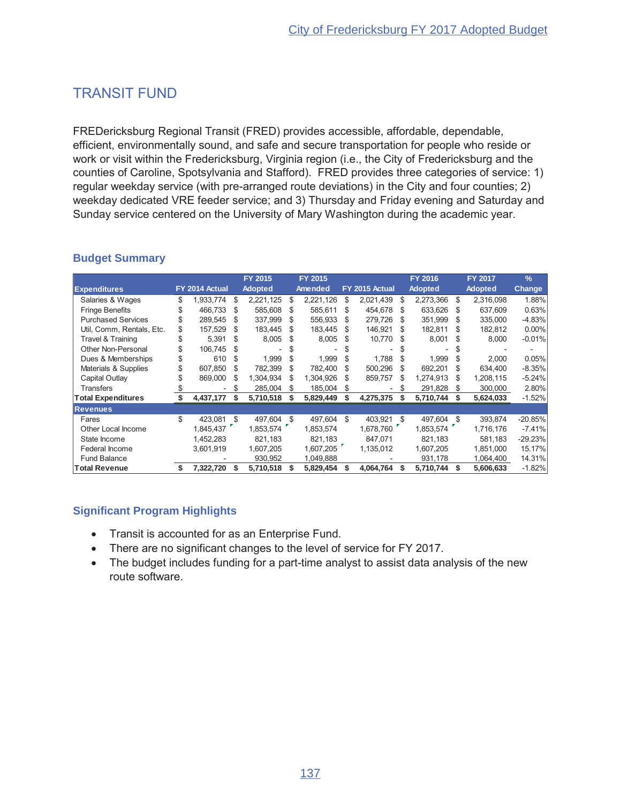# **TRANSIT FUND**

FREDericksburg Regional Transit (FRED) provides accessible, affordable, dependable, efficient, environmentally sound, and safe and secure transportation for people who reside or work or visit within the Fredericksburg, Virginia region (i.e., the City of Fredericksburg and the counties of Caroline, Spotsylvania and Stafford). FRED provides three categories of service: 1) regular weekday service (with pre-arranged route deviations) in the City and four counties; 2) weekday dedicated VRE feeder service; and 3) Thursday and Friday evening and Saturday and Sunday service centered on the University of Mary Washington during the academic year.

### **Budget Summary**

|                           |     |                |     | FY 2015        |     | FY 2015        |     |                |    | <b>FY 2016</b> |     | FY 2017        | $\frac{9}{6}$ |
|---------------------------|-----|----------------|-----|----------------|-----|----------------|-----|----------------|----|----------------|-----|----------------|---------------|
| <b>Expenditures</b>       |     | FY 2014 Actual |     | <b>Adopted</b> |     | <b>Amended</b> |     | FY 2015 Actual |    | <b>Adopted</b> |     | <b>Adopted</b> | <b>Change</b> |
| Salaries & Wages          | \$  | 1,933,774      | \$. | 2,221,125      | S   | 2,221,126      | S   | 2,021,439      | \$ | 2,273,366      | \$  | 2,316,098      | 1.88%         |
| <b>Fringe Benefits</b>    |     | 466.733        | -S  | 585,608        | S   | 585,611        | S   | 454,678        | S  | 633,626        | -S  | 637,609        | 0.63%         |
| <b>Purchased Services</b> |     | 289,545        | \$. | 337,999        |     | 556,933        | S   | 279,726        | S  | 351,999        | \$. | 335,000        | $-4.83%$      |
| Util, Comm, Rentals, Etc. |     | 157,529        | \$. | 183,445        |     | 183,445        | \$. | 146,921        |    | 182,811        |     | 182,812        | $0.00\%$      |
| Travel & Training         | S   | 5.391          | \$  | 8,005          |     | 8,005          | S   | 10,770         |    | 8,001          |     | 8,000          | $-0.01%$      |
| Other Non-Personal        |     | 106.745        |     |                |     |                |     |                |    |                |     |                |               |
| Dues & Memberships        | \$  | 610            | \$. | 1,999          | \$. | 1,999          | S   | 1,788          | \$ | 1,999          | \$. | 2,000          | 0.05%         |
| Materials & Supplies      | S   | 607,850        | -S  | 782,399        | \$. | 782,400        | S   | 500,296        | \$ | 692,201        | \$. | 634,400        | $-8.35%$      |
| Capital Outlay            |     | 869,000        | \$. | 1,304,934      |     | 1,304,926      | S   | 859,757        | S  | 1,274,913      |     | 1,208,115      | $-5.24%$      |
| <b>Transfers</b>          |     |                |     | 285,004        |     | 185,004        | S   |                |    | 291,828        |     | 300,000        | 2.80%         |
| <b>Total Expenditures</b> |     | 4,437,177      | S   | 5,710,518      |     | 5,829,449      | S   | 4,275,375      |    | 5,710,744      |     | 5,624,033      | $-1.52%$      |
| <b>Revenues</b>           |     |                |     |                |     |                |     |                |    |                |     |                |               |
| Fares                     | \$. | 423,081        | -S  | 497,604        | \$  | 497,604        | \$  | 403,921        | \$ | 497,604 \$     |     | 393,874        | $-20.85%$     |
| Other Local Income        |     | 1,845,437      |     | 1,853,574      |     | 1,853,574      |     | 1,678,760      |    | 1,853,574      |     | 1,716,176      | $-7.41%$      |
| State Income              |     | 1,452,283      |     | 821,183        |     | 821,183        |     | 847.071        |    | 821.183        |     | 581.183        | $-29.23%$     |
| Federal Income            |     | 3,601,919      |     | 1,607,205      |     | 1,607,205      |     | 1,135,012      |    | 1,607,205      |     | 1,851,000      | 15.17%        |
| <b>Fund Balance</b>       |     |                |     | 930,952        |     | 1,049,888      |     |                |    | 931,178        |     | 1,064,400      | 14.31%        |
| <b>Total Revenue</b>      |     | 7,322,720      |     | 5,710,518      |     | 5,829,454      | \$  | 4,064,764      |    | 5,710,744      |     | 5,606,633      | $-1.82%$      |

- Transit is accounted for as an Enterprise Fund.
- There are no significant changes to the level of service for FY 2017.
- The budget includes funding for a part-time analyst to assist data analysis of the new route software.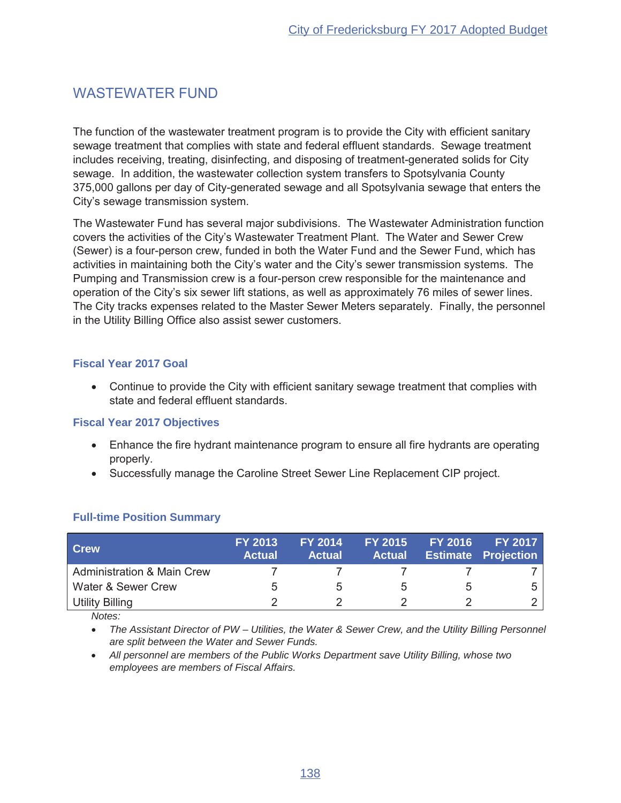# **WASTEWATER FUND**

The function of the wastewater treatment program is to provide the City with efficient sanitary sewage treatment that complies with state and federal effluent standards. Sewage treatment includes receiving, treating, disinfecting, and disposing of treatment-generated solids for City sewage. In addition, the wastewater collection system transfers to Spotsylvania County 375,000 gallons per day of City-generated sewage and all Spotsylvania sewage that enters the City's sewage transmission system.

The Wastewater Fund has several major subdivisions. The Wastewater Administration function covers the activities of the City's Wastewater Treatment Plant. The Water and Sewer Crew (Sewer) is a four-person crew, funded in both the Water Fund and the Sewer Fund, which has activities in maintaining both the City's water and the City's sewer transmission systems. The Pumping and Transmission crew is a four-person crew responsible for the maintenance and operation of the City's six sewer lift stations, as well as approximately 76 miles of sewer lines. The City tracks expenses related to the Master Sewer Meters separately. Finally, the personnel in the Utility Billing Office also assist sewer customers.

## **Fiscal Year 2017 Goal**

• Continue to provide the City with efficient sanitary sewage treatment that complies with state and federal effluent standards.

## **Fiscal Year 2017 Objectives**

- Enhance the fire hydrant maintenance program to ensure all fire hydrants are operating properly.
- Successfully manage the Caroline Street Sewer Line Replacement CIP project.

| <b>Crew</b>                           | <b>FY 2013</b><br><b>Actual</b> | <b>FY 2014</b><br><b>Actual</b> | <b>FY 2015</b><br><b>Actual</b> | <b>FY 2016</b> | FY 2017<br><b>Estimate Projection</b> |
|---------------------------------------|---------------------------------|---------------------------------|---------------------------------|----------------|---------------------------------------|
| <b>Administration &amp; Main Crew</b> |                                 |                                 |                                 |                |                                       |
| Water & Sewer Crew                    |                                 |                                 |                                 |                |                                       |
| <b>Utility Billing</b>                |                                 |                                 |                                 |                |                                       |

## **Full-time Position Summary**

Notes:

• The Assistant Director of PW - Utilities, the Water & Sewer Crew, and the Utility Billing Personnel are split between the Water and Sewer Funds.

• All personnel are members of the Public Works Department save Utility Billing, whose two employees are members of Fiscal Affairs.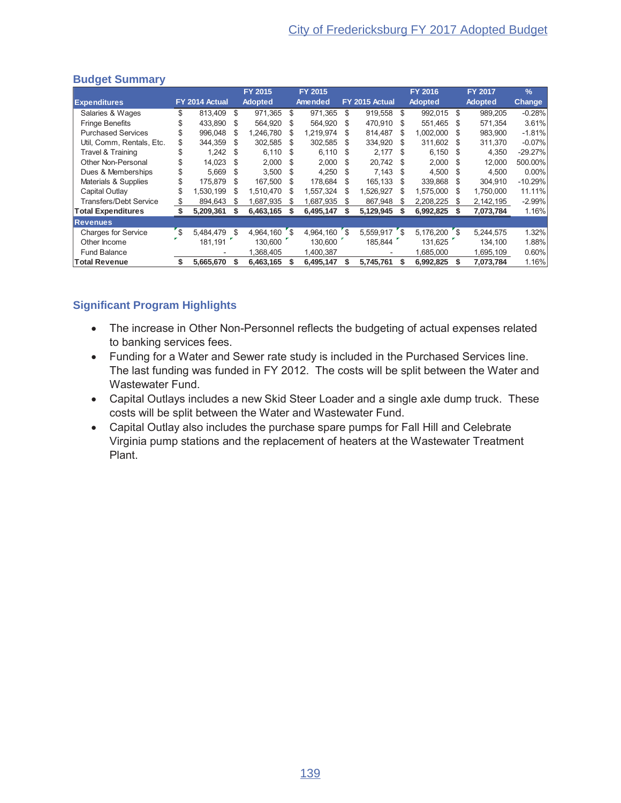|                               |     |                |      | FY 2015        |      | FY 2015   |     |                |     | <b>FY 2016</b> |          | <b>FY 2017</b> | $\frac{9}{6}$ |
|-------------------------------|-----|----------------|------|----------------|------|-----------|-----|----------------|-----|----------------|----------|----------------|---------------|
| <b>Expenditures</b>           |     | FY 2014 Actual |      | <b>Adopted</b> |      | Amended   |     | FY 2015 Actual |     | <b>Adopted</b> |          | <b>Adopted</b> | <b>Change</b> |
| Salaries & Wages              | \$  | 813.409        | \$   | 971,365        | \$   | 971.365   | \$  | 919,558        | \$  | 992,015 \$     |          | 989.205        | $-0.28%$      |
| <b>Fringe Benefits</b>        |     | 433.890        | -S   | 564.920        | - \$ | 564.920   | S   | 470.910        | \$. | 551.465        | - \$     | 571.354        | 3.61%         |
| <b>Purchased Services</b>     |     | 996.048        | S    | 1,246,780      | \$.  | 1.219.974 | S   | 814.487        | S   | 1.002.000      |          | 983.900        | $-1.81%$      |
| Util. Comm. Rentals. Etc.     |     | 344.359        | \$.  | 302,585        | - \$ | 302.585   | \$. | 334.920        | S   | 311.602 \$     |          | 311.370        | $-0.07%$      |
| Travel & Training             | \$  | 1,242          | - \$ | $6,110$ \$     |      | 6,110     | S   | 2,177          | S   | $6,150$ \$     |          | 4,350          | $-29.27%$     |
| Other Non-Personal            |     | 14.023         | - \$ | $2.000$ \$     |      | 2.000     | \$. | 20.742 \$      |     | $2.000$ \$     |          | 12.000         | 500.00%       |
| Dues & Memberships            | \$  | 5.669          | S.   | $3.500$ \$     |      | 4.250     | \$. | 7,143          | \$. | 4.500          | - \$     | 4.500          | $0.00\%$      |
| Materials & Supplies          |     | 175.879        | S    | 167,500        | - \$ | 178,684   | S   | 165.133        | S   | 339,868 \$     |          | 304,910        | $-10.29%$     |
| Capital Outlay                | \$  | 1.530.199      | S    | 1.510.470      | \$.  | 1.557.324 | S   | 1.526.927      | \$  | 1,575,000      | <b>S</b> | 1.750.000      | 11.11%        |
| <b>Transfers/Debt Service</b> | SS. | 894,643        | \$   | ,687,935       | \$.  | 1,687,935 | \$  | 867,948        | \$  | 2.208.225      | S        | 2,142,195      | $-2.99%$      |
| <b>Total Expenditures</b>     |     | 5,209,361      |      | 6,463,165      |      | 6,495,147 |     | 5,129,945      |     | 6,992,825      |          | 7,073,784      | 1.16%         |
| <b>Revenues</b>               |     |                |      |                |      |           |     |                |     |                |          |                |               |
| <b>Charges for Service</b>    | 's  | 5,484,479      | \$   | 4.964.160 \$   |      | 4,964,160 | ້\$ | 5,559,917 \$   |     | $5,176,200$ \$ |          | 5,244,575      | 1.32%         |
| Other Income                  |     | 181.191        |      | 130.600        |      | 130.600   |     | 185.844        |     | 131.625        |          | 134,100        | 1.88%         |
| <b>Fund Balance</b>           |     |                |      | 368,405        |      | 1,400,387 |     |                |     | 1,685,000      |          | 1,695,109      | 0.60%         |
| <b>Total Revenue</b>          | \$  | 5,665,670      |      | 6,463,165      |      | 6,495,147 | \$  | 5.745.761      | \$  | 6,992,825      |          | 7,073,784      | 1.16%         |

- The increase in Other Non-Personnel reflects the budgeting of actual expenses related to banking services fees.
- Funding for a Water and Sewer rate study is included in the Purchased Services line. The last funding was funded in FY 2012. The costs will be split between the Water and Wastewater Fund.
- Capital Outlays includes a new Skid Steer Loader and a single axle dump truck. These costs will be split between the Water and Wastewater Fund.
- Capital Outlay also includes the purchase spare pumps for Fall Hill and Celebrate Virginia pump stations and the replacement of heaters at the Wastewater Treatment Plant.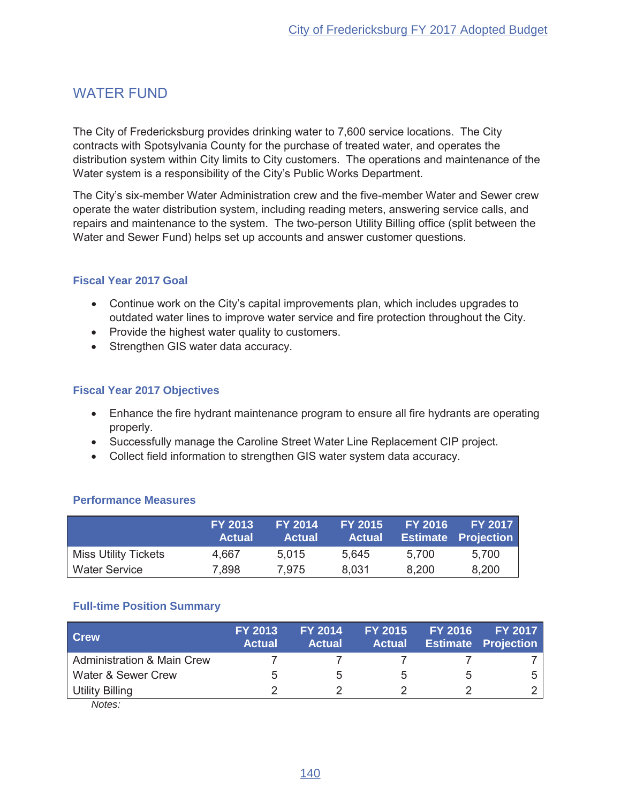## **WATER FUND**

The City of Fredericksburg provides drinking water to 7,600 service locations. The City contracts with Spotsylvania County for the purchase of treated water, and operates the distribution system within City limits to City customers. The operations and maintenance of the Water system is a responsibility of the City's Public Works Department.

The City's six-member Water Administration crew and the five-member Water and Sewer crew operate the water distribution system, including reading meters, answering service calls, and repairs and maintenance to the system. The two-person Utility Billing office (split between the Water and Sewer Fund) helps set up accounts and answer customer questions.

### **Fiscal Year 2017 Goal**

- Continue work on the City's capital improvements plan, which includes upgrades to outdated water lines to improve water service and fire protection throughout the City.
- Provide the highest water quality to customers.
- Strengthen GIS water data accuracy.

## **Fiscal Year 2017 Objectives**

- Enhance the fire hydrant maintenance program to ensure all fire hydrants are operating properly.
- Successfully manage the Caroline Street Water Line Replacement CIP project.
- Collect field information to strengthen GIS water system data accuracy.

#### **Performance Measures**

|                             | <b>FY 2013</b><br><b>Actual</b> | <b>FY 2014</b><br><b>Actual</b> | <b>FY 2015</b><br><b>Actual</b> | <b>FY 2016</b> | <b>FY 2017</b><br><b>Estimate Projection</b> |
|-----------------------------|---------------------------------|---------------------------------|---------------------------------|----------------|----------------------------------------------|
| <b>Miss Utility Tickets</b> | 4,667                           | 5.015                           | 5.645                           | 5.700          | 5.700                                        |
| <b>Water Service</b>        | 7,898                           | 7.975                           | 8.031                           | 8,200          | 8,200                                        |

#### **Full-time Position Summary**

| <b>Crew</b>                           | <b>FY 2013</b><br><b>Actual</b> | <b>FY 2014</b><br><b>Actual</b> | <b>FY 2015</b><br><b>Actual</b> | <b>FY 2016</b> | <b>FY 2017</b><br><b>Estimate Projection</b> |
|---------------------------------------|---------------------------------|---------------------------------|---------------------------------|----------------|----------------------------------------------|
| <b>Administration &amp; Main Crew</b> |                                 |                                 |                                 |                |                                              |
| Water & Sewer Crew                    | 5.                              |                                 |                                 |                |                                              |
| <b>Utility Billing</b>                |                                 |                                 |                                 |                |                                              |
| $N_{0}$                               |                                 |                                 |                                 |                |                                              |

Notes: